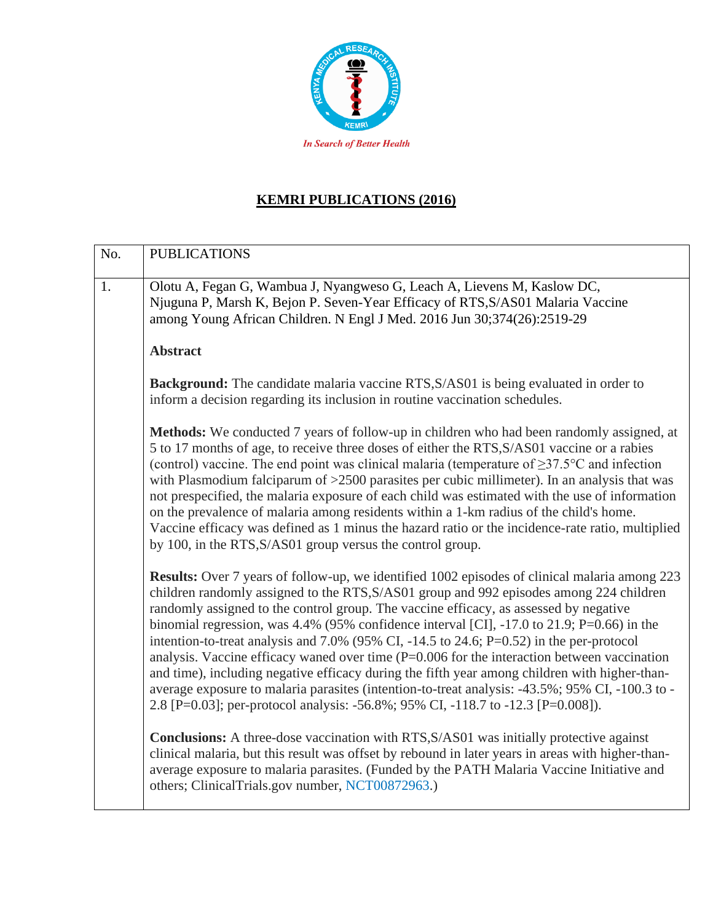

# **KEMRI PUBLICATIONS (2016)**

| No. | <b>PUBLICATIONS</b>                                                                                                                                                                                                                                                                                                                                                                                                                                                                                                                                                                                                                                                                                                                                                                                                                                                       |
|-----|---------------------------------------------------------------------------------------------------------------------------------------------------------------------------------------------------------------------------------------------------------------------------------------------------------------------------------------------------------------------------------------------------------------------------------------------------------------------------------------------------------------------------------------------------------------------------------------------------------------------------------------------------------------------------------------------------------------------------------------------------------------------------------------------------------------------------------------------------------------------------|
| 1.  | Olotu A, Fegan G, Wambua J, Nyangweso G, Leach A, Lievens M, Kaslow DC,<br>Njuguna P, Marsh K, Bejon P. Seven-Year Efficacy of RTS, S/AS01 Malaria Vaccine<br>among Young African Children. N Engl J Med. 2016 Jun 30;374(26):2519-29                                                                                                                                                                                                                                                                                                                                                                                                                                                                                                                                                                                                                                     |
|     | <b>Abstract</b>                                                                                                                                                                                                                                                                                                                                                                                                                                                                                                                                                                                                                                                                                                                                                                                                                                                           |
|     | <b>Background:</b> The candidate malaria vaccine RTS, S/AS01 is being evaluated in order to<br>inform a decision regarding its inclusion in routine vaccination schedules.                                                                                                                                                                                                                                                                                                                                                                                                                                                                                                                                                                                                                                                                                                |
|     | Methods: We conducted 7 years of follow-up in children who had been randomly assigned, at<br>5 to 17 months of age, to receive three doses of either the RTS, S/AS01 vaccine or a rabies<br>(control) vaccine. The end point was clinical malaria (temperature of $\geq$ 37.5°C and infection<br>with Plasmodium falciparum of $>2500$ parasites per cubic millimeter). In an analysis that was<br>not prespecified, the malaria exposure of each child was estimated with the use of information<br>on the prevalence of malaria among residents within a 1-km radius of the child's home.<br>Vaccine efficacy was defined as 1 minus the hazard ratio or the incidence-rate ratio, multiplied<br>by 100, in the RTS, S/AS01 group versus the control group.                                                                                                             |
|     | Results: Over 7 years of follow-up, we identified 1002 episodes of clinical malaria among 223<br>children randomly assigned to the RTS, S/AS01 group and 992 episodes among 224 children<br>randomly assigned to the control group. The vaccine efficacy, as assessed by negative<br>binomial regression, was $4.4\%$ (95% confidence interval [CI], $-17.0$ to 21.9; P=0.66) in the<br>intention-to-treat analysis and 7.0% (95% CI, -14.5 to 24.6; P=0.52) in the per-protocol<br>analysis. Vaccine efficacy waned over time $(P=0.006$ for the interaction between vaccination<br>and time), including negative efficacy during the fifth year among children with higher-than-<br>average exposure to malaria parasites (intention-to-treat analysis: -43.5%; 95% CI, -100.3 to -<br>2.8 [P=0.03]; per-protocol analysis: -56.8%; 95% CI, -118.7 to -12.3 [P=0.008]). |
|     | <b>Conclusions:</b> A three-dose vaccination with RTS, S/AS01 was initially protective against<br>clinical malaria, but this result was offset by rebound in later years in areas with higher-than-<br>average exposure to malaria parasites. (Funded by the PATH Malaria Vaccine Initiative and<br>others; ClinicalTrials.gov number, NCT00872963.)                                                                                                                                                                                                                                                                                                                                                                                                                                                                                                                      |

I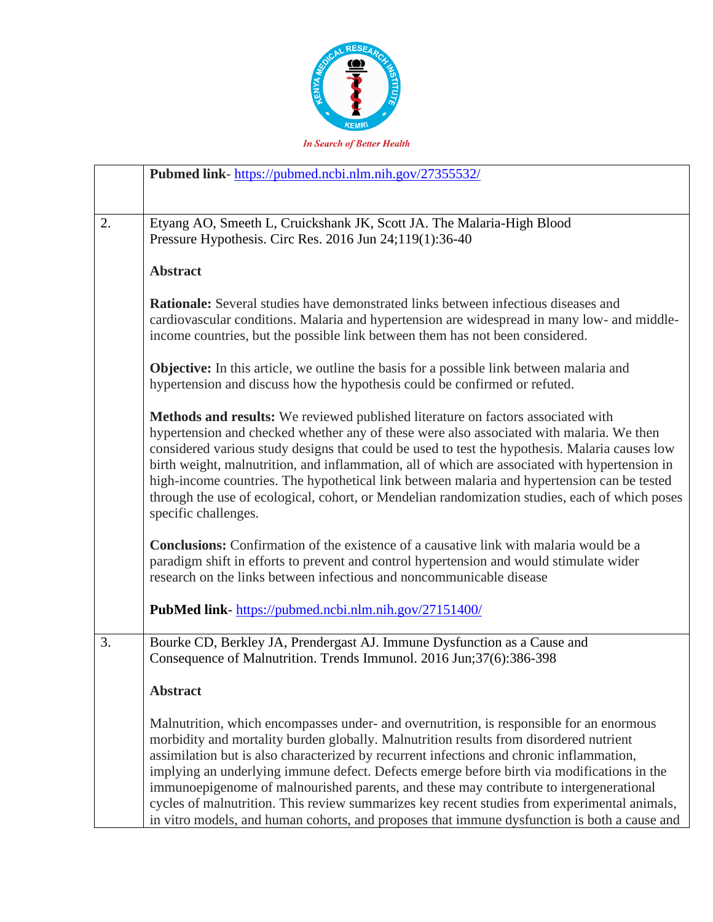

**In Search of Better Health** 

|    | Pubmed link-https://pubmed.ncbi.nlm.nih.gov/27355532/                                                                                                                                                                                                                                                                                                                                                                                                                                                                                                                                                                                                                  |
|----|------------------------------------------------------------------------------------------------------------------------------------------------------------------------------------------------------------------------------------------------------------------------------------------------------------------------------------------------------------------------------------------------------------------------------------------------------------------------------------------------------------------------------------------------------------------------------------------------------------------------------------------------------------------------|
|    |                                                                                                                                                                                                                                                                                                                                                                                                                                                                                                                                                                                                                                                                        |
| 2. | Etyang AO, Smeeth L, Cruickshank JK, Scott JA. The Malaria-High Blood<br>Pressure Hypothesis. Circ Res. 2016 Jun 24;119(1):36-40                                                                                                                                                                                                                                                                                                                                                                                                                                                                                                                                       |
|    | <b>Abstract</b>                                                                                                                                                                                                                                                                                                                                                                                                                                                                                                                                                                                                                                                        |
|    | <b>Rationale:</b> Several studies have demonstrated links between infectious diseases and<br>cardiovascular conditions. Malaria and hypertension are widespread in many low- and middle-<br>income countries, but the possible link between them has not been considered.                                                                                                                                                                                                                                                                                                                                                                                              |
|    | <b>Objective:</b> In this article, we outline the basis for a possible link between malaria and<br>hypertension and discuss how the hypothesis could be confirmed or refuted.                                                                                                                                                                                                                                                                                                                                                                                                                                                                                          |
|    | Methods and results: We reviewed published literature on factors associated with<br>hypertension and checked whether any of these were also associated with malaria. We then<br>considered various study designs that could be used to test the hypothesis. Malaria causes low<br>birth weight, malnutrition, and inflammation, all of which are associated with hypertension in<br>high-income countries. The hypothetical link between malaria and hypertension can be tested<br>through the use of ecological, cohort, or Mendelian randomization studies, each of which poses<br>specific challenges.                                                              |
|    | <b>Conclusions:</b> Confirmation of the existence of a causative link with malaria would be a<br>paradigm shift in efforts to prevent and control hypertension and would stimulate wider<br>research on the links between infectious and noncommunicable disease                                                                                                                                                                                                                                                                                                                                                                                                       |
|    | PubMed link-https://pubmed.ncbi.nlm.nih.gov/27151400/                                                                                                                                                                                                                                                                                                                                                                                                                                                                                                                                                                                                                  |
| 3. | Bourke CD, Berkley JA, Prendergast AJ. Immune Dysfunction as a Cause and<br>Consequence of Malnutrition. Trends Immunol. 2016 Jun;37(6):386-398                                                                                                                                                                                                                                                                                                                                                                                                                                                                                                                        |
|    | <b>Abstract</b>                                                                                                                                                                                                                                                                                                                                                                                                                                                                                                                                                                                                                                                        |
|    | Malnutrition, which encompasses under- and overnutrition, is responsible for an enormous<br>morbidity and mortality burden globally. Malnutrition results from disordered nutrient<br>assimilation but is also characterized by recurrent infections and chronic inflammation,<br>implying an underlying immune defect. Defects emerge before birth via modifications in the<br>immunoepigenome of malnourished parents, and these may contribute to intergenerational<br>cycles of malnutrition. This review summarizes key recent studies from experimental animals,<br>in vitro models, and human cohorts, and proposes that immune dysfunction is both a cause and |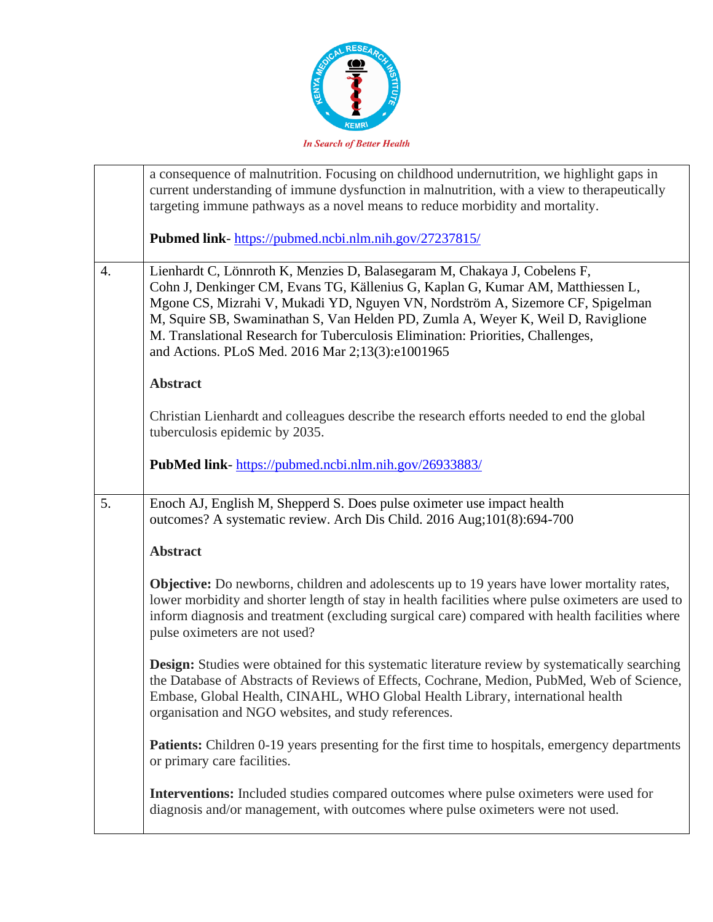

|    | a consequence of malnutrition. Focusing on childhood undernutrition, we highlight gaps in<br>current understanding of immune dysfunction in malnutrition, with a view to therapeutically<br>targeting immune pathways as a novel means to reduce morbidity and mortality.                                                                                                                                                                                                 |
|----|---------------------------------------------------------------------------------------------------------------------------------------------------------------------------------------------------------------------------------------------------------------------------------------------------------------------------------------------------------------------------------------------------------------------------------------------------------------------------|
|    | Pubmed link-https://pubmed.ncbi.nlm.nih.gov/27237815/                                                                                                                                                                                                                                                                                                                                                                                                                     |
| 4. | Lienhardt C, Lönnroth K, Menzies D, Balasegaram M, Chakaya J, Cobelens F,<br>Cohn J, Denkinger CM, Evans TG, Källenius G, Kaplan G, Kumar AM, Matthiessen L,<br>Mgone CS, Mizrahi V, Mukadi YD, Nguyen VN, Nordström A, Sizemore CF, Spigelman<br>M, Squire SB, Swaminathan S, Van Helden PD, Zumla A, Weyer K, Weil D, Raviglione<br>M. Translational Research for Tuberculosis Elimination: Priorities, Challenges,<br>and Actions. PLoS Med. 2016 Mar 2;13(3):e1001965 |
|    | <b>Abstract</b>                                                                                                                                                                                                                                                                                                                                                                                                                                                           |
|    | Christian Lienhardt and colleagues describe the research efforts needed to end the global<br>tuberculosis epidemic by 2035.                                                                                                                                                                                                                                                                                                                                               |
|    | <b>PubMed link-</b> https://pubmed.ncbi.nlm.nih.gov/26933883/                                                                                                                                                                                                                                                                                                                                                                                                             |
|    |                                                                                                                                                                                                                                                                                                                                                                                                                                                                           |
| 5. | Enoch AJ, English M, Shepperd S. Does pulse oximeter use impact health<br>outcomes? A systematic review. Arch Dis Child. 2016 Aug;101(8):694-700                                                                                                                                                                                                                                                                                                                          |
|    | <b>Abstract</b>                                                                                                                                                                                                                                                                                                                                                                                                                                                           |
|    | <b>Objective:</b> Do newborns, children and adolescents up to 19 years have lower mortality rates,<br>lower morbidity and shorter length of stay in health facilities where pulse oximeters are used to<br>inform diagnosis and treatment (excluding surgical care) compared with health facilities where<br>pulse oximeters are not used?                                                                                                                                |
|    | Design: Studies were obtained for this systematic literature review by systematically searching<br>the Database of Abstracts of Reviews of Effects, Cochrane, Medion, PubMed, Web of Science,<br>Embase, Global Health, CINAHL, WHO Global Health Library, international health<br>organisation and NGO websites, and study references.                                                                                                                                   |
|    | Patients: Children 0-19 years presenting for the first time to hospitals, emergency departments<br>or primary care facilities.                                                                                                                                                                                                                                                                                                                                            |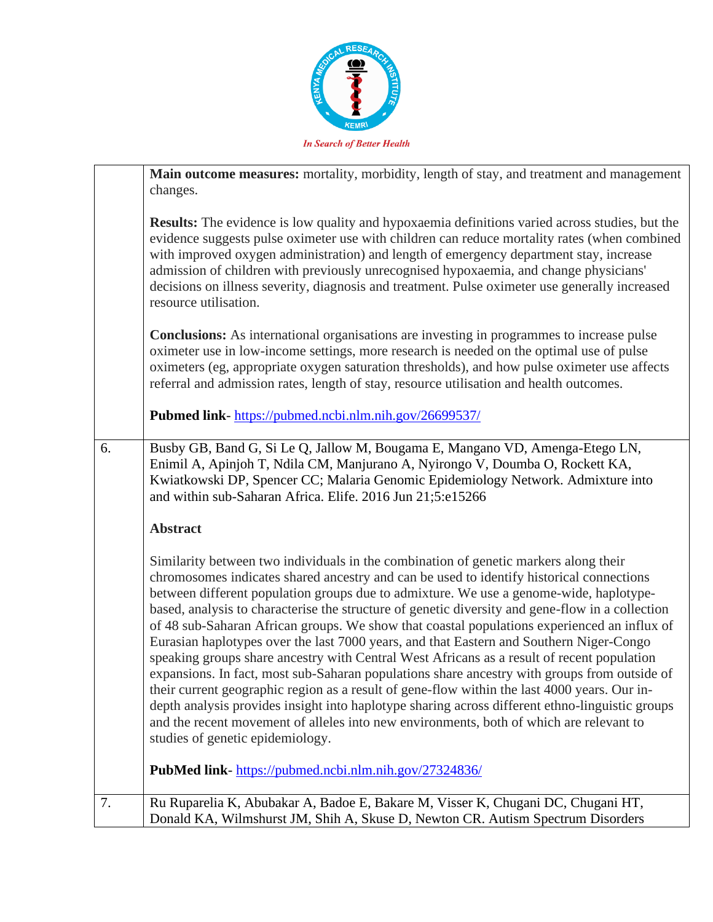

|    | Main outcome measures: mortality, morbidity, length of stay, and treatment and management<br>changes.                                                                                                                                                                                                                                                                                                                                                                                                                                                                                                                                                                                                                                                                                                                                                                                                                                                                                                                                                                                                    |
|----|----------------------------------------------------------------------------------------------------------------------------------------------------------------------------------------------------------------------------------------------------------------------------------------------------------------------------------------------------------------------------------------------------------------------------------------------------------------------------------------------------------------------------------------------------------------------------------------------------------------------------------------------------------------------------------------------------------------------------------------------------------------------------------------------------------------------------------------------------------------------------------------------------------------------------------------------------------------------------------------------------------------------------------------------------------------------------------------------------------|
|    | <b>Results:</b> The evidence is low quality and hypoxaemia definitions varied across studies, but the<br>evidence suggests pulse oximeter use with children can reduce mortality rates (when combined<br>with improved oxygen administration) and length of emergency department stay, increase<br>admission of children with previously unrecognised hypoxaemia, and change physicians'<br>decisions on illness severity, diagnosis and treatment. Pulse oximeter use generally increased<br>resource utilisation.                                                                                                                                                                                                                                                                                                                                                                                                                                                                                                                                                                                      |
|    | <b>Conclusions:</b> As international organisations are investing in programmes to increase pulse<br>oximeter use in low-income settings, more research is needed on the optimal use of pulse<br>oximeters (eg, appropriate oxygen saturation thresholds), and how pulse oximeter use affects<br>referral and admission rates, length of stay, resource utilisation and health outcomes.                                                                                                                                                                                                                                                                                                                                                                                                                                                                                                                                                                                                                                                                                                                  |
|    | Pubmed link-https://pubmed.ncbi.nlm.nih.gov/26699537/                                                                                                                                                                                                                                                                                                                                                                                                                                                                                                                                                                                                                                                                                                                                                                                                                                                                                                                                                                                                                                                    |
| 6. | Busby GB, Band G, Si Le Q, Jallow M, Bougama E, Mangano VD, Amenga-Etego LN,<br>Enimil A, Apinjoh T, Ndila CM, Manjurano A, Nyirongo V, Doumba O, Rockett KA,<br>Kwiatkowski DP, Spencer CC; Malaria Genomic Epidemiology Network. Admixture into<br>and within sub-Saharan Africa. Elife. 2016 Jun 21;5:e15266                                                                                                                                                                                                                                                                                                                                                                                                                                                                                                                                                                                                                                                                                                                                                                                          |
|    | <b>Abstract</b>                                                                                                                                                                                                                                                                                                                                                                                                                                                                                                                                                                                                                                                                                                                                                                                                                                                                                                                                                                                                                                                                                          |
|    | Similarity between two individuals in the combination of genetic markers along their<br>chromosomes indicates shared ancestry and can be used to identify historical connections<br>between different population groups due to admixture. We use a genome-wide, haplotype-<br>based, analysis to characterise the structure of genetic diversity and gene-flow in a collection<br>of 48 sub-Saharan African groups. We show that coastal populations experienced an influx of<br>Eurasian haplotypes over the last 7000 years, and that Eastern and Southern Niger-Congo<br>speaking groups share ancestry with Central West Africans as a result of recent population<br>expansions. In fact, most sub-Saharan populations share ancestry with groups from outside of<br>their current geographic region as a result of gene-flow within the last 4000 years. Our in-<br>depth analysis provides insight into haplotype sharing across different ethno-linguistic groups<br>and the recent movement of alleles into new environments, both of which are relevant to<br>studies of genetic epidemiology. |
|    | PubMed link-https://pubmed.ncbi.nlm.nih.gov/27324836/                                                                                                                                                                                                                                                                                                                                                                                                                                                                                                                                                                                                                                                                                                                                                                                                                                                                                                                                                                                                                                                    |
| 7. | Ru Ruparelia K, Abubakar A, Badoe E, Bakare M, Visser K, Chugani DC, Chugani HT,<br>Donald KA, Wilmshurst JM, Shih A, Skuse D, Newton CR. Autism Spectrum Disorders                                                                                                                                                                                                                                                                                                                                                                                                                                                                                                                                                                                                                                                                                                                                                                                                                                                                                                                                      |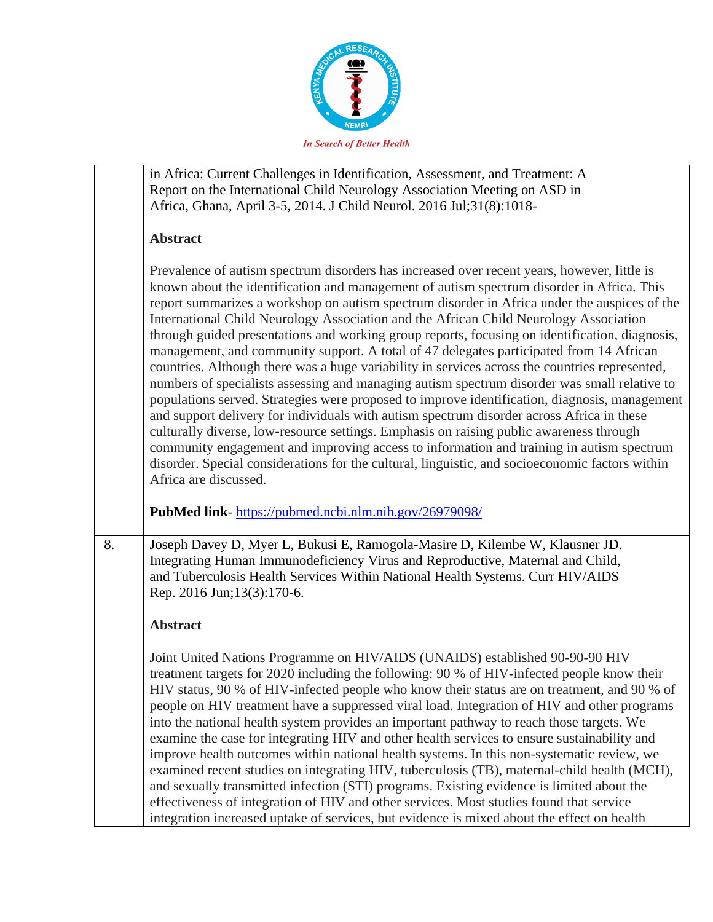

|    | in Africa: Current Challenges in Identification, Assessment, and Treatment: A<br>Report on the International Child Neurology Association Meeting on ASD in<br>Africa, Ghana, April 3-5, 2014. J Child Neurol. 2016 Jul;31(8):1018-                                                                                                                                                                                                                                                                                                                                                                                                                                                                                                                                                                                                                                                                                                                                                                                                                                                                                                                                                                                                                                                                |
|----|---------------------------------------------------------------------------------------------------------------------------------------------------------------------------------------------------------------------------------------------------------------------------------------------------------------------------------------------------------------------------------------------------------------------------------------------------------------------------------------------------------------------------------------------------------------------------------------------------------------------------------------------------------------------------------------------------------------------------------------------------------------------------------------------------------------------------------------------------------------------------------------------------------------------------------------------------------------------------------------------------------------------------------------------------------------------------------------------------------------------------------------------------------------------------------------------------------------------------------------------------------------------------------------------------|
|    | <b>Abstract</b>                                                                                                                                                                                                                                                                                                                                                                                                                                                                                                                                                                                                                                                                                                                                                                                                                                                                                                                                                                                                                                                                                                                                                                                                                                                                                   |
|    | Prevalence of autism spectrum disorders has increased over recent years, however, little is<br>known about the identification and management of autism spectrum disorder in Africa. This<br>report summarizes a workshop on autism spectrum disorder in Africa under the auspices of the<br>International Child Neurology Association and the African Child Neurology Association<br>through guided presentations and working group reports, focusing on identification, diagnosis,<br>management, and community support. A total of 47 delegates participated from 14 African<br>countries. Although there was a huge variability in services across the countries represented,<br>numbers of specialists assessing and managing autism spectrum disorder was small relative to<br>populations served. Strategies were proposed to improve identification, diagnosis, management<br>and support delivery for individuals with autism spectrum disorder across Africa in these<br>culturally diverse, low-resource settings. Emphasis on raising public awareness through<br>community engagement and improving access to information and training in autism spectrum<br>disorder. Special considerations for the cultural, linguistic, and socioeconomic factors within<br>Africa are discussed. |
|    | PubMed link-https://pubmed.ncbi.nlm.nih.gov/26979098/                                                                                                                                                                                                                                                                                                                                                                                                                                                                                                                                                                                                                                                                                                                                                                                                                                                                                                                                                                                                                                                                                                                                                                                                                                             |
| 8. | Joseph Davey D, Myer L, Bukusi E, Ramogola-Masire D, Kilembe W, Klausner JD.<br>Integrating Human Immunodeficiency Virus and Reproductive, Maternal and Child,<br>and Tuberculosis Health Services Within National Health Systems. Curr HIV/AIDS<br>Rep. 2016 Jun; 13(3): 170-6.                                                                                                                                                                                                                                                                                                                                                                                                                                                                                                                                                                                                                                                                                                                                                                                                                                                                                                                                                                                                                  |
|    | <b>Abstract</b>                                                                                                                                                                                                                                                                                                                                                                                                                                                                                                                                                                                                                                                                                                                                                                                                                                                                                                                                                                                                                                                                                                                                                                                                                                                                                   |
|    | Joint United Nations Programme on HIV/AIDS (UNAIDS) established 90-90-90 HIV<br>treatment targets for 2020 including the following: 90 % of HIV-infected people know their<br>HIV status, 90 % of HIV-infected people who know their status are on treatment, and 90 % of<br>people on HIV treatment have a suppressed viral load. Integration of HIV and other programs<br>into the national health system provides an important pathway to reach those targets. We<br>examine the case for integrating HIV and other health services to ensure sustainability and<br>improve health outcomes within national health systems. In this non-systematic review, we<br>examined recent studies on integrating HIV, tuberculosis (TB), maternal-child health (MCH),<br>and sexually transmitted infection (STI) programs. Existing evidence is limited about the<br>effectiveness of integration of HIV and other services. Most studies found that service                                                                                                                                                                                                                                                                                                                                           |
|    | integration increased uptake of services, but evidence is mixed about the effect on health                                                                                                                                                                                                                                                                                                                                                                                                                                                                                                                                                                                                                                                                                                                                                                                                                                                                                                                                                                                                                                                                                                                                                                                                        |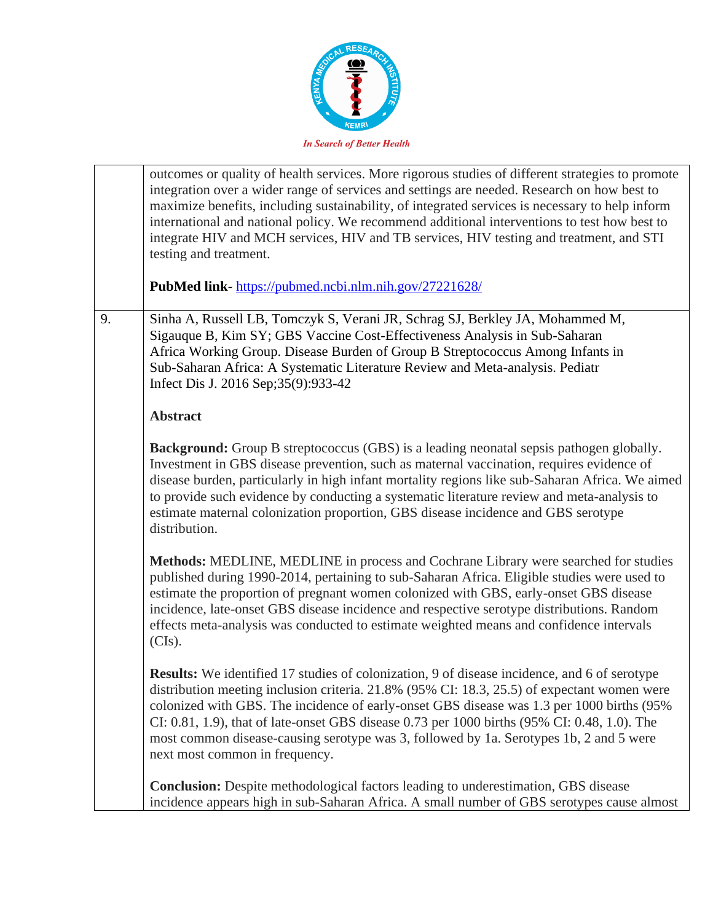

|    | outcomes or quality of health services. More rigorous studies of different strategies to promote<br>integration over a wider range of services and settings are needed. Research on how best to<br>maximize benefits, including sustainability, of integrated services is necessary to help inform<br>international and national policy. We recommend additional interventions to test how best to<br>integrate HIV and MCH services, HIV and TB services, HIV testing and treatment, and STI<br>testing and treatment.      |
|----|------------------------------------------------------------------------------------------------------------------------------------------------------------------------------------------------------------------------------------------------------------------------------------------------------------------------------------------------------------------------------------------------------------------------------------------------------------------------------------------------------------------------------|
|    | PubMed link-https://pubmed.ncbi.nlm.nih.gov/27221628/                                                                                                                                                                                                                                                                                                                                                                                                                                                                        |
| 9. | Sinha A, Russell LB, Tomczyk S, Verani JR, Schrag SJ, Berkley JA, Mohammed M,<br>Sigauque B, Kim SY; GBS Vaccine Cost-Effectiveness Analysis in Sub-Saharan<br>Africa Working Group. Disease Burden of Group B Streptococcus Among Infants in<br>Sub-Saharan Africa: A Systematic Literature Review and Meta-analysis. Pediatr<br>Infect Dis J. 2016 Sep; 35(9): 933-42                                                                                                                                                      |
|    | <b>Abstract</b>                                                                                                                                                                                                                                                                                                                                                                                                                                                                                                              |
|    | <b>Background:</b> Group B streptococcus (GBS) is a leading neonatal sepsis pathogen globally.<br>Investment in GBS disease prevention, such as maternal vaccination, requires evidence of<br>disease burden, particularly in high infant mortality regions like sub-Saharan Africa. We aimed<br>to provide such evidence by conducting a systematic literature review and meta-analysis to<br>estimate maternal colonization proportion, GBS disease incidence and GBS serotype<br>distribution.                            |
|    | Methods: MEDLINE, MEDLINE in process and Cochrane Library were searched for studies<br>published during 1990-2014, pertaining to sub-Saharan Africa. Eligible studies were used to<br>estimate the proportion of pregnant women colonized with GBS, early-onset GBS disease<br>incidence, late-onset GBS disease incidence and respective serotype distributions. Random<br>effects meta-analysis was conducted to estimate weighted means and confidence intervals<br>(CIs).                                                |
|    | <b>Results:</b> We identified 17 studies of colonization, 9 of disease incidence, and 6 of serotype<br>distribution meeting inclusion criteria. 21.8% (95% CI: 18.3, 25.5) of expectant women were<br>colonized with GBS. The incidence of early-onset GBS disease was 1.3 per 1000 births (95%)<br>CI: 0.81, 1.9), that of late-onset GBS disease 0.73 per 1000 births (95% CI: 0.48, 1.0). The<br>most common disease-causing serotype was 3, followed by 1a. Serotypes 1b, 2 and 5 were<br>next most common in frequency. |
|    | <b>Conclusion:</b> Despite methodological factors leading to underestimation, GBS disease<br>incidence appears high in sub-Saharan Africa. A small number of GBS serotypes cause almost                                                                                                                                                                                                                                                                                                                                      |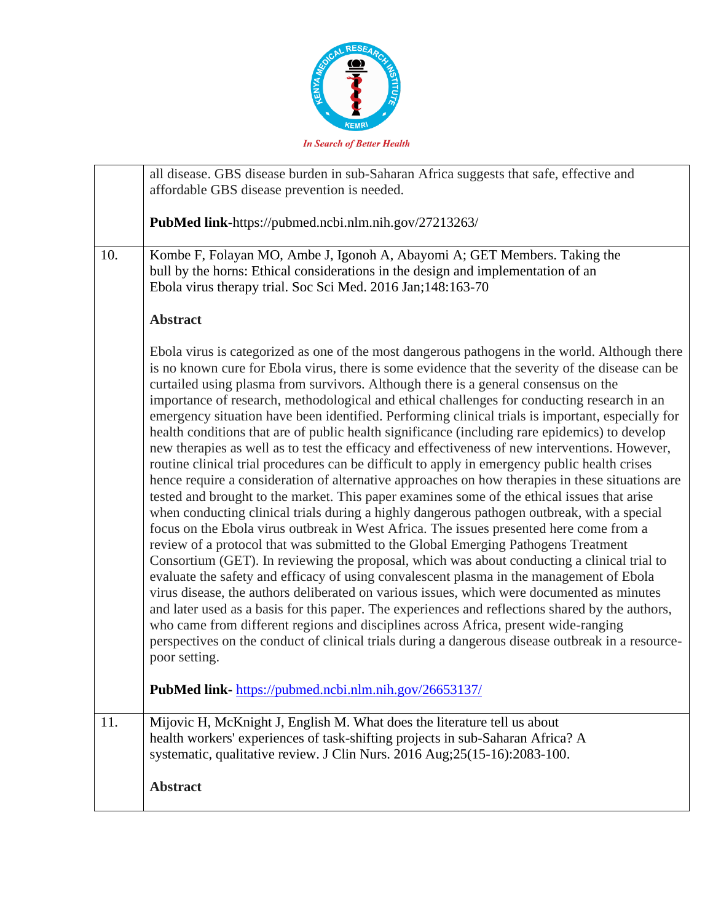

**In Search of Better Health** 

|     | all disease. GBS disease burden in sub-Saharan Africa suggests that safe, effective and<br>affordable GBS disease prevention is needed.                                                                                                                                                                                                                                                                                                                                                                                                                                                                                                                                                                                                                                                                                                                                                                                                                                                                                                                                                                                                                                                                                                                                                                                                                                                                                                                                                                                                                                                                                                                                                                                                                                                                                                                                                         |
|-----|-------------------------------------------------------------------------------------------------------------------------------------------------------------------------------------------------------------------------------------------------------------------------------------------------------------------------------------------------------------------------------------------------------------------------------------------------------------------------------------------------------------------------------------------------------------------------------------------------------------------------------------------------------------------------------------------------------------------------------------------------------------------------------------------------------------------------------------------------------------------------------------------------------------------------------------------------------------------------------------------------------------------------------------------------------------------------------------------------------------------------------------------------------------------------------------------------------------------------------------------------------------------------------------------------------------------------------------------------------------------------------------------------------------------------------------------------------------------------------------------------------------------------------------------------------------------------------------------------------------------------------------------------------------------------------------------------------------------------------------------------------------------------------------------------------------------------------------------------------------------------------------------------|
|     | PubMed link-https://pubmed.ncbi.nlm.nih.gov/27213263/                                                                                                                                                                                                                                                                                                                                                                                                                                                                                                                                                                                                                                                                                                                                                                                                                                                                                                                                                                                                                                                                                                                                                                                                                                                                                                                                                                                                                                                                                                                                                                                                                                                                                                                                                                                                                                           |
| 10. | Kombe F, Folayan MO, Ambe J, Igonoh A, Abayomi A; GET Members. Taking the<br>bull by the horns: Ethical considerations in the design and implementation of an<br>Ebola virus therapy trial. Soc Sci Med. 2016 Jan; 148:163-70                                                                                                                                                                                                                                                                                                                                                                                                                                                                                                                                                                                                                                                                                                                                                                                                                                                                                                                                                                                                                                                                                                                                                                                                                                                                                                                                                                                                                                                                                                                                                                                                                                                                   |
|     | <b>Abstract</b>                                                                                                                                                                                                                                                                                                                                                                                                                                                                                                                                                                                                                                                                                                                                                                                                                                                                                                                                                                                                                                                                                                                                                                                                                                                                                                                                                                                                                                                                                                                                                                                                                                                                                                                                                                                                                                                                                 |
|     | Ebola virus is categorized as one of the most dangerous pathogens in the world. Although there<br>is no known cure for Ebola virus, there is some evidence that the severity of the disease can be<br>curtailed using plasma from survivors. Although there is a general consensus on the<br>importance of research, methodological and ethical challenges for conducting research in an<br>emergency situation have been identified. Performing clinical trials is important, especially for<br>health conditions that are of public health significance (including rare epidemics) to develop<br>new therapies as well as to test the efficacy and effectiveness of new interventions. However,<br>routine clinical trial procedures can be difficult to apply in emergency public health crises<br>hence require a consideration of alternative approaches on how therapies in these situations are<br>tested and brought to the market. This paper examines some of the ethical issues that arise<br>when conducting clinical trials during a highly dangerous pathogen outbreak, with a special<br>focus on the Ebola virus outbreak in West Africa. The issues presented here come from a<br>review of a protocol that was submitted to the Global Emerging Pathogens Treatment<br>Consortium (GET). In reviewing the proposal, which was about conducting a clinical trial to<br>evaluate the safety and efficacy of using convalescent plasma in the management of Ebola<br>virus disease, the authors deliberated on various issues, which were documented as minutes<br>and later used as a basis for this paper. The experiences and reflections shared by the authors,<br>who came from different regions and disciplines across Africa, present wide-ranging<br>perspectives on the conduct of clinical trials during a dangerous disease outbreak in a resource-<br>poor setting. |
|     | PubMed link-https://pubmed.ncbi.nlm.nih.gov/26653137/                                                                                                                                                                                                                                                                                                                                                                                                                                                                                                                                                                                                                                                                                                                                                                                                                                                                                                                                                                                                                                                                                                                                                                                                                                                                                                                                                                                                                                                                                                                                                                                                                                                                                                                                                                                                                                           |
| 11. | Mijovic H, McKnight J, English M. What does the literature tell us about<br>health workers' experiences of task-shifting projects in sub-Saharan Africa? A<br>systematic, qualitative review. J Clin Nurs. 2016 Aug; 25(15-16): 2083-100.                                                                                                                                                                                                                                                                                                                                                                                                                                                                                                                                                                                                                                                                                                                                                                                                                                                                                                                                                                                                                                                                                                                                                                                                                                                                                                                                                                                                                                                                                                                                                                                                                                                       |
|     | <b>Abstract</b>                                                                                                                                                                                                                                                                                                                                                                                                                                                                                                                                                                                                                                                                                                                                                                                                                                                                                                                                                                                                                                                                                                                                                                                                                                                                                                                                                                                                                                                                                                                                                                                                                                                                                                                                                                                                                                                                                 |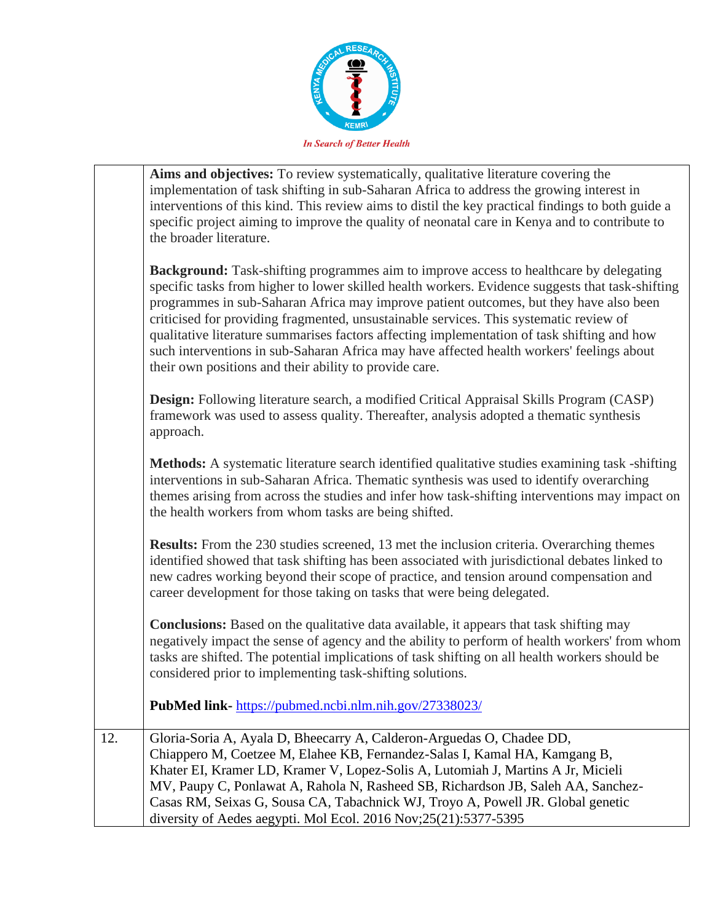

|     | Aims and objectives: To review systematically, qualitative literature covering the<br>implementation of task shifting in sub-Saharan Africa to address the growing interest in<br>interventions of this kind. This review aims to distil the key practical findings to both guide a<br>specific project aiming to improve the quality of neonatal care in Kenya and to contribute to<br>the broader literature.                                                                                                                                                                                                                             |
|-----|---------------------------------------------------------------------------------------------------------------------------------------------------------------------------------------------------------------------------------------------------------------------------------------------------------------------------------------------------------------------------------------------------------------------------------------------------------------------------------------------------------------------------------------------------------------------------------------------------------------------------------------------|
|     | <b>Background:</b> Task-shifting programmes aim to improve access to healthcare by delegating<br>specific tasks from higher to lower skilled health workers. Evidence suggests that task-shifting<br>programmes in sub-Saharan Africa may improve patient outcomes, but they have also been<br>criticised for providing fragmented, unsustainable services. This systematic review of<br>qualitative literature summarises factors affecting implementation of task shifting and how<br>such interventions in sub-Saharan Africa may have affected health workers' feelings about<br>their own positions and their ability to provide care. |
|     | Design: Following literature search, a modified Critical Appraisal Skills Program (CASP)<br>framework was used to assess quality. Thereafter, analysis adopted a thematic synthesis<br>approach.                                                                                                                                                                                                                                                                                                                                                                                                                                            |
|     | Methods: A systematic literature search identified qualitative studies examining task -shifting<br>interventions in sub-Saharan Africa. Thematic synthesis was used to identify overarching<br>themes arising from across the studies and infer how task-shifting interventions may impact on<br>the health workers from whom tasks are being shifted.                                                                                                                                                                                                                                                                                      |
|     | <b>Results:</b> From the 230 studies screened, 13 met the inclusion criteria. Overarching themes<br>identified showed that task shifting has been associated with jurisdictional debates linked to<br>new cadres working beyond their scope of practice, and tension around compensation and<br>career development for those taking on tasks that were being delegated.                                                                                                                                                                                                                                                                     |
|     | <b>Conclusions:</b> Based on the qualitative data available, it appears that task shifting may<br>negatively impact the sense of agency and the ability to perform of health workers' from whom<br>tasks are shifted. The potential implications of task shifting on all health workers should be<br>considered prior to implementing task-shifting solutions.                                                                                                                                                                                                                                                                              |
|     | PubMed link- https://pubmed.ncbi.nlm.nih.gov/27338023/                                                                                                                                                                                                                                                                                                                                                                                                                                                                                                                                                                                      |
| 12. | Gloria-Soria A, Ayala D, Bheecarry A, Calderon-Arguedas O, Chadee DD,<br>Chiappero M, Coetzee M, Elahee KB, Fernandez-Salas I, Kamal HA, Kamgang B,<br>Khater EI, Kramer LD, Kramer V, Lopez-Solis A, Lutomiah J, Martins A Jr, Micieli<br>MV, Paupy C, Ponlawat A, Rahola N, Rasheed SB, Richardson JB, Saleh AA, Sanchez-<br>Casas RM, Seixas G, Sousa CA, Tabachnick WJ, Troyo A, Powell JR. Global genetic<br>diversity of Aedes aegypti. Mol Ecol. 2016 Nov;25(21):5377-5395                                                                                                                                                           |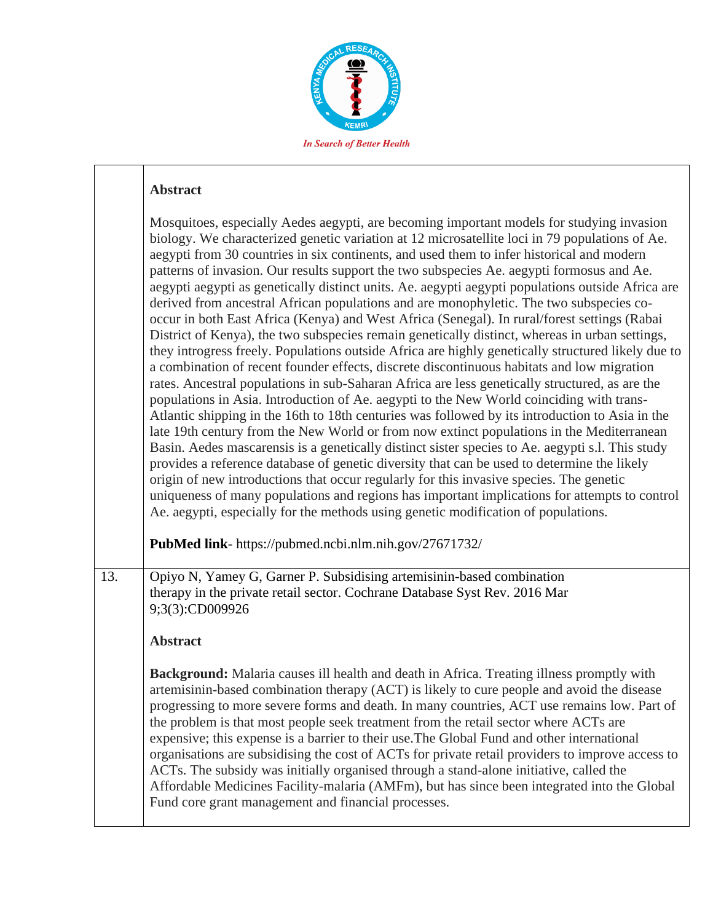

|     | Mosquitoes, especially Aedes aegypti, are becoming important models for studying invasion<br>biology. We characterized genetic variation at 12 microsatellite loci in 79 populations of Ae.<br>aegypti from 30 countries in six continents, and used them to infer historical and modern<br>patterns of invasion. Our results support the two subspecies Ae. aegypti formosus and Ae.<br>aegypti aegypti as genetically distinct units. Ae. aegypti aegypti populations outside Africa are<br>derived from ancestral African populations and are monophyletic. The two subspecies co-<br>occur in both East Africa (Kenya) and West Africa (Senegal). In rural/forest settings (Rabai<br>District of Kenya), the two subspecies remain genetically distinct, whereas in urban settings,<br>they introgress freely. Populations outside Africa are highly genetically structured likely due to<br>a combination of recent founder effects, discrete discontinuous habitats and low migration<br>rates. Ancestral populations in sub-Saharan Africa are less genetically structured, as are the<br>populations in Asia. Introduction of Ae. aegypti to the New World coinciding with trans-<br>Atlantic shipping in the 16th to 18th centuries was followed by its introduction to Asia in the<br>late 19th century from the New World or from now extinct populations in the Mediterranean<br>Basin. Aedes mascarensis is a genetically distinct sister species to Ae. aegypti s.l. This study<br>provides a reference database of genetic diversity that can be used to determine the likely<br>origin of new introductions that occur regularly for this invasive species. The genetic<br>uniqueness of many populations and regions has important implications for attempts to control<br>Ae. aegypti, especially for the methods using genetic modification of populations. |
|-----|--------------------------------------------------------------------------------------------------------------------------------------------------------------------------------------------------------------------------------------------------------------------------------------------------------------------------------------------------------------------------------------------------------------------------------------------------------------------------------------------------------------------------------------------------------------------------------------------------------------------------------------------------------------------------------------------------------------------------------------------------------------------------------------------------------------------------------------------------------------------------------------------------------------------------------------------------------------------------------------------------------------------------------------------------------------------------------------------------------------------------------------------------------------------------------------------------------------------------------------------------------------------------------------------------------------------------------------------------------------------------------------------------------------------------------------------------------------------------------------------------------------------------------------------------------------------------------------------------------------------------------------------------------------------------------------------------------------------------------------------------------------------------------------------------------------------------------------------------------------------------------|
|     | PubMed link- https://pubmed.ncbi.nlm.nih.gov/27671732/                                                                                                                                                                                                                                                                                                                                                                                                                                                                                                                                                                                                                                                                                                                                                                                                                                                                                                                                                                                                                                                                                                                                                                                                                                                                                                                                                                                                                                                                                                                                                                                                                                                                                                                                                                                                                         |
| 13. | Opiyo N, Yamey G, Garner P. Subsidising artemisinin-based combination<br>therapy in the private retail sector. Cochrane Database Syst Rev. 2016 Mar<br>9;3(3):CD009926<br><b>Abstract</b>                                                                                                                                                                                                                                                                                                                                                                                                                                                                                                                                                                                                                                                                                                                                                                                                                                                                                                                                                                                                                                                                                                                                                                                                                                                                                                                                                                                                                                                                                                                                                                                                                                                                                      |
|     | <b>Background:</b> Malaria causes ill health and death in Africa. Treating illness promptly with<br>artemisinin-based combination therapy (ACT) is likely to cure people and avoid the disease<br>progressing to more severe forms and death. In many countries, ACT use remains low. Part of<br>the problem is that most people seek treatment from the retail sector where ACTs are<br>expensive; this expense is a barrier to their use. The Global Fund and other international<br>organisations are subsidising the cost of ACTs for private retail providers to improve access to<br>ACTs. The subsidy was initially organised through a stand-alone initiative, called the<br>Affordable Medicines Facility-malaria (AMFm), but has since been integrated into the Global<br>Fund core grant management and financial processes.                                                                                                                                                                                                                                                                                                                                                                                                                                                                                                                                                                                                                                                                                                                                                                                                                                                                                                                                                                                                                                        |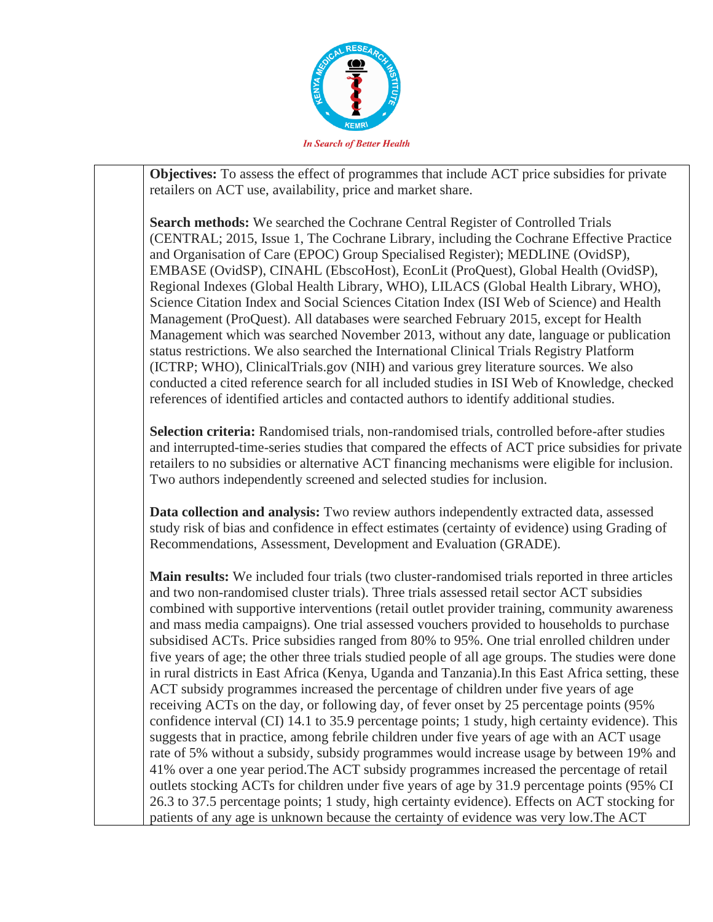

**Objectives:** To assess the effect of programmes that include ACT price subsidies for private retailers on ACT use, availability, price and market share.

**Search methods:** We searched the Cochrane Central Register of Controlled Trials (CENTRAL; 2015, Issue 1, The Cochrane Library, including the Cochrane Effective Practice and Organisation of Care (EPOC) Group Specialised Register); MEDLINE (OvidSP), EMBASE (OvidSP), CINAHL (EbscoHost), EconLit (ProQuest), Global Health (OvidSP), Regional Indexes (Global Health Library, WHO), LILACS (Global Health Library, WHO), Science Citation Index and Social Sciences Citation Index (ISI Web of Science) and Health Management (ProQuest). All databases were searched February 2015, except for Health Management which was searched November 2013, without any date, language or publication status restrictions. We also searched the International Clinical Trials Registry Platform (ICTRP; WHO), ClinicalTrials.gov (NIH) and various grey literature sources. We also conducted a cited reference search for all included studies in ISI Web of Knowledge, checked references of identified articles and contacted authors to identify additional studies.

**Selection criteria:** Randomised trials, non-randomised trials, controlled before-after studies and interrupted-time-series studies that compared the effects of ACT price subsidies for private retailers to no subsidies or alternative ACT financing mechanisms were eligible for inclusion. Two authors independently screened and selected studies for inclusion.

**Data collection and analysis:** Two review authors independently extracted data, assessed study risk of bias and confidence in effect estimates (certainty of evidence) using Grading of Recommendations, Assessment, Development and Evaluation (GRADE).

**Main results:** We included four trials (two cluster-randomised trials reported in three articles and two non-randomised cluster trials). Three trials assessed retail sector ACT subsidies combined with supportive interventions (retail outlet provider training, community awareness and mass media campaigns). One trial assessed vouchers provided to households to purchase subsidised ACTs. Price subsidies ranged from 80% to 95%. One trial enrolled children under five years of age; the other three trials studied people of all age groups. The studies were done in rural districts in East Africa (Kenya, Uganda and Tanzania).In this East Africa setting, these ACT subsidy programmes increased the percentage of children under five years of age receiving ACTs on the day, or following day, of fever onset by 25 percentage points (95% confidence interval (CI) 14.1 to 35.9 percentage points; 1 study, high certainty evidence). This suggests that in practice, among febrile children under five years of age with an ACT usage rate of 5% without a subsidy, subsidy programmes would increase usage by between 19% and 41% over a one year period.The ACT subsidy programmes increased the percentage of retail outlets stocking ACTs for children under five years of age by 31.9 percentage points (95% CI 26.3 to 37.5 percentage points; 1 study, high certainty evidence). Effects on ACT stocking for patients of any age is unknown because the certainty of evidence was very low.The ACT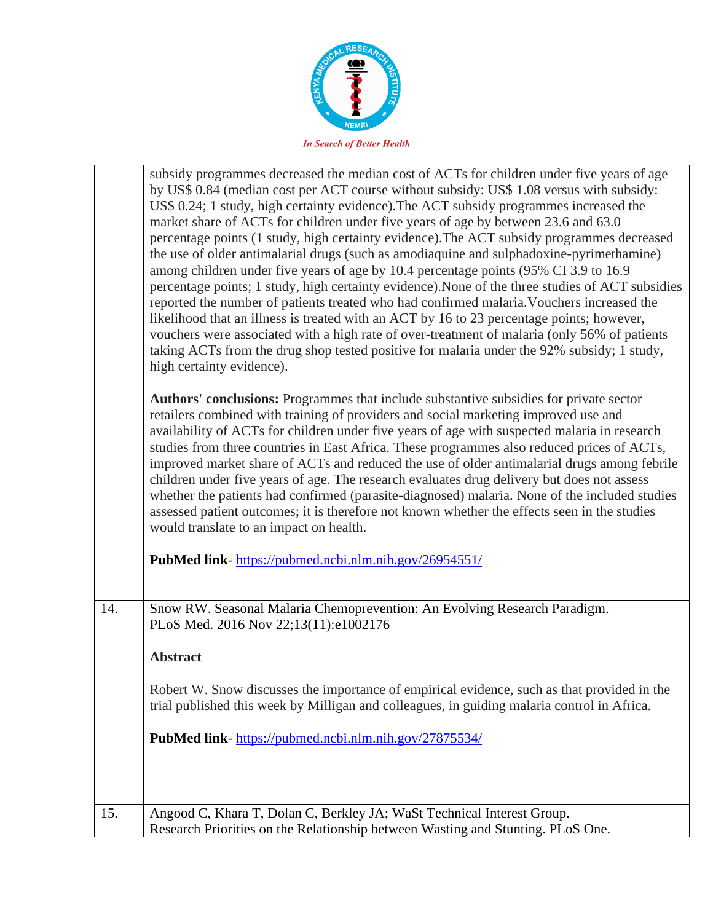

**In Search of Better Health** 

|     | subsidy programmes decreased the median cost of ACTs for children under five years of age<br>by US\$ 0.84 (median cost per ACT course without subsidy: US\$ 1.08 versus with subsidy:<br>US\$ 0.24; 1 study, high certainty evidence). The ACT subsidy programmes increased the<br>market share of ACTs for children under five years of age by between 23.6 and 63.0<br>percentage points (1 study, high certainty evidence). The ACT subsidy programmes decreased<br>the use of older antimalarial drugs (such as amodiaquine and sulphadoxine-pyrimethamine)<br>among children under five years of age by 10.4 percentage points (95% CI 3.9 to 16.9<br>percentage points; 1 study, high certainty evidence). None of the three studies of ACT subsidies<br>reported the number of patients treated who had confirmed malaria. Vouchers increased the<br>likelihood that an illness is treated with an ACT by 16 to 23 percentage points; however,<br>vouchers were associated with a high rate of over-treatment of malaria (only 56% of patients<br>taking ACTs from the drug shop tested positive for malaria under the 92% subsidy; 1 study,<br>high certainty evidence). |
|-----|----------------------------------------------------------------------------------------------------------------------------------------------------------------------------------------------------------------------------------------------------------------------------------------------------------------------------------------------------------------------------------------------------------------------------------------------------------------------------------------------------------------------------------------------------------------------------------------------------------------------------------------------------------------------------------------------------------------------------------------------------------------------------------------------------------------------------------------------------------------------------------------------------------------------------------------------------------------------------------------------------------------------------------------------------------------------------------------------------------------------------------------------------------------------------------|
|     | Authors' conclusions: Programmes that include substantive subsidies for private sector<br>retailers combined with training of providers and social marketing improved use and<br>availability of ACTs for children under five years of age with suspected malaria in research<br>studies from three countries in East Africa. These programmes also reduced prices of ACTs,<br>improved market share of ACTs and reduced the use of older antimalarial drugs among febrile<br>children under five years of age. The research evaluates drug delivery but does not assess<br>whether the patients had confirmed (parasite-diagnosed) malaria. None of the included studies<br>assessed patient outcomes; it is therefore not known whether the effects seen in the studies<br>would translate to an impact on health.                                                                                                                                                                                                                                                                                                                                                             |
|     | PubMed link-https://pubmed.ncbi.nlm.nih.gov/26954551/                                                                                                                                                                                                                                                                                                                                                                                                                                                                                                                                                                                                                                                                                                                                                                                                                                                                                                                                                                                                                                                                                                                            |
| 14. | Snow RW. Seasonal Malaria Chemoprevention: An Evolving Research Paradigm.<br>PLoS Med. 2016 Nov 22;13(11):e1002176<br><b>Abstract</b>                                                                                                                                                                                                                                                                                                                                                                                                                                                                                                                                                                                                                                                                                                                                                                                                                                                                                                                                                                                                                                            |
|     | Robert W. Snow discusses the importance of empirical evidence, such as that provided in the<br>trial published this week by Milligan and colleagues, in guiding malaria control in Africa.                                                                                                                                                                                                                                                                                                                                                                                                                                                                                                                                                                                                                                                                                                                                                                                                                                                                                                                                                                                       |
|     | PubMed link-https://pubmed.ncbi.nlm.nih.gov/27875534/                                                                                                                                                                                                                                                                                                                                                                                                                                                                                                                                                                                                                                                                                                                                                                                                                                                                                                                                                                                                                                                                                                                            |
| 15. | Angood C, Khara T, Dolan C, Berkley JA; WaSt Technical Interest Group.<br>Research Priorities on the Relationship between Wasting and Stunting. PLoS One.                                                                                                                                                                                                                                                                                                                                                                                                                                                                                                                                                                                                                                                                                                                                                                                                                                                                                                                                                                                                                        |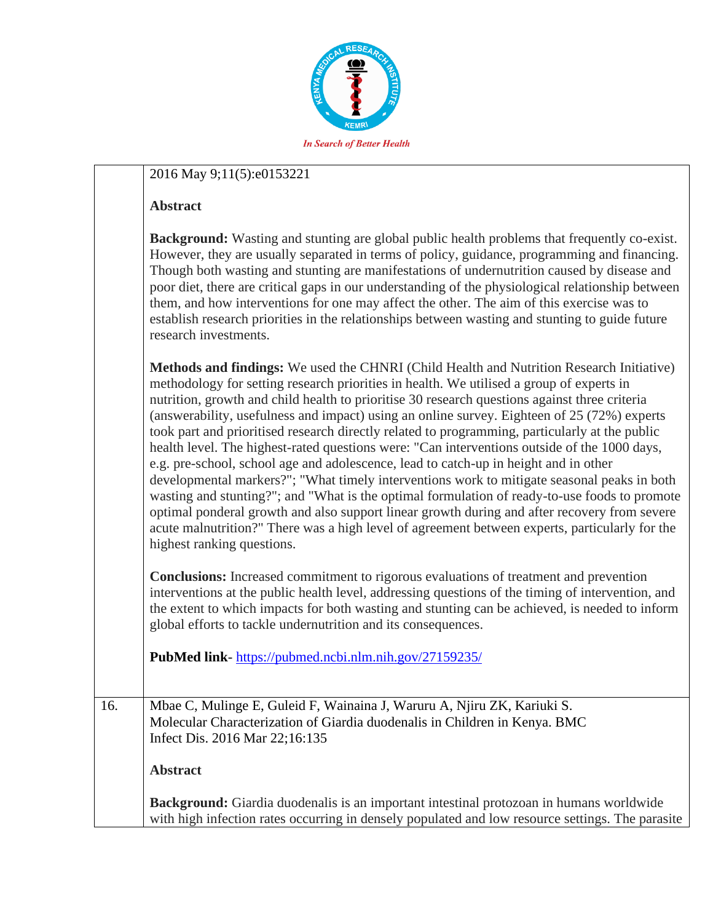

## 2016 May 9;11(5):e0153221

### **Abstract**

**Background:** Wasting and stunting are global public health problems that frequently co-exist. However, they are usually separated in terms of policy, guidance, programming and financing. Though both wasting and stunting are manifestations of undernutrition caused by disease and poor diet, there are critical gaps in our understanding of the physiological relationship between them, and how interventions for one may affect the other. The aim of this exercise was to establish research priorities in the relationships between wasting and stunting to guide future research investments.

**Methods and findings:** We used the CHNRI (Child Health and Nutrition Research Initiative) methodology for setting research priorities in health. We utilised a group of experts in nutrition, growth and child health to prioritise 30 research questions against three criteria (answerability, usefulness and impact) using an online survey. Eighteen of 25 (72%) experts took part and prioritised research directly related to programming, particularly at the public health level. The highest-rated questions were: "Can interventions outside of the 1000 days, e.g. pre-school, school age and adolescence, lead to catch-up in height and in other developmental markers?"; "What timely interventions work to mitigate seasonal peaks in both wasting and stunting?"; and "What is the optimal formulation of ready-to-use foods to promote optimal ponderal growth and also support linear growth during and after recovery from severe acute malnutrition?" There was a high level of agreement between experts, particularly for the highest ranking questions.

**Conclusions:** Increased commitment to rigorous evaluations of treatment and prevention interventions at the public health level, addressing questions of the timing of intervention, and the extent to which impacts for both wasting and stunting can be achieved, is needed to inform global efforts to tackle undernutrition and its consequences.

**PubMed link**- <https://pubmed.ncbi.nlm.nih.gov/27159235/>

| 16. | Mbae C, Mulinge E, Guleid F, Wainaina J, Waruru A, Njiru ZK, Kariuki S.    |
|-----|----------------------------------------------------------------------------|
|     | Molecular Characterization of Giardia duodenalis in Children in Kenya. BMC |
|     | Infect Dis. 2016 Mar 22;16:135                                             |
|     |                                                                            |

# **Abstract**

**Background:** Giardia duodenalis is an important intestinal protozoan in humans worldwide with high infection rates occurring in densely populated and low resource settings. The parasite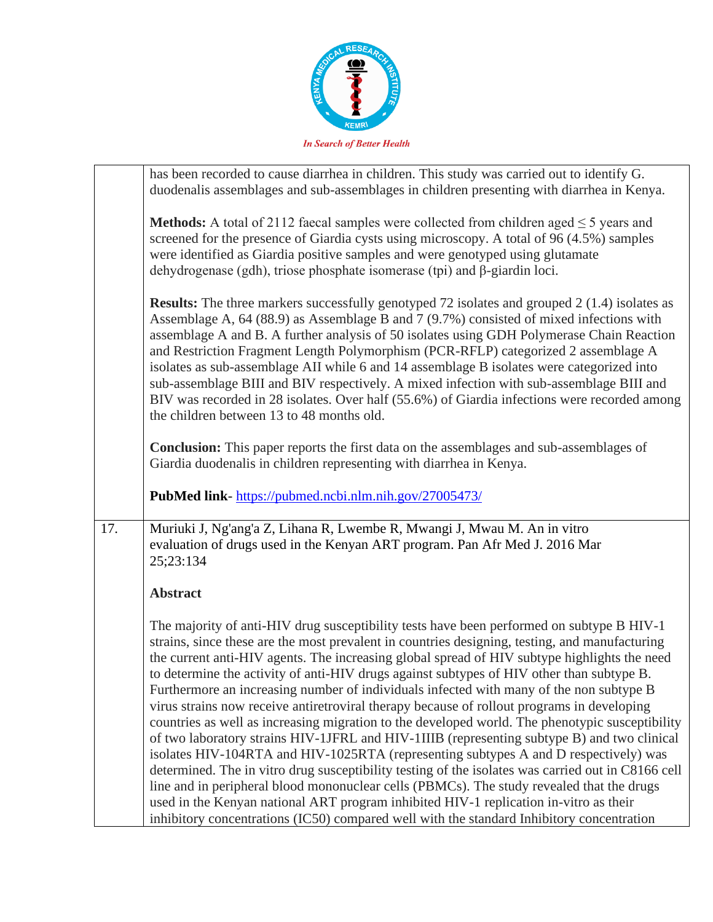

|     | has been recorded to cause diarrhea in children. This study was carried out to identify G.<br>duodenalis assemblages and sub-assemblages in children presenting with diarrhea in Kenya.                                                                                                                                                                                                                                                                                                                                                                                                                                                                                                                                                                                                                                                                                                                                                                                                                                                                                                                                                                                                                                                                              |
|-----|----------------------------------------------------------------------------------------------------------------------------------------------------------------------------------------------------------------------------------------------------------------------------------------------------------------------------------------------------------------------------------------------------------------------------------------------------------------------------------------------------------------------------------------------------------------------------------------------------------------------------------------------------------------------------------------------------------------------------------------------------------------------------------------------------------------------------------------------------------------------------------------------------------------------------------------------------------------------------------------------------------------------------------------------------------------------------------------------------------------------------------------------------------------------------------------------------------------------------------------------------------------------|
|     | Methods: A total of 2112 faecal samples were collected from children aged $\leq$ 5 years and<br>screened for the presence of Giardia cysts using microscopy. A total of 96 (4.5%) samples<br>were identified as Giardia positive samples and were genotyped using glutamate<br>dehydrogenase (gdh), triose phosphate isomerase (tpi) and β-giardin loci.                                                                                                                                                                                                                                                                                                                                                                                                                                                                                                                                                                                                                                                                                                                                                                                                                                                                                                             |
|     | <b>Results:</b> The three markers successfully genotyped 72 isolates and grouped 2 (1.4) isolates as<br>Assemblage A, 64 (88.9) as Assemblage B and 7 (9.7%) consisted of mixed infections with<br>assemblage A and B. A further analysis of 50 isolates using GDH Polymerase Chain Reaction<br>and Restriction Fragment Length Polymorphism (PCR-RFLP) categorized 2 assemblage A<br>isolates as sub-assemblage AII while 6 and 14 assemblage B isolates were categorized into<br>sub-assemblage BIII and BIV respectively. A mixed infection with sub-assemblage BIII and<br>BIV was recorded in 28 isolates. Over half (55.6%) of Giardia infections were recorded among<br>the children between 13 to 48 months old.                                                                                                                                                                                                                                                                                                                                                                                                                                                                                                                                             |
|     | <b>Conclusion:</b> This paper reports the first data on the assemblages and sub-assemblages of<br>Giardia duodenalis in children representing with diarrhea in Kenya.                                                                                                                                                                                                                                                                                                                                                                                                                                                                                                                                                                                                                                                                                                                                                                                                                                                                                                                                                                                                                                                                                                |
|     | PubMed link-https://pubmed.ncbi.nlm.nih.gov/27005473/                                                                                                                                                                                                                                                                                                                                                                                                                                                                                                                                                                                                                                                                                                                                                                                                                                                                                                                                                                                                                                                                                                                                                                                                                |
| 17. | Muriuki J, Ng'ang'a Z, Lihana R, Lwembe R, Mwangi J, Mwau M. An in vitro<br>evaluation of drugs used in the Kenyan ART program. Pan Afr Med J. 2016 Mar<br>25;23:134                                                                                                                                                                                                                                                                                                                                                                                                                                                                                                                                                                                                                                                                                                                                                                                                                                                                                                                                                                                                                                                                                                 |
|     | <b>Abstract</b>                                                                                                                                                                                                                                                                                                                                                                                                                                                                                                                                                                                                                                                                                                                                                                                                                                                                                                                                                                                                                                                                                                                                                                                                                                                      |
|     | The majority of anti-HIV drug susceptibility tests have been performed on subtype B HIV-1<br>strains, since these are the most prevalent in countries designing, testing, and manufacturing<br>the current anti-HIV agents. The increasing global spread of HIV subtype highlights the need<br>to determine the activity of anti-HIV drugs against subtypes of HIV other than subtype B.<br>Furthermore an increasing number of individuals infected with many of the non subtype B<br>virus strains now receive antiretroviral therapy because of rollout programs in developing<br>countries as well as increasing migration to the developed world. The phenotypic susceptibility<br>of two laboratory strains HIV-1JFRL and HIV-1IIIB (representing subtype B) and two clinical<br>isolates HIV-104RTA and HIV-1025RTA (representing subtypes A and D respectively) was<br>determined. The in vitro drug susceptibility testing of the isolates was carried out in C8166 cell<br>line and in peripheral blood mononuclear cells (PBMCs). The study revealed that the drugs<br>used in the Kenyan national ART program inhibited HIV-1 replication in-vitro as their<br>inhibitory concentrations (IC50) compared well with the standard Inhibitory concentration |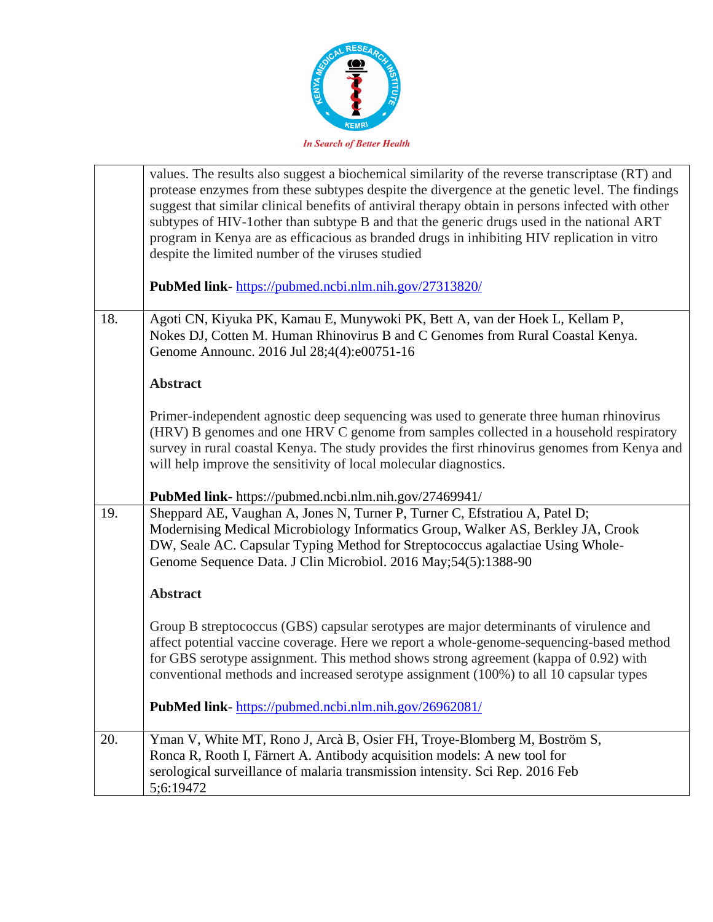

|     | values. The results also suggest a biochemical similarity of the reverse transcriptase (RT) and<br>protease enzymes from these subtypes despite the divergence at the genetic level. The findings<br>suggest that similar clinical benefits of antiviral therapy obtain in persons infected with other<br>subtypes of HIV-1other than subtype B and that the generic drugs used in the national ART<br>program in Kenya are as efficacious as branded drugs in inhibiting HIV replication in vitro<br>despite the limited number of the viruses studied |
|-----|---------------------------------------------------------------------------------------------------------------------------------------------------------------------------------------------------------------------------------------------------------------------------------------------------------------------------------------------------------------------------------------------------------------------------------------------------------------------------------------------------------------------------------------------------------|
|     | PubMed link-https://pubmed.ncbi.nlm.nih.gov/27313820/                                                                                                                                                                                                                                                                                                                                                                                                                                                                                                   |
| 18. | Agoti CN, Kiyuka PK, Kamau E, Munywoki PK, Bett A, van der Hoek L, Kellam P,<br>Nokes DJ, Cotten M. Human Rhinovirus B and C Genomes from Rural Coastal Kenya.<br>Genome Announc. 2016 Jul 28;4(4):e00751-16                                                                                                                                                                                                                                                                                                                                            |
|     | <b>Abstract</b>                                                                                                                                                                                                                                                                                                                                                                                                                                                                                                                                         |
|     | Primer-independent agnostic deep sequencing was used to generate three human rhinovirus<br>(HRV) B genomes and one HRV C genome from samples collected in a household respiratory<br>survey in rural coastal Kenya. The study provides the first rhinovirus genomes from Kenya and<br>will help improve the sensitivity of local molecular diagnostics.                                                                                                                                                                                                 |
|     | PubMed link- https://pubmed.ncbi.nlm.nih.gov/27469941/                                                                                                                                                                                                                                                                                                                                                                                                                                                                                                  |
| 19. | Sheppard AE, Vaughan A, Jones N, Turner P, Turner C, Efstratiou A, Patel D;<br>Modernising Medical Microbiology Informatics Group, Walker AS, Berkley JA, Crook<br>DW, Seale AC. Capsular Typing Method for Streptococcus agalactiae Using Whole-<br>Genome Sequence Data. J Clin Microbiol. 2016 May;54(5):1388-90                                                                                                                                                                                                                                     |
|     | <b>Abstract</b>                                                                                                                                                                                                                                                                                                                                                                                                                                                                                                                                         |
|     | Group B streptococcus (GBS) capsular serotypes are major determinants of virulence and<br>affect potential vaccine coverage. Here we report a whole-genome-sequencing-based method<br>for GBS serotype assignment. This method shows strong agreement (kappa of 0.92) with<br>conventional methods and increased serotype assignment (100%) to all 10 capsular types                                                                                                                                                                                    |
|     | PubMed link-https://pubmed.ncbi.nlm.nih.gov/26962081/                                                                                                                                                                                                                                                                                                                                                                                                                                                                                                   |
| 20. | Yman V, White MT, Rono J, Arcà B, Osier FH, Troye-Blomberg M, Boström S,<br>Ronca R, Rooth I, Färnert A. Antibody acquisition models: A new tool for<br>serological surveillance of malaria transmission intensity. Sci Rep. 2016 Feb<br>5;6:19472                                                                                                                                                                                                                                                                                                      |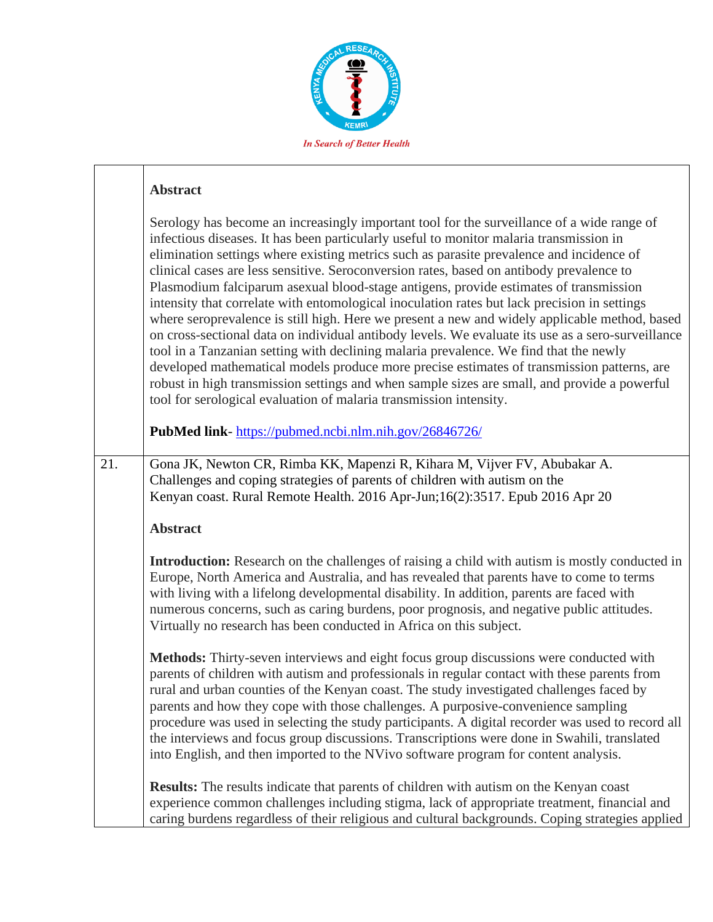

|     | Serology has become an increasingly important tool for the surveillance of a wide range of<br>infectious diseases. It has been particularly useful to monitor malaria transmission in<br>elimination settings where existing metrics such as parasite prevalence and incidence of<br>clinical cases are less sensitive. Seroconversion rates, based on antibody prevalence to<br>Plasmodium falciparum asexual blood-stage antigens, provide estimates of transmission<br>intensity that correlate with entomological inoculation rates but lack precision in settings<br>where seroprevalence is still high. Here we present a new and widely applicable method, based<br>on cross-sectional data on individual antibody levels. We evaluate its use as a sero-surveillance<br>tool in a Tanzanian setting with declining malaria prevalence. We find that the newly<br>developed mathematical models produce more precise estimates of transmission patterns, are<br>robust in high transmission settings and when sample sizes are small, and provide a powerful<br>tool for serological evaluation of malaria transmission intensity.<br>PubMed link-https://pubmed.ncbi.nlm.nih.gov/26846726/ |
|-----|----------------------------------------------------------------------------------------------------------------------------------------------------------------------------------------------------------------------------------------------------------------------------------------------------------------------------------------------------------------------------------------------------------------------------------------------------------------------------------------------------------------------------------------------------------------------------------------------------------------------------------------------------------------------------------------------------------------------------------------------------------------------------------------------------------------------------------------------------------------------------------------------------------------------------------------------------------------------------------------------------------------------------------------------------------------------------------------------------------------------------------------------------------------------------------------------------|
| 21. | Gona JK, Newton CR, Rimba KK, Mapenzi R, Kihara M, Vijver FV, Abubakar A.<br>Challenges and coping strategies of parents of children with autism on the                                                                                                                                                                                                                                                                                                                                                                                                                                                                                                                                                                                                                                                                                                                                                                                                                                                                                                                                                                                                                                            |
|     | Kenyan coast. Rural Remote Health. 2016 Apr-Jun;16(2):3517. Epub 2016 Apr 20                                                                                                                                                                                                                                                                                                                                                                                                                                                                                                                                                                                                                                                                                                                                                                                                                                                                                                                                                                                                                                                                                                                       |
|     | <b>Abstract</b>                                                                                                                                                                                                                                                                                                                                                                                                                                                                                                                                                                                                                                                                                                                                                                                                                                                                                                                                                                                                                                                                                                                                                                                    |
|     | Introduction: Research on the challenges of raising a child with autism is mostly conducted in<br>Europe, North America and Australia, and has revealed that parents have to come to terms<br>with living with a lifelong developmental disability. In addition, parents are faced with<br>numerous concerns, such as caring burdens, poor prognosis, and negative public attitudes.<br>Virtually no research has been conducted in Africa on this subject.                                                                                                                                                                                                                                                                                                                                                                                                                                                                                                                                                                                                                                                                                                                                        |
|     | Methods: Thirty-seven interviews and eight focus group discussions were conducted with<br>parents of children with autism and professionals in regular contact with these parents from<br>rural and urban counties of the Kenyan coast. The study investigated challenges faced by<br>parents and how they cope with those challenges. A purposive-convenience sampling<br>procedure was used in selecting the study participants. A digital recorder was used to record all<br>the interviews and focus group discussions. Transcriptions were done in Swahili, translated<br>into English, and then imported to the NVivo software program for content analysis.                                                                                                                                                                                                                                                                                                                                                                                                                                                                                                                                 |
|     | Results: The results indicate that parents of children with autism on the Kenyan coast<br>experience common challenges including stigma, lack of appropriate treatment, financial and<br>caring burdens regardless of their religious and cultural backgrounds. Coping strategies applied                                                                                                                                                                                                                                                                                                                                                                                                                                                                                                                                                                                                                                                                                                                                                                                                                                                                                                          |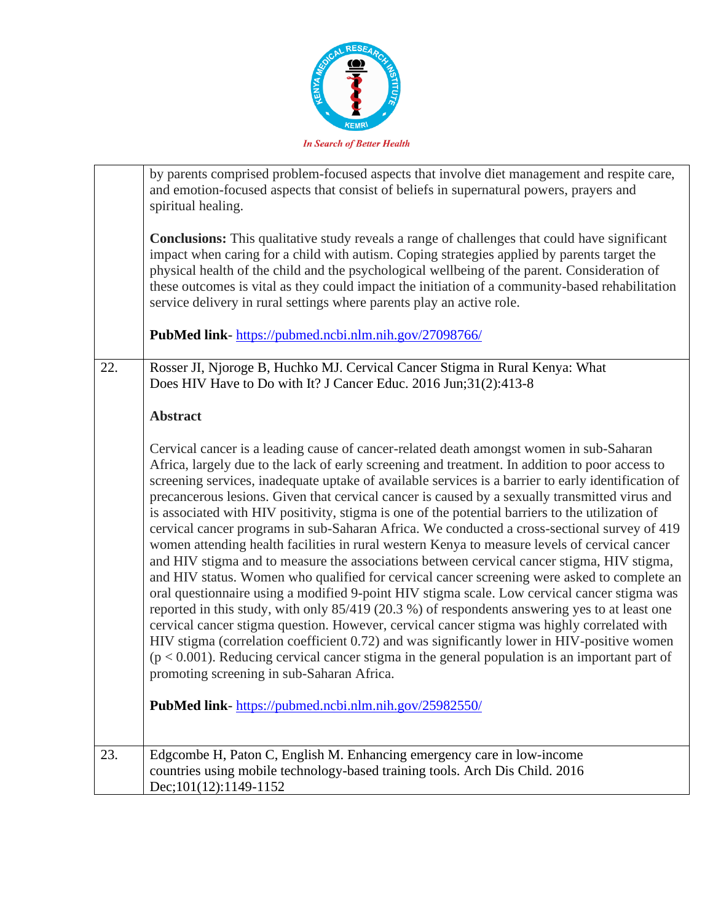

|     | by parents comprised problem-focused aspects that involve diet management and respite care,<br>and emotion-focused aspects that consist of beliefs in supernatural powers, prayers and<br>spiritual healing.<br><b>Conclusions:</b> This qualitative study reveals a range of challenges that could have significant<br>impact when caring for a child with autism. Coping strategies applied by parents target the<br>physical health of the child and the psychological wellbeing of the parent. Consideration of<br>these outcomes is vital as they could impact the initiation of a community-based rehabilitation<br>service delivery in rural settings where parents play an active role.<br>PubMed link-https://pubmed.ncbi.nlm.nih.gov/27098766/                                                                                                                                                                                                                                                                                                                                                                                                                                                                                                                                                                                                                                                                                                                                                                                                                                                                                                                                 |
|-----|------------------------------------------------------------------------------------------------------------------------------------------------------------------------------------------------------------------------------------------------------------------------------------------------------------------------------------------------------------------------------------------------------------------------------------------------------------------------------------------------------------------------------------------------------------------------------------------------------------------------------------------------------------------------------------------------------------------------------------------------------------------------------------------------------------------------------------------------------------------------------------------------------------------------------------------------------------------------------------------------------------------------------------------------------------------------------------------------------------------------------------------------------------------------------------------------------------------------------------------------------------------------------------------------------------------------------------------------------------------------------------------------------------------------------------------------------------------------------------------------------------------------------------------------------------------------------------------------------------------------------------------------------------------------------------------|
| 22. | Rosser JI, Njoroge B, Huchko MJ. Cervical Cancer Stigma in Rural Kenya: What<br>Does HIV Have to Do with It? J Cancer Educ. 2016 Jun;31(2):413-8<br><b>Abstract</b><br>Cervical cancer is a leading cause of cancer-related death amongst women in sub-Saharan<br>Africa, largely due to the lack of early screening and treatment. In addition to poor access to<br>screening services, inadequate uptake of available services is a barrier to early identification of<br>precancerous lesions. Given that cervical cancer is caused by a sexually transmitted virus and<br>is associated with HIV positivity, stigma is one of the potential barriers to the utilization of<br>cervical cancer programs in sub-Saharan Africa. We conducted a cross-sectional survey of 419<br>women attending health facilities in rural western Kenya to measure levels of cervical cancer<br>and HIV stigma and to measure the associations between cervical cancer stigma, HIV stigma,<br>and HIV status. Women who qualified for cervical cancer screening were asked to complete an<br>oral questionnaire using a modified 9-point HIV stigma scale. Low cervical cancer stigma was<br>reported in this study, with only 85/419 (20.3 %) of respondents answering yes to at least one<br>cervical cancer stigma question. However, cervical cancer stigma was highly correlated with<br>HIV stigma (correlation coefficient 0.72) and was significantly lower in HIV-positive women<br>$(p < 0.001)$ . Reducing cervical cancer stigma in the general population is an important part of<br>promoting screening in sub-Saharan Africa.<br>PubMed link-https://pubmed.ncbi.nlm.nih.gov/25982550/ |
| 23. | Edgcombe H, Paton C, English M. Enhancing emergency care in low-income                                                                                                                                                                                                                                                                                                                                                                                                                                                                                                                                                                                                                                                                                                                                                                                                                                                                                                                                                                                                                                                                                                                                                                                                                                                                                                                                                                                                                                                                                                                                                                                                                   |
|     | countries using mobile technology-based training tools. Arch Dis Child. 2016                                                                                                                                                                                                                                                                                                                                                                                                                                                                                                                                                                                                                                                                                                                                                                                                                                                                                                                                                                                                                                                                                                                                                                                                                                                                                                                                                                                                                                                                                                                                                                                                             |
|     | Dec;101(12):1149-1152                                                                                                                                                                                                                                                                                                                                                                                                                                                                                                                                                                                                                                                                                                                                                                                                                                                                                                                                                                                                                                                                                                                                                                                                                                                                                                                                                                                                                                                                                                                                                                                                                                                                    |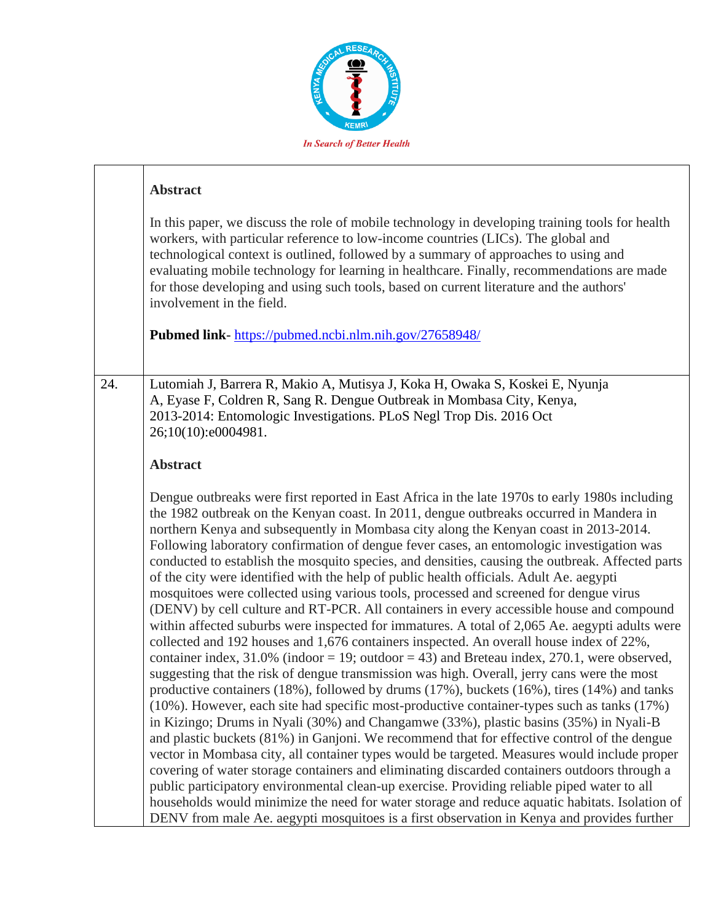

|     | <b>Abstract</b>                                                                                                                                                                                                                                                                                                                                                                                                                                                                                                                                                                                                                                                                                                                                                                                                                                                                                                                                                                                                                                                                                                                                                                                                                                                                                                                                                                                                                                                                                                                                                                                                                                                                                                                                                                                                                                                                                                                                                                                                                                             |
|-----|-------------------------------------------------------------------------------------------------------------------------------------------------------------------------------------------------------------------------------------------------------------------------------------------------------------------------------------------------------------------------------------------------------------------------------------------------------------------------------------------------------------------------------------------------------------------------------------------------------------------------------------------------------------------------------------------------------------------------------------------------------------------------------------------------------------------------------------------------------------------------------------------------------------------------------------------------------------------------------------------------------------------------------------------------------------------------------------------------------------------------------------------------------------------------------------------------------------------------------------------------------------------------------------------------------------------------------------------------------------------------------------------------------------------------------------------------------------------------------------------------------------------------------------------------------------------------------------------------------------------------------------------------------------------------------------------------------------------------------------------------------------------------------------------------------------------------------------------------------------------------------------------------------------------------------------------------------------------------------------------------------------------------------------------------------------|
|     | In this paper, we discuss the role of mobile technology in developing training tools for health<br>workers, with particular reference to low-income countries (LICs). The global and<br>technological context is outlined, followed by a summary of approaches to using and<br>evaluating mobile technology for learning in healthcare. Finally, recommendations are made<br>for those developing and using such tools, based on current literature and the authors'<br>involvement in the field.                                                                                                                                                                                                                                                                                                                                                                                                                                                                                                                                                                                                                                                                                                                                                                                                                                                                                                                                                                                                                                                                                                                                                                                                                                                                                                                                                                                                                                                                                                                                                           |
|     | Pubmed link-https://pubmed.ncbi.nlm.nih.gov/27658948/                                                                                                                                                                                                                                                                                                                                                                                                                                                                                                                                                                                                                                                                                                                                                                                                                                                                                                                                                                                                                                                                                                                                                                                                                                                                                                                                                                                                                                                                                                                                                                                                                                                                                                                                                                                                                                                                                                                                                                                                       |
| 24. | Lutomiah J, Barrera R, Makio A, Mutisya J, Koka H, Owaka S, Koskei E, Nyunja<br>A, Eyase F, Coldren R, Sang R. Dengue Outbreak in Mombasa City, Kenya,<br>2013-2014: Entomologic Investigations. PLoS Negl Trop Dis. 2016 Oct<br>26;10(10):e0004981.                                                                                                                                                                                                                                                                                                                                                                                                                                                                                                                                                                                                                                                                                                                                                                                                                                                                                                                                                                                                                                                                                                                                                                                                                                                                                                                                                                                                                                                                                                                                                                                                                                                                                                                                                                                                        |
|     | <b>Abstract</b>                                                                                                                                                                                                                                                                                                                                                                                                                                                                                                                                                                                                                                                                                                                                                                                                                                                                                                                                                                                                                                                                                                                                                                                                                                                                                                                                                                                                                                                                                                                                                                                                                                                                                                                                                                                                                                                                                                                                                                                                                                             |
|     | Dengue outbreaks were first reported in East Africa in the late 1970s to early 1980s including<br>the 1982 outbreak on the Kenyan coast. In 2011, dengue outbreaks occurred in Mandera in<br>northern Kenya and subsequently in Mombasa city along the Kenyan coast in 2013-2014.<br>Following laboratory confirmation of dengue fever cases, an entomologic investigation was<br>conducted to establish the mosquito species, and densities, causing the outbreak. Affected parts<br>of the city were identified with the help of public health officials. Adult Ae. aegypti<br>mosquitoes were collected using various tools, processed and screened for dengue virus<br>(DENV) by cell culture and RT-PCR. All containers in every accessible house and compound<br>within affected suburbs were inspected for immatures. A total of 2,065 Ae. aegypti adults were<br>collected and 192 houses and 1,676 containers inspected. An overall house index of 22%,<br>container index, $31.0\%$ (indoor = 19; outdoor = 43) and Breteau index, 270.1, were observed,<br>suggesting that the risk of dengue transmission was high. Overall, jerry cans were the most<br>productive containers (18%), followed by drums (17%), buckets (16%), tires (14%) and tanks<br>$(10\%)$ . However, each site had specific most-productive container-types such as tanks $(17\%)$<br>in Kizingo; Drums in Nyali (30%) and Changamwe (33%), plastic basins (35%) in Nyali-B<br>and plastic buckets (81%) in Ganjoni. We recommend that for effective control of the dengue<br>vector in Mombasa city, all container types would be targeted. Measures would include proper<br>covering of water storage containers and eliminating discarded containers outdoors through a<br>public participatory environmental clean-up exercise. Providing reliable piped water to all<br>households would minimize the need for water storage and reduce aquatic habitats. Isolation of<br>DENV from male Ae. aegypti mosquitoes is a first observation in Kenya and provides further |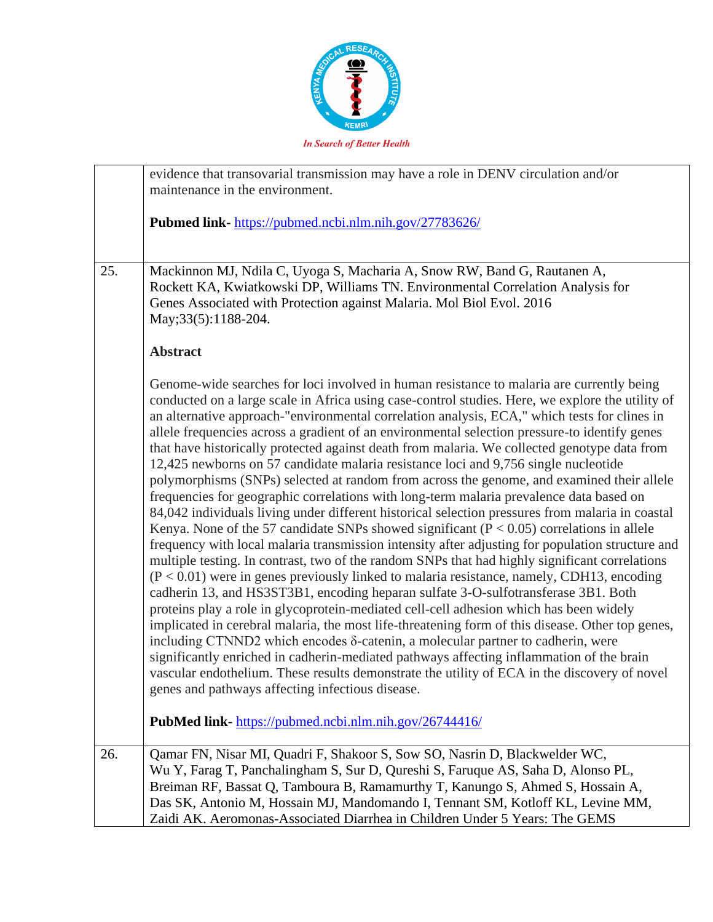

|     | evidence that transovarial transmission may have a role in DENV circulation and/or<br>maintenance in the environment.                                                                                                                                                                                                                                                                                                                                                                                                                                                                                                                                                                                                                                                                                                                                                                                                                                                                                                                                                                                                                                                                                                                                                                                                                                                                                                                                                                                                                                                                                                                                                                                                                                                                                                                                                                                                  |
|-----|------------------------------------------------------------------------------------------------------------------------------------------------------------------------------------------------------------------------------------------------------------------------------------------------------------------------------------------------------------------------------------------------------------------------------------------------------------------------------------------------------------------------------------------------------------------------------------------------------------------------------------------------------------------------------------------------------------------------------------------------------------------------------------------------------------------------------------------------------------------------------------------------------------------------------------------------------------------------------------------------------------------------------------------------------------------------------------------------------------------------------------------------------------------------------------------------------------------------------------------------------------------------------------------------------------------------------------------------------------------------------------------------------------------------------------------------------------------------------------------------------------------------------------------------------------------------------------------------------------------------------------------------------------------------------------------------------------------------------------------------------------------------------------------------------------------------------------------------------------------------------------------------------------------------|
|     | Pubmed link- https://pubmed.ncbi.nlm.nih.gov/27783626/                                                                                                                                                                                                                                                                                                                                                                                                                                                                                                                                                                                                                                                                                                                                                                                                                                                                                                                                                                                                                                                                                                                                                                                                                                                                                                                                                                                                                                                                                                                                                                                                                                                                                                                                                                                                                                                                 |
| 25. | Mackinnon MJ, Ndila C, Uyoga S, Macharia A, Snow RW, Band G, Rautanen A,<br>Rockett KA, Kwiatkowski DP, Williams TN. Environmental Correlation Analysis for<br>Genes Associated with Protection against Malaria. Mol Biol Evol. 2016<br>May; 33(5): 1188-204.                                                                                                                                                                                                                                                                                                                                                                                                                                                                                                                                                                                                                                                                                                                                                                                                                                                                                                                                                                                                                                                                                                                                                                                                                                                                                                                                                                                                                                                                                                                                                                                                                                                          |
|     | <b>Abstract</b>                                                                                                                                                                                                                                                                                                                                                                                                                                                                                                                                                                                                                                                                                                                                                                                                                                                                                                                                                                                                                                                                                                                                                                                                                                                                                                                                                                                                                                                                                                                                                                                                                                                                                                                                                                                                                                                                                                        |
|     | Genome-wide searches for loci involved in human resistance to malaria are currently being<br>conducted on a large scale in Africa using case-control studies. Here, we explore the utility of<br>an alternative approach-"environmental correlation analysis, ECA," which tests for clines in<br>allele frequencies across a gradient of an environmental selection pressure-to identify genes<br>that have historically protected against death from malaria. We collected genotype data from<br>12,425 newborns on 57 candidate malaria resistance loci and 9,756 single nucleotide<br>polymorphisms (SNPs) selected at random from across the genome, and examined their allele<br>frequencies for geographic correlations with long-term malaria prevalence data based on<br>84,042 individuals living under different historical selection pressures from malaria in coastal<br>Kenya. None of the 57 candidate SNPs showed significant ( $P < 0.05$ ) correlations in allele<br>frequency with local malaria transmission intensity after adjusting for population structure and<br>multiple testing. In contrast, two of the random SNPs that had highly significant correlations<br>$(P < 0.01)$ were in genes previously linked to malaria resistance, namely, CDH13, encoding<br>cadherin 13, and HS3ST3B1, encoding heparan sulfate 3-O-sulfotransferase 3B1. Both<br>proteins play a role in glycoprotein-mediated cell-cell adhesion which has been widely<br>implicated in cerebral malaria, the most life-threatening form of this disease. Other top genes,<br>including CTNND2 which encodes $\delta$ -catenin, a molecular partner to cadherin, were<br>significantly enriched in cadherin-mediated pathways affecting inflammation of the brain<br>vascular endothelium. These results demonstrate the utility of ECA in the discovery of novel<br>genes and pathways affecting infectious disease. |
|     | PubMed link-https://pubmed.ncbi.nlm.nih.gov/26744416/                                                                                                                                                                                                                                                                                                                                                                                                                                                                                                                                                                                                                                                                                                                                                                                                                                                                                                                                                                                                                                                                                                                                                                                                                                                                                                                                                                                                                                                                                                                                                                                                                                                                                                                                                                                                                                                                  |
| 26. | Qamar FN, Nisar MI, Quadri F, Shakoor S, Sow SO, Nasrin D, Blackwelder WC,<br>Wu Y, Farag T, Panchalingham S, Sur D, Qureshi S, Faruque AS, Saha D, Alonso PL,<br>Breiman RF, Bassat Q, Tamboura B, Ramamurthy T, Kanungo S, Ahmed S, Hossain A,<br>Das SK, Antonio M, Hossain MJ, Mandomando I, Tennant SM, Kotloff KL, Levine MM,<br>Zaidi AK. Aeromonas-Associated Diarrhea in Children Under 5 Years: The GEMS                                                                                                                                                                                                                                                                                                                                                                                                                                                                                                                                                                                                                                                                                                                                                                                                                                                                                                                                                                                                                                                                                                                                                                                                                                                                                                                                                                                                                                                                                                     |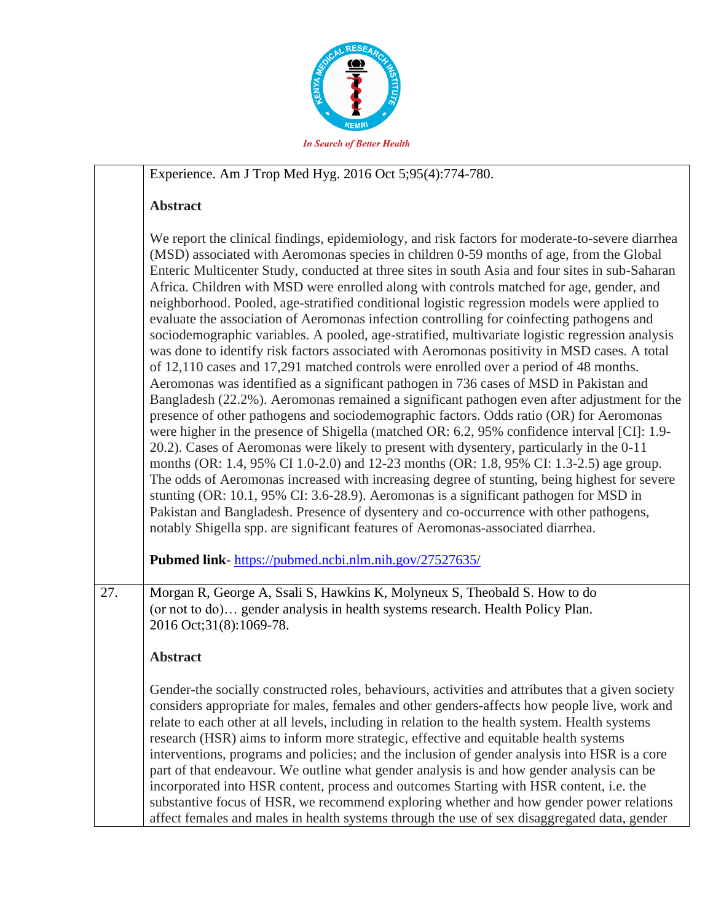

|     | Experience. Am J Trop Med Hyg. 2016 Oct 5;95(4):774-780.                                                                                                                                                                                                                                                                                                                                                                                                                                                                                                                                                                                                                                                                                                                                                                                                                                                                                                                                                                                                                                                                                                                                                                                                                                                                                                                                                                                                                                                                                                                                                                                                                                                                                                                                                                             |
|-----|--------------------------------------------------------------------------------------------------------------------------------------------------------------------------------------------------------------------------------------------------------------------------------------------------------------------------------------------------------------------------------------------------------------------------------------------------------------------------------------------------------------------------------------------------------------------------------------------------------------------------------------------------------------------------------------------------------------------------------------------------------------------------------------------------------------------------------------------------------------------------------------------------------------------------------------------------------------------------------------------------------------------------------------------------------------------------------------------------------------------------------------------------------------------------------------------------------------------------------------------------------------------------------------------------------------------------------------------------------------------------------------------------------------------------------------------------------------------------------------------------------------------------------------------------------------------------------------------------------------------------------------------------------------------------------------------------------------------------------------------------------------------------------------------------------------------------------------|
|     | <b>Abstract</b>                                                                                                                                                                                                                                                                                                                                                                                                                                                                                                                                                                                                                                                                                                                                                                                                                                                                                                                                                                                                                                                                                                                                                                                                                                                                                                                                                                                                                                                                                                                                                                                                                                                                                                                                                                                                                      |
|     | We report the clinical findings, epidemiology, and risk factors for moderate-to-severe diarrhea<br>(MSD) associated with Aeromonas species in children 0-59 months of age, from the Global<br>Enteric Multicenter Study, conducted at three sites in south Asia and four sites in sub-Saharan<br>Africa. Children with MSD were enrolled along with controls matched for age, gender, and<br>neighborhood. Pooled, age-stratified conditional logistic regression models were applied to<br>evaluate the association of Aeromonas infection controlling for coinfecting pathogens and<br>sociodemographic variables. A pooled, age-stratified, multivariate logistic regression analysis<br>was done to identify risk factors associated with Aeromonas positivity in MSD cases. A total<br>of 12,110 cases and 17,291 matched controls were enrolled over a period of 48 months.<br>Aeromonas was identified as a significant pathogen in 736 cases of MSD in Pakistan and<br>Bangladesh (22.2%). Aeromonas remained a significant pathogen even after adjustment for the<br>presence of other pathogens and sociodemographic factors. Odds ratio (OR) for Aeromonas<br>were higher in the presence of Shigella (matched OR: 6.2, 95% confidence interval [CI]: 1.9-<br>20.2). Cases of Aeromonas were likely to present with dysentery, particularly in the 0-11<br>months (OR: 1.4, 95% CI 1.0-2.0) and 12-23 months (OR: 1.8, 95% CI: 1.3-2.5) age group.<br>The odds of Aeromonas increased with increasing degree of stunting, being highest for severe<br>stunting (OR: 10.1, 95% CI: 3.6-28.9). Aeromonas is a significant pathogen for MSD in<br>Pakistan and Bangladesh. Presence of dysentery and co-occurrence with other pathogens,<br>notably Shigella spp. are significant features of Aeromonas-associated diarrhea. |
|     | Pubmed link-https://pubmed.ncbi.nlm.nih.gov/27527635/                                                                                                                                                                                                                                                                                                                                                                                                                                                                                                                                                                                                                                                                                                                                                                                                                                                                                                                                                                                                                                                                                                                                                                                                                                                                                                                                                                                                                                                                                                                                                                                                                                                                                                                                                                                |
| 27. | Morgan R, George A, Ssali S, Hawkins K, Molyneux S, Theobald S. How to do<br>(or not to do) gender analysis in health systems research. Health Policy Plan.<br>2016 Oct;31(8):1069-78.                                                                                                                                                                                                                                                                                                                                                                                                                                                                                                                                                                                                                                                                                                                                                                                                                                                                                                                                                                                                                                                                                                                                                                                                                                                                                                                                                                                                                                                                                                                                                                                                                                               |
|     | <b>Abstract</b>                                                                                                                                                                                                                                                                                                                                                                                                                                                                                                                                                                                                                                                                                                                                                                                                                                                                                                                                                                                                                                                                                                                                                                                                                                                                                                                                                                                                                                                                                                                                                                                                                                                                                                                                                                                                                      |
|     | Gender-the socially constructed roles, behaviours, activities and attributes that a given society<br>considers appropriate for males, females and other genders-affects how people live, work and<br>relate to each other at all levels, including in relation to the health system. Health systems<br>research (HSR) aims to inform more strategic, effective and equitable health systems<br>interventions, programs and policies; and the inclusion of gender analysis into HSR is a core<br>part of that endeavour. We outline what gender analysis is and how gender analysis can be<br>incorporated into HSR content, process and outcomes Starting with HSR content, i.e. the<br>substantive focus of HSR, we recommend exploring whether and how gender power relations<br>affect females and males in health systems through the use of sex disaggregated data, gender                                                                                                                                                                                                                                                                                                                                                                                                                                                                                                                                                                                                                                                                                                                                                                                                                                                                                                                                                      |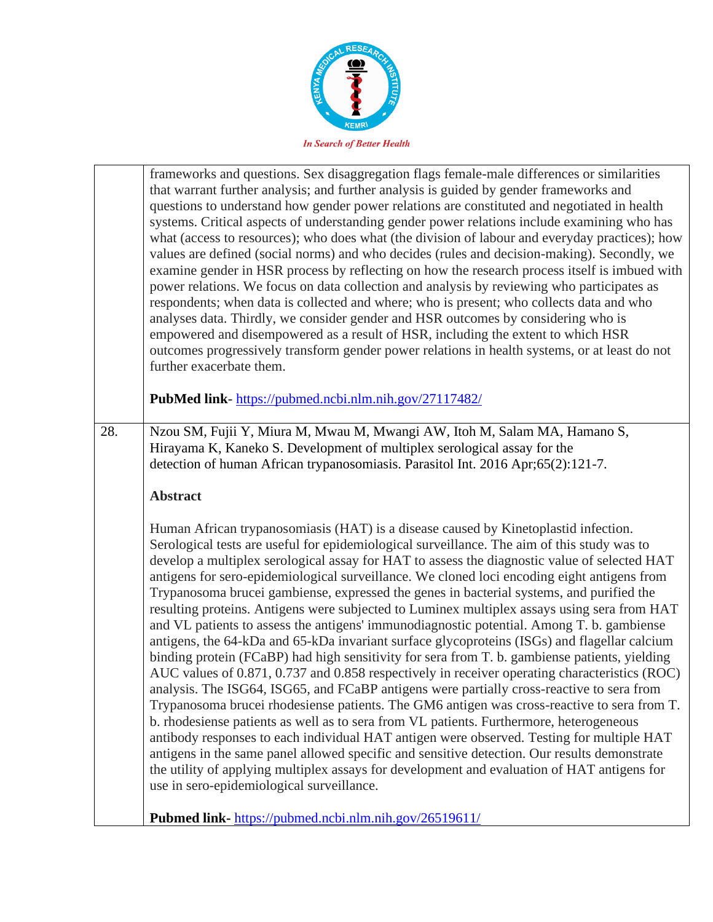

|     | frameworks and questions. Sex disaggregation flags female-male differences or similarities<br>that warrant further analysis; and further analysis is guided by gender frameworks and<br>questions to understand how gender power relations are constituted and negotiated in health<br>systems. Critical aspects of understanding gender power relations include examining who has<br>what (access to resources); who does what (the division of labour and everyday practices); how<br>values are defined (social norms) and who decides (rules and decision-making). Secondly, we<br>examine gender in HSR process by reflecting on how the research process itself is imbued with<br>power relations. We focus on data collection and analysis by reviewing who participates as<br>respondents; when data is collected and where; who is present; who collects data and who<br>analyses data. Thirdly, we consider gender and HSR outcomes by considering who is<br>empowered and disempowered as a result of HSR, including the extent to which HSR<br>outcomes progressively transform gender power relations in health systems, or at least do not<br>further exacerbate them.                                                                                                                                                                                                                                                                                                                                                                                                                        |
|-----|-------------------------------------------------------------------------------------------------------------------------------------------------------------------------------------------------------------------------------------------------------------------------------------------------------------------------------------------------------------------------------------------------------------------------------------------------------------------------------------------------------------------------------------------------------------------------------------------------------------------------------------------------------------------------------------------------------------------------------------------------------------------------------------------------------------------------------------------------------------------------------------------------------------------------------------------------------------------------------------------------------------------------------------------------------------------------------------------------------------------------------------------------------------------------------------------------------------------------------------------------------------------------------------------------------------------------------------------------------------------------------------------------------------------------------------------------------------------------------------------------------------------------------------------------------------------------------------------------------------|
|     | PubMed link-https://pubmed.ncbi.nlm.nih.gov/27117482/                                                                                                                                                                                                                                                                                                                                                                                                                                                                                                                                                                                                                                                                                                                                                                                                                                                                                                                                                                                                                                                                                                                                                                                                                                                                                                                                                                                                                                                                                                                                                       |
| 28. | Nzou SM, Fujii Y, Miura M, Mwau M, Mwangi AW, Itoh M, Salam MA, Hamano S,<br>Hirayama K, Kaneko S. Development of multiplex serological assay for the<br>detection of human African trypanosomiasis. Parasitol Int. 2016 Apr;65(2):121-7.                                                                                                                                                                                                                                                                                                                                                                                                                                                                                                                                                                                                                                                                                                                                                                                                                                                                                                                                                                                                                                                                                                                                                                                                                                                                                                                                                                   |
|     | <b>Abstract</b>                                                                                                                                                                                                                                                                                                                                                                                                                                                                                                                                                                                                                                                                                                                                                                                                                                                                                                                                                                                                                                                                                                                                                                                                                                                                                                                                                                                                                                                                                                                                                                                             |
|     | Human African trypanosomiasis (HAT) is a disease caused by Kinetoplastid infection.<br>Serological tests are useful for epidemiological surveillance. The aim of this study was to<br>develop a multiplex serological assay for HAT to assess the diagnostic value of selected HAT<br>antigens for sero-epidemiological surveillance. We cloned loci encoding eight antigens from<br>Trypanosoma brucei gambiense, expressed the genes in bacterial systems, and purified the<br>resulting proteins. Antigens were subjected to Luminex multiplex assays using sera from HAT<br>and VL patients to assess the antigens' immunodiagnostic potential. Among T. b. gambiense<br>antigens, the 64-kDa and 65-kDa invariant surface glycoproteins (ISGs) and flagellar calcium<br>binding protein (FCaBP) had high sensitivity for sera from T. b. gambiense patients, yielding<br>AUC values of 0.871, 0.737 and 0.858 respectively in receiver operating characteristics (ROC)<br>analysis. The ISG64, ISG65, and FCaBP antigens were partially cross-reactive to sera from<br>Trypanosoma brucei rhodesiense patients. The GM6 antigen was cross-reactive to sera from T.<br>b. rhodesiense patients as well as to sera from VL patients. Furthermore, heterogeneous<br>antibody responses to each individual HAT antigen were observed. Testing for multiple HAT<br>antigens in the same panel allowed specific and sensitive detection. Our results demonstrate<br>the utility of applying multiplex assays for development and evaluation of HAT antigens for<br>use in sero-epidemiological surveillance. |
|     | Pubmed link- https://pubmed.ncbi.nlm.nih.gov/26519611/                                                                                                                                                                                                                                                                                                                                                                                                                                                                                                                                                                                                                                                                                                                                                                                                                                                                                                                                                                                                                                                                                                                                                                                                                                                                                                                                                                                                                                                                                                                                                      |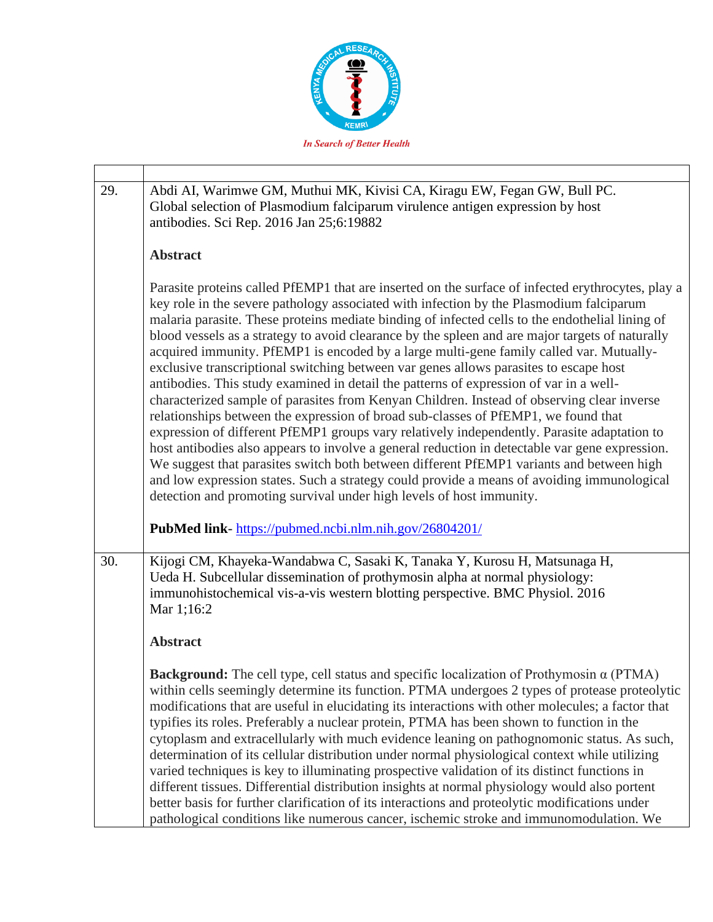

Г

| 29. | Abdi AI, Warimwe GM, Muthui MK, Kivisi CA, Kiragu EW, Fegan GW, Bull PC.<br>Global selection of Plasmodium falciparum virulence antigen expression by host<br>antibodies. Sci Rep. 2016 Jan 25;6:19882                                                                                                                                                                                                                                                                                                                                                                                                                                                                                                                                                                                                                                                                                                                                                                                                                                                                                                                                                                                                                                                                                                                                  |
|-----|-----------------------------------------------------------------------------------------------------------------------------------------------------------------------------------------------------------------------------------------------------------------------------------------------------------------------------------------------------------------------------------------------------------------------------------------------------------------------------------------------------------------------------------------------------------------------------------------------------------------------------------------------------------------------------------------------------------------------------------------------------------------------------------------------------------------------------------------------------------------------------------------------------------------------------------------------------------------------------------------------------------------------------------------------------------------------------------------------------------------------------------------------------------------------------------------------------------------------------------------------------------------------------------------------------------------------------------------|
|     | <b>Abstract</b>                                                                                                                                                                                                                                                                                                                                                                                                                                                                                                                                                                                                                                                                                                                                                                                                                                                                                                                                                                                                                                                                                                                                                                                                                                                                                                                         |
|     | Parasite proteins called PfEMP1 that are inserted on the surface of infected erythrocytes, play a<br>key role in the severe pathology associated with infection by the Plasmodium falciparum<br>malaria parasite. These proteins mediate binding of infected cells to the endothelial lining of<br>blood vessels as a strategy to avoid clearance by the spleen and are major targets of naturally<br>acquired immunity. PfEMP1 is encoded by a large multi-gene family called var. Mutually-<br>exclusive transcriptional switching between var genes allows parasites to escape host<br>antibodies. This study examined in detail the patterns of expression of var in a well-<br>characterized sample of parasites from Kenyan Children. Instead of observing clear inverse<br>relationships between the expression of broad sub-classes of PfEMP1, we found that<br>expression of different PfEMP1 groups vary relatively independently. Parasite adaptation to<br>host antibodies also appears to involve a general reduction in detectable var gene expression.<br>We suggest that parasites switch both between different PfEMP1 variants and between high<br>and low expression states. Such a strategy could provide a means of avoiding immunological<br>detection and promoting survival under high levels of host immunity. |
|     | PubMed link-https://pubmed.ncbi.nlm.nih.gov/26804201/                                                                                                                                                                                                                                                                                                                                                                                                                                                                                                                                                                                                                                                                                                                                                                                                                                                                                                                                                                                                                                                                                                                                                                                                                                                                                   |
| 30. | Kijogi CM, Khayeka-Wandabwa C, Sasaki K, Tanaka Y, Kurosu H, Matsunaga H,<br>Ueda H. Subcellular dissemination of prothymosin alpha at normal physiology:<br>immunohistochemical vis-a-vis western blotting perspective. BMC Physiol. 2016<br>Mar 1;16:2                                                                                                                                                                                                                                                                                                                                                                                                                                                                                                                                                                                                                                                                                                                                                                                                                                                                                                                                                                                                                                                                                |
|     | <b>Abstract</b>                                                                                                                                                                                                                                                                                                                                                                                                                                                                                                                                                                                                                                                                                                                                                                                                                                                                                                                                                                                                                                                                                                                                                                                                                                                                                                                         |
|     | <b>Background:</b> The cell type, cell status and specific localization of Prothymosin $\alpha$ (PTMA)<br>within cells seemingly determine its function. PTMA undergoes 2 types of protease proteolytic<br>modifications that are useful in elucidating its interactions with other molecules; a factor that<br>typifies its roles. Preferably a nuclear protein, PTMA has been shown to function in the<br>cytoplasm and extracellularly with much evidence leaning on pathognomonic status. As such,<br>determination of its cellular distribution under normal physiological context while utilizing<br>varied techniques is key to illuminating prospective validation of its distinct functions in<br>different tissues. Differential distribution insights at normal physiology would also portent<br>better basis for further clarification of its interactions and proteolytic modifications under<br>pathological conditions like numerous cancer, ischemic stroke and immunomodulation. We                                                                                                                                                                                                                                                                                                                                    |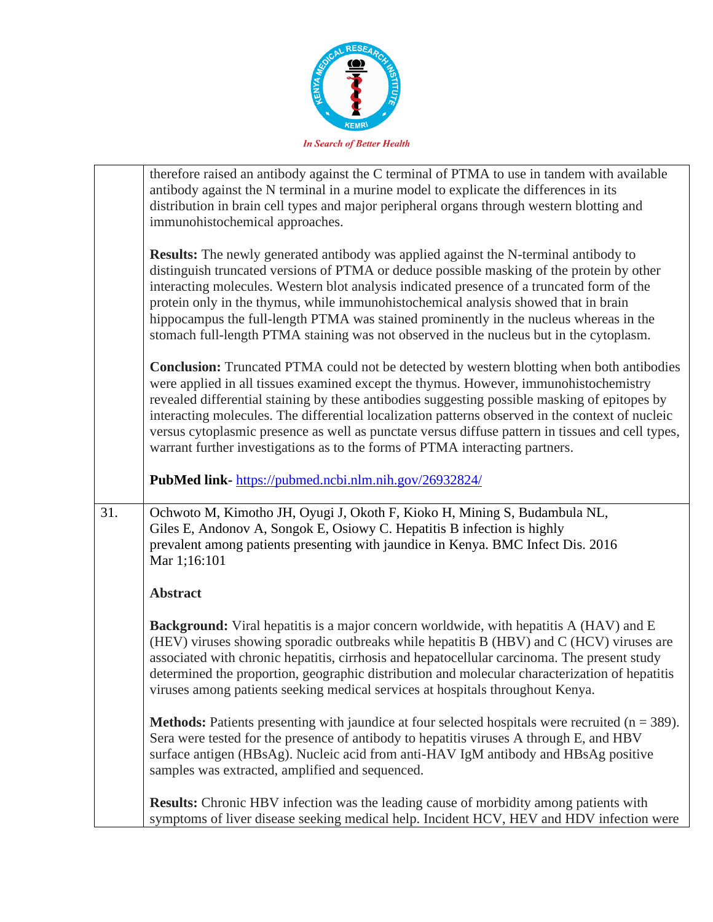

|     | therefore raised an antibody against the C terminal of PTMA to use in tandem with available<br>antibody against the N terminal in a murine model to explicate the differences in its<br>distribution in brain cell types and major peripheral organs through western blotting and<br>immunohistochemical approaches.                                                                                                                                                                                                                                                                |
|-----|-------------------------------------------------------------------------------------------------------------------------------------------------------------------------------------------------------------------------------------------------------------------------------------------------------------------------------------------------------------------------------------------------------------------------------------------------------------------------------------------------------------------------------------------------------------------------------------|
|     | Results: The newly generated antibody was applied against the N-terminal antibody to<br>distinguish truncated versions of PTMA or deduce possible masking of the protein by other<br>interacting molecules. Western blot analysis indicated presence of a truncated form of the<br>protein only in the thymus, while immunohistochemical analysis showed that in brain<br>hippocampus the full-length PTMA was stained prominently in the nucleus whereas in the<br>stomach full-length PTMA staining was not observed in the nucleus but in the cytoplasm.                         |
|     | <b>Conclusion:</b> Truncated PTMA could not be detected by western blotting when both antibodies<br>were applied in all tissues examined except the thymus. However, immunohistochemistry<br>revealed differential staining by these antibodies suggesting possible masking of epitopes by<br>interacting molecules. The differential localization patterns observed in the context of nucleic<br>versus cytoplasmic presence as well as punctate versus diffuse pattern in tissues and cell types,<br>warrant further investigations as to the forms of PTMA interacting partners. |
|     | PubMed link- https://pubmed.ncbi.nlm.nih.gov/26932824/                                                                                                                                                                                                                                                                                                                                                                                                                                                                                                                              |
| 31. | Ochwoto M, Kimotho JH, Oyugi J, Okoth F, Kioko H, Mining S, Budambula NL,<br>Giles E, Andonov A, Songok E, Osiowy C. Hepatitis B infection is highly<br>prevalent among patients presenting with jaundice in Kenya. BMC Infect Dis. 2016<br>Mar 1;16:101                                                                                                                                                                                                                                                                                                                            |
|     | <b>Abstract</b>                                                                                                                                                                                                                                                                                                                                                                                                                                                                                                                                                                     |
|     | Background: Viral hepatitis is a major concern worldwide, with hepatitis A (HAV) and E<br>(HEV) viruses showing sporadic outbreaks while hepatitis B (HBV) and C (HCV) viruses are<br>associated with chronic hepatitis, cirrhosis and hepatocellular carcinoma. The present study<br>determined the proportion, geographic distribution and molecular characterization of hepatitis<br>viruses among patients seeking medical services at hospitals throughout Kenya.                                                                                                              |
|     | <b>Methods:</b> Patients presenting with jaundice at four selected hospitals were recruited $(n = 389)$ .<br>Sera were tested for the presence of antibody to hepatitis viruses A through E, and HBV<br>surface antigen (HBsAg). Nucleic acid from anti-HAV IgM antibody and HBsAg positive<br>samples was extracted, amplified and sequenced.                                                                                                                                                                                                                                      |
|     | <b>Results:</b> Chronic HBV infection was the leading cause of morbidity among patients with<br>symptoms of liver disease seeking medical help. Incident HCV, HEV and HDV infection were                                                                                                                                                                                                                                                                                                                                                                                            |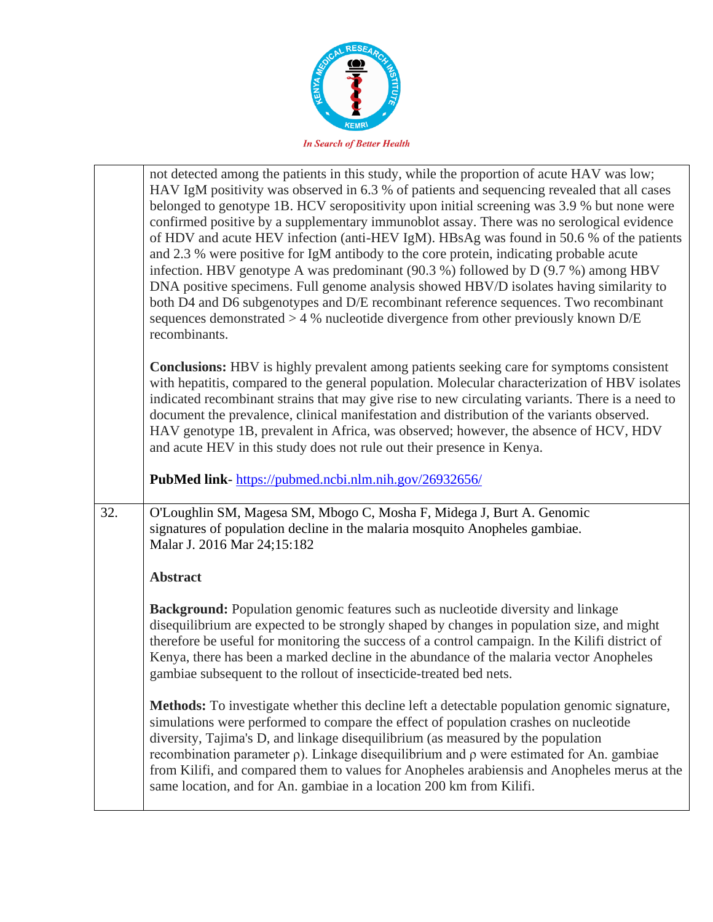

|     | not detected among the patients in this study, while the proportion of acute HAV was low;<br>HAV IgM positivity was observed in 6.3 % of patients and sequencing revealed that all cases<br>belonged to genotype 1B. HCV seropositivity upon initial screening was 3.9 % but none were<br>confirmed positive by a supplementary immunoblot assay. There was no serological evidence<br>of HDV and acute HEV infection (anti-HEV IgM). HBsAg was found in 50.6 % of the patients<br>and 2.3 % were positive for IgM antibody to the core protein, indicating probable acute<br>infection. HBV genotype A was predominant (90.3 %) followed by D (9.7 %) among HBV<br>DNA positive specimens. Full genome analysis showed HBV/D isolates having similarity to<br>both D4 and D6 subgenotypes and D/E recombinant reference sequences. Two recombinant<br>sequences demonstrated $> 4$ % nucleotide divergence from other previously known D/E<br>recombinants. |
|-----|--------------------------------------------------------------------------------------------------------------------------------------------------------------------------------------------------------------------------------------------------------------------------------------------------------------------------------------------------------------------------------------------------------------------------------------------------------------------------------------------------------------------------------------------------------------------------------------------------------------------------------------------------------------------------------------------------------------------------------------------------------------------------------------------------------------------------------------------------------------------------------------------------------------------------------------------------------------|
|     | <b>Conclusions:</b> HBV is highly prevalent among patients seeking care for symptoms consistent<br>with hepatitis, compared to the general population. Molecular characterization of HBV isolates<br>indicated recombinant strains that may give rise to new circulating variants. There is a need to<br>document the prevalence, clinical manifestation and distribution of the variants observed.<br>HAV genotype 1B, prevalent in Africa, was observed; however, the absence of HCV, HDV<br>and acute HEV in this study does not rule out their presence in Kenya.                                                                                                                                                                                                                                                                                                                                                                                        |
|     | PubMed link- https://pubmed.ncbi.nlm.nih.gov/26932656/                                                                                                                                                                                                                                                                                                                                                                                                                                                                                                                                                                                                                                                                                                                                                                                                                                                                                                       |
| 32. | O'Loughlin SM, Magesa SM, Mbogo C, Mosha F, Midega J, Burt A. Genomic<br>signatures of population decline in the malaria mosquito Anopheles gambiae.<br>Malar J. 2016 Mar 24;15:182                                                                                                                                                                                                                                                                                                                                                                                                                                                                                                                                                                                                                                                                                                                                                                          |
|     | <b>Abstract</b>                                                                                                                                                                                                                                                                                                                                                                                                                                                                                                                                                                                                                                                                                                                                                                                                                                                                                                                                              |
|     | <b>Background:</b> Population genomic features such as nucleotide diversity and linkage<br>disequilibrium are expected to be strongly shaped by changes in population size, and might<br>therefore be useful for monitoring the success of a control campaign. In the Kilifi district of<br>Kenya, there has been a marked decline in the abundance of the malaria vector Anopheles<br>gambiae subsequent to the rollout of insecticide-treated bed nets.                                                                                                                                                                                                                                                                                                                                                                                                                                                                                                    |
|     | Methods: To investigate whether this decline left a detectable population genomic signature,<br>simulations were performed to compare the effect of population crashes on nucleotide<br>diversity, Tajima's D, and linkage disequilibrium (as measured by the population<br>recombination parameter $\rho$ ). Linkage disequilibrium and $\rho$ were estimated for An. gambiae<br>from Kilifi, and compared them to values for Anopheles arabiensis and Anopheles merus at the<br>same location, and for An. gambiae in a location 200 km from Kilifi.                                                                                                                                                                                                                                                                                                                                                                                                       |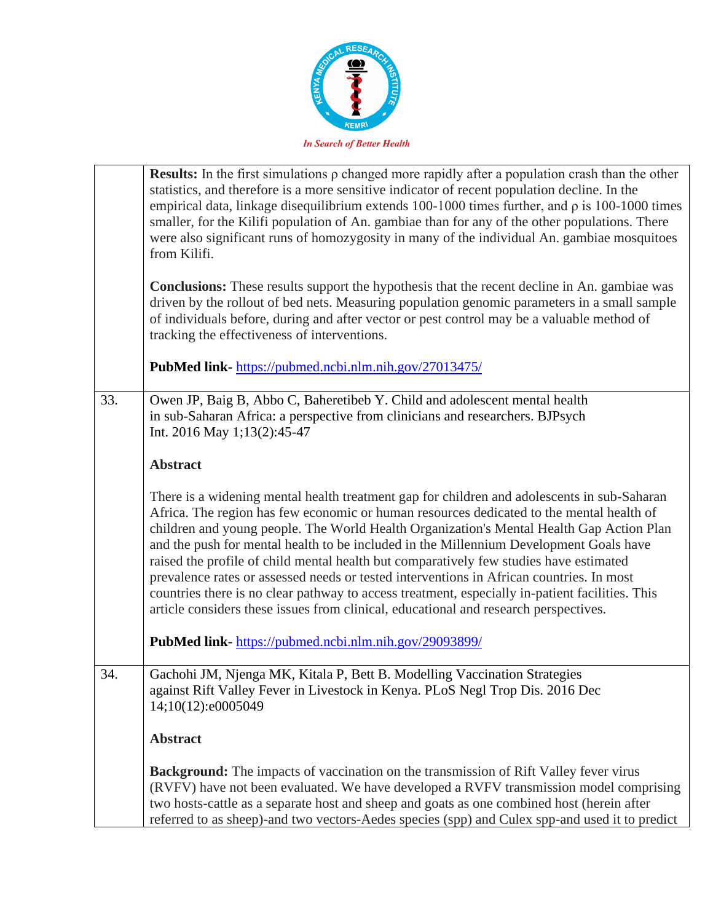

|     | <b>Results:</b> In the first simulations $\rho$ changed more rapidly after a population crash than the other<br>statistics, and therefore is a more sensitive indicator of recent population decline. In the<br>empirical data, linkage disequilibrium extends 100-1000 times further, and $\rho$ is 100-1000 times<br>smaller, for the Kilifi population of An. gambiae than for any of the other populations. There<br>were also significant runs of homozygosity in many of the individual An. gambiae mosquitoes<br>from Kilifi.                                                                                                                                                                                                                           |
|-----|----------------------------------------------------------------------------------------------------------------------------------------------------------------------------------------------------------------------------------------------------------------------------------------------------------------------------------------------------------------------------------------------------------------------------------------------------------------------------------------------------------------------------------------------------------------------------------------------------------------------------------------------------------------------------------------------------------------------------------------------------------------|
|     | <b>Conclusions:</b> These results support the hypothesis that the recent decline in An. gambiae was<br>driven by the rollout of bed nets. Measuring population genomic parameters in a small sample<br>of individuals before, during and after vector or pest control may be a valuable method of<br>tracking the effectiveness of interventions.                                                                                                                                                                                                                                                                                                                                                                                                              |
|     | PubMed link- https://pubmed.ncbi.nlm.nih.gov/27013475/                                                                                                                                                                                                                                                                                                                                                                                                                                                                                                                                                                                                                                                                                                         |
| 33. | Owen JP, Baig B, Abbo C, Baheretibeb Y. Child and adolescent mental health<br>in sub-Saharan Africa: a perspective from clinicians and researchers. BJPsych<br>Int. 2016 May 1;13(2):45-47                                                                                                                                                                                                                                                                                                                                                                                                                                                                                                                                                                     |
|     | <b>Abstract</b>                                                                                                                                                                                                                                                                                                                                                                                                                                                                                                                                                                                                                                                                                                                                                |
|     | There is a widening mental health treatment gap for children and adolescents in sub-Saharan<br>Africa. The region has few economic or human resources dedicated to the mental health of<br>children and young people. The World Health Organization's Mental Health Gap Action Plan<br>and the push for mental health to be included in the Millennium Development Goals have<br>raised the profile of child mental health but comparatively few studies have estimated<br>prevalence rates or assessed needs or tested interventions in African countries. In most<br>countries there is no clear pathway to access treatment, especially in-patient facilities. This<br>article considers these issues from clinical, educational and research perspectives. |
|     | PubMed link- https://pubmed.ncbi.nlm.nih.gov/29093899/                                                                                                                                                                                                                                                                                                                                                                                                                                                                                                                                                                                                                                                                                                         |
| 34. | Gachohi JM, Njenga MK, Kitala P, Bett B. Modelling Vaccination Strategies<br>against Rift Valley Fever in Livestock in Kenya. PLoS Negl Trop Dis. 2016 Dec<br>14;10(12):e0005049                                                                                                                                                                                                                                                                                                                                                                                                                                                                                                                                                                               |
|     | <b>Abstract</b>                                                                                                                                                                                                                                                                                                                                                                                                                                                                                                                                                                                                                                                                                                                                                |
|     | <b>Background:</b> The impacts of vaccination on the transmission of Rift Valley fever virus<br>(RVFV) have not been evaluated. We have developed a RVFV transmission model comprising<br>two hosts-cattle as a separate host and sheep and goats as one combined host (herein after<br>referred to as sheep)-and two vectors-Aedes species (spp) and Culex spp-and used it to predict                                                                                                                                                                                                                                                                                                                                                                         |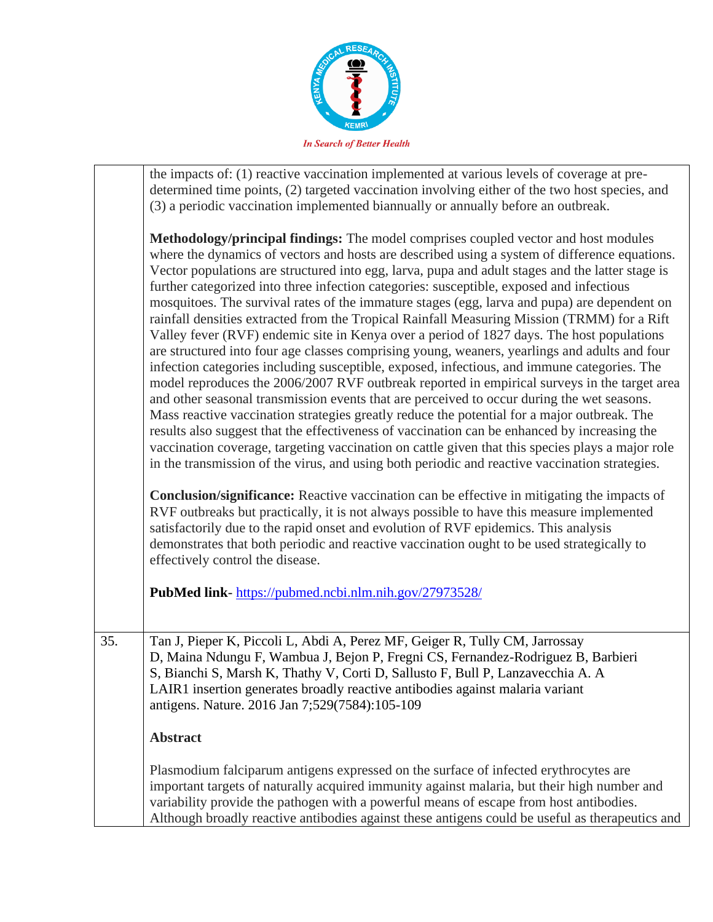

the impacts of: (1) reactive vaccination implemented at various levels of coverage at predetermined time points, (2) targeted vaccination involving either of the two host species, and (3) a periodic vaccination implemented biannually or annually before an outbreak.

|     | Methodology/principal findings: The model comprises coupled vector and host modules<br>where the dynamics of vectors and hosts are described using a system of difference equations.<br>Vector populations are structured into egg, larva, pupa and adult stages and the latter stage is<br>further categorized into three infection categories: susceptible, exposed and infectious<br>mosquitoes. The survival rates of the immature stages (egg, larva and pupa) are dependent on<br>rainfall densities extracted from the Tropical Rainfall Measuring Mission (TRMM) for a Rift<br>Valley fever (RVF) endemic site in Kenya over a period of 1827 days. The host populations<br>are structured into four age classes comprising young, weaners, yearlings and adults and four<br>infection categories including susceptible, exposed, infectious, and immune categories. The<br>model reproduces the 2006/2007 RVF outbreak reported in empirical surveys in the target area<br>and other seasonal transmission events that are perceived to occur during the wet seasons.<br>Mass reactive vaccination strategies greatly reduce the potential for a major outbreak. The<br>results also suggest that the effectiveness of vaccination can be enhanced by increasing the<br>vaccination coverage, targeting vaccination on cattle given that this species plays a major role<br>in the transmission of the virus, and using both periodic and reactive vaccination strategies.<br><b>Conclusion/significance:</b> Reactive vaccination can be effective in mitigating the impacts of |
|-----|-------------------------------------------------------------------------------------------------------------------------------------------------------------------------------------------------------------------------------------------------------------------------------------------------------------------------------------------------------------------------------------------------------------------------------------------------------------------------------------------------------------------------------------------------------------------------------------------------------------------------------------------------------------------------------------------------------------------------------------------------------------------------------------------------------------------------------------------------------------------------------------------------------------------------------------------------------------------------------------------------------------------------------------------------------------------------------------------------------------------------------------------------------------------------------------------------------------------------------------------------------------------------------------------------------------------------------------------------------------------------------------------------------------------------------------------------------------------------------------------------------------------------------------------------------------------------------------------|
|     | RVF outbreaks but practically, it is not always possible to have this measure implemented<br>satisfactorily due to the rapid onset and evolution of RVF epidemics. This analysis<br>demonstrates that both periodic and reactive vaccination ought to be used strategically to<br>effectively control the disease.                                                                                                                                                                                                                                                                                                                                                                                                                                                                                                                                                                                                                                                                                                                                                                                                                                                                                                                                                                                                                                                                                                                                                                                                                                                                        |
|     | PubMed link- https://pubmed.ncbi.nlm.nih.gov/27973528/                                                                                                                                                                                                                                                                                                                                                                                                                                                                                                                                                                                                                                                                                                                                                                                                                                                                                                                                                                                                                                                                                                                                                                                                                                                                                                                                                                                                                                                                                                                                    |
| 35. | Tan J, Pieper K, Piccoli L, Abdi A, Perez MF, Geiger R, Tully CM, Jarrossay<br>D, Maina Ndungu F, Wambua J, Bejon P, Fregni CS, Fernandez-Rodriguez B, Barbieri<br>S, Bianchi S, Marsh K, Thathy V, Corti D, Sallusto F, Bull P, Lanzavecchia A. A<br>LAIR1 insertion generates broadly reactive antibodies against malaria variant<br>antigens. Nature. 2016 Jan 7;529(7584):105-109                                                                                                                                                                                                                                                                                                                                                                                                                                                                                                                                                                                                                                                                                                                                                                                                                                                                                                                                                                                                                                                                                                                                                                                                     |
|     | <b>Abstract</b>                                                                                                                                                                                                                                                                                                                                                                                                                                                                                                                                                                                                                                                                                                                                                                                                                                                                                                                                                                                                                                                                                                                                                                                                                                                                                                                                                                                                                                                                                                                                                                           |
|     | Plasmodium falciparum antigens expressed on the surface of infected erythrocytes are<br>important targets of naturally acquired immunity against malaria, but their high number and<br>variability provide the pathogen with a powerful means of escape from host antibodies.<br>Although broadly reactive antibodies against these antigens could be useful as therapeutics and                                                                                                                                                                                                                                                                                                                                                                                                                                                                                                                                                                                                                                                                                                                                                                                                                                                                                                                                                                                                                                                                                                                                                                                                          |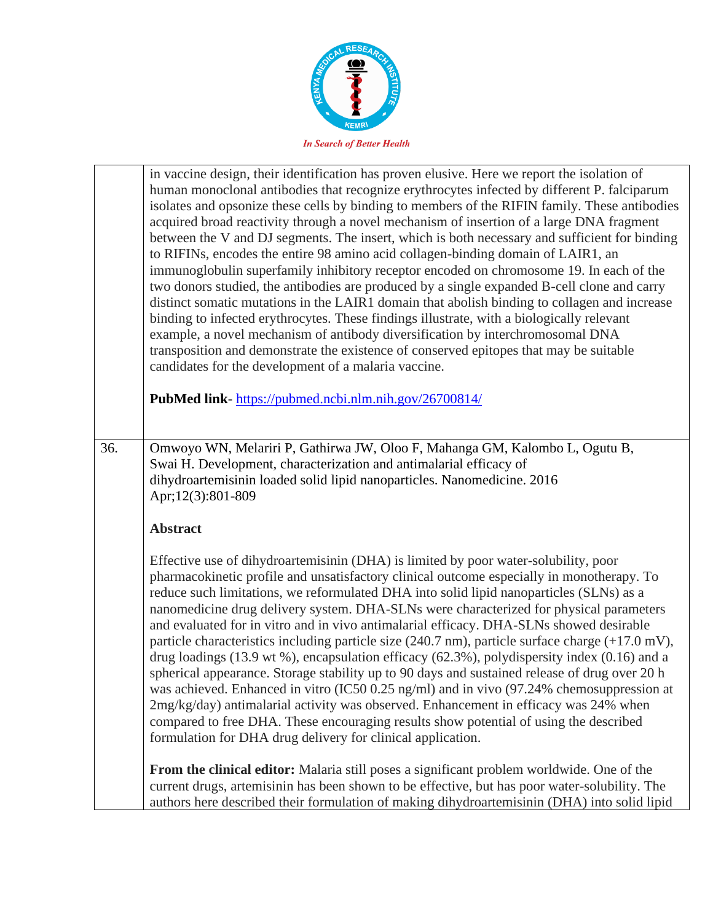

|     | in vaccine design, their identification has proven elusive. Here we report the isolation of<br>human monoclonal antibodies that recognize erythrocytes infected by different P. falciparum<br>isolates and opsonize these cells by binding to members of the RIFIN family. These antibodies<br>acquired broad reactivity through a novel mechanism of insertion of a large DNA fragment<br>between the V and DJ segments. The insert, which is both necessary and sufficient for binding<br>to RIFINs, encodes the entire 98 amino acid collagen-binding domain of LAIR1, an<br>immunoglobulin superfamily inhibitory receptor encoded on chromosome 19. In each of the<br>two donors studied, the antibodies are produced by a single expanded B-cell clone and carry<br>distinct somatic mutations in the LAIR1 domain that abolish binding to collagen and increase<br>binding to infected erythrocytes. These findings illustrate, with a biologically relevant<br>example, a novel mechanism of antibody diversification by interchromosomal DNA<br>transposition and demonstrate the existence of conserved epitopes that may be suitable<br>candidates for the development of a malaria vaccine.<br>PubMed link-https://pubmed.ncbi.nlm.nih.gov/26700814/ |
|-----|------------------------------------------------------------------------------------------------------------------------------------------------------------------------------------------------------------------------------------------------------------------------------------------------------------------------------------------------------------------------------------------------------------------------------------------------------------------------------------------------------------------------------------------------------------------------------------------------------------------------------------------------------------------------------------------------------------------------------------------------------------------------------------------------------------------------------------------------------------------------------------------------------------------------------------------------------------------------------------------------------------------------------------------------------------------------------------------------------------------------------------------------------------------------------------------------------------------------------------------------------------------|
| 36. | Omwoyo WN, Melariri P, Gathirwa JW, Oloo F, Mahanga GM, Kalombo L, Ogutu B,<br>Swai H. Development, characterization and antimalarial efficacy of<br>dihydroartemisinin loaded solid lipid nanoparticles. Nanomedicine. 2016<br>Apr;12(3):801-809                                                                                                                                                                                                                                                                                                                                                                                                                                                                                                                                                                                                                                                                                                                                                                                                                                                                                                                                                                                                                |
|     | <b>Abstract</b><br>Effective use of dihydroartemisinin (DHA) is limited by poor water-solubility, poor<br>pharmacokinetic profile and unsatisfactory clinical outcome especially in monotherapy. To<br>reduce such limitations, we reformulated DHA into solid lipid nanoparticles (SLNs) as a<br>nanomedicine drug delivery system. DHA-SLNs were characterized for physical parameters<br>and evaluated for in vitro and in vivo antimalarial efficacy. DHA-SLNs showed desirable<br>particle characteristics including particle size (240.7 nm), particle surface charge (+17.0 mV),<br>drug loadings (13.9 wt %), encapsulation efficacy (62.3%), polydispersity index (0.16) and a<br>spherical appearance. Storage stability up to 90 days and sustained release of drug over 20 h<br>was achieved. Enhanced in vitro (IC50 0.25 ng/ml) and in vivo (97.24% chemosuppression at<br>2mg/kg/day) antimalarial activity was observed. Enhancement in efficacy was 24% when<br>compared to free DHA. These encouraging results show potential of using the described<br>formulation for DHA drug delivery for clinical application.<br>From the clinical editor: Malaria still poses a significant problem worldwide. One of the                               |
|     | current drugs, artemisinin has been shown to be effective, but has poor water-solubility. The<br>authors here described their formulation of making dihydroartemisinin (DHA) into solid lipid                                                                                                                                                                                                                                                                                                                                                                                                                                                                                                                                                                                                                                                                                                                                                                                                                                                                                                                                                                                                                                                                    |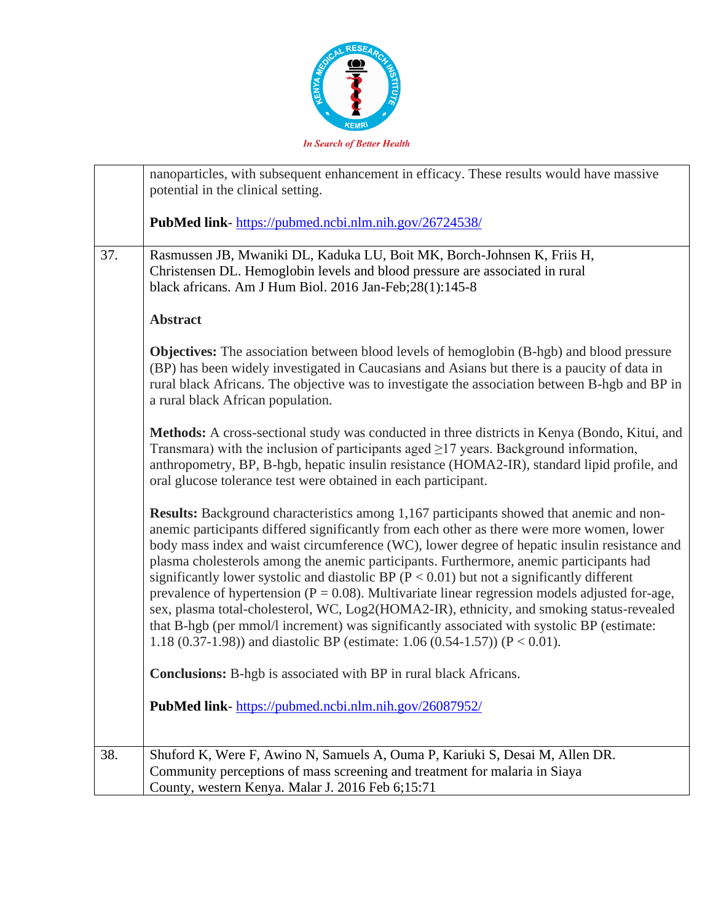

|     | nanoparticles, with subsequent enhancement in efficacy. These results would have massive                                                                                                                                                                                                                                                                                                                                                                                                                                                                                                                                                                                                                                                                                                                                                                                |
|-----|-------------------------------------------------------------------------------------------------------------------------------------------------------------------------------------------------------------------------------------------------------------------------------------------------------------------------------------------------------------------------------------------------------------------------------------------------------------------------------------------------------------------------------------------------------------------------------------------------------------------------------------------------------------------------------------------------------------------------------------------------------------------------------------------------------------------------------------------------------------------------|
|     | potential in the clinical setting.                                                                                                                                                                                                                                                                                                                                                                                                                                                                                                                                                                                                                                                                                                                                                                                                                                      |
|     | PubMed link-https://pubmed.ncbi.nlm.nih.gov/26724538/                                                                                                                                                                                                                                                                                                                                                                                                                                                                                                                                                                                                                                                                                                                                                                                                                   |
| 37. | Rasmussen JB, Mwaniki DL, Kaduka LU, Boit MK, Borch-Johnsen K, Friis H,<br>Christensen DL. Hemoglobin levels and blood pressure are associated in rural<br>black africans. Am J Hum Biol. 2016 Jan-Feb;28(1):145-8                                                                                                                                                                                                                                                                                                                                                                                                                                                                                                                                                                                                                                                      |
|     | <b>Abstract</b>                                                                                                                                                                                                                                                                                                                                                                                                                                                                                                                                                                                                                                                                                                                                                                                                                                                         |
|     | <b>Objectives:</b> The association between blood levels of hemoglobin (B-hgb) and blood pressure<br>(BP) has been widely investigated in Caucasians and Asians but there is a paucity of data in<br>rural black Africans. The objective was to investigate the association between B-hgb and BP in<br>a rural black African population.                                                                                                                                                                                                                                                                                                                                                                                                                                                                                                                                 |
|     | Methods: A cross-sectional study was conducted in three districts in Kenya (Bondo, Kitui, and<br>Transmara) with the inclusion of participants aged $\geq$ 17 years. Background information,<br>anthropometry, BP, B-hgb, hepatic insulin resistance (HOMA2-IR), standard lipid profile, and<br>oral glucose tolerance test were obtained in each participant.                                                                                                                                                                                                                                                                                                                                                                                                                                                                                                          |
|     | Results: Background characteristics among 1,167 participants showed that anemic and non-<br>anemic participants differed significantly from each other as there were more women, lower<br>body mass index and waist circumference (WC), lower degree of hepatic insulin resistance and<br>plasma cholesterols among the anemic participants. Furthermore, anemic participants had<br>significantly lower systolic and diastolic BP ( $P < 0.01$ ) but not a significantly different<br>prevalence of hypertension ( $P = 0.08$ ). Multivariate linear regression models adjusted for-age,<br>sex, plasma total-cholesterol, WC, Log2(HOMA2-IR), ethnicity, and smoking status-revealed<br>that B-hgb (per mmol/l increment) was significantly associated with systolic BP (estimate:<br>1.18 (0.37-1.98)) and diastolic BP (estimate: 1.06 (0.54-1.57)) ( $P < 0.01$ ). |
|     | <b>Conclusions:</b> B-hgb is associated with BP in rural black Africans.                                                                                                                                                                                                                                                                                                                                                                                                                                                                                                                                                                                                                                                                                                                                                                                                |
|     | PubMed link- https://pubmed.ncbi.nlm.nih.gov/26087952/                                                                                                                                                                                                                                                                                                                                                                                                                                                                                                                                                                                                                                                                                                                                                                                                                  |
| 38. | Shuford K, Were F, Awino N, Samuels A, Ouma P, Kariuki S, Desai M, Allen DR.                                                                                                                                                                                                                                                                                                                                                                                                                                                                                                                                                                                                                                                                                                                                                                                            |
|     |                                                                                                                                                                                                                                                                                                                                                                                                                                                                                                                                                                                                                                                                                                                                                                                                                                                                         |
|     | Community perceptions of mass screening and treatment for malaria in Siaya<br>County, western Kenya. Malar J. 2016 Feb 6;15:71                                                                                                                                                                                                                                                                                                                                                                                                                                                                                                                                                                                                                                                                                                                                          |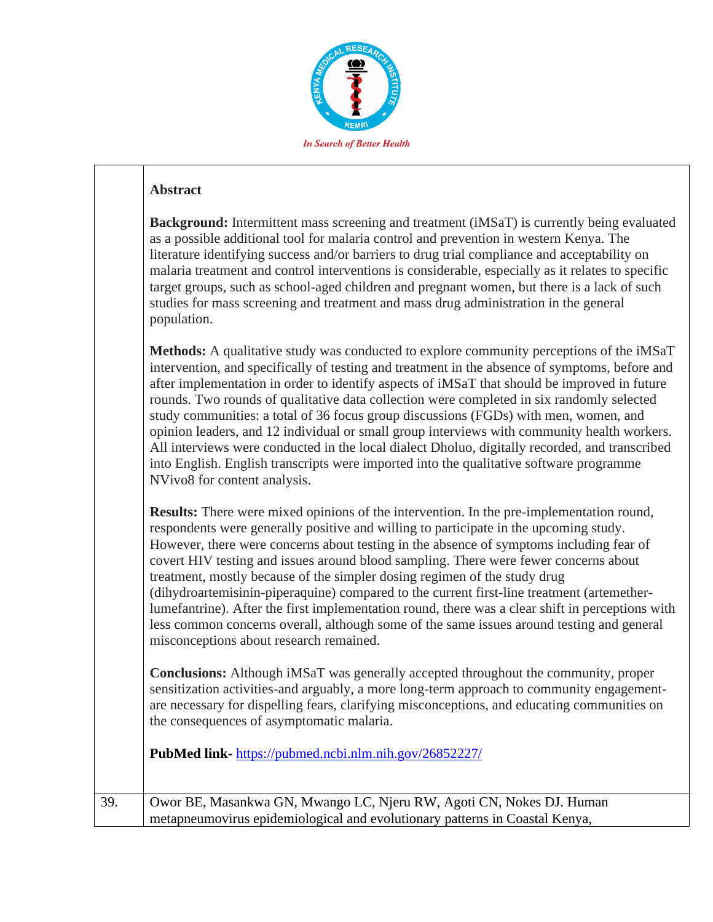

**Background:** Intermittent mass screening and treatment (iMSaT) is currently being evaluated as a possible additional tool for malaria control and prevention in western Kenya. The literature identifying success and/or barriers to drug trial compliance and acceptability on malaria treatment and control interventions is considerable, especially as it relates to specific target groups, such as school-aged children and pregnant women, but there is a lack of such studies for mass screening and treatment and mass drug administration in the general population.

**Methods:** A qualitative study was conducted to explore community perceptions of the iMSaT intervention, and specifically of testing and treatment in the absence of symptoms, before and after implementation in order to identify aspects of iMSaT that should be improved in future rounds. Two rounds of qualitative data collection were completed in six randomly selected study communities: a total of 36 focus group discussions (FGDs) with men, women, and opinion leaders, and 12 individual or small group interviews with community health workers. All interviews were conducted in the local dialect Dholuo, digitally recorded, and transcribed into English. English transcripts were imported into the qualitative software programme NVivo8 for content analysis.

**Results:** There were mixed opinions of the intervention. In the pre-implementation round, respondents were generally positive and willing to participate in the upcoming study. However, there were concerns about testing in the absence of symptoms including fear of covert HIV testing and issues around blood sampling. There were fewer concerns about treatment, mostly because of the simpler dosing regimen of the study drug (dihydroartemisinin-piperaquine) compared to the current first-line treatment (artemetherlumefantrine). After the first implementation round, there was a clear shift in perceptions with less common concerns overall, although some of the same issues around testing and general misconceptions about research remained.

**Conclusions:** Although iMSaT was generally accepted throughout the community, proper sensitization activities-and arguably, a more long-term approach to community engagementare necessary for dispelling fears, clarifying misconceptions, and educating communities on the consequences of asymptomatic malaria.

**PubMed link-** <https://pubmed.ncbi.nlm.nih.gov/26852227/>

| 39. | Owor BE, Masankwa GN, Mwango LC, Njeru RW, Agoti CN, Nokes DJ. Human        |
|-----|-----------------------------------------------------------------------------|
|     | metapneumovirus epidemiological and evolutionary patterns in Coastal Kenya, |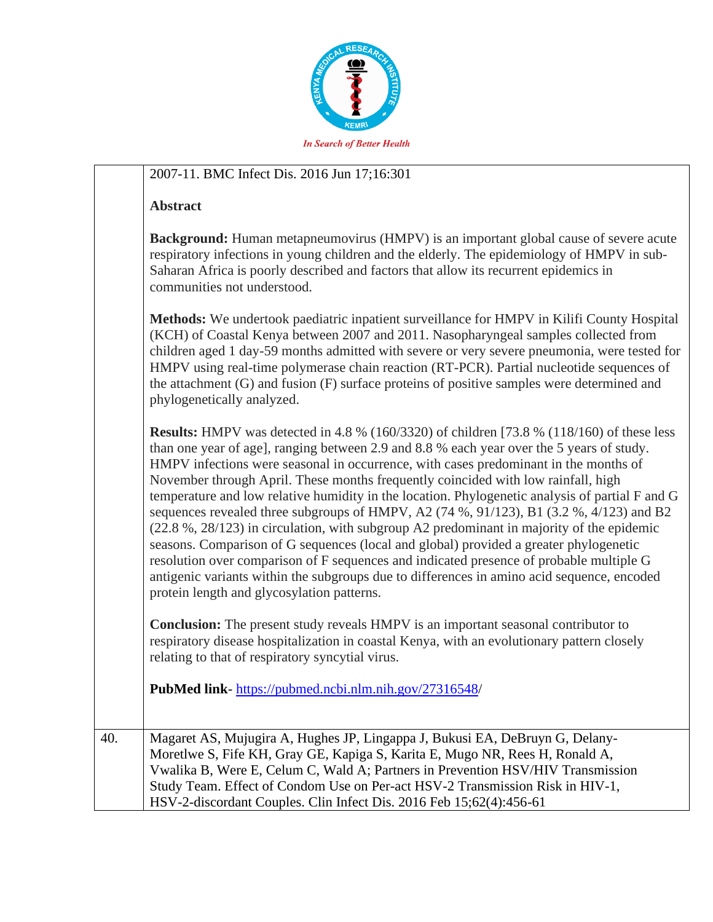

|     | 2007-11. BMC Infect Dis. 2016 Jun 17;16:301                                                                                                                                                                                                                                                                                                                                                                                                                                                                                                                                                                                                                                                                                                                                                                                                                                                                                                                                                            |
|-----|--------------------------------------------------------------------------------------------------------------------------------------------------------------------------------------------------------------------------------------------------------------------------------------------------------------------------------------------------------------------------------------------------------------------------------------------------------------------------------------------------------------------------------------------------------------------------------------------------------------------------------------------------------------------------------------------------------------------------------------------------------------------------------------------------------------------------------------------------------------------------------------------------------------------------------------------------------------------------------------------------------|
|     | <b>Abstract</b>                                                                                                                                                                                                                                                                                                                                                                                                                                                                                                                                                                                                                                                                                                                                                                                                                                                                                                                                                                                        |
|     | Background: Human metapneumovirus (HMPV) is an important global cause of severe acute<br>respiratory infections in young children and the elderly. The epidemiology of HMPV in sub-<br>Saharan Africa is poorly described and factors that allow its recurrent epidemics in<br>communities not understood.                                                                                                                                                                                                                                                                                                                                                                                                                                                                                                                                                                                                                                                                                             |
|     | Methods: We undertook paediatric inpatient surveillance for HMPV in Kilifi County Hospital<br>(KCH) of Coastal Kenya between 2007 and 2011. Nasopharyngeal samples collected from<br>children aged 1 day-59 months admitted with severe or very severe pneumonia, were tested for<br>HMPV using real-time polymerase chain reaction (RT-PCR). Partial nucleotide sequences of<br>the attachment (G) and fusion (F) surface proteins of positive samples were determined and<br>phylogenetically analyzed.                                                                                                                                                                                                                                                                                                                                                                                                                                                                                              |
|     | <b>Results:</b> HMPV was detected in 4.8 % (160/3320) of children [73.8 % (118/160) of these less<br>than one year of age], ranging between 2.9 and 8.8 % each year over the 5 years of study.<br>HMPV infections were seasonal in occurrence, with cases predominant in the months of<br>November through April. These months frequently coincided with low rainfall, high<br>temperature and low relative humidity in the location. Phylogenetic analysis of partial F and G<br>sequences revealed three subgroups of HMPV, A2 (74 %, 91/123), B1 (3.2 %, 4/123) and B2<br>(22.8 %, 28/123) in circulation, with subgroup A2 predominant in majority of the epidemic<br>seasons. Comparison of G sequences (local and global) provided a greater phylogenetic<br>resolution over comparison of F sequences and indicated presence of probable multiple G<br>antigenic variants within the subgroups due to differences in amino acid sequence, encoded<br>protein length and glycosylation patterns. |
|     | <b>Conclusion:</b> The present study reveals HMPV is an important seasonal contributor to<br>respiratory disease hospitalization in coastal Kenya, with an evolutionary pattern closely<br>relating to that of respiratory syncytial virus.                                                                                                                                                                                                                                                                                                                                                                                                                                                                                                                                                                                                                                                                                                                                                            |
|     | PubMed link-https://pubmed.ncbi.nlm.nih.gov/27316548/                                                                                                                                                                                                                                                                                                                                                                                                                                                                                                                                                                                                                                                                                                                                                                                                                                                                                                                                                  |
| 40. | Magaret AS, Mujugira A, Hughes JP, Lingappa J, Bukusi EA, DeBruyn G, Delany-<br>Moretlwe S, Fife KH, Gray GE, Kapiga S, Karita E, Mugo NR, Rees H, Ronald A,<br>Vwalika B, Were E, Celum C, Wald A; Partners in Prevention HSV/HIV Transmission<br>Study Team. Effect of Condom Use on Per-act HSV-2 Transmission Risk in HIV-1,<br>HSV-2-discordant Couples. Clin Infect Dis. 2016 Feb 15;62(4):456-61                                                                                                                                                                                                                                                                                                                                                                                                                                                                                                                                                                                                |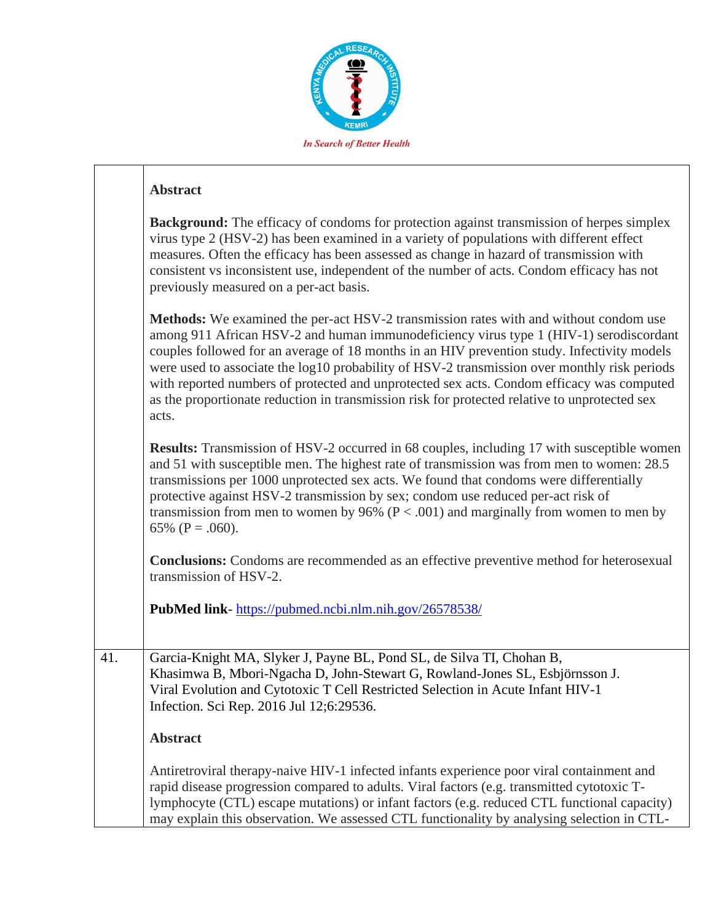

acts.

**Background:** The efficacy of condoms for protection against transmission of herpes simplex virus type 2 (HSV-2) has been examined in a variety of populations with different effect measures. Often the efficacy has been assessed as change in hazard of transmission with consistent vs inconsistent use, independent of the number of acts. Condom efficacy has not previously measured on a per-act basis. **Methods:** We examined the per-act HSV-2 transmission rates with and without condom use among 911 African HSV-2 and human immunodeficiency virus type 1 (HIV-1) serodiscordant couples followed for an average of 18 months in an HIV prevention study. Infectivity models were used to associate the log10 probability of HSV-2 transmission over monthly risk periods with reported numbers of protected and unprotected sex acts. Condom efficacy was computed

**Results:** Transmission of HSV-2 occurred in 68 couples, including 17 with susceptible women and 51 with susceptible men. The highest rate of transmission was from men to women: 28.5 transmissions per 1000 unprotected sex acts. We found that condoms were differentially protective against HSV-2 transmission by sex; condom use reduced per-act risk of transmission from men to women by 96% ( $P < .001$ ) and marginally from women to men by 65% ( $P = .060$ ).

as the proportionate reduction in transmission risk for protected relative to unprotected sex

**Conclusions:** Condoms are recommended as an effective preventive method for heterosexual transmission of HSV-2.

**PubMed link**- <https://pubmed.ncbi.nlm.nih.gov/26578538/>

41. Garcia-Knight MA, Slyker J, Payne BL, Pond SL, de Silva TI, Chohan B, Khasimwa B, Mbori-Ngacha D, John-Stewart G, Rowland-Jones SL, Esbjörnsson J. Viral Evolution and Cytotoxic T Cell Restricted Selection in Acute Infant HIV-1 Infection. Sci Rep. 2016 Jul 12;6:29536.

### **Abstract**

Antiretroviral therapy-naive HIV-1 infected infants experience poor viral containment and rapid disease progression compared to adults. Viral factors (e.g. transmitted cytotoxic Tlymphocyte (CTL) escape mutations) or infant factors (e.g. reduced CTL functional capacity) may explain this observation. We assessed CTL functionality by analysing selection in CTL-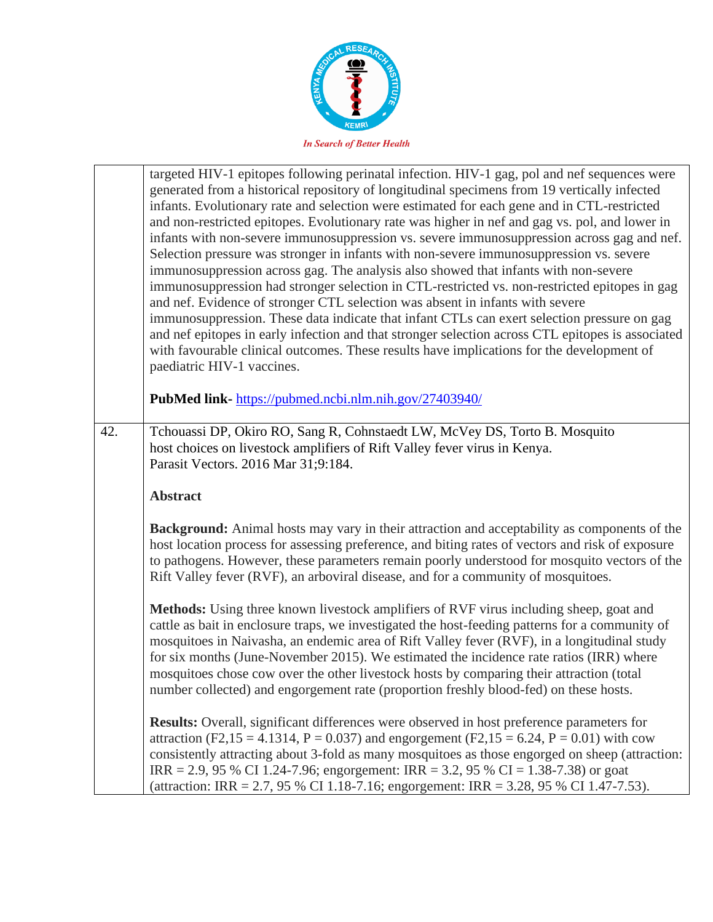

|     | targeted HIV-1 epitopes following perinatal infection. HIV-1 gag, pol and nef sequences were<br>generated from a historical repository of longitudinal specimens from 19 vertically infected<br>infants. Evolutionary rate and selection were estimated for each gene and in CTL-restricted<br>and non-restricted epitopes. Evolutionary rate was higher in nef and gag vs. pol, and lower in<br>infants with non-severe immunosuppression vs. severe immunosuppression across gag and nef.<br>Selection pressure was stronger in infants with non-severe immunosuppression vs. severe<br>immunosuppression across gag. The analysis also showed that infants with non-severe<br>immunosuppression had stronger selection in CTL-restricted vs. non-restricted epitopes in gag<br>and nef. Evidence of stronger CTL selection was absent in infants with severe<br>immunosuppression. These data indicate that infant CTLs can exert selection pressure on gag<br>and nef epitopes in early infection and that stronger selection across CTL epitopes is associated<br>with favourable clinical outcomes. These results have implications for the development of<br>paediatric HIV-1 vaccines. |
|-----|------------------------------------------------------------------------------------------------------------------------------------------------------------------------------------------------------------------------------------------------------------------------------------------------------------------------------------------------------------------------------------------------------------------------------------------------------------------------------------------------------------------------------------------------------------------------------------------------------------------------------------------------------------------------------------------------------------------------------------------------------------------------------------------------------------------------------------------------------------------------------------------------------------------------------------------------------------------------------------------------------------------------------------------------------------------------------------------------------------------------------------------------------------------------------------------------|
|     | PubMed link-https://pubmed.ncbi.nlm.nih.gov/27403940/                                                                                                                                                                                                                                                                                                                                                                                                                                                                                                                                                                                                                                                                                                                                                                                                                                                                                                                                                                                                                                                                                                                                          |
| 42. | Tchouassi DP, Okiro RO, Sang R, Cohnstaedt LW, McVey DS, Torto B. Mosquito<br>host choices on livestock amplifiers of Rift Valley fever virus in Kenya.<br>Parasit Vectors. 2016 Mar 31;9:184.                                                                                                                                                                                                                                                                                                                                                                                                                                                                                                                                                                                                                                                                                                                                                                                                                                                                                                                                                                                                 |
|     | <b>Abstract</b>                                                                                                                                                                                                                                                                                                                                                                                                                                                                                                                                                                                                                                                                                                                                                                                                                                                                                                                                                                                                                                                                                                                                                                                |
|     | <b>Background:</b> Animal hosts may vary in their attraction and acceptability as components of the<br>host location process for assessing preference, and biting rates of vectors and risk of exposure<br>to pathogens. However, these parameters remain poorly understood for mosquito vectors of the<br>Rift Valley fever (RVF), an arboviral disease, and for a community of mosquitoes.                                                                                                                                                                                                                                                                                                                                                                                                                                                                                                                                                                                                                                                                                                                                                                                                   |
|     | Methods: Using three known livestock amplifiers of RVF virus including sheep, goat and<br>cattle as bait in enclosure traps, we investigated the host-feeding patterns for a community of<br>mosquitoes in Naivasha, an endemic area of Rift Valley fever (RVF), in a longitudinal study<br>for six months (June-November 2015). We estimated the incidence rate ratios (IRR) where<br>mosquitoes chose cow over the other livestock hosts by comparing their attraction (total<br>number collected) and engorgement rate (proportion freshly blood-fed) on these hosts.                                                                                                                                                                                                                                                                                                                                                                                                                                                                                                                                                                                                                       |
|     | <b>Results:</b> Overall, significant differences were observed in host preference parameters for<br>attraction (F2,15 = 4.1314, P = 0.037) and engorgement (F2,15 = 6.24, P = 0.01) with cow<br>consistently attracting about 3-fold as many mosquitoes as those engorged on sheep (attraction:<br>IRR = 2.9, 95 % CI 1.24-7.96; engorgement: IRR = 3.2, 95 % CI = 1.38-7.38) or goat<br>(attraction: IRR = 2.7, 95 % CI 1.18-7.16; engorgement: IRR = 3.28, 95 % CI 1.47-7.53).                                                                                                                                                                                                                                                                                                                                                                                                                                                                                                                                                                                                                                                                                                               |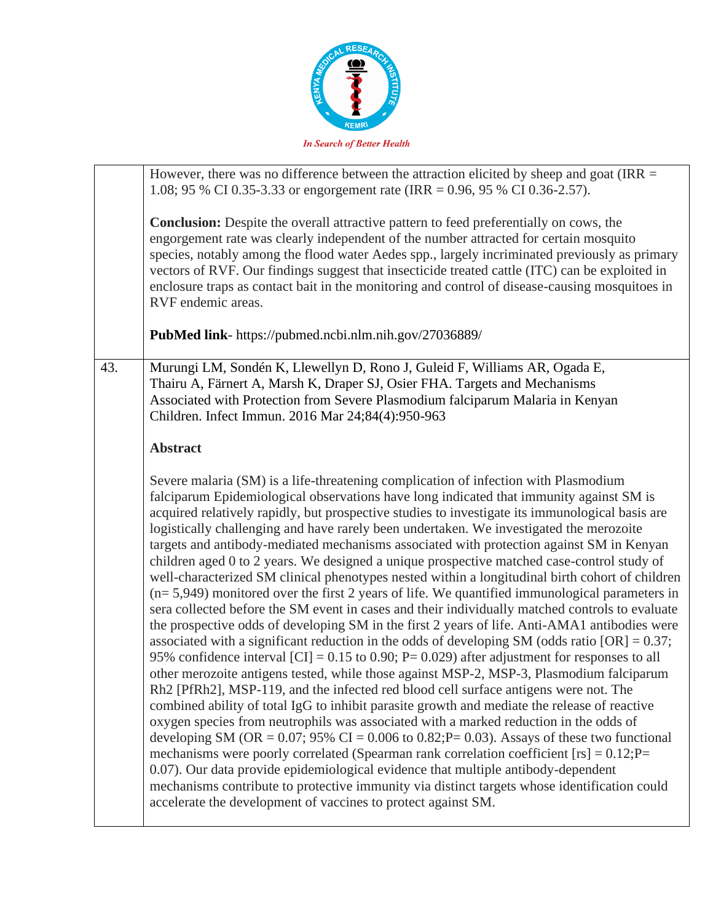

|     | However, there was no difference between the attraction elicited by sheep and goat (IRR $=$<br>1.08; 95 % CI 0.35-3.33 or engorgement rate (IRR = 0.96, 95 % CI 0.36-2.57).                                                                                                                                                                                                                                                                                                                                                                                                                                                                                                                                                                                                                                                                                                                                                                                                                                                                                                                                                                                                                                                                                                                                                                                                                                                                                                                                                                                                                                                                                                                                                                                                                                                                                                                                                                                                                                             |
|-----|-------------------------------------------------------------------------------------------------------------------------------------------------------------------------------------------------------------------------------------------------------------------------------------------------------------------------------------------------------------------------------------------------------------------------------------------------------------------------------------------------------------------------------------------------------------------------------------------------------------------------------------------------------------------------------------------------------------------------------------------------------------------------------------------------------------------------------------------------------------------------------------------------------------------------------------------------------------------------------------------------------------------------------------------------------------------------------------------------------------------------------------------------------------------------------------------------------------------------------------------------------------------------------------------------------------------------------------------------------------------------------------------------------------------------------------------------------------------------------------------------------------------------------------------------------------------------------------------------------------------------------------------------------------------------------------------------------------------------------------------------------------------------------------------------------------------------------------------------------------------------------------------------------------------------------------------------------------------------------------------------------------------------|
|     | <b>Conclusion:</b> Despite the overall attractive pattern to feed preferentially on cows, the<br>engorgement rate was clearly independent of the number attracted for certain mosquito<br>species, notably among the flood water Aedes spp., largely incriminated previously as primary<br>vectors of RVF. Our findings suggest that insecticide treated cattle (ITC) can be exploited in<br>enclosure traps as contact bait in the monitoring and control of disease-causing mosquitoes in<br>RVF endemic areas.                                                                                                                                                                                                                                                                                                                                                                                                                                                                                                                                                                                                                                                                                                                                                                                                                                                                                                                                                                                                                                                                                                                                                                                                                                                                                                                                                                                                                                                                                                       |
|     | PubMed link- https://pubmed.ncbi.nlm.nih.gov/27036889/                                                                                                                                                                                                                                                                                                                                                                                                                                                                                                                                                                                                                                                                                                                                                                                                                                                                                                                                                                                                                                                                                                                                                                                                                                                                                                                                                                                                                                                                                                                                                                                                                                                                                                                                                                                                                                                                                                                                                                  |
| 43. | Murungi LM, Sondén K, Llewellyn D, Rono J, Guleid F, Williams AR, Ogada E,<br>Thairu A, Färnert A, Marsh K, Draper SJ, Osier FHA. Targets and Mechanisms<br>Associated with Protection from Severe Plasmodium falciparum Malaria in Kenyan<br>Children. Infect Immun. 2016 Mar 24;84(4):950-963                                                                                                                                                                                                                                                                                                                                                                                                                                                                                                                                                                                                                                                                                                                                                                                                                                                                                                                                                                                                                                                                                                                                                                                                                                                                                                                                                                                                                                                                                                                                                                                                                                                                                                                         |
|     | <b>Abstract</b>                                                                                                                                                                                                                                                                                                                                                                                                                                                                                                                                                                                                                                                                                                                                                                                                                                                                                                                                                                                                                                                                                                                                                                                                                                                                                                                                                                                                                                                                                                                                                                                                                                                                                                                                                                                                                                                                                                                                                                                                         |
|     | Severe malaria (SM) is a life-threatening complication of infection with Plasmodium<br>falciparum Epidemiological observations have long indicated that immunity against SM is<br>acquired relatively rapidly, but prospective studies to investigate its immunological basis are<br>logistically challenging and have rarely been undertaken. We investigated the merozoite<br>targets and antibody-mediated mechanisms associated with protection against SM in Kenyan<br>children aged 0 to 2 years. We designed a unique prospective matched case-control study of<br>well-characterized SM clinical phenotypes nested within a longitudinal birth cohort of children<br>$(n=5,949)$ monitored over the first 2 years of life. We quantified immunological parameters in<br>sera collected before the SM event in cases and their individually matched controls to evaluate<br>the prospective odds of developing SM in the first 2 years of life. Anti-AMA1 antibodies were<br>associated with a significant reduction in the odds of developing SM (odds ratio $[OR] = 0.37$ ;<br>95% confidence interval [CI] = 0.15 to 0.90; P= 0.029) after adjustment for responses to all<br>other merozoite antigens tested, while those against MSP-2, MSP-3, Plasmodium falciparum<br>Rh2 [PfRh2], MSP-119, and the infected red blood cell surface antigens were not. The<br>combined ability of total IgG to inhibit parasite growth and mediate the release of reactive<br>oxygen species from neutrophils was associated with a marked reduction in the odds of<br>developing SM (OR = $0.07$ ; 95% CI = $0.006$ to 0.82;P= 0.03). Assays of these two functional<br>mechanisms were poorly correlated (Spearman rank correlation coefficient $[rs] = 0.12; P=$<br>0.07). Our data provide epidemiological evidence that multiple antibody-dependent<br>mechanisms contribute to protective immunity via distinct targets whose identification could<br>accelerate the development of vaccines to protect against SM. |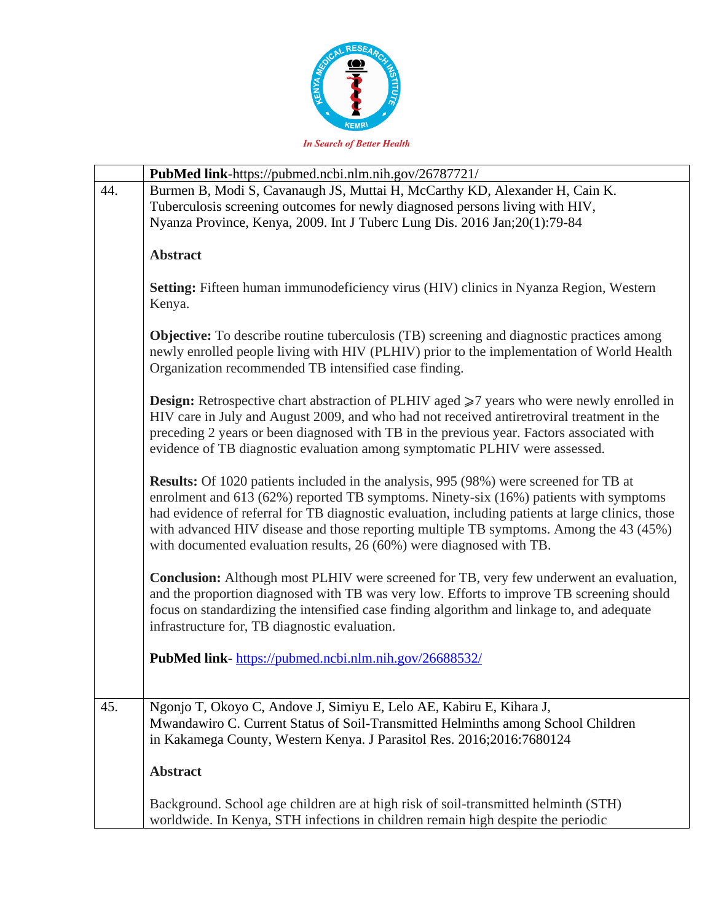

|  | In Search of Better Health |  |
|--|----------------------------|--|

|     | PubMed link-https://pubmed.ncbi.nlm.nih.gov/26787721/                                                                                                                                                                                                                                                                                                                                                                                                        |  |  |  |
|-----|--------------------------------------------------------------------------------------------------------------------------------------------------------------------------------------------------------------------------------------------------------------------------------------------------------------------------------------------------------------------------------------------------------------------------------------------------------------|--|--|--|
| 44. | Burmen B, Modi S, Cavanaugh JS, Muttai H, McCarthy KD, Alexander H, Cain K.<br>Tuberculosis screening outcomes for newly diagnosed persons living with HIV,<br>Nyanza Province, Kenya, 2009. Int J Tuberc Lung Dis. 2016 Jan;20(1):79-84                                                                                                                                                                                                                     |  |  |  |
|     | <b>Abstract</b>                                                                                                                                                                                                                                                                                                                                                                                                                                              |  |  |  |
|     | Setting: Fifteen human immunodeficiency virus (HIV) clinics in Nyanza Region, Western<br>Kenya.                                                                                                                                                                                                                                                                                                                                                              |  |  |  |
|     | <b>Objective:</b> To describe routine tuberculosis (TB) screening and diagnostic practices among<br>newly enrolled people living with HIV (PLHIV) prior to the implementation of World Health<br>Organization recommended TB intensified case finding.                                                                                                                                                                                                       |  |  |  |
|     | <b>Design:</b> Retrospective chart abstraction of PLHIV aged $\geq 7$ years who were newly enrolled in<br>HIV care in July and August 2009, and who had not received antiretroviral treatment in the<br>preceding 2 years or been diagnosed with TB in the previous year. Factors associated with<br>evidence of TB diagnostic evaluation among symptomatic PLHIV were assessed.                                                                             |  |  |  |
|     | <b>Results:</b> Of 1020 patients included in the analysis, 995 (98%) were screened for TB at<br>enrolment and 613 (62%) reported TB symptoms. Ninety-six (16%) patients with symptoms<br>had evidence of referral for TB diagnostic evaluation, including patients at large clinics, those<br>with advanced HIV disease and those reporting multiple TB symptoms. Among the 43 (45%)<br>with documented evaluation results, 26 (60%) were diagnosed with TB. |  |  |  |
|     | <b>Conclusion:</b> Although most PLHIV were screened for TB, very few underwent an evaluation,<br>and the proportion diagnosed with TB was very low. Efforts to improve TB screening should<br>focus on standardizing the intensified case finding algorithm and linkage to, and adequate<br>infrastructure for, TB diagnostic evaluation.                                                                                                                   |  |  |  |
|     | PubMed link-https://pubmed.ncbi.nlm.nih.gov/26688532/                                                                                                                                                                                                                                                                                                                                                                                                        |  |  |  |
| 45. | Ngonjo T, Okoyo C, Andove J, Simiyu E, Lelo AE, Kabiru E, Kihara J,<br>Mwandawiro C. Current Status of Soil-Transmitted Helminths among School Children<br>in Kakamega County, Western Kenya. J Parasitol Res. 2016;2016:7680124                                                                                                                                                                                                                             |  |  |  |
|     | <b>Abstract</b>                                                                                                                                                                                                                                                                                                                                                                                                                                              |  |  |  |
|     | Background. School age children are at high risk of soil-transmitted helminth (STH)<br>worldwide. In Kenya, STH infections in children remain high despite the periodic                                                                                                                                                                                                                                                                                      |  |  |  |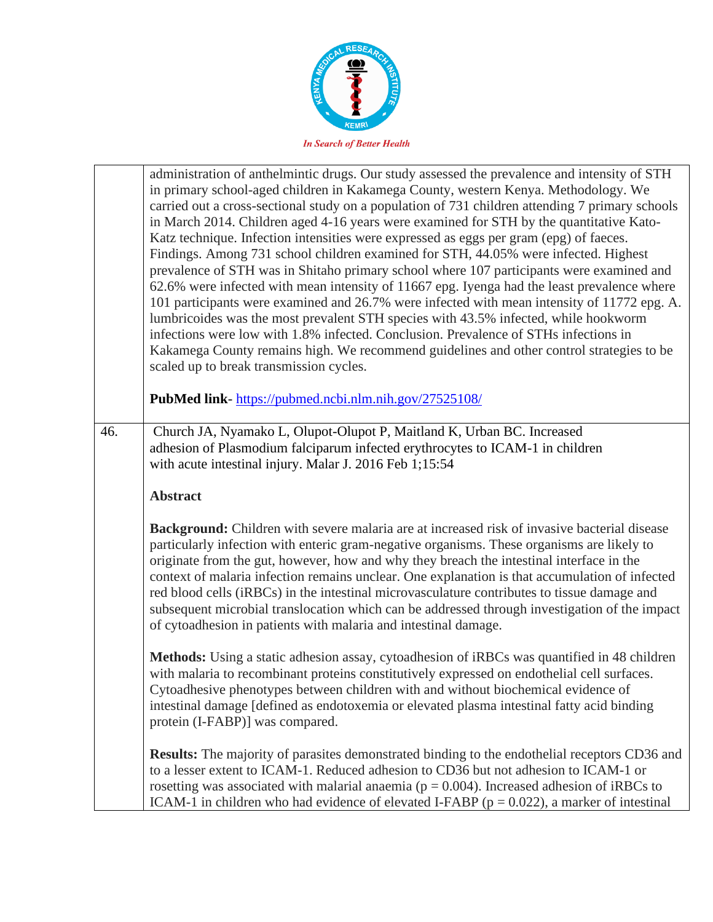

|     | administration of anthelmintic drugs. Our study assessed the prevalence and intensity of STH<br>in primary school-aged children in Kakamega County, western Kenya. Methodology. We<br>carried out a cross-sectional study on a population of 731 children attending 7 primary schools<br>in March 2014. Children aged 4-16 years were examined for STH by the quantitative Kato-<br>Katz technique. Infection intensities were expressed as eggs per gram (epg) of faeces.<br>Findings. Among 731 school children examined for STH, 44.05% were infected. Highest<br>prevalence of STH was in Shitaho primary school where 107 participants were examined and<br>62.6% were infected with mean intensity of 11667 epg. Iyenga had the least prevalence where<br>101 participants were examined and 26.7% were infected with mean intensity of 11772 epg. A.<br>lumbricoides was the most prevalent STH species with 43.5% infected, while hookworm<br>infections were low with 1.8% infected. Conclusion. Prevalence of STHs infections in<br>Kakamega County remains high. We recommend guidelines and other control strategies to be<br>scaled up to break transmission cycles. |
|-----|-----------------------------------------------------------------------------------------------------------------------------------------------------------------------------------------------------------------------------------------------------------------------------------------------------------------------------------------------------------------------------------------------------------------------------------------------------------------------------------------------------------------------------------------------------------------------------------------------------------------------------------------------------------------------------------------------------------------------------------------------------------------------------------------------------------------------------------------------------------------------------------------------------------------------------------------------------------------------------------------------------------------------------------------------------------------------------------------------------------------------------------------------------------------------------------|
|     | PubMed link-https://pubmed.ncbi.nlm.nih.gov/27525108/                                                                                                                                                                                                                                                                                                                                                                                                                                                                                                                                                                                                                                                                                                                                                                                                                                                                                                                                                                                                                                                                                                                             |
| 46. | Church JA, Nyamako L, Olupot-Olupot P, Maitland K, Urban BC. Increased<br>adhesion of Plasmodium falciparum infected erythrocytes to ICAM-1 in children<br>with acute intestinal injury. Malar J. 2016 Feb 1;15:54                                                                                                                                                                                                                                                                                                                                                                                                                                                                                                                                                                                                                                                                                                                                                                                                                                                                                                                                                                |
|     | <b>Abstract</b>                                                                                                                                                                                                                                                                                                                                                                                                                                                                                                                                                                                                                                                                                                                                                                                                                                                                                                                                                                                                                                                                                                                                                                   |
|     | <b>Background:</b> Children with severe malaria are at increased risk of invasive bacterial disease<br>particularly infection with enteric gram-negative organisms. These organisms are likely to<br>originate from the gut, however, how and why they breach the intestinal interface in the<br>context of malaria infection remains unclear. One explanation is that accumulation of infected<br>red blood cells (iRBCs) in the intestinal microvasculature contributes to tissue damage and<br>subsequent microbial translocation which can be addressed through investigation of the impact<br>of cytoadhesion in patients with malaria and intestinal damage.                                                                                                                                                                                                                                                                                                                                                                                                                                                                                                                |
|     | Methods: Using a static adhesion assay, cytoadhesion of iRBCs was quantified in 48 children<br>with malaria to recombinant proteins constitutively expressed on endothelial cell surfaces.<br>Cytoadhesive phenotypes between children with and without biochemical evidence of<br>intestinal damage [defined as endotoxemia or elevated plasma intestinal fatty acid binding<br>protein (I-FABP)] was compared.                                                                                                                                                                                                                                                                                                                                                                                                                                                                                                                                                                                                                                                                                                                                                                  |
|     | Results: The majority of parasites demonstrated binding to the endothelial receptors CD36 and<br>to a lesser extent to ICAM-1. Reduced adhesion to CD36 but not adhesion to ICAM-1 or<br>rosetting was associated with malarial anaemia ( $p = 0.004$ ). Increased adhesion of iRBCs to<br>ICAM-1 in children who had evidence of elevated I-FABP ( $p = 0.022$ ), a marker of intestinal                                                                                                                                                                                                                                                                                                                                                                                                                                                                                                                                                                                                                                                                                                                                                                                         |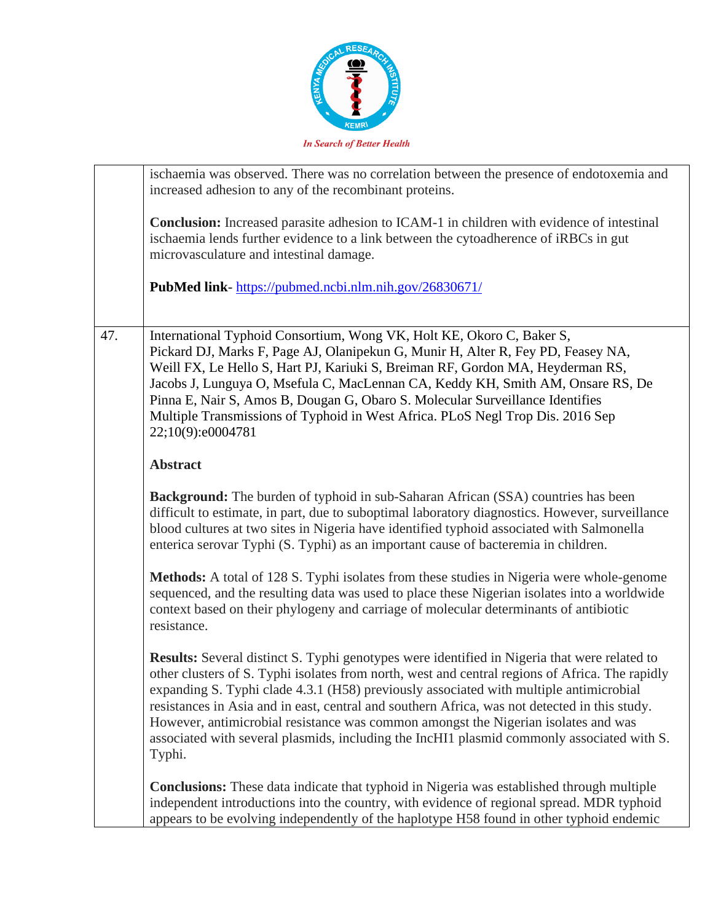

|     | ischaemia was observed. There was no correlation between the presence of endotoxemia and<br>increased adhesion to any of the recombinant proteins.                                                                                                                                                                                                                                                                                                                                                                                                                                              |
|-----|-------------------------------------------------------------------------------------------------------------------------------------------------------------------------------------------------------------------------------------------------------------------------------------------------------------------------------------------------------------------------------------------------------------------------------------------------------------------------------------------------------------------------------------------------------------------------------------------------|
|     | Conclusion: Increased parasite adhesion to ICAM-1 in children with evidence of intestinal<br>ischaemia lends further evidence to a link between the cytoadherence of iRBCs in gut<br>microvasculature and intestinal damage.                                                                                                                                                                                                                                                                                                                                                                    |
|     | PubMed link-https://pubmed.ncbi.nlm.nih.gov/26830671/                                                                                                                                                                                                                                                                                                                                                                                                                                                                                                                                           |
| 47. | International Typhoid Consortium, Wong VK, Holt KE, Okoro C, Baker S,<br>Pickard DJ, Marks F, Page AJ, Olanipekun G, Munir H, Alter R, Fey PD, Feasey NA,<br>Weill FX, Le Hello S, Hart PJ, Kariuki S, Breiman RF, Gordon MA, Heyderman RS,<br>Jacobs J, Lunguya O, Msefula C, MacLennan CA, Keddy KH, Smith AM, Onsare RS, De<br>Pinna E, Nair S, Amos B, Dougan G, Obaro S. Molecular Surveillance Identifies<br>Multiple Transmissions of Typhoid in West Africa. PLoS Negl Trop Dis. 2016 Sep<br>22;10(9):e0004781                                                                          |
|     | <b>Abstract</b>                                                                                                                                                                                                                                                                                                                                                                                                                                                                                                                                                                                 |
|     | <b>Background:</b> The burden of typhoid in sub-Saharan African (SSA) countries has been<br>difficult to estimate, in part, due to suboptimal laboratory diagnostics. However, surveillance<br>blood cultures at two sites in Nigeria have identified typhoid associated with Salmonella<br>enterica serovar Typhi (S. Typhi) as an important cause of bacteremia in children.                                                                                                                                                                                                                  |
|     | Methods: A total of 128 S. Typhi isolates from these studies in Nigeria were whole-genome<br>sequenced, and the resulting data was used to place these Nigerian isolates into a worldwide<br>context based on their phylogeny and carriage of molecular determinants of antibiotic<br>resistance.                                                                                                                                                                                                                                                                                               |
|     | <b>Results:</b> Several distinct S. Typhi genotypes were identified in Nigeria that were related to<br>other clusters of S. Typhi isolates from north, west and central regions of Africa. The rapidly<br>expanding S. Typhi clade 4.3.1 (H58) previously associated with multiple antimicrobial<br>resistances in Asia and in east, central and southern Africa, was not detected in this study.<br>However, antimicrobial resistance was common amongst the Nigerian isolates and was<br>associated with several plasmids, including the IncHI1 plasmid commonly associated with S.<br>Typhi. |
|     | <b>Conclusions:</b> These data indicate that typhoid in Nigeria was established through multiple<br>independent introductions into the country, with evidence of regional spread. MDR typhoid<br>appears to be evolving independently of the haplotype H58 found in other typhoid endemic                                                                                                                                                                                                                                                                                                       |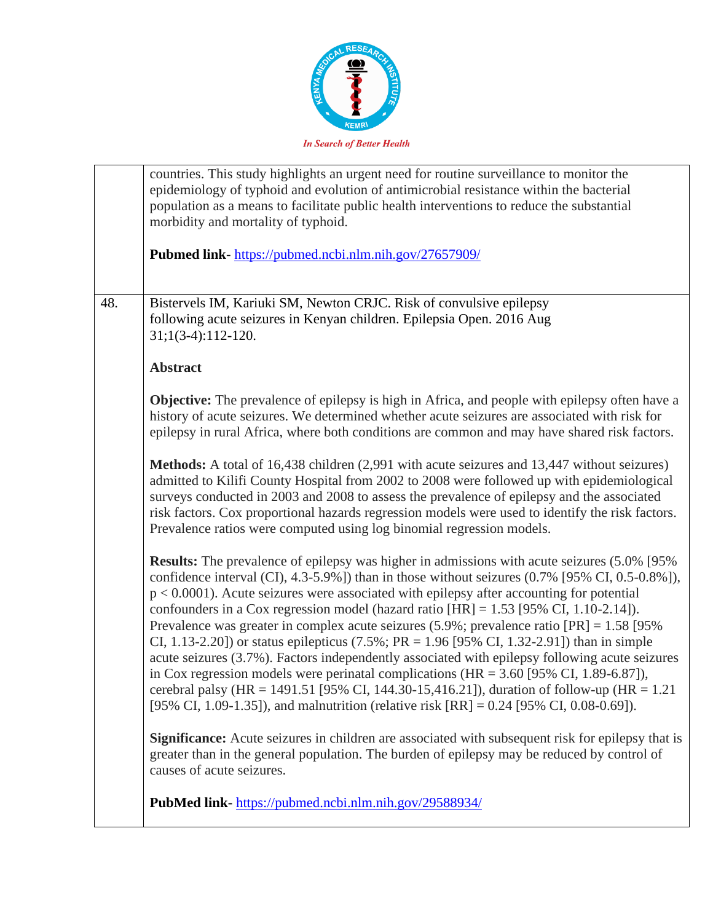

|     | countries. This study highlights an urgent need for routine surveillance to monitor the<br>epidemiology of typhoid and evolution of antimicrobial resistance within the bacterial<br>population as a means to facilitate public health interventions to reduce the substantial<br>morbidity and mortality of typhoid.                                                                                                                                                                                                                                                                                                                                                                                                                                                                                                                                                                                                                                                                                 |
|-----|-------------------------------------------------------------------------------------------------------------------------------------------------------------------------------------------------------------------------------------------------------------------------------------------------------------------------------------------------------------------------------------------------------------------------------------------------------------------------------------------------------------------------------------------------------------------------------------------------------------------------------------------------------------------------------------------------------------------------------------------------------------------------------------------------------------------------------------------------------------------------------------------------------------------------------------------------------------------------------------------------------|
|     | Pubmed link-https://pubmed.ncbi.nlm.nih.gov/27657909/                                                                                                                                                                                                                                                                                                                                                                                                                                                                                                                                                                                                                                                                                                                                                                                                                                                                                                                                                 |
| 48. | Bistervels IM, Kariuki SM, Newton CRJC. Risk of convulsive epilepsy<br>following acute seizures in Kenyan children. Epilepsia Open. 2016 Aug<br>$31;1(3-4):112-120.$                                                                                                                                                                                                                                                                                                                                                                                                                                                                                                                                                                                                                                                                                                                                                                                                                                  |
|     | <b>Abstract</b>                                                                                                                                                                                                                                                                                                                                                                                                                                                                                                                                                                                                                                                                                                                                                                                                                                                                                                                                                                                       |
|     | <b>Objective:</b> The prevalence of epilepsy is high in Africa, and people with epilepsy often have a<br>history of acute seizures. We determined whether acute seizures are associated with risk for<br>epilepsy in rural Africa, where both conditions are common and may have shared risk factors.                                                                                                                                                                                                                                                                                                                                                                                                                                                                                                                                                                                                                                                                                                 |
|     | Methods: A total of 16,438 children (2,991 with acute seizures and 13,447 without seizures)<br>admitted to Kilifi County Hospital from 2002 to 2008 were followed up with epidemiological<br>surveys conducted in 2003 and 2008 to assess the prevalence of epilepsy and the associated<br>risk factors. Cox proportional hazards regression models were used to identify the risk factors.<br>Prevalence ratios were computed using log binomial regression models.                                                                                                                                                                                                                                                                                                                                                                                                                                                                                                                                  |
|     | <b>Results:</b> The prevalence of epilepsy was higher in admissions with acute seizures (5.0% [95%]<br>confidence interval (CI), $4.3-5.9\%$ ]) than in those without seizures (0.7% [95% CI, 0.5-0.8%]),<br>$p < 0.0001$ ). Acute seizures were associated with epilepsy after accounting for potential<br>confounders in a Cox regression model (hazard ratio [HR] = 1.53 [95% CI, 1.10-2.14]).<br>Prevalence was greater in complex acute seizures $(5.9\%;$ prevalence ratio [PR] = 1.58 [95%]<br>CI, 1.13-2.20]) or status epilepticus $(7.5\%; PR = 1.96 [95\% \text{ CI}, 1.32-2.91])$ than in simple<br>acute seizures (3.7%). Factors independently associated with epilepsy following acute seizures<br>in Cox regression models were perinatal complications (HR = $3.60$ [95% CI, 1.89-6.87]),<br>cerebral palsy (HR = 1491.51 [95% CI, 144.30-15,416.21]), duration of follow-up (HR = 1.21<br>[95% CI, 1.09-1.35]), and malnutrition (relative risk $[RR] = 0.24$ [95% CI, 0.08-0.69]). |
|     | Significance: Acute seizures in children are associated with subsequent risk for epilepsy that is<br>greater than in the general population. The burden of epilepsy may be reduced by control of<br>causes of acute seizures.                                                                                                                                                                                                                                                                                                                                                                                                                                                                                                                                                                                                                                                                                                                                                                         |
|     | PubMed link-https://pubmed.ncbi.nlm.nih.gov/29588934/                                                                                                                                                                                                                                                                                                                                                                                                                                                                                                                                                                                                                                                                                                                                                                                                                                                                                                                                                 |

I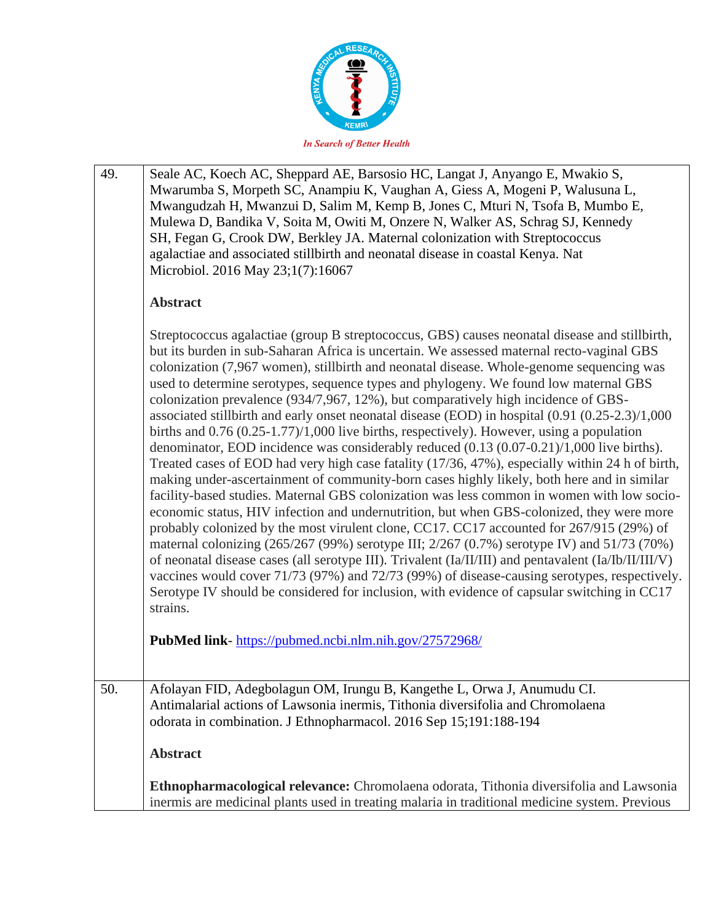

| 49. | Seale AC, Koech AC, Sheppard AE, Barsosio HC, Langat J, Anyango E, Mwakio S,<br>Mwarumba S, Morpeth SC, Anampiu K, Vaughan A, Giess A, Mogeni P, Walusuna L,<br>Mwangudzah H, Mwanzui D, Salim M, Kemp B, Jones C, Mturi N, Tsofa B, Mumbo E,<br>Mulewa D, Bandika V, Soita M, Owiti M, Onzere N, Walker AS, Schrag SJ, Kennedy<br>SH, Fegan G, Crook DW, Berkley JA. Maternal colonization with Streptococcus<br>agalactiae and associated stillbirth and neonatal disease in coastal Kenya. Nat<br>Microbiol. 2016 May 23;1(7):16067<br><b>Abstract</b><br>Streptococcus agalactiae (group B streptococcus, GBS) causes neonatal disease and stillbirth,<br>but its burden in sub-Saharan Africa is uncertain. We assessed maternal recto-vaginal GBS<br>colonization (7,967 women), stillbirth and neonatal disease. Whole-genome sequencing was<br>used to determine serotypes, sequence types and phylogeny. We found low maternal GBS<br>colonization prevalence (934/7,967, 12%), but comparatively high incidence of GBS-<br>associated stillbirth and early onset neonatal disease (EOD) in hospital (0.91 (0.25-2.3)/1,000<br>births and $0.76$ ( $0.25$ -1.77)/1,000 live births, respectively). However, using a population<br>denominator, EOD incidence was considerably reduced (0.13 (0.07-0.21)/1,000 live births).<br>Treated cases of EOD had very high case fatality (17/36, 47%), especially within 24 h of birth,<br>making under-ascertainment of community-born cases highly likely, both here and in similar<br>facility-based studies. Maternal GBS colonization was less common in women with low socio-<br>economic status, HIV infection and undernutrition, but when GBS-colonized, they were more<br>probably colonized by the most virulent clone, CC17. CC17 accounted for 267/915 (29%) of<br>maternal colonizing (265/267 (99%) serotype III; 2/267 (0.7%) serotype IV) and 51/73 (70%)<br>of neonatal disease cases (all serotype III). Trivalent (Ia/II/III) and pentavalent (Ia/Ib/II/III/V)<br>vaccines would cover 71/73 (97%) and 72/73 (99%) of disease-causing serotypes, respectively.<br>Serotype IV should be considered for inclusion, with evidence of capsular switching in CC17<br>strains.<br>PubMed link- https://pubmed.ncbi.nlm.nih.gov/27572968/ |
|-----|---------------------------------------------------------------------------------------------------------------------------------------------------------------------------------------------------------------------------------------------------------------------------------------------------------------------------------------------------------------------------------------------------------------------------------------------------------------------------------------------------------------------------------------------------------------------------------------------------------------------------------------------------------------------------------------------------------------------------------------------------------------------------------------------------------------------------------------------------------------------------------------------------------------------------------------------------------------------------------------------------------------------------------------------------------------------------------------------------------------------------------------------------------------------------------------------------------------------------------------------------------------------------------------------------------------------------------------------------------------------------------------------------------------------------------------------------------------------------------------------------------------------------------------------------------------------------------------------------------------------------------------------------------------------------------------------------------------------------------------------------------------------------------------------------------------------------------------------------------------------------------------------------------------------------------------------------------------------------------------------------------------------------------------------------------------------------------------------------------------------------------------------------------------------------------------------------------------------------------------------------------------------------------------------------------|
|     |                                                                                                                                                                                                                                                                                                                                                                                                                                                                                                                                                                                                                                                                                                                                                                                                                                                                                                                                                                                                                                                                                                                                                                                                                                                                                                                                                                                                                                                                                                                                                                                                                                                                                                                                                                                                                                                                                                                                                                                                                                                                                                                                                                                                                                                                                                         |
| 50. | Afolayan FID, Adegbolagun OM, Irungu B, Kangethe L, Orwa J, Anumudu CI.<br>Antimalarial actions of Lawsonia inermis, Tithonia diversifolia and Chromolaena<br>odorata in combination. J Ethnopharmacol. 2016 Sep 15;191:188-194                                                                                                                                                                                                                                                                                                                                                                                                                                                                                                                                                                                                                                                                                                                                                                                                                                                                                                                                                                                                                                                                                                                                                                                                                                                                                                                                                                                                                                                                                                                                                                                                                                                                                                                                                                                                                                                                                                                                                                                                                                                                         |
|     | <b>Abstract</b>                                                                                                                                                                                                                                                                                                                                                                                                                                                                                                                                                                                                                                                                                                                                                                                                                                                                                                                                                                                                                                                                                                                                                                                                                                                                                                                                                                                                                                                                                                                                                                                                                                                                                                                                                                                                                                                                                                                                                                                                                                                                                                                                                                                                                                                                                         |
|     | Ethnopharmacological relevance: Chromolaena odorata, Tithonia diversifolia and Lawsonia                                                                                                                                                                                                                                                                                                                                                                                                                                                                                                                                                                                                                                                                                                                                                                                                                                                                                                                                                                                                                                                                                                                                                                                                                                                                                                                                                                                                                                                                                                                                                                                                                                                                                                                                                                                                                                                                                                                                                                                                                                                                                                                                                                                                                 |
|     | inermis are medicinal plants used in treating malaria in traditional medicine system. Previous                                                                                                                                                                                                                                                                                                                                                                                                                                                                                                                                                                                                                                                                                                                                                                                                                                                                                                                                                                                                                                                                                                                                                                                                                                                                                                                                                                                                                                                                                                                                                                                                                                                                                                                                                                                                                                                                                                                                                                                                                                                                                                                                                                                                          |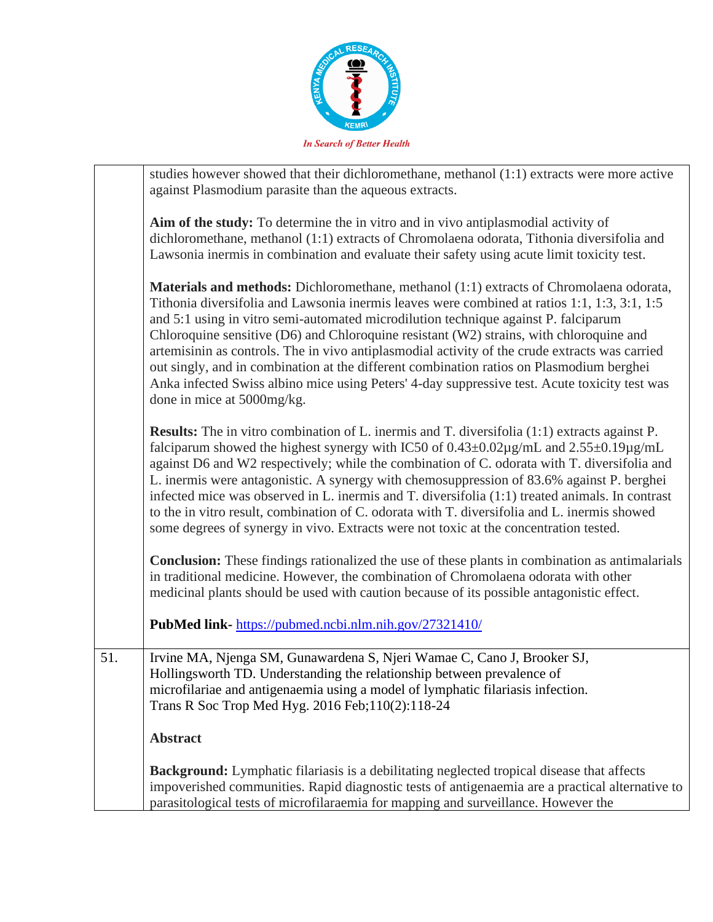

|     | studies however showed that their dichloromethane, methanol (1:1) extracts were more active<br>against Plasmodium parasite than the aqueous extracts.                                                                                                                                                                                                                                                                                                                                                                                                                                                                                                                                                  |
|-----|--------------------------------------------------------------------------------------------------------------------------------------------------------------------------------------------------------------------------------------------------------------------------------------------------------------------------------------------------------------------------------------------------------------------------------------------------------------------------------------------------------------------------------------------------------------------------------------------------------------------------------------------------------------------------------------------------------|
|     | Aim of the study: To determine the in vitro and in vivo antiplasmodial activity of<br>dichloromethane, methanol (1:1) extracts of Chromolaena odorata, Tithonia diversifolia and<br>Lawsonia inermis in combination and evaluate their safety using acute limit toxicity test.                                                                                                                                                                                                                                                                                                                                                                                                                         |
|     | Materials and methods: Dichloromethane, methanol (1:1) extracts of Chromolaena odorata,<br>Tithonia diversifolia and Lawsonia inermis leaves were combined at ratios 1:1, 1:3, 3:1, 1:5<br>and 5:1 using in vitro semi-automated microdilution technique against P. falciparum<br>Chloroquine sensitive (D6) and Chloroquine resistant (W2) strains, with chloroquine and<br>artemisinin as controls. The in vivo antiplasmodial activity of the crude extracts was carried<br>out singly, and in combination at the different combination ratios on Plasmodium berghei<br>Anka infected Swiss albino mice using Peters' 4-day suppressive test. Acute toxicity test was<br>done in mice at 5000mg/kg. |
|     | <b>Results:</b> The in vitro combination of L. inermis and T. diversifolia (1:1) extracts against P.<br>falciparum showed the highest synergy with IC50 of $0.43\pm0.02\mu$ g/mL and $2.55\pm0.19\mu$ g/mL<br>against D6 and W2 respectively; while the combination of C. odorata with T. diversifolia and<br>L. inermis were antagonistic. A synergy with chemosuppression of 83.6% against P. berghei<br>infected mice was observed in L. inermis and T. diversifolia (1:1) treated animals. In contrast<br>to the in vitro result, combination of C. odorata with T. diversifolia and L. inermis showed<br>some degrees of synergy in vivo. Extracts were not toxic at the concentration tested.    |
|     | <b>Conclusion:</b> These findings rationalized the use of these plants in combination as antimalarials<br>in traditional medicine. However, the combination of Chromolaena odorata with other<br>medicinal plants should be used with caution because of its possible antagonistic effect.                                                                                                                                                                                                                                                                                                                                                                                                             |
|     | PubMed link- https://pubmed.ncbi.nlm.nih.gov/27321410/                                                                                                                                                                                                                                                                                                                                                                                                                                                                                                                                                                                                                                                 |
| 51. | Irvine MA, Njenga SM, Gunawardena S, Njeri Wamae C, Cano J, Brooker SJ,<br>Hollingsworth TD. Understanding the relationship between prevalence of<br>microfilariae and antigenaemia using a model of lymphatic filariasis infection.<br>Trans R Soc Trop Med Hyg. 2016 Feb; 110(2): 118-24                                                                                                                                                                                                                                                                                                                                                                                                             |
|     | <b>Abstract</b>                                                                                                                                                                                                                                                                                                                                                                                                                                                                                                                                                                                                                                                                                        |
|     | <b>Background:</b> Lymphatic filariasis is a debilitating neglected tropical disease that affects<br>impoverished communities. Rapid diagnostic tests of antigenaemia are a practical alternative to<br>parasitological tests of microfilaraemia for mapping and surveillance. However the                                                                                                                                                                                                                                                                                                                                                                                                             |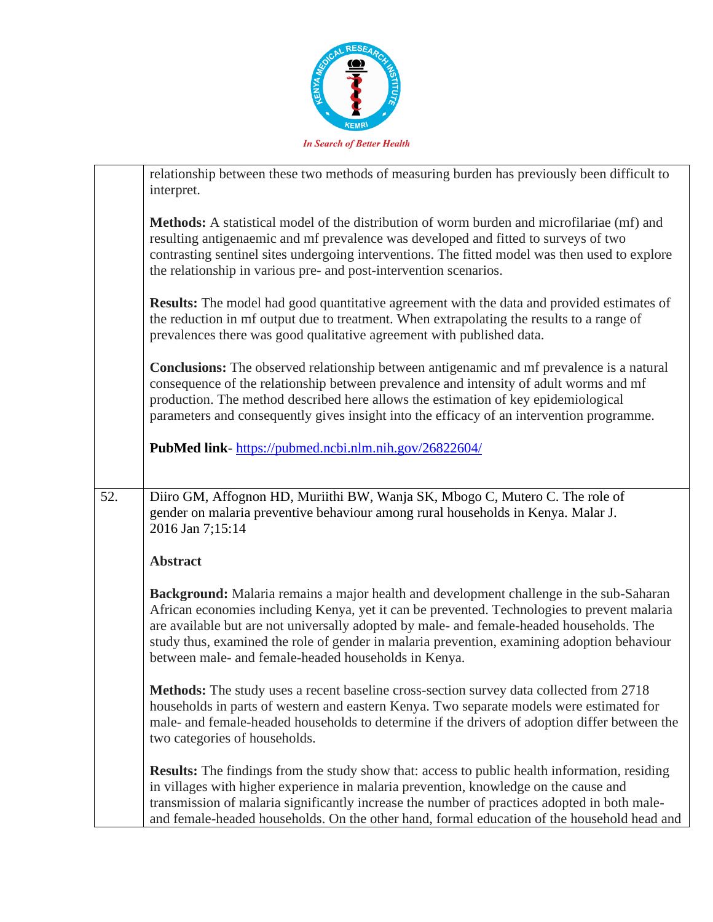

|     | relationship between these two methods of measuring burden has previously been difficult to<br>interpret.                                                                                                                                                                                                                                                                                                                                 |
|-----|-------------------------------------------------------------------------------------------------------------------------------------------------------------------------------------------------------------------------------------------------------------------------------------------------------------------------------------------------------------------------------------------------------------------------------------------|
|     | Methods: A statistical model of the distribution of worm burden and microfilariae (mf) and<br>resulting antigenaemic and mf prevalence was developed and fitted to surveys of two<br>contrasting sentinel sites undergoing interventions. The fitted model was then used to explore<br>the relationship in various pre- and post-intervention scenarios.                                                                                  |
|     | <b>Results:</b> The model had good quantitative agreement with the data and provided estimates of<br>the reduction in mf output due to treatment. When extrapolating the results to a range of<br>prevalences there was good qualitative agreement with published data.                                                                                                                                                                   |
|     | <b>Conclusions:</b> The observed relationship between antigenamic and mf prevalence is a natural<br>consequence of the relationship between prevalence and intensity of adult worms and mf<br>production. The method described here allows the estimation of key epidemiological<br>parameters and consequently gives insight into the efficacy of an intervention programme.                                                             |
|     | PubMed link-https://pubmed.ncbi.nlm.nih.gov/26822604/                                                                                                                                                                                                                                                                                                                                                                                     |
| 52. | Diiro GM, Affognon HD, Muriithi BW, Wanja SK, Mbogo C, Mutero C. The role of<br>gender on malaria preventive behaviour among rural households in Kenya. Malar J.<br>2016 Jan 7;15:14                                                                                                                                                                                                                                                      |
|     | <b>Abstract</b>                                                                                                                                                                                                                                                                                                                                                                                                                           |
|     | Background: Malaria remains a major health and development challenge in the sub-Saharan<br>African economies including Kenya, yet it can be prevented. Technologies to prevent malaria<br>are available but are not universally adopted by male- and female-headed households. The<br>study thus, examined the role of gender in malaria prevention, examining adoption behaviour<br>between male- and female-headed households in Kenya. |
|     | <b>Methods:</b> The study uses a recent baseline cross-section survey data collected from 2718<br>households in parts of western and eastern Kenya. Two separate models were estimated for<br>male- and female-headed households to determine if the drivers of adoption differ between the<br>two categories of households.                                                                                                              |
|     | Results: The findings from the study show that: access to public health information, residing<br>in villages with higher experience in malaria prevention, knowledge on the cause and<br>transmission of malaria significantly increase the number of practices adopted in both male-<br>and female-headed households. On the other hand, formal education of the household head and                                                      |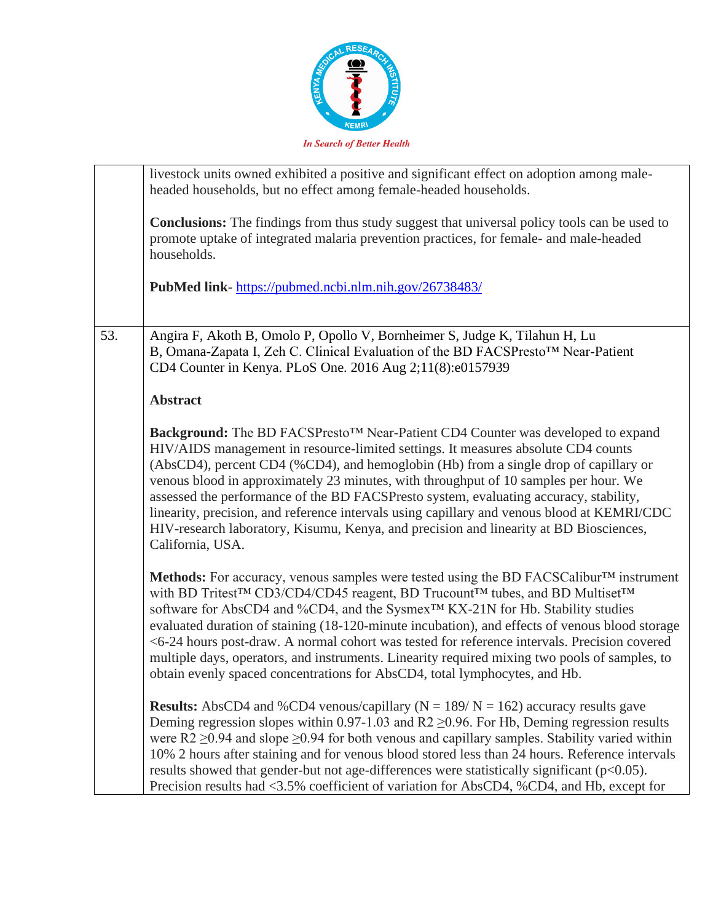

|     | livestock units owned exhibited a positive and significant effect on adoption among male-<br>headed households, but no effect among female-headed households.                                                                                                                                                                                                                                                                                                                                                                                                                                                                                                           |
|-----|-------------------------------------------------------------------------------------------------------------------------------------------------------------------------------------------------------------------------------------------------------------------------------------------------------------------------------------------------------------------------------------------------------------------------------------------------------------------------------------------------------------------------------------------------------------------------------------------------------------------------------------------------------------------------|
|     | <b>Conclusions:</b> The findings from thus study suggest that universal policy tools can be used to<br>promote uptake of integrated malaria prevention practices, for female- and male-headed<br>households.                                                                                                                                                                                                                                                                                                                                                                                                                                                            |
|     | PubMed link-https://pubmed.ncbi.nlm.nih.gov/26738483/                                                                                                                                                                                                                                                                                                                                                                                                                                                                                                                                                                                                                   |
| 53. | Angira F, Akoth B, Omolo P, Opollo V, Bornheimer S, Judge K, Tilahun H, Lu<br>B, Omana-Zapata I, Zeh C. Clinical Evaluation of the BD FACSPresto™ Near-Patient<br>CD4 Counter in Kenya. PLoS One. 2016 Aug 2;11(8):e0157939                                                                                                                                                                                                                                                                                                                                                                                                                                             |
|     | <b>Abstract</b>                                                                                                                                                                                                                                                                                                                                                                                                                                                                                                                                                                                                                                                         |
|     | Background: The BD FACSPresto <sup>TM</sup> Near-Patient CD4 Counter was developed to expand<br>HIV/AIDS management in resource-limited settings. It measures absolute CD4 counts<br>(AbsCD4), percent CD4 (%CD4), and hemoglobin (Hb) from a single drop of capillary or<br>venous blood in approximately 23 minutes, with throughput of 10 samples per hour. We<br>assessed the performance of the BD FACSPresto system, evaluating accuracy, stability,<br>linearity, precision, and reference intervals using capillary and venous blood at KEMRI/CDC<br>HIV-research laboratory, Kisumu, Kenya, and precision and linearity at BD Biosciences,<br>California, USA. |
|     | Methods: For accuracy, venous samples were tested using the BD FACSCalibur <sup>TM</sup> instrument<br>with BD Tritest™ CD3/CD4/CD45 reagent, BD Trucount™ tubes, and BD Multiset™<br>software for AbsCD4 and %CD4, and the Sysmex <sup>™</sup> KX-21N for Hb. Stability studies<br>evaluated duration of staining (18-120-minute incubation), and effects of venous blood storage<br><6-24 hours post-draw. A normal cohort was tested for reference intervals. Precision covered<br>multiple days, operators, and instruments. Linearity required mixing two pools of samples, to<br>obtain evenly spaced concentrations for AbsCD4, total lymphocytes, and Hb.       |
|     | <b>Results:</b> AbsCD4 and %CD4 venous/capillary ( $N = 189/N = 162$ ) accuracy results gave<br>Deming regression slopes within 0.97-1.03 and R2 $\geq$ 0.96. For Hb, Deming regression results<br>were $R2 \ge 0.94$ and slope $\ge 0.94$ for both venous and capillary samples. Stability varied within<br>10% 2 hours after staining and for venous blood stored less than 24 hours. Reference intervals<br>results showed that gender-but not age-differences were statistically significant (p<0.05).<br>Precision results had <3.5% coefficient of variation for AbsCD4, %CD4, and Hb, except for                                                                 |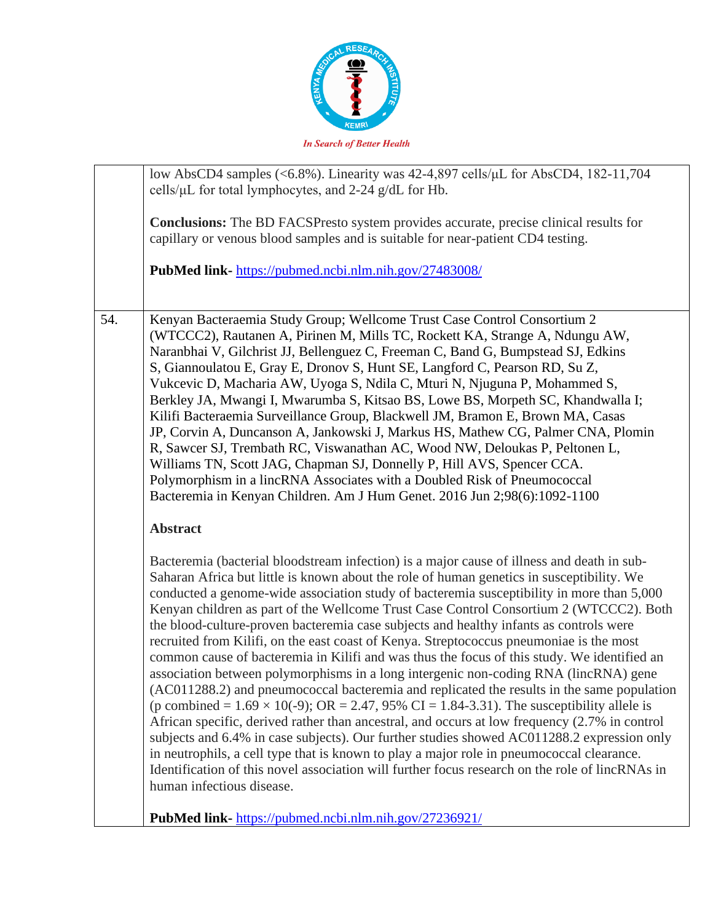

|     | low AbsCD4 samples (<6.8%). Linearity was 42-4,897 cells/µL for AbsCD4, 182-11,704<br>cells/ $\mu$ L for total lymphocytes, and 2-24 g/dL for Hb.                                                                                                                                                                                                                                                                                                                                                                                                                                                                                                                                                                                                                                                                                                                                                                                                                                                                                                                                                                                                                                                                                                                                                                                                                                         |
|-----|-------------------------------------------------------------------------------------------------------------------------------------------------------------------------------------------------------------------------------------------------------------------------------------------------------------------------------------------------------------------------------------------------------------------------------------------------------------------------------------------------------------------------------------------------------------------------------------------------------------------------------------------------------------------------------------------------------------------------------------------------------------------------------------------------------------------------------------------------------------------------------------------------------------------------------------------------------------------------------------------------------------------------------------------------------------------------------------------------------------------------------------------------------------------------------------------------------------------------------------------------------------------------------------------------------------------------------------------------------------------------------------------|
|     | <b>Conclusions:</b> The BD FACSPresto system provides accurate, precise clinical results for<br>capillary or venous blood samples and is suitable for near-patient CD4 testing.                                                                                                                                                                                                                                                                                                                                                                                                                                                                                                                                                                                                                                                                                                                                                                                                                                                                                                                                                                                                                                                                                                                                                                                                           |
|     | PubMed link-https://pubmed.ncbi.nlm.nih.gov/27483008/                                                                                                                                                                                                                                                                                                                                                                                                                                                                                                                                                                                                                                                                                                                                                                                                                                                                                                                                                                                                                                                                                                                                                                                                                                                                                                                                     |
| 54. | Kenyan Bacteraemia Study Group; Wellcome Trust Case Control Consortium 2<br>(WTCCC2), Rautanen A, Pirinen M, Mills TC, Rockett KA, Strange A, Ndungu AW,<br>Naranbhai V, Gilchrist JJ, Bellenguez C, Freeman C, Band G, Bumpstead SJ, Edkins<br>S, Giannoulatou E, Gray E, Dronov S, Hunt SE, Langford C, Pearson RD, Su Z,<br>Vukcevic D, Macharia AW, Uyoga S, Ndila C, Mturi N, Njuguna P, Mohammed S,<br>Berkley JA, Mwangi I, Mwarumba S, Kitsao BS, Lowe BS, Morpeth SC, Khandwalla I;<br>Kilifi Bacteraemia Surveillance Group, Blackwell JM, Bramon E, Brown MA, Casas<br>JP, Corvin A, Duncanson A, Jankowski J, Markus HS, Mathew CG, Palmer CNA, Plomin<br>R, Sawcer SJ, Trembath RC, Viswanathan AC, Wood NW, Deloukas P, Peltonen L,<br>Williams TN, Scott JAG, Chapman SJ, Donnelly P, Hill AVS, Spencer CCA.<br>Polymorphism in a lincRNA Associates with a Doubled Risk of Pneumococcal<br>Bacteremia in Kenyan Children. Am J Hum Genet. 2016 Jun 2;98(6):1092-1100                                                                                                                                                                                                                                                                                                                                                                                                      |
|     | <b>Abstract</b>                                                                                                                                                                                                                                                                                                                                                                                                                                                                                                                                                                                                                                                                                                                                                                                                                                                                                                                                                                                                                                                                                                                                                                                                                                                                                                                                                                           |
|     | Bacteremia (bacterial bloodstream infection) is a major cause of illness and death in sub-<br>Saharan Africa but little is known about the role of human genetics in susceptibility. We<br>conducted a genome-wide association study of bacteremia susceptibility in more than 5,000<br>Kenyan children as part of the Wellcome Trust Case Control Consortium 2 (WTCCC2). Both<br>the blood-culture-proven bacteremia case subjects and healthy infants as controls were<br>recruited from Kilifi, on the east coast of Kenya. Streptococcus pneumoniae is the most<br>common cause of bacteremia in Kilifi and was thus the focus of this study. We identified an<br>association between polymorphisms in a long intergenic non-coding RNA (lincRNA) gene<br>(AC011288.2) and pneumococcal bacteremia and replicated the results in the same population<br>(p combined = $1.69 \times 10(-9)$ ; OR = 2.47, 95% CI = 1.84-3.31). The susceptibility allele is<br>African specific, derived rather than ancestral, and occurs at low frequency (2.7% in control<br>subjects and 6.4% in case subjects). Our further studies showed AC011288.2 expression only<br>in neutrophils, a cell type that is known to play a major role in pneumococcal clearance.<br>Identification of this novel association will further focus research on the role of lincRNAs in<br>human infectious disease. |
|     | PubMed link- https://pubmed.ncbi.nlm.nih.gov/27236921/                                                                                                                                                                                                                                                                                                                                                                                                                                                                                                                                                                                                                                                                                                                                                                                                                                                                                                                                                                                                                                                                                                                                                                                                                                                                                                                                    |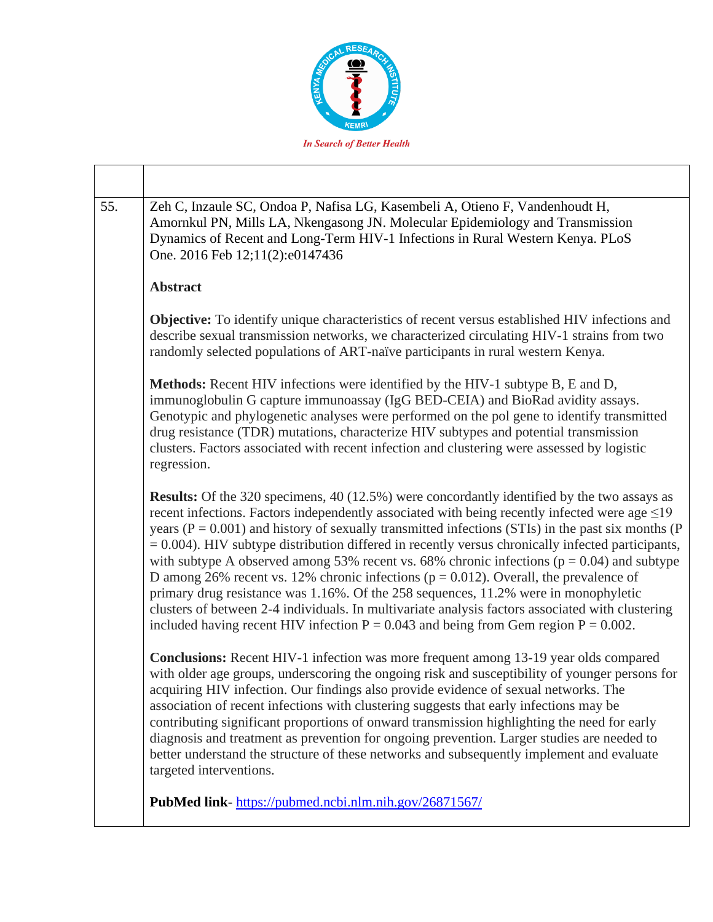

| 55. | Zeh C, Inzaule SC, Ondoa P, Nafisa LG, Kasembeli A, Otieno F, Vandenhoudt H,<br>Amornkul PN, Mills LA, Nkengasong JN. Molecular Epidemiology and Transmission<br>Dynamics of Recent and Long-Term HIV-1 Infections in Rural Western Kenya. PLoS<br>One. 2016 Feb 12;11(2):e0147436                                                                                                                                                                                                                                                                                                                                                                                                                                                                                                                                                                                                                               |
|-----|------------------------------------------------------------------------------------------------------------------------------------------------------------------------------------------------------------------------------------------------------------------------------------------------------------------------------------------------------------------------------------------------------------------------------------------------------------------------------------------------------------------------------------------------------------------------------------------------------------------------------------------------------------------------------------------------------------------------------------------------------------------------------------------------------------------------------------------------------------------------------------------------------------------|
|     | <b>Abstract</b>                                                                                                                                                                                                                                                                                                                                                                                                                                                                                                                                                                                                                                                                                                                                                                                                                                                                                                  |
|     | <b>Objective:</b> To identify unique characteristics of recent versus established HIV infections and<br>describe sexual transmission networks, we characterized circulating HIV-1 strains from two<br>randomly selected populations of ART-naïve participants in rural western Kenya.                                                                                                                                                                                                                                                                                                                                                                                                                                                                                                                                                                                                                            |
|     | Methods: Recent HIV infections were identified by the HIV-1 subtype B, E and D,<br>immunoglobulin G capture immunoassay (IgG BED-CEIA) and BioRad avidity assays.<br>Genotypic and phylogenetic analyses were performed on the pol gene to identify transmitted<br>drug resistance (TDR) mutations, characterize HIV subtypes and potential transmission<br>clusters. Factors associated with recent infection and clustering were assessed by logistic<br>regression.                                                                                                                                                                                                                                                                                                                                                                                                                                           |
|     | <b>Results:</b> Of the 320 specimens, 40 (12.5%) were concordantly identified by the two assays as<br>recent infections. Factors independently associated with being recently infected were age $\leq$ 19<br>years ( $P = 0.001$ ) and history of sexually transmitted infections (STIs) in the past six months (P<br>$= 0.004$ ). HIV subtype distribution differed in recently versus chronically infected participants,<br>with subtype A observed among 53% recent vs. 68% chronic infections ( $p = 0.04$ ) and subtype<br>D among 26% recent vs. 12% chronic infections ( $p = 0.012$ ). Overall, the prevalence of<br>primary drug resistance was 1.16%. Of the 258 sequences, 11.2% were in monophyletic<br>clusters of between 2-4 individuals. In multivariate analysis factors associated with clustering<br>included having recent HIV infection $P = 0.043$ and being from Gem region $P = 0.002$ . |
|     | <b>Conclusions:</b> Recent HIV-1 infection was more frequent among 13-19 year olds compared<br>with older age groups, underscoring the ongoing risk and susceptibility of younger persons for<br>acquiring HIV infection. Our findings also provide evidence of sexual networks. The<br>association of recent infections with clustering suggests that early infections may be<br>contributing significant proportions of onward transmission highlighting the need for early<br>diagnosis and treatment as prevention for ongoing prevention. Larger studies are needed to<br>better understand the structure of these networks and subsequently implement and evaluate<br>targeted interventions.                                                                                                                                                                                                              |
|     | PubMed link-https://pubmed.ncbi.nlm.nih.gov/26871567/                                                                                                                                                                                                                                                                                                                                                                                                                                                                                                                                                                                                                                                                                                                                                                                                                                                            |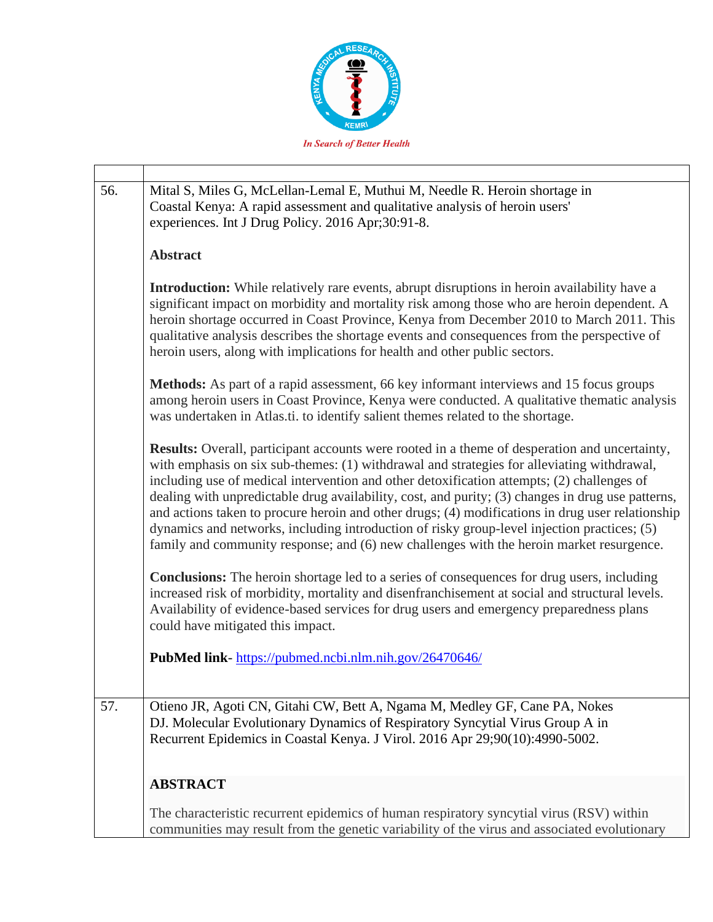

| 56. | Mital S, Miles G, McLellan-Lemal E, Muthui M, Needle R. Heroin shortage in<br>Coastal Kenya: A rapid assessment and qualitative analysis of heroin users'<br>experiences. Int J Drug Policy. 2016 Apr;30:91-8.                                                                                                                                                                                                                                                                                                                                                                                                                                                                                |
|-----|-----------------------------------------------------------------------------------------------------------------------------------------------------------------------------------------------------------------------------------------------------------------------------------------------------------------------------------------------------------------------------------------------------------------------------------------------------------------------------------------------------------------------------------------------------------------------------------------------------------------------------------------------------------------------------------------------|
|     | <b>Abstract</b>                                                                                                                                                                                                                                                                                                                                                                                                                                                                                                                                                                                                                                                                               |
|     | Introduction: While relatively rare events, abrupt disruptions in heroin availability have a<br>significant impact on morbidity and mortality risk among those who are heroin dependent. A<br>heroin shortage occurred in Coast Province, Kenya from December 2010 to March 2011. This<br>qualitative analysis describes the shortage events and consequences from the perspective of<br>heroin users, along with implications for health and other public sectors.                                                                                                                                                                                                                           |
|     | Methods: As part of a rapid assessment, 66 key informant interviews and 15 focus groups<br>among heroin users in Coast Province, Kenya were conducted. A qualitative thematic analysis<br>was undertaken in Atlas.ti. to identify salient themes related to the shortage.                                                                                                                                                                                                                                                                                                                                                                                                                     |
|     | Results: Overall, participant accounts were rooted in a theme of desperation and uncertainty,<br>with emphasis on six sub-themes: (1) withdrawal and strategies for alleviating withdrawal,<br>including use of medical intervention and other detoxification attempts; (2) challenges of<br>dealing with unpredictable drug availability, cost, and purity; (3) changes in drug use patterns,<br>and actions taken to procure heroin and other drugs; (4) modifications in drug user relationship<br>dynamics and networks, including introduction of risky group-level injection practices; (5)<br>family and community response; and (6) new challenges with the heroin market resurgence. |
|     | <b>Conclusions:</b> The heroin shortage led to a series of consequences for drug users, including<br>increased risk of morbidity, mortality and disenfranchisement at social and structural levels.<br>Availability of evidence-based services for drug users and emergency preparedness plans<br>could have mitigated this impact.                                                                                                                                                                                                                                                                                                                                                           |
|     | PubMed link- https://pubmed.ncbi.nlm.nih.gov/26470646/                                                                                                                                                                                                                                                                                                                                                                                                                                                                                                                                                                                                                                        |
| 57. | Otieno JR, Agoti CN, Gitahi CW, Bett A, Ngama M, Medley GF, Cane PA, Nokes<br>DJ. Molecular Evolutionary Dynamics of Respiratory Syncytial Virus Group A in<br>Recurrent Epidemics in Coastal Kenya. J Virol. 2016 Apr 29;90(10):4990-5002.                                                                                                                                                                                                                                                                                                                                                                                                                                                   |
|     | <b>ABSTRACT</b>                                                                                                                                                                                                                                                                                                                                                                                                                                                                                                                                                                                                                                                                               |
|     | The characteristic recurrent epidemics of human respiratory syncytial virus (RSV) within<br>communities may result from the genetic variability of the virus and associated evolutionary                                                                                                                                                                                                                                                                                                                                                                                                                                                                                                      |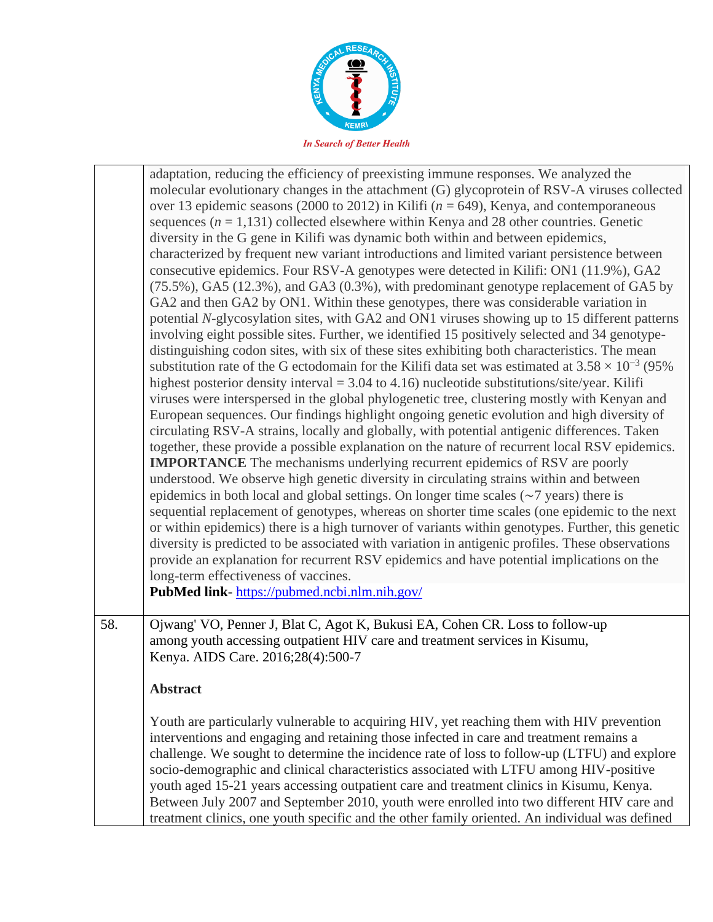

|     | adaptation, reducing the efficiency of preexisting immune responses. We analyzed the<br>molecular evolutionary changes in the attachment (G) glycoprotein of RSV-A viruses collected<br>over 13 epidemic seasons (2000 to 2012) in Kilifi ( $n = 649$ ), Kenya, and contemporaneous<br>sequences ( $n = 1,131$ ) collected elsewhere within Kenya and 28 other countries. Genetic<br>diversity in the G gene in Kilifi was dynamic both within and between epidemics,<br>characterized by frequent new variant introductions and limited variant persistence between<br>consecutive epidemics. Four RSV-A genotypes were detected in Kilifi: ON1 (11.9%), GA2<br>(75.5%), GA5 (12.3%), and GA3 (0.3%), with predominant genotype replacement of GA5 by<br>GA2 and then GA2 by ON1. Within these genotypes, there was considerable variation in<br>potential N-glycosylation sites, with GA2 and ON1 viruses showing up to 15 different patterns<br>involving eight possible sites. Further, we identified 15 positively selected and 34 genotype-<br>distinguishing codon sites, with six of these sites exhibiting both characteristics. The mean<br>substitution rate of the G ectodomain for the Kilifi data set was estimated at $3.58 \times 10^{-3}$ (95%<br>highest posterior density interval = $3.04$ to 4.16) nucleotide substitutions/site/year. Kilifi<br>viruses were interspersed in the global phylogenetic tree, clustering mostly with Kenyan and<br>European sequences. Our findings highlight ongoing genetic evolution and high diversity of<br>circulating RSV-A strains, locally and globally, with potential antigenic differences. Taken<br>together, these provide a possible explanation on the nature of recurrent local RSV epidemics.<br><b>IMPORTANCE</b> The mechanisms underlying recurrent epidemics of RSV are poorly<br>understood. We observe high genetic diversity in circulating strains within and between<br>epidemics in both local and global settings. On longer time scales $(\sim 7 \text{ years})$ there is<br>sequential replacement of genotypes, whereas on shorter time scales (one epidemic to the next<br>or within epidemics) there is a high turnover of variants within genotypes. Further, this genetic<br>diversity is predicted to be associated with variation in antigenic profiles. These observations<br>provide an explanation for recurrent RSV epidemics and have potential implications on the<br>long-term effectiveness of vaccines. |
|-----|-----------------------------------------------------------------------------------------------------------------------------------------------------------------------------------------------------------------------------------------------------------------------------------------------------------------------------------------------------------------------------------------------------------------------------------------------------------------------------------------------------------------------------------------------------------------------------------------------------------------------------------------------------------------------------------------------------------------------------------------------------------------------------------------------------------------------------------------------------------------------------------------------------------------------------------------------------------------------------------------------------------------------------------------------------------------------------------------------------------------------------------------------------------------------------------------------------------------------------------------------------------------------------------------------------------------------------------------------------------------------------------------------------------------------------------------------------------------------------------------------------------------------------------------------------------------------------------------------------------------------------------------------------------------------------------------------------------------------------------------------------------------------------------------------------------------------------------------------------------------------------------------------------------------------------------------------------------------------------------------------------------------------------------------------------------------------------------------------------------------------------------------------------------------------------------------------------------------------------------------------------------------------------------------------------------------------------------------------------------------------------------------------------------------------------------------------------------------------------------------------------------|
|     | PubMed link-https://pubmed.ncbi.nlm.nih.gov/                                                                                                                                                                                                                                                                                                                                                                                                                                                                                                                                                                                                                                                                                                                                                                                                                                                                                                                                                                                                                                                                                                                                                                                                                                                                                                                                                                                                                                                                                                                                                                                                                                                                                                                                                                                                                                                                                                                                                                                                                                                                                                                                                                                                                                                                                                                                                                                                                                                              |
| 58. | Ojwang' VO, Penner J, Blat C, Agot K, Bukusi EA, Cohen CR. Loss to follow-up<br>among youth accessing outpatient HIV care and treatment services in Kisumu,<br>Kenya. AIDS Care. 2016;28(4):500-7                                                                                                                                                                                                                                                                                                                                                                                                                                                                                                                                                                                                                                                                                                                                                                                                                                                                                                                                                                                                                                                                                                                                                                                                                                                                                                                                                                                                                                                                                                                                                                                                                                                                                                                                                                                                                                                                                                                                                                                                                                                                                                                                                                                                                                                                                                         |
|     | <b>Abstract</b>                                                                                                                                                                                                                                                                                                                                                                                                                                                                                                                                                                                                                                                                                                                                                                                                                                                                                                                                                                                                                                                                                                                                                                                                                                                                                                                                                                                                                                                                                                                                                                                                                                                                                                                                                                                                                                                                                                                                                                                                                                                                                                                                                                                                                                                                                                                                                                                                                                                                                           |
|     | Youth are particularly vulnerable to acquiring HIV, yet reaching them with HIV prevention<br>interventions and engaging and retaining those infected in care and treatment remains a<br>challenge. We sought to determine the incidence rate of loss to follow-up (LTFU) and explore<br>socio-demographic and clinical characteristics associated with LTFU among HIV-positive<br>youth aged 15-21 years accessing outpatient care and treatment clinics in Kisumu, Kenya.<br>Between July 2007 and September 2010, youth were enrolled into two different HIV care and<br>treatment clinics, one youth specific and the other family oriented. An individual was defined                                                                                                                                                                                                                                                                                                                                                                                                                                                                                                                                                                                                                                                                                                                                                                                                                                                                                                                                                                                                                                                                                                                                                                                                                                                                                                                                                                                                                                                                                                                                                                                                                                                                                                                                                                                                                                 |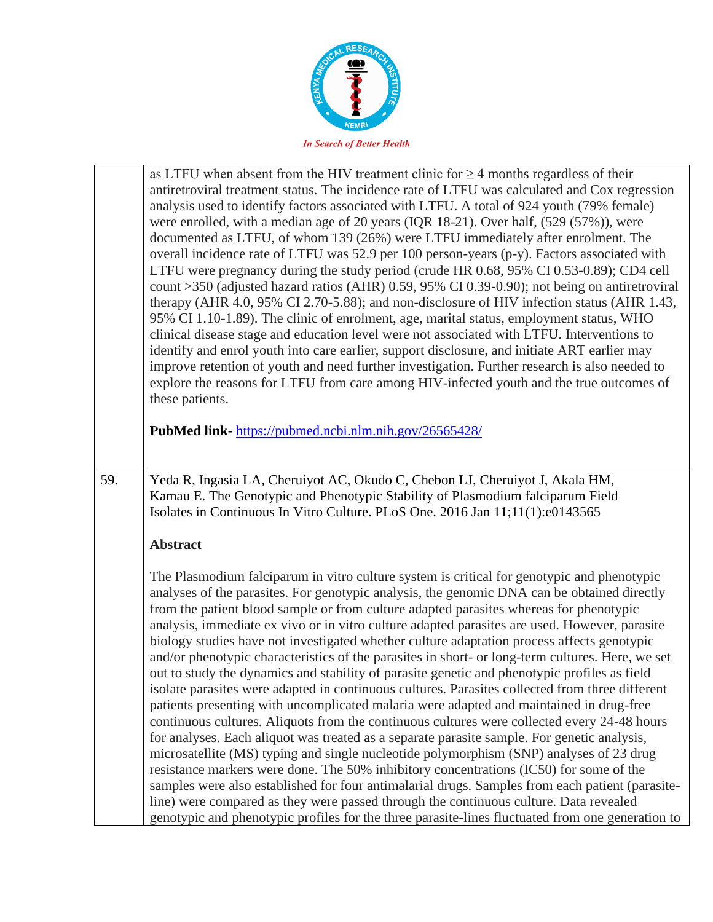

| <b>In Search of Better Health</b> |  |  |
|-----------------------------------|--|--|
|-----------------------------------|--|--|

| as LTFU when absent from the HIV treatment clinic for $\geq$ 4 months regardless of their<br>antiretroviral treatment status. The incidence rate of LTFU was calculated and Cox regression<br>analysis used to identify factors associated with LTFU. A total of 924 youth (79% female)<br>were enrolled, with a median age of 20 years (IQR 18-21). Over half, (529 (57%)), were<br>documented as LTFU, of whom 139 (26%) were LTFU immediately after enrolment. The<br>overall incidence rate of LTFU was 52.9 per 100 person-years (p-y). Factors associated with<br>LTFU were pregnancy during the study period (crude HR 0.68, 95% CI 0.53-0.89); CD4 cell<br>count >350 (adjusted hazard ratios (AHR) 0.59, 95% CI 0.39-0.90); not being on antiretroviral<br>therapy (AHR 4.0, 95% CI 2.70-5.88); and non-disclosure of HIV infection status (AHR 1.43,<br>95% CI 1.10-1.89). The clinic of enrolment, age, marital status, employment status, WHO<br>clinical disease stage and education level were not associated with LTFU. Interventions to<br>identify and enrol youth into care earlier, support disclosure, and initiate ART earlier may<br>improve retention of youth and need further investigation. Further research is also needed to<br>explore the reasons for LTFU from care among HIV-infected youth and the true outcomes of<br>these patients.<br>PubMed link-https://pubmed.ncbi.nlm.nih.gov/26565428/                                                                                                                                        |
|-------------------------------------------------------------------------------------------------------------------------------------------------------------------------------------------------------------------------------------------------------------------------------------------------------------------------------------------------------------------------------------------------------------------------------------------------------------------------------------------------------------------------------------------------------------------------------------------------------------------------------------------------------------------------------------------------------------------------------------------------------------------------------------------------------------------------------------------------------------------------------------------------------------------------------------------------------------------------------------------------------------------------------------------------------------------------------------------------------------------------------------------------------------------------------------------------------------------------------------------------------------------------------------------------------------------------------------------------------------------------------------------------------------------------------------------------------------------------------------------------------------------------------------------------------------------------|
|                                                                                                                                                                                                                                                                                                                                                                                                                                                                                                                                                                                                                                                                                                                                                                                                                                                                                                                                                                                                                                                                                                                                                                                                                                                                                                                                                                                                                                                                                                                                                                         |
| 59.<br>Yeda R, Ingasia LA, Cheruiyot AC, Okudo C, Chebon LJ, Cheruiyot J, Akala HM,<br>Kamau E. The Genotypic and Phenotypic Stability of Plasmodium falciparum Field<br>Isolates in Continuous In Vitro Culture. PLoS One. 2016 Jan 11;11(1):e0143565                                                                                                                                                                                                                                                                                                                                                                                                                                                                                                                                                                                                                                                                                                                                                                                                                                                                                                                                                                                                                                                                                                                                                                                                                                                                                                                  |
| <b>Abstract</b>                                                                                                                                                                                                                                                                                                                                                                                                                                                                                                                                                                                                                                                                                                                                                                                                                                                                                                                                                                                                                                                                                                                                                                                                                                                                                                                                                                                                                                                                                                                                                         |
| The Plasmodium falciparum in vitro culture system is critical for genotypic and phenotypic<br>analyses of the parasites. For genotypic analysis, the genomic DNA can be obtained directly<br>from the patient blood sample or from culture adapted parasites whereas for phenotypic<br>analysis, immediate ex vivo or in vitro culture adapted parasites are used. However, parasite<br>biology studies have not investigated whether culture adaptation process affects genotypic<br>and/or phenotypic characteristics of the parasites in short- or long-term cultures. Here, we set<br>out to study the dynamics and stability of parasite genetic and phenotypic profiles as field<br>isolate parasites were adapted in continuous cultures. Parasites collected from three different<br>patients presenting with uncomplicated malaria were adapted and maintained in drug-free<br>continuous cultures. Aliquots from the continuous cultures were collected every 24-48 hours<br>for analyses. Each aliquot was treated as a separate parasite sample. For genetic analysis,<br>microsatellite (MS) typing and single nucleotide polymorphism (SNP) analyses of 23 drug<br>resistance markers were done. The 50% inhibitory concentrations (IC50) for some of the<br>samples were also established for four antimalarial drugs. Samples from each patient (parasite-<br>line) were compared as they were passed through the continuous culture. Data revealed<br>genotypic and phenotypic profiles for the three parasite-lines fluctuated from one generation to |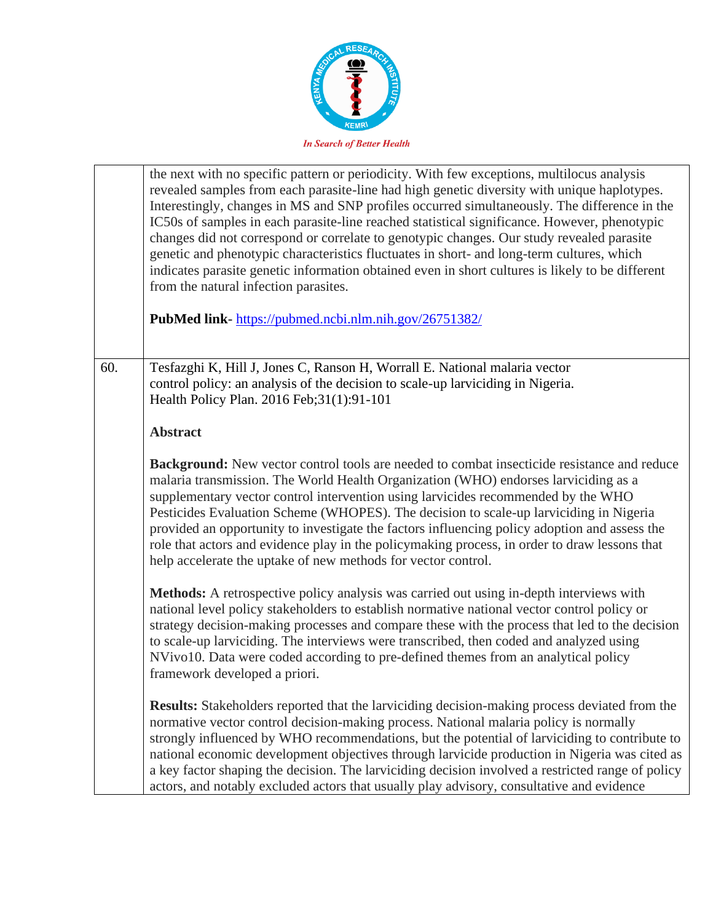

|     | the next with no specific pattern or periodicity. With few exceptions, multilocus analysis<br>revealed samples from each parasite-line had high genetic diversity with unique haplotypes.<br>Interestingly, changes in MS and SNP profiles occurred simultaneously. The difference in the<br>IC50s of samples in each parasite-line reached statistical significance. However, phenotypic<br>changes did not correspond or correlate to genotypic changes. Our study revealed parasite<br>genetic and phenotypic characteristics fluctuates in short- and long-term cultures, which<br>indicates parasite genetic information obtained even in short cultures is likely to be different<br>from the natural infection parasites. |
|-----|----------------------------------------------------------------------------------------------------------------------------------------------------------------------------------------------------------------------------------------------------------------------------------------------------------------------------------------------------------------------------------------------------------------------------------------------------------------------------------------------------------------------------------------------------------------------------------------------------------------------------------------------------------------------------------------------------------------------------------|
|     | PubMed link-https://pubmed.ncbi.nlm.nih.gov/26751382/                                                                                                                                                                                                                                                                                                                                                                                                                                                                                                                                                                                                                                                                            |
| 60. | Tesfazghi K, Hill J, Jones C, Ranson H, Worrall E. National malaria vector<br>control policy: an analysis of the decision to scale-up larviciding in Nigeria.<br>Health Policy Plan. 2016 Feb; 31(1): 91-101                                                                                                                                                                                                                                                                                                                                                                                                                                                                                                                     |
|     | <b>Abstract</b>                                                                                                                                                                                                                                                                                                                                                                                                                                                                                                                                                                                                                                                                                                                  |
|     | Background: New vector control tools are needed to combat insecticide resistance and reduce<br>malaria transmission. The World Health Organization (WHO) endorses larviciding as a<br>supplementary vector control intervention using larvicides recommended by the WHO<br>Pesticides Evaluation Scheme (WHOPES). The decision to scale-up larviciding in Nigeria<br>provided an opportunity to investigate the factors influencing policy adoption and assess the<br>role that actors and evidence play in the policymaking process, in order to draw lessons that<br>help accelerate the uptake of new methods for vector control.                                                                                             |
|     | Methods: A retrospective policy analysis was carried out using in-depth interviews with<br>national level policy stakeholders to establish normative national vector control policy or<br>strategy decision-making processes and compare these with the process that led to the decision<br>to scale-up larviciding. The interviews were transcribed, then coded and analyzed using<br>NVivo10. Data were coded according to pre-defined themes from an analytical policy<br>framework developed a priori.                                                                                                                                                                                                                       |
|     | <b>Results:</b> Stakeholders reported that the larviciding decision-making process deviated from the<br>normative vector control decision-making process. National malaria policy is normally<br>strongly influenced by WHO recommendations, but the potential of larviciding to contribute to<br>national economic development objectives through larvicide production in Nigeria was cited as<br>a key factor shaping the decision. The larviciding decision involved a restricted range of policy<br>actors, and notably excluded actors that usually play advisory, consultative and evidence                                                                                                                                |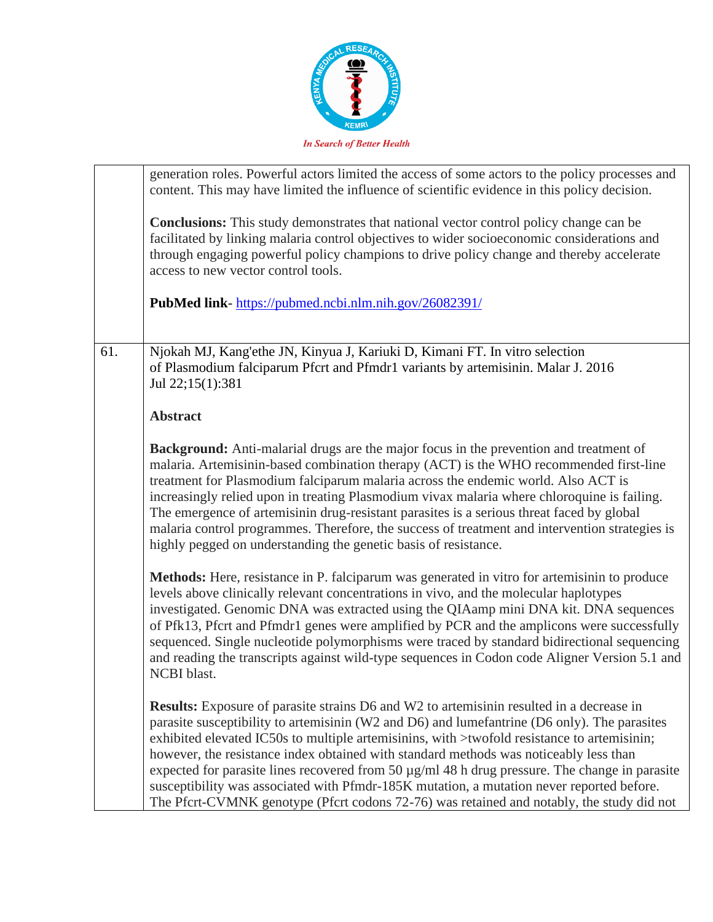

|     | generation roles. Powerful actors limited the access of some actors to the policy processes and<br>content. This may have limited the influence of scientific evidence in this policy decision.<br><b>Conclusions:</b> This study demonstrates that national vector control policy change can be<br>facilitated by linking malaria control objectives to wider socioeconomic considerations and<br>through engaging powerful policy champions to drive policy change and thereby accelerate<br>access to new vector control tools.<br>PubMed link-https://pubmed.ncbi.nlm.nih.gov/26082391/                                                                                              |
|-----|------------------------------------------------------------------------------------------------------------------------------------------------------------------------------------------------------------------------------------------------------------------------------------------------------------------------------------------------------------------------------------------------------------------------------------------------------------------------------------------------------------------------------------------------------------------------------------------------------------------------------------------------------------------------------------------|
|     |                                                                                                                                                                                                                                                                                                                                                                                                                                                                                                                                                                                                                                                                                          |
| 61. | Njokah MJ, Kang'ethe JN, Kinyua J, Kariuki D, Kimani FT. In vitro selection<br>of Plasmodium falciparum Pfcrt and Pfmdr1 variants by artemisinin. Malar J. 2016<br>Jul 22;15(1):381                                                                                                                                                                                                                                                                                                                                                                                                                                                                                                      |
|     | <b>Abstract</b>                                                                                                                                                                                                                                                                                                                                                                                                                                                                                                                                                                                                                                                                          |
|     | <b>Background:</b> Anti-malarial drugs are the major focus in the prevention and treatment of<br>malaria. Artemisinin-based combination therapy (ACT) is the WHO recommended first-line<br>treatment for Plasmodium falciparum malaria across the endemic world. Also ACT is<br>increasingly relied upon in treating Plasmodium vivax malaria where chloroquine is failing.<br>The emergence of artemisinin drug-resistant parasites is a serious threat faced by global<br>malaria control programmes. Therefore, the success of treatment and intervention strategies is<br>highly pegged on understanding the genetic basis of resistance.                                            |
|     | Methods: Here, resistance in P. falciparum was generated in vitro for artemisinin to produce<br>levels above clinically relevant concentrations in vivo, and the molecular haplotypes<br>investigated. Genomic DNA was extracted using the QIAamp mini DNA kit. DNA sequences<br>of Pfk13, Pfcrt and Pfmdr1 genes were amplified by PCR and the amplicons were successfully<br>sequenced. Single nucleotide polymorphisms were traced by standard bidirectional sequencing<br>and reading the transcripts against wild-type sequences in Codon code Aligner Version 5.1 and<br><b>NCBI</b> blast.                                                                                        |
|     | <b>Results:</b> Exposure of parasite strains D6 and W2 to artemisinin resulted in a decrease in<br>parasite susceptibility to artemisinin (W2 and D6) and lumefantrine (D6 only). The parasites<br>exhibited elevated IC50s to multiple artemisinins, with >twofold resistance to artemisinin;<br>however, the resistance index obtained with standard methods was noticeably less than<br>expected for parasite lines recovered from 50 $\mu$ g/ml 48 h drug pressure. The change in parasite<br>susceptibility was associated with Pfmdr-185K mutation, a mutation never reported before.<br>The Pfcrt-CVMNK genotype (Pfcrt codons 72-76) was retained and notably, the study did not |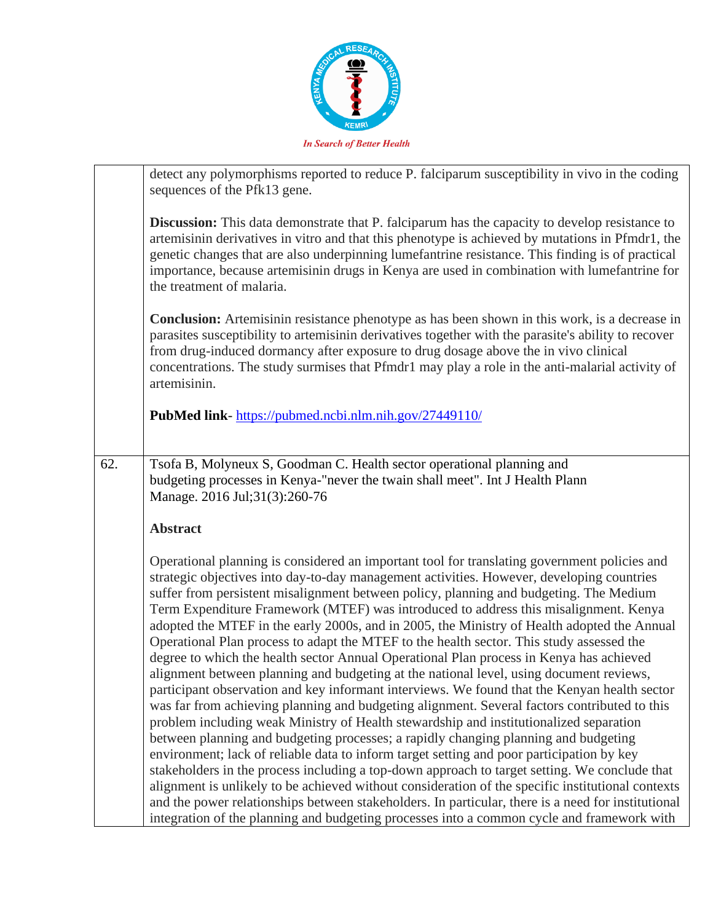

|     | detect any polymorphisms reported to reduce P. falciparum susceptibility in vivo in the coding<br>sequences of the Pfk13 gene.                                                                                                                                                                                                                                                                                                                                                                                                                                                                                                                                                                                                                                                                                                                                                                                                                                                                                                                                                                                                                                                                                                                                                                                                                                                                                                                                                                                                                                                                                                                       |
|-----|------------------------------------------------------------------------------------------------------------------------------------------------------------------------------------------------------------------------------------------------------------------------------------------------------------------------------------------------------------------------------------------------------------------------------------------------------------------------------------------------------------------------------------------------------------------------------------------------------------------------------------------------------------------------------------------------------------------------------------------------------------------------------------------------------------------------------------------------------------------------------------------------------------------------------------------------------------------------------------------------------------------------------------------------------------------------------------------------------------------------------------------------------------------------------------------------------------------------------------------------------------------------------------------------------------------------------------------------------------------------------------------------------------------------------------------------------------------------------------------------------------------------------------------------------------------------------------------------------------------------------------------------------|
|     | <b>Discussion:</b> This data demonstrate that P. falciparum has the capacity to develop resistance to<br>artemisinin derivatives in vitro and that this phenotype is achieved by mutations in Pfmdr1, the<br>genetic changes that are also underpinning lumefantrine resistance. This finding is of practical<br>importance, because artemisinin drugs in Kenya are used in combination with lumefantrine for<br>the treatment of malaria.                                                                                                                                                                                                                                                                                                                                                                                                                                                                                                                                                                                                                                                                                                                                                                                                                                                                                                                                                                                                                                                                                                                                                                                                           |
|     | <b>Conclusion:</b> Artemisinin resistance phenotype as has been shown in this work, is a decrease in<br>parasites susceptibility to artemisinin derivatives together with the parasite's ability to recover<br>from drug-induced dormancy after exposure to drug dosage above the in vivo clinical<br>concentrations. The study surmises that Pfmdr1 may play a role in the anti-malarial activity of<br>artemisinin.                                                                                                                                                                                                                                                                                                                                                                                                                                                                                                                                                                                                                                                                                                                                                                                                                                                                                                                                                                                                                                                                                                                                                                                                                                |
|     | PubMed link-https://pubmed.ncbi.nlm.nih.gov/27449110/                                                                                                                                                                                                                                                                                                                                                                                                                                                                                                                                                                                                                                                                                                                                                                                                                                                                                                                                                                                                                                                                                                                                                                                                                                                                                                                                                                                                                                                                                                                                                                                                |
| 62. | Tsofa B, Molyneux S, Goodman C. Health sector operational planning and<br>budgeting processes in Kenya-"never the twain shall meet". Int J Health Plann<br>Manage. 2016 Jul;31(3):260-76                                                                                                                                                                                                                                                                                                                                                                                                                                                                                                                                                                                                                                                                                                                                                                                                                                                                                                                                                                                                                                                                                                                                                                                                                                                                                                                                                                                                                                                             |
|     | <b>Abstract</b>                                                                                                                                                                                                                                                                                                                                                                                                                                                                                                                                                                                                                                                                                                                                                                                                                                                                                                                                                                                                                                                                                                                                                                                                                                                                                                                                                                                                                                                                                                                                                                                                                                      |
|     | Operational planning is considered an important tool for translating government policies and<br>strategic objectives into day-to-day management activities. However, developing countries<br>suffer from persistent misalignment between policy, planning and budgeting. The Medium<br>Term Expenditure Framework (MTEF) was introduced to address this misalignment. Kenya<br>adopted the MTEF in the early 2000s, and in 2005, the Ministry of Health adopted the Annual<br>Operational Plan process to adapt the MTEF to the health sector. This study assessed the<br>degree to which the health sector Annual Operational Plan process in Kenya has achieved<br>alignment between planning and budgeting at the national level, using document reviews,<br>participant observation and key informant interviews. We found that the Kenyan health sector<br>was far from achieving planning and budgeting alignment. Several factors contributed to this<br>problem including weak Ministry of Health stewardship and institutionalized separation<br>between planning and budgeting processes; a rapidly changing planning and budgeting<br>environment; lack of reliable data to inform target setting and poor participation by key<br>stakeholders in the process including a top-down approach to target setting. We conclude that<br>alignment is unlikely to be achieved without consideration of the specific institutional contexts<br>and the power relationships between stakeholders. In particular, there is a need for institutional<br>integration of the planning and budgeting processes into a common cycle and framework with |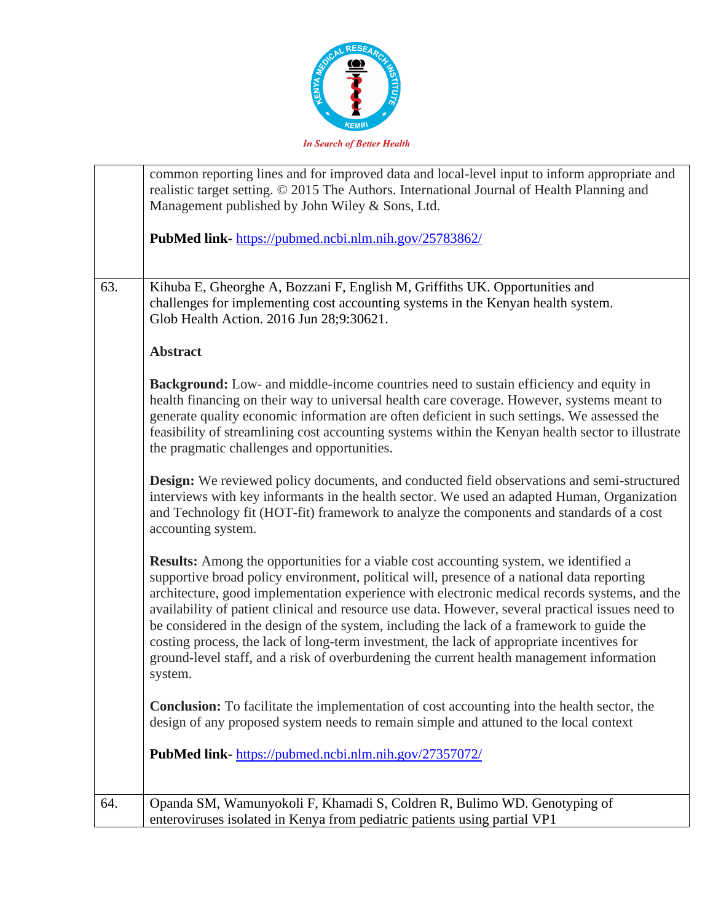

|     | common reporting lines and for improved data and local-level input to inform appropriate and<br>realistic target setting. © 2015 The Authors. International Journal of Health Planning and<br>Management published by John Wiley & Sons, Ltd.<br>PubMed link- https://pubmed.ncbi.nlm.nih.gov/25783862/                                                                                                                                                                                                                                                                                                                                                                                            |
|-----|----------------------------------------------------------------------------------------------------------------------------------------------------------------------------------------------------------------------------------------------------------------------------------------------------------------------------------------------------------------------------------------------------------------------------------------------------------------------------------------------------------------------------------------------------------------------------------------------------------------------------------------------------------------------------------------------------|
|     |                                                                                                                                                                                                                                                                                                                                                                                                                                                                                                                                                                                                                                                                                                    |
| 63. | Kihuba E, Gheorghe A, Bozzani F, English M, Griffiths UK. Opportunities and<br>challenges for implementing cost accounting systems in the Kenyan health system.<br>Glob Health Action. 2016 Jun 28;9:30621.                                                                                                                                                                                                                                                                                                                                                                                                                                                                                        |
|     | <b>Abstract</b>                                                                                                                                                                                                                                                                                                                                                                                                                                                                                                                                                                                                                                                                                    |
|     | <b>Background:</b> Low- and middle-income countries need to sustain efficiency and equity in<br>health financing on their way to universal health care coverage. However, systems meant to<br>generate quality economic information are often deficient in such settings. We assessed the<br>feasibility of streamlining cost accounting systems within the Kenyan health sector to illustrate<br>the pragmatic challenges and opportunities.                                                                                                                                                                                                                                                      |
|     | Design: We reviewed policy documents, and conducted field observations and semi-structured<br>interviews with key informants in the health sector. We used an adapted Human, Organization<br>and Technology fit (HOT-fit) framework to analyze the components and standards of a cost<br>accounting system.                                                                                                                                                                                                                                                                                                                                                                                        |
|     | <b>Results:</b> Among the opportunities for a viable cost accounting system, we identified a<br>supportive broad policy environment, political will, presence of a national data reporting<br>architecture, good implementation experience with electronic medical records systems, and the<br>availability of patient clinical and resource use data. However, several practical issues need to<br>be considered in the design of the system, including the lack of a framework to guide the<br>costing process, the lack of long-term investment, the lack of appropriate incentives for<br>ground-level staff, and a risk of overburdening the current health management information<br>system. |
|     | <b>Conclusion:</b> To facilitate the implementation of cost accounting into the health sector, the<br>design of any proposed system needs to remain simple and attuned to the local context                                                                                                                                                                                                                                                                                                                                                                                                                                                                                                        |
|     | PubMed link- https://pubmed.ncbi.nlm.nih.gov/27357072/                                                                                                                                                                                                                                                                                                                                                                                                                                                                                                                                                                                                                                             |
| 64. | Opanda SM, Wamunyokoli F, Khamadi S, Coldren R, Bulimo WD. Genotyping of                                                                                                                                                                                                                                                                                                                                                                                                                                                                                                                                                                                                                           |
|     | enteroviruses isolated in Kenya from pediatric patients using partial VP1                                                                                                                                                                                                                                                                                                                                                                                                                                                                                                                                                                                                                          |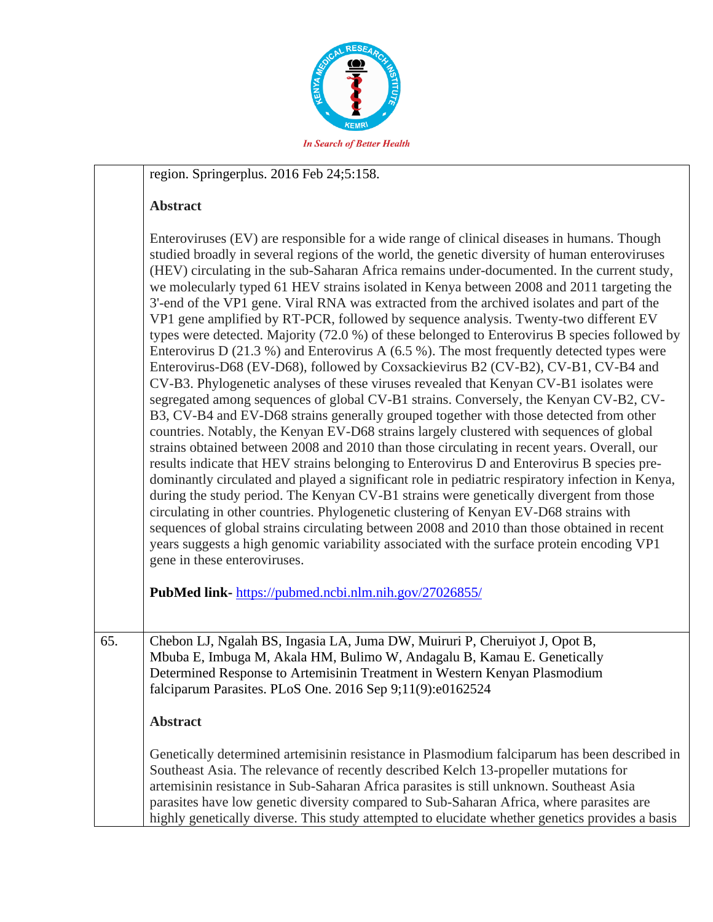

region. Springerplus. 2016 Feb 24;5:158.

#### **Abstract**

Enteroviruses (EV) are responsible for a wide range of clinical diseases in humans. Though studied broadly in several regions of the world, the genetic diversity of human enteroviruses (HEV) circulating in the sub-Saharan Africa remains under-documented. In the current study, we molecularly typed 61 HEV strains isolated in Kenya between 2008 and 2011 targeting the 3'-end of the VP1 gene. Viral RNA was extracted from the archived isolates and part of the VP1 gene amplified by RT-PCR, followed by sequence analysis. Twenty-two different EV types were detected. Majority (72.0 %) of these belonged to Enterovirus B species followed by Enterovirus D (21.3 %) and Enterovirus A (6.5 %). The most frequently detected types were Enterovirus-D68 (EV-D68), followed by Coxsackievirus B2 (CV-B2), CV-B1, CV-B4 and CV-B3. Phylogenetic analyses of these viruses revealed that Kenyan CV-B1 isolates were segregated among sequences of global CV-B1 strains. Conversely, the Kenyan CV-B2, CV-B3, CV-B4 and EV-D68 strains generally grouped together with those detected from other countries. Notably, the Kenyan EV-D68 strains largely clustered with sequences of global strains obtained between 2008 and 2010 than those circulating in recent years. Overall, our results indicate that HEV strains belonging to Enterovirus D and Enterovirus B species predominantly circulated and played a significant role in pediatric respiratory infection in Kenya, during the study period. The Kenyan CV-B1 strains were genetically divergent from those circulating in other countries. Phylogenetic clustering of Kenyan EV-D68 strains with sequences of global strains circulating between 2008 and 2010 than those obtained in recent years suggests a high genomic variability associated with the surface protein encoding VP1 gene in these enteroviruses.

**PubMed link-** <https://pubmed.ncbi.nlm.nih.gov/27026855/>

65. Chebon LJ, Ngalah BS, Ingasia LA, Juma DW, Muiruri P, Cheruiyot J, Opot B, Mbuba E, Imbuga M, Akala HM, Bulimo W, Andagalu B, Kamau E. Genetically Determined Response to Artemisinin Treatment in Western Kenyan Plasmodium falciparum Parasites. PLoS One. 2016 Sep 9;11(9):e0162524

## **Abstract**

Genetically determined artemisinin resistance in Plasmodium falciparum has been described in Southeast Asia. The relevance of recently described Kelch 13-propeller mutations for artemisinin resistance in Sub-Saharan Africa parasites is still unknown. Southeast Asia parasites have low genetic diversity compared to Sub-Saharan Africa, where parasites are highly genetically diverse. This study attempted to elucidate whether genetics provides a basis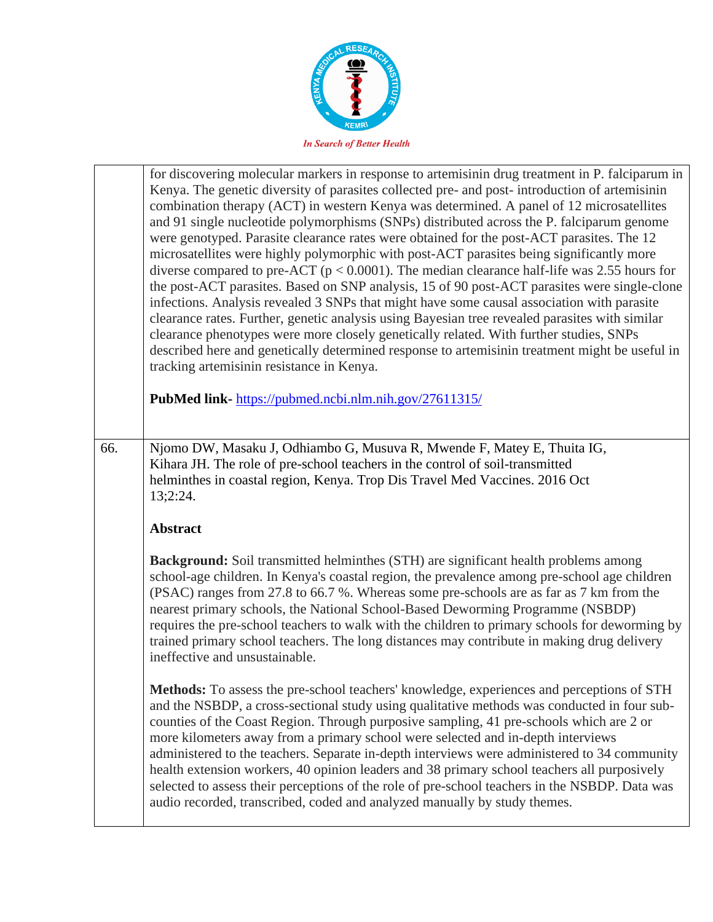

|     | for discovering molecular markers in response to artemisinin drug treatment in P. falciparum in<br>Kenya. The genetic diversity of parasites collected pre- and post-introduction of artemisinin<br>combination therapy (ACT) in western Kenya was determined. A panel of 12 microsatellites<br>and 91 single nucleotide polymorphisms (SNPs) distributed across the P. falciparum genome<br>were genotyped. Parasite clearance rates were obtained for the post-ACT parasites. The 12<br>microsatellites were highly polymorphic with post-ACT parasites being significantly more<br>diverse compared to pre-ACT ( $p < 0.0001$ ). The median clearance half-life was 2.55 hours for<br>the post-ACT parasites. Based on SNP analysis, 15 of 90 post-ACT parasites were single-clone<br>infections. Analysis revealed 3 SNPs that might have some causal association with parasite<br>clearance rates. Further, genetic analysis using Bayesian tree revealed parasites with similar<br>clearance phenotypes were more closely genetically related. With further studies, SNPs<br>described here and genetically determined response to artemisinin treatment might be useful in<br>tracking artemisinin resistance in Kenya.<br><b>PubMed link-</b> https://pubmed.ncbi.nlm.nih.gov/27611315/ |
|-----|-------------------------------------------------------------------------------------------------------------------------------------------------------------------------------------------------------------------------------------------------------------------------------------------------------------------------------------------------------------------------------------------------------------------------------------------------------------------------------------------------------------------------------------------------------------------------------------------------------------------------------------------------------------------------------------------------------------------------------------------------------------------------------------------------------------------------------------------------------------------------------------------------------------------------------------------------------------------------------------------------------------------------------------------------------------------------------------------------------------------------------------------------------------------------------------------------------------------------------------------------------------------------------------------------|
| 66. | Njomo DW, Masaku J, Odhiambo G, Musuva R, Mwende F, Matey E, Thuita IG,<br>Kihara JH. The role of pre-school teachers in the control of soil-transmitted<br>helminthes in coastal region, Kenya. Trop Dis Travel Med Vaccines. 2016 Oct<br>13;2:24.                                                                                                                                                                                                                                                                                                                                                                                                                                                                                                                                                                                                                                                                                                                                                                                                                                                                                                                                                                                                                                             |
|     | Abstract                                                                                                                                                                                                                                                                                                                                                                                                                                                                                                                                                                                                                                                                                                                                                                                                                                                                                                                                                                                                                                                                                                                                                                                                                                                                                        |
|     | <b>Background:</b> Soil transmitted helminthes (STH) are significant health problems among<br>school-age children. In Kenya's coastal region, the prevalence among pre-school age children<br>(PSAC) ranges from 27.8 to 66.7 %. Whereas some pre-schools are as far as 7 km from the<br>nearest primary schools, the National School-Based Deworming Programme (NSBDP)<br>requires the pre-school teachers to walk with the children to primary schools for deworming by<br>trained primary school teachers. The long distances may contribute in making drug delivery<br>ineffective and unsustainable.                                                                                                                                                                                                                                                                                                                                                                                                                                                                                                                                                                                                                                                                                       |
|     | Methods: To assess the pre-school teachers' knowledge, experiences and perceptions of STH<br>and the NSBDP, a cross-sectional study using qualitative methods was conducted in four sub-<br>counties of the Coast Region. Through purposive sampling, 41 pre-schools which are 2 or<br>more kilometers away from a primary school were selected and in-depth interviews<br>administered to the teachers. Separate in-depth interviews were administered to 34 community<br>health extension workers, 40 opinion leaders and 38 primary school teachers all purposively<br>selected to assess their perceptions of the role of pre-school teachers in the NSBDP. Data was<br>audio recorded, transcribed, coded and analyzed manually by study themes.                                                                                                                                                                                                                                                                                                                                                                                                                                                                                                                                           |
|     |                                                                                                                                                                                                                                                                                                                                                                                                                                                                                                                                                                                                                                                                                                                                                                                                                                                                                                                                                                                                                                                                                                                                                                                                                                                                                                 |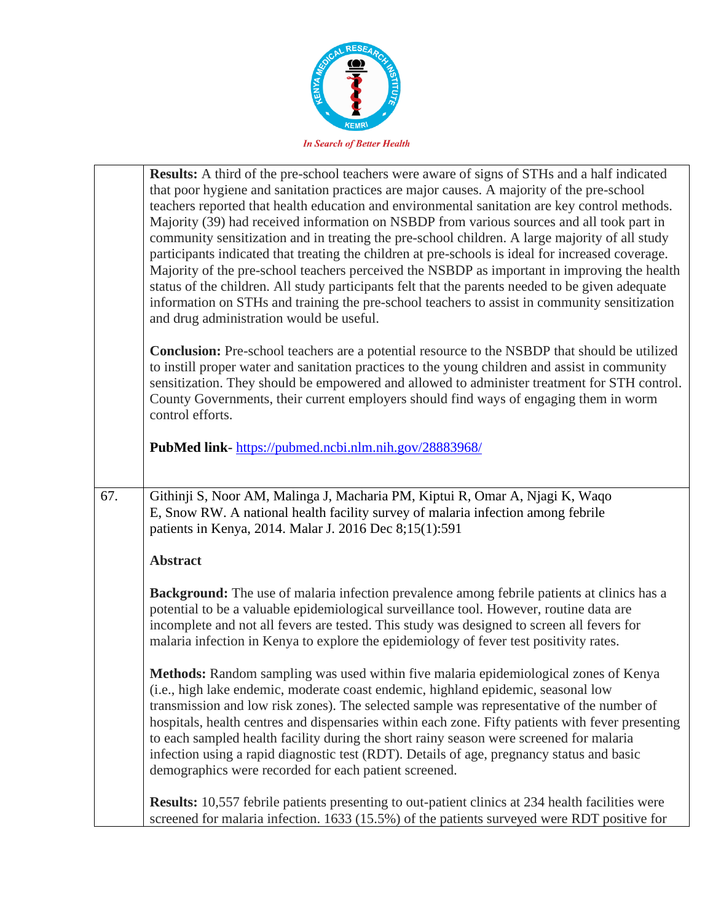

|     | <b>Results:</b> A third of the pre-school teachers were aware of signs of STHs and a half indicated<br>that poor hygiene and sanitation practices are major causes. A majority of the pre-school<br>teachers reported that health education and environmental sanitation are key control methods.<br>Majority (39) had received information on NSBDP from various sources and all took part in<br>community sensitization and in treating the pre-school children. A large majority of all study<br>participants indicated that treating the children at pre-schools is ideal for increased coverage.<br>Majority of the pre-school teachers perceived the NSBDP as important in improving the health<br>status of the children. All study participants felt that the parents needed to be given adequate<br>information on STHs and training the pre-school teachers to assist in community sensitization<br>and drug administration would be useful. |
|-----|--------------------------------------------------------------------------------------------------------------------------------------------------------------------------------------------------------------------------------------------------------------------------------------------------------------------------------------------------------------------------------------------------------------------------------------------------------------------------------------------------------------------------------------------------------------------------------------------------------------------------------------------------------------------------------------------------------------------------------------------------------------------------------------------------------------------------------------------------------------------------------------------------------------------------------------------------------|
|     | <b>Conclusion:</b> Pre-school teachers are a potential resource to the NSBDP that should be utilized<br>to instill proper water and sanitation practices to the young children and assist in community<br>sensitization. They should be empowered and allowed to administer treatment for STH control.<br>County Governments, their current employers should find ways of engaging them in worm<br>control efforts.                                                                                                                                                                                                                                                                                                                                                                                                                                                                                                                                    |
|     | PubMed link-https://pubmed.ncbi.nlm.nih.gov/28883968/                                                                                                                                                                                                                                                                                                                                                                                                                                                                                                                                                                                                                                                                                                                                                                                                                                                                                                  |
| 67. | Githinji S, Noor AM, Malinga J, Macharia PM, Kiptui R, Omar A, Njagi K, Waqo<br>E, Snow RW. A national health facility survey of malaria infection among febrile<br>patients in Kenya, 2014. Malar J. 2016 Dec 8;15(1):591                                                                                                                                                                                                                                                                                                                                                                                                                                                                                                                                                                                                                                                                                                                             |
|     | <b>Abstract</b>                                                                                                                                                                                                                                                                                                                                                                                                                                                                                                                                                                                                                                                                                                                                                                                                                                                                                                                                        |
|     | <b>Background:</b> The use of malaria infection prevalence among febrile patients at clinics has a<br>potential to be a valuable epidemiological surveillance tool. However, routine data are<br>incomplete and not all fevers are tested. This study was designed to screen all fevers for<br>malaria infection in Kenya to explore the epidemiology of fever test positivity rates.                                                                                                                                                                                                                                                                                                                                                                                                                                                                                                                                                                  |
|     | Methods: Random sampling was used within five malaria epidemiological zones of Kenya<br>(i.e., high lake endemic, moderate coast endemic, highland epidemic, seasonal low<br>transmission and low risk zones). The selected sample was representative of the number of<br>hospitals, health centres and dispensaries within each zone. Fifty patients with fever presenting<br>to each sampled health facility during the short rainy season were screened for malaria<br>infection using a rapid diagnostic test (RDT). Details of age, pregnancy status and basic<br>demographics were recorded for each patient screened.                                                                                                                                                                                                                                                                                                                           |
|     | <b>Results:</b> 10,557 febrile patients presenting to out-patient clinics at 234 health facilities were<br>screened for malaria infection. 1633 (15.5%) of the patients surveyed were RDT positive for                                                                                                                                                                                                                                                                                                                                                                                                                                                                                                                                                                                                                                                                                                                                                 |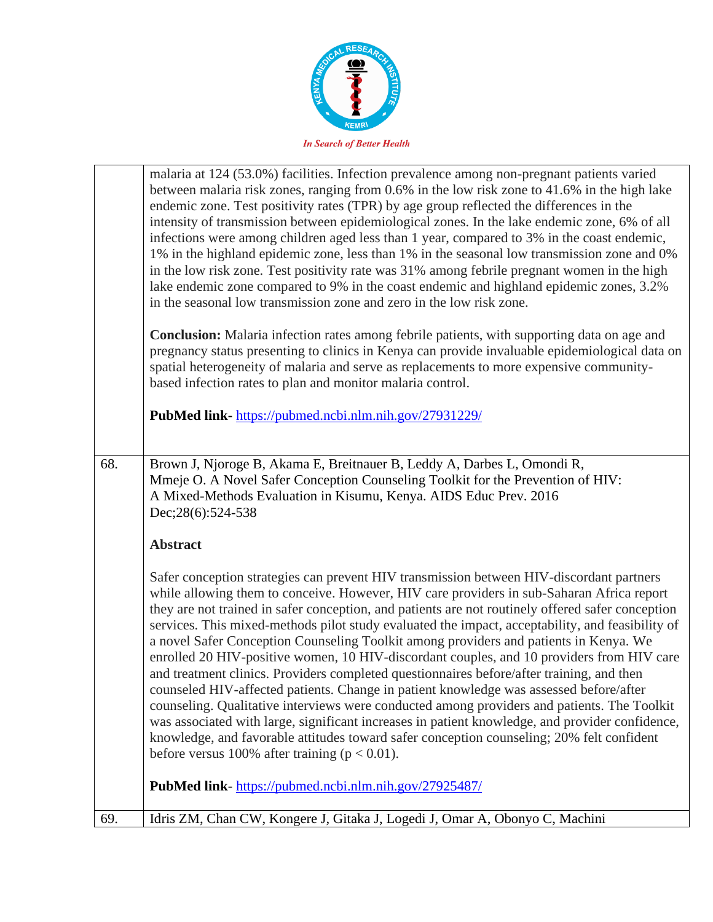

|     | malaria at 124 (53.0%) facilities. Infection prevalence among non-pregnant patients varied<br>between malaria risk zones, ranging from 0.6% in the low risk zone to 41.6% in the high lake<br>endemic zone. Test positivity rates (TPR) by age group reflected the differences in the<br>intensity of transmission between epidemiological zones. In the lake endemic zone, 6% of all<br>infections were among children aged less than 1 year, compared to 3% in the coast endemic,<br>1% in the highland epidemic zone, less than 1% in the seasonal low transmission zone and 0%<br>in the low risk zone. Test positivity rate was 31% among febrile pregnant women in the high<br>lake endemic zone compared to 9% in the coast endemic and highland epidemic zones, 3.2%<br>in the seasonal low transmission zone and zero in the low risk zone.                                                                                                                                                                                                                                                                            |
|-----|---------------------------------------------------------------------------------------------------------------------------------------------------------------------------------------------------------------------------------------------------------------------------------------------------------------------------------------------------------------------------------------------------------------------------------------------------------------------------------------------------------------------------------------------------------------------------------------------------------------------------------------------------------------------------------------------------------------------------------------------------------------------------------------------------------------------------------------------------------------------------------------------------------------------------------------------------------------------------------------------------------------------------------------------------------------------------------------------------------------------------------|
|     | Conclusion: Malaria infection rates among febrile patients, with supporting data on age and<br>pregnancy status presenting to clinics in Kenya can provide invaluable epidemiological data on<br>spatial heterogeneity of malaria and serve as replacements to more expensive community-<br>based infection rates to plan and monitor malaria control.                                                                                                                                                                                                                                                                                                                                                                                                                                                                                                                                                                                                                                                                                                                                                                          |
|     | PubMed link-https://pubmed.ncbi.nlm.nih.gov/27931229/                                                                                                                                                                                                                                                                                                                                                                                                                                                                                                                                                                                                                                                                                                                                                                                                                                                                                                                                                                                                                                                                           |
| 68. | Brown J, Njoroge B, Akama E, Breitnauer B, Leddy A, Darbes L, Omondi R,<br>Mmeje O. A Novel Safer Conception Counseling Toolkit for the Prevention of HIV:<br>A Mixed-Methods Evaluation in Kisumu, Kenya. AIDS Educ Prev. 2016<br>Dec;28(6):524-538                                                                                                                                                                                                                                                                                                                                                                                                                                                                                                                                                                                                                                                                                                                                                                                                                                                                            |
|     | <b>Abstract</b>                                                                                                                                                                                                                                                                                                                                                                                                                                                                                                                                                                                                                                                                                                                                                                                                                                                                                                                                                                                                                                                                                                                 |
|     | Safer conception strategies can prevent HIV transmission between HIV-discordant partners<br>while allowing them to conceive. However, HIV care providers in sub-Saharan Africa report<br>they are not trained in safer conception, and patients are not routinely offered safer conception<br>services. This mixed-methods pilot study evaluated the impact, acceptability, and feasibility of<br>a novel Safer Conception Counseling Toolkit among providers and patients in Kenya. We<br>enrolled 20 HIV-positive women, 10 HIV-discordant couples, and 10 providers from HIV care<br>and treatment clinics. Providers completed questionnaires before/after training, and then<br>counseled HIV-affected patients. Change in patient knowledge was assessed before/after<br>counseling. Qualitative interviews were conducted among providers and patients. The Toolkit<br>was associated with large, significant increases in patient knowledge, and provider confidence,<br>knowledge, and favorable attitudes toward safer conception counseling; 20% felt confident<br>before versus 100% after training ( $p < 0.01$ ). |
|     | PubMed link-https://pubmed.ncbi.nlm.nih.gov/27925487/                                                                                                                                                                                                                                                                                                                                                                                                                                                                                                                                                                                                                                                                                                                                                                                                                                                                                                                                                                                                                                                                           |
| 69. | Idris ZM, Chan CW, Kongere J, Gitaka J, Logedi J, Omar A, Obonyo C, Machini                                                                                                                                                                                                                                                                                                                                                                                                                                                                                                                                                                                                                                                                                                                                                                                                                                                                                                                                                                                                                                                     |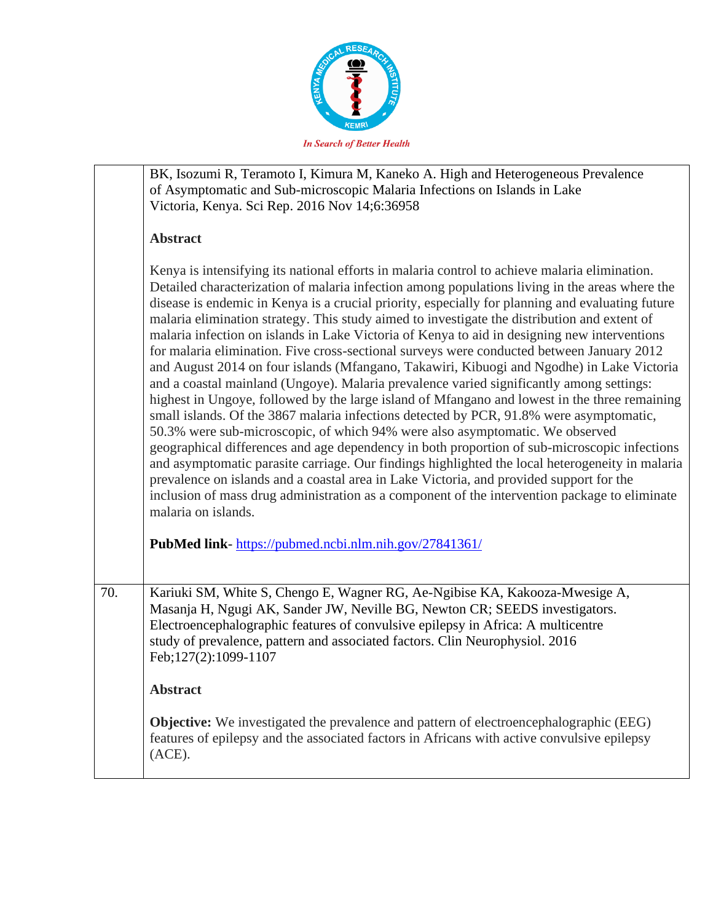

BK, Isozumi R, Teramoto I, Kimura M, Kaneko A. High and Heterogeneous Prevalence of Asymptomatic and Sub-microscopic Malaria Infections on Islands in Lake Victoria, Kenya. Sci Rep. 2016 Nov 14;6:36958

## **Abstract**

Kenya is intensifying its national efforts in malaria control to achieve malaria elimination. Detailed characterization of malaria infection among populations living in the areas where the disease is endemic in Kenya is a crucial priority, especially for planning and evaluating future malaria elimination strategy. This study aimed to investigate the distribution and extent of malaria infection on islands in Lake Victoria of Kenya to aid in designing new interventions for malaria elimination. Five cross-sectional surveys were conducted between January 2012 and August 2014 on four islands (Mfangano, Takawiri, Kibuogi and Ngodhe) in Lake Victoria and a coastal mainland (Ungoye). Malaria prevalence varied significantly among settings: highest in Ungoye, followed by the large island of Mfangano and lowest in the three remaining small islands. Of the 3867 malaria infections detected by PCR, 91.8% were asymptomatic, 50.3% were sub-microscopic, of which 94% were also asymptomatic. We observed geographical differences and age dependency in both proportion of sub-microscopic infections and asymptomatic parasite carriage. Our findings highlighted the local heterogeneity in malaria prevalence on islands and a coastal area in Lake Victoria, and provided support for the inclusion of mass drug administration as a component of the intervention package to eliminate malaria on islands.

**PubMed link**- <https://pubmed.ncbi.nlm.nih.gov/27841361/>

70. Kariuki SM, White S, Chengo E, Wagner RG, Ae-Ngibise KA, Kakooza-Mwesige A, Masanja H, Ngugi AK, Sander JW, Neville BG, Newton CR; SEEDS investigators. Electroencephalographic features of convulsive epilepsy in Africa: A multicentre study of prevalence, pattern and associated factors. Clin Neurophysiol. 2016 Feb;127(2):1099-1107

# **Abstract**

**Objective:** We investigated the prevalence and pattern of electroencephalographic (EEG) features of epilepsy and the associated factors in Africans with active convulsive epilepsy (ACE).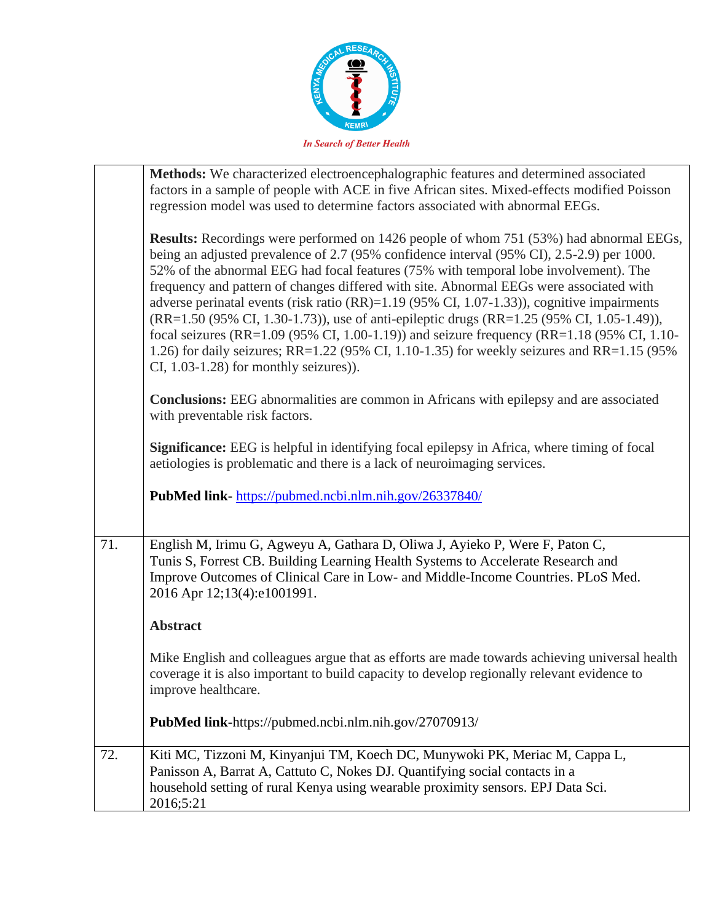

|     | Methods: We characterized electroencephalographic features and determined associated<br>factors in a sample of people with ACE in five African sites. Mixed-effects modified Poisson<br>regression model was used to determine factors associated with abnormal EEGs.                                                                                                                                                                                                                                                                                                                                                                                                                                                                                                                                          |
|-----|----------------------------------------------------------------------------------------------------------------------------------------------------------------------------------------------------------------------------------------------------------------------------------------------------------------------------------------------------------------------------------------------------------------------------------------------------------------------------------------------------------------------------------------------------------------------------------------------------------------------------------------------------------------------------------------------------------------------------------------------------------------------------------------------------------------|
|     | <b>Results:</b> Recordings were performed on 1426 people of whom 751 (53%) had abnormal EEGs,<br>being an adjusted prevalence of 2.7 (95% confidence interval (95% CI), 2.5-2.9) per 1000.<br>52% of the abnormal EEG had focal features (75% with temporal lobe involvement). The<br>frequency and pattern of changes differed with site. Abnormal EEGs were associated with<br>adverse perinatal events (risk ratio (RR)=1.19 (95% CI, 1.07-1.33)), cognitive impairments<br>(RR=1.50 (95% CI, 1.30-1.73)), use of anti-epileptic drugs (RR=1.25 (95% CI, 1.05-1.49)),<br>focal seizures (RR=1.09 (95% CI, 1.00-1.19)) and seizure frequency (RR=1.18 (95% CI, 1.10-<br>1.26) for daily seizures; RR=1.22 (95% CI, 1.10-1.35) for weekly seizures and RR=1.15 (95%<br>$CI, 1.03-1.28$ for monthly seizures). |
|     | <b>Conclusions:</b> EEG abnormalities are common in Africans with epilepsy and are associated<br>with preventable risk factors.                                                                                                                                                                                                                                                                                                                                                                                                                                                                                                                                                                                                                                                                                |
|     | Significance: EEG is helpful in identifying focal epilepsy in Africa, where timing of focal<br>aetiologies is problematic and there is a lack of neuroimaging services.                                                                                                                                                                                                                                                                                                                                                                                                                                                                                                                                                                                                                                        |
|     | PubMed link-https://pubmed.ncbi.nlm.nih.gov/26337840/                                                                                                                                                                                                                                                                                                                                                                                                                                                                                                                                                                                                                                                                                                                                                          |
| 71. | English M, Irimu G, Agweyu A, Gathara D, Oliwa J, Ayieko P, Were F, Paton C,<br>Tunis S, Forrest CB. Building Learning Health Systems to Accelerate Research and<br>Improve Outcomes of Clinical Care in Low- and Middle-Income Countries. PLoS Med.<br>2016 Apr 12;13(4):e1001991.                                                                                                                                                                                                                                                                                                                                                                                                                                                                                                                            |
|     | <b>Abstract</b>                                                                                                                                                                                                                                                                                                                                                                                                                                                                                                                                                                                                                                                                                                                                                                                                |
|     | Mike English and colleagues argue that as efforts are made towards achieving universal health<br>coverage it is also important to build capacity to develop regionally relevant evidence to<br>improve healthcare.                                                                                                                                                                                                                                                                                                                                                                                                                                                                                                                                                                                             |
|     | PubMed link-https://pubmed.ncbi.nlm.nih.gov/27070913/                                                                                                                                                                                                                                                                                                                                                                                                                                                                                                                                                                                                                                                                                                                                                          |
| 72. | Kiti MC, Tizzoni M, Kinyanjui TM, Koech DC, Munywoki PK, Meriac M, Cappa L,<br>Panisson A, Barrat A, Cattuto C, Nokes DJ. Quantifying social contacts in a<br>household setting of rural Kenya using wearable proximity sensors. EPJ Data Sci.<br>2016;5:21                                                                                                                                                                                                                                                                                                                                                                                                                                                                                                                                                    |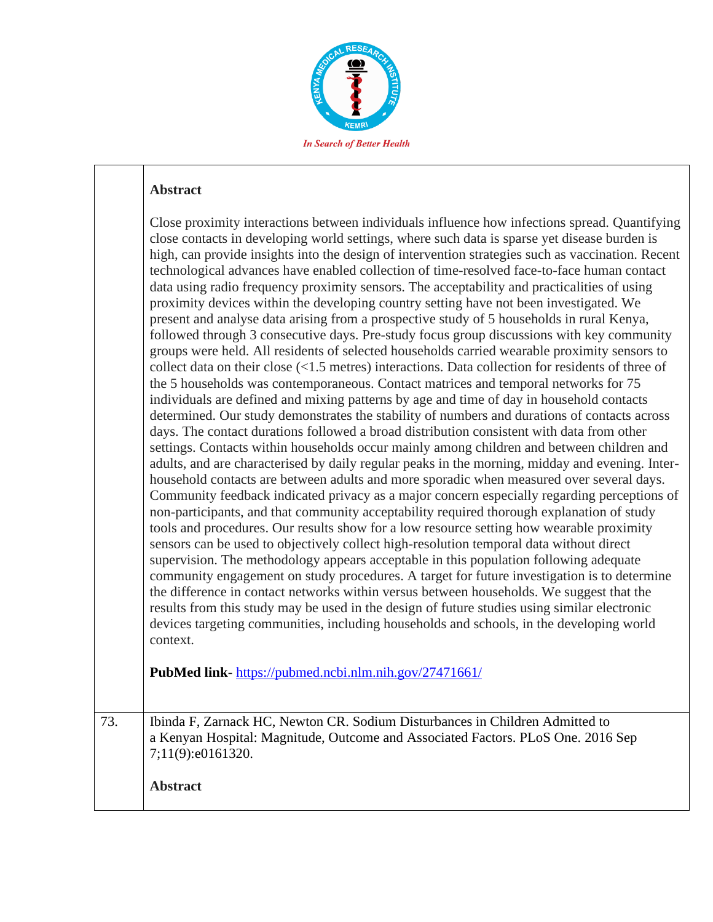

#### **Abstract**

Close proximity interactions between individuals influence how infections spread. Quantifying close contacts in developing world settings, where such data is sparse yet disease burden is high, can provide insights into the design of intervention strategies such as vaccination. Recent technological advances have enabled collection of time-resolved face-to-face human contact data using radio frequency proximity sensors. The acceptability and practicalities of using proximity devices within the developing country setting have not been investigated. We present and analyse data arising from a prospective study of 5 households in rural Kenya, followed through 3 consecutive days. Pre-study focus group discussions with key community groups were held. All residents of selected households carried wearable proximity sensors to collect data on their close (<1.5 metres) interactions. Data collection for residents of three of the 5 households was contemporaneous. Contact matrices and temporal networks for 75 individuals are defined and mixing patterns by age and time of day in household contacts determined. Our study demonstrates the stability of numbers and durations of contacts across days. The contact durations followed a broad distribution consistent with data from other settings. Contacts within households occur mainly among children and between children and adults, and are characterised by daily regular peaks in the morning, midday and evening. Interhousehold contacts are between adults and more sporadic when measured over several days. Community feedback indicated privacy as a major concern especially regarding perceptions of non-participants, and that community acceptability required thorough explanation of study tools and procedures. Our results show for a low resource setting how wearable proximity sensors can be used to objectively collect high-resolution temporal data without direct supervision. The methodology appears acceptable in this population following adequate community engagement on study procedures. A target for future investigation is to determine the difference in contact networks within versus between households. We suggest that the results from this study may be used in the design of future studies using similar electronic devices targeting communities, including households and schools, in the developing world context.

**PubMed link**- <https://pubmed.ncbi.nlm.nih.gov/27471661/>

| 73. | Ibinda F, Zarnack HC, Newton CR. Sodium Disturbances in Children Admitted to     |
|-----|----------------------------------------------------------------------------------|
|     | a Kenyan Hospital: Magnitude, Outcome and Associated Factors. PLoS One. 2016 Sep |
|     | 7;11(9):e0161320.                                                                |
|     |                                                                                  |

**Abstract**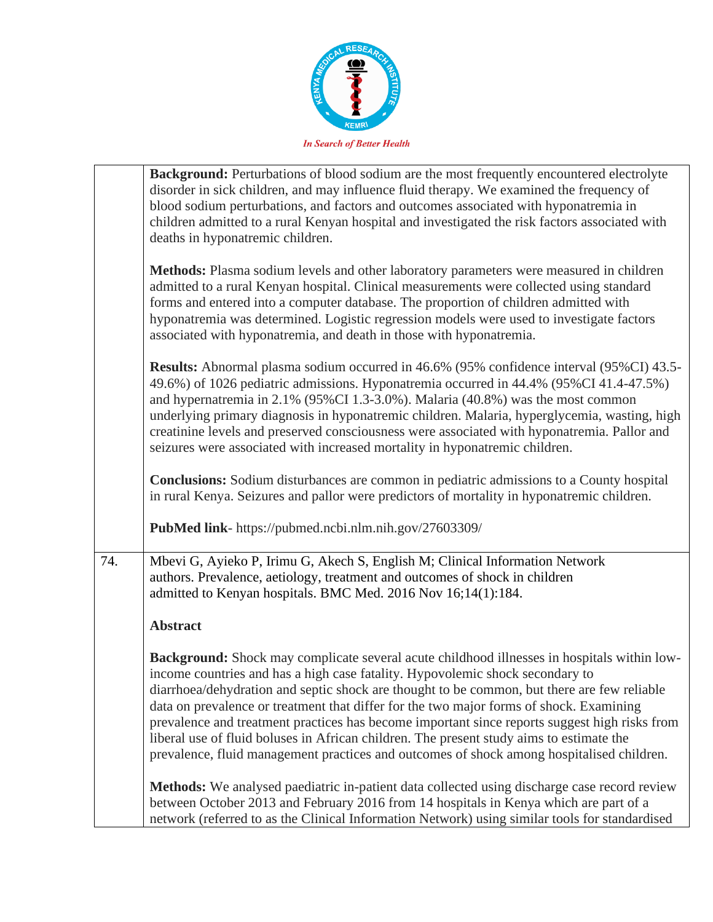

|     | Background: Perturbations of blood sodium are the most frequently encountered electrolyte<br>disorder in sick children, and may influence fluid therapy. We examined the frequency of<br>blood sodium perturbations, and factors and outcomes associated with hyponatremia in<br>children admitted to a rural Kenyan hospital and investigated the risk factors associated with<br>deaths in hyponatremic children.                                                                                                                                                                                                                                                     |
|-----|-------------------------------------------------------------------------------------------------------------------------------------------------------------------------------------------------------------------------------------------------------------------------------------------------------------------------------------------------------------------------------------------------------------------------------------------------------------------------------------------------------------------------------------------------------------------------------------------------------------------------------------------------------------------------|
|     | Methods: Plasma sodium levels and other laboratory parameters were measured in children<br>admitted to a rural Kenyan hospital. Clinical measurements were collected using standard<br>forms and entered into a computer database. The proportion of children admitted with<br>hyponatremia was determined. Logistic regression models were used to investigate factors<br>associated with hyponatremia, and death in those with hyponatremia.                                                                                                                                                                                                                          |
|     | Results: Abnormal plasma sodium occurred in 46.6% (95% confidence interval (95%CI) 43.5-<br>49.6%) of 1026 pediatric admissions. Hyponatremia occurred in 44.4% (95%CI 41.4-47.5%)<br>and hypernatremia in 2.1% (95%CI 1.3-3.0%). Malaria (40.8%) was the most common<br>underlying primary diagnosis in hyponatremic children. Malaria, hyperglycemia, wasting, high<br>creatinine levels and preserved consciousness were associated with hyponatremia. Pallor and<br>seizures were associated with increased mortality in hyponatremic children.                                                                                                                     |
|     | <b>Conclusions:</b> Sodium disturbances are common in pediatric admissions to a County hospital<br>in rural Kenya. Seizures and pallor were predictors of mortality in hyponatremic children.                                                                                                                                                                                                                                                                                                                                                                                                                                                                           |
|     | PubMed link- https://pubmed.ncbi.nlm.nih.gov/27603309/                                                                                                                                                                                                                                                                                                                                                                                                                                                                                                                                                                                                                  |
| 74. | Mbevi G, Ayieko P, Irimu G, Akech S, English M; Clinical Information Network<br>authors. Prevalence, aetiology, treatment and outcomes of shock in children<br>admitted to Kenyan hospitals. BMC Med. 2016 Nov 16;14(1):184.                                                                                                                                                                                                                                                                                                                                                                                                                                            |
|     | <b>Abstract</b>                                                                                                                                                                                                                                                                                                                                                                                                                                                                                                                                                                                                                                                         |
|     | <b>Background:</b> Shock may complicate several acute childhood illnesses in hospitals within low-<br>income countries and has a high case fatality. Hypovolemic shock secondary to<br>diarrhoea/dehydration and septic shock are thought to be common, but there are few reliable<br>data on prevalence or treatment that differ for the two major forms of shock. Examining<br>prevalence and treatment practices has become important since reports suggest high risks from<br>liberal use of fluid boluses in African children. The present study aims to estimate the<br>prevalence, fluid management practices and outcomes of shock among hospitalised children. |
|     | Methods: We analysed paediatric in-patient data collected using discharge case record review<br>between October 2013 and February 2016 from 14 hospitals in Kenya which are part of a<br>network (referred to as the Clinical Information Network) using similar tools for standardised                                                                                                                                                                                                                                                                                                                                                                                 |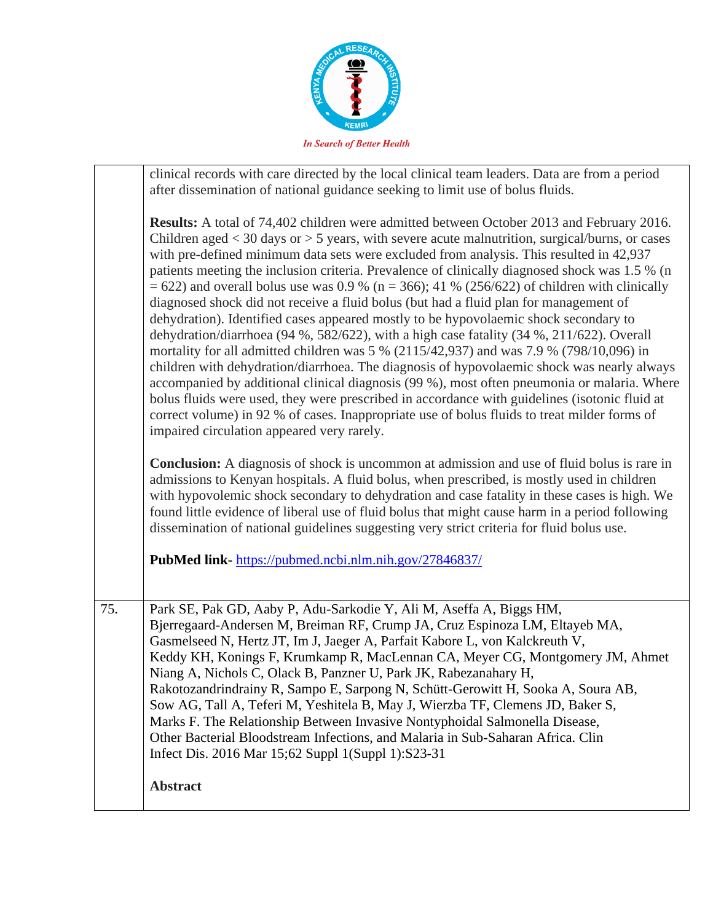

clinical records with care directed by the local clinical team leaders. Data are from a period after dissemination of national guidance seeking to limit use of bolus fluids.

|     | Results: A total of 74,402 children were admitted between October 2013 and February 2016.<br>Children aged $<$ 30 days or $>$ 5 years, with severe acute malnutrition, surgical/burns, or cases<br>with pre-defined minimum data sets were excluded from analysis. This resulted in 42,937<br>patients meeting the inclusion criteria. Prevalence of clinically diagnosed shock was 1.5 % (n<br>$= 622$ ) and overall bolus use was 0.9 % (n = 366); 41 % (256/622) of children with clinically<br>diagnosed shock did not receive a fluid bolus (but had a fluid plan for management of<br>dehydration). Identified cases appeared mostly to be hypovolaemic shock secondary to<br>dehydration/diarrhoea (94 %, 582/622), with a high case fatality (34 %, 211/622). Overall<br>mortality for all admitted children was 5 % (2115/42,937) and was 7.9 % (798/10,096) in<br>children with dehydration/diarrhoea. The diagnosis of hypovolaemic shock was nearly always<br>accompanied by additional clinical diagnosis (99 %), most often pneumonia or malaria. Where<br>bolus fluids were used, they were prescribed in accordance with guidelines (isotonic fluid at<br>correct volume) in 92 % of cases. Inappropriate use of bolus fluids to treat milder forms of<br>impaired circulation appeared very rarely. |
|-----|----------------------------------------------------------------------------------------------------------------------------------------------------------------------------------------------------------------------------------------------------------------------------------------------------------------------------------------------------------------------------------------------------------------------------------------------------------------------------------------------------------------------------------------------------------------------------------------------------------------------------------------------------------------------------------------------------------------------------------------------------------------------------------------------------------------------------------------------------------------------------------------------------------------------------------------------------------------------------------------------------------------------------------------------------------------------------------------------------------------------------------------------------------------------------------------------------------------------------------------------------------------------------------------------------------------------|
|     | <b>Conclusion:</b> A diagnosis of shock is uncommon at admission and use of fluid bolus is rare in<br>admissions to Kenyan hospitals. A fluid bolus, when prescribed, is mostly used in children<br>with hypovolemic shock secondary to dehydration and case fatality in these cases is high. We<br>found little evidence of liberal use of fluid bolus that might cause harm in a period following<br>dissemination of national guidelines suggesting very strict criteria for fluid bolus use.                                                                                                                                                                                                                                                                                                                                                                                                                                                                                                                                                                                                                                                                                                                                                                                                                     |
|     | PubMed link-https://pubmed.ncbi.nlm.nih.gov/27846837/                                                                                                                                                                                                                                                                                                                                                                                                                                                                                                                                                                                                                                                                                                                                                                                                                                                                                                                                                                                                                                                                                                                                                                                                                                                                |
| 75. | Park SE, Pak GD, Aaby P, Adu-Sarkodie Y, Ali M, Aseffa A, Biggs HM,<br>Bjerregaard-Andersen M, Breiman RF, Crump JA, Cruz Espinoza LM, Eltayeb MA,<br>Gasmelseed N, Hertz JT, Im J, Jaeger A, Parfait Kabore L, von Kalckreuth V,<br>Keddy KH, Konings F, Krumkamp R, MacLennan CA, Meyer CG, Montgomery JM, Ahmet<br>Niang A, Nichols C, Olack B, Panzner U, Park JK, Rabezanahary H,<br>Rakotozandrindrainy R, Sampo E, Sarpong N, Schütt-Gerowitt H, Sooka A, Soura AB,<br>Sow AG, Tall A, Teferi M, Yeshitela B, May J, Wierzba TF, Clemens JD, Baker S,<br>Marks F. The Relationship Between Invasive Nontyphoidal Salmonella Disease,<br>Other Bacterial Bloodstream Infections, and Malaria in Sub-Saharan Africa. Clin<br>Infect Dis. 2016 Mar 15;62 Suppl 1(Suppl 1):S23-31                                                                                                                                                                                                                                                                                                                                                                                                                                                                                                                                 |
|     | <b>Abstract</b>                                                                                                                                                                                                                                                                                                                                                                                                                                                                                                                                                                                                                                                                                                                                                                                                                                                                                                                                                                                                                                                                                                                                                                                                                                                                                                      |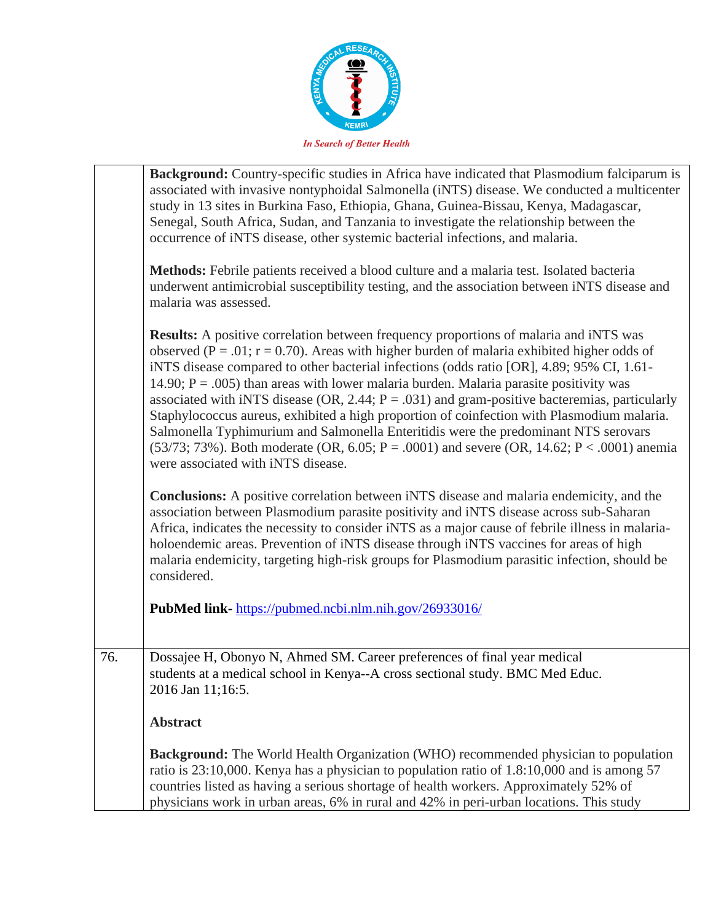

|     | Background: Country-specific studies in Africa have indicated that Plasmodium falciparum is<br>associated with invasive nontyphoidal Salmonella (iNTS) disease. We conducted a multicenter<br>study in 13 sites in Burkina Faso, Ethiopia, Ghana, Guinea-Bissau, Kenya, Madagascar,<br>Senegal, South Africa, Sudan, and Tanzania to investigate the relationship between the<br>occurrence of iNTS disease, other systemic bacterial infections, and malaria.                                                                                                                                                                                                                                                                                                                                                              |
|-----|-----------------------------------------------------------------------------------------------------------------------------------------------------------------------------------------------------------------------------------------------------------------------------------------------------------------------------------------------------------------------------------------------------------------------------------------------------------------------------------------------------------------------------------------------------------------------------------------------------------------------------------------------------------------------------------------------------------------------------------------------------------------------------------------------------------------------------|
|     | Methods: Febrile patients received a blood culture and a malaria test. Isolated bacteria<br>underwent antimicrobial susceptibility testing, and the association between iNTS disease and<br>malaria was assessed.                                                                                                                                                                                                                                                                                                                                                                                                                                                                                                                                                                                                           |
|     | <b>Results:</b> A positive correlation between frequency proportions of malaria and iNTS was<br>observed ( $P = .01$ ; $r = 0.70$ ). Areas with higher burden of malaria exhibited higher odds of<br>iNTS disease compared to other bacterial infections (odds ratio [OR], 4.89; 95% CI, 1.61-<br>14.90; $P = .005$ ) than areas with lower malaria burden. Malaria parasite positivity was<br>associated with iNTS disease (OR, 2.44; $P = .031$ ) and gram-positive bacteremias, particularly<br>Staphylococcus aureus, exhibited a high proportion of coinfection with Plasmodium malaria.<br>Salmonella Typhimurium and Salmonella Enteritidis were the predominant NTS serovars<br>$(53/73; 73%)$ . Both moderate (OR, 6.05; P = .0001) and severe (OR, 14.62; P < .0001) anemia<br>were associated with iNTS disease. |
|     | <b>Conclusions:</b> A positive correlation between iNTS disease and malaria endemicity, and the<br>association between Plasmodium parasite positivity and iNTS disease across sub-Saharan<br>Africa, indicates the necessity to consider iNTS as a major cause of febrile illness in malaria-<br>holoendemic areas. Prevention of iNTS disease through iNTS vaccines for areas of high<br>malaria endemicity, targeting high-risk groups for Plasmodium parasitic infection, should be<br>considered.                                                                                                                                                                                                                                                                                                                       |
|     | PubMed link-https://pubmed.ncbi.nlm.nih.gov/26933016/                                                                                                                                                                                                                                                                                                                                                                                                                                                                                                                                                                                                                                                                                                                                                                       |
| 76. | Dossajee H, Obonyo N, Ahmed SM. Career preferences of final year medical<br>students at a medical school in Kenya--A cross sectional study. BMC Med Educ.<br>2016 Jan 11;16:5.                                                                                                                                                                                                                                                                                                                                                                                                                                                                                                                                                                                                                                              |
|     | <b>Abstract</b>                                                                                                                                                                                                                                                                                                                                                                                                                                                                                                                                                                                                                                                                                                                                                                                                             |
|     | <b>Background:</b> The World Health Organization (WHO) recommended physician to population<br>ratio is 23:10,000. Kenya has a physician to population ratio of 1.8:10,000 and is among 57<br>countries listed as having a serious shortage of health workers. Approximately 52% of<br>physicians work in urban areas, 6% in rural and 42% in peri-urban locations. This study                                                                                                                                                                                                                                                                                                                                                                                                                                               |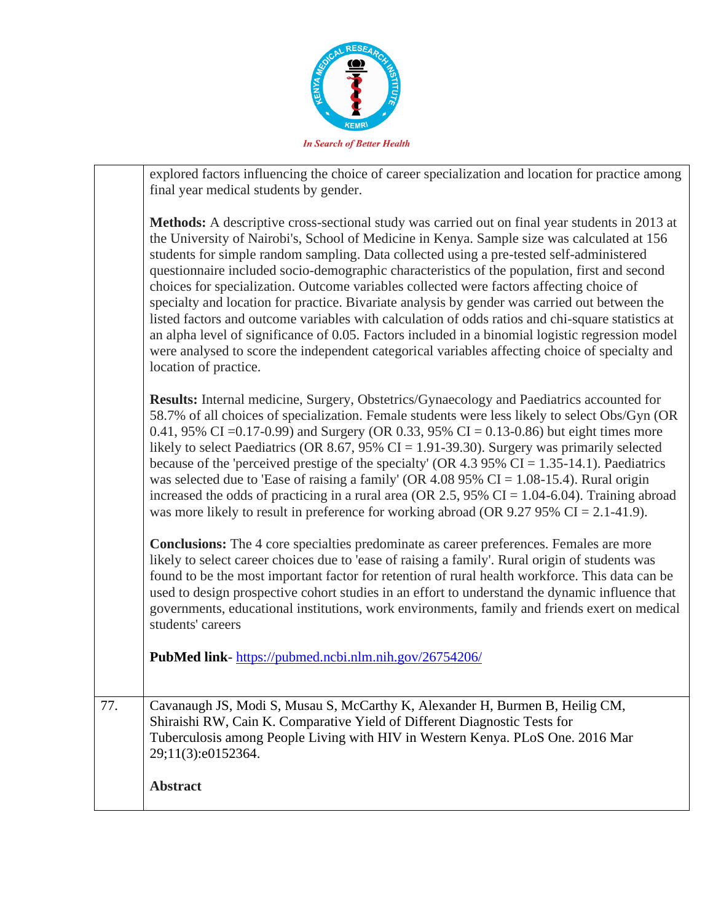

explored factors influencing the choice of career specialization and location for practice among final year medical students by gender.

**Methods:** A descriptive cross-sectional study was carried out on final year students in 2013 at the University of Nairobi's, School of Medicine in Kenya. Sample size was calculated at 156 students for simple random sampling. Data collected using a pre-tested self-administered questionnaire included socio-demographic characteristics of the population, first and second choices for specialization. Outcome variables collected were factors affecting choice of specialty and location for practice. Bivariate analysis by gender was carried out between the listed factors and outcome variables with calculation of odds ratios and chi-square statistics at an alpha level of significance of 0.05. Factors included in a binomial logistic regression model were analysed to score the independent categorical variables affecting choice of specialty and location of practice.

**Results:** Internal medicine, Surgery, Obstetrics/Gynaecology and Paediatrics accounted for 58.7% of all choices of specialization. Female students were less likely to select Obs/Gyn (OR 0.41, 95% CI = 0.17-0.99) and Surgery (OR 0.33, 95% CI = 0.13-0.86) but eight times more likely to select Paediatrics (OR  $8.67, 95\%$  CI = 1.91-39.30). Surgery was primarily selected because of the 'perceived prestige of the specialty' (OR 4.3 95% CI = 1.35-14.1). Paediatrics was selected due to 'Ease of raising a family' (OR 4.08 95% CI =  $1.08-15.4$ ). Rural origin increased the odds of practicing in a rural area (OR 2.5, 95% CI = 1.04-6.04). Training abroad was more likely to result in preference for working abroad (OR  $9.27\,95\%$  CI = 2.1-41.9).

**Conclusions:** The 4 core specialties predominate as career preferences. Females are more likely to select career choices due to 'ease of raising a family'. Rural origin of students was found to be the most important factor for retention of rural health workforce. This data can be used to design prospective cohort studies in an effort to understand the dynamic influence that governments, educational institutions, work environments, family and friends exert on medical students' careers

**PubMed link**- <https://pubmed.ncbi.nlm.nih.gov/26754206/>

| 77. | Cavanaugh JS, Modi S, Musau S, McCarthy K, Alexander H, Burmen B, Heilig CM,   |
|-----|--------------------------------------------------------------------------------|
|     | Shiraishi RW, Cain K. Comparative Yield of Different Diagnostic Tests for      |
|     | Tuberculosis among People Living with HIV in Western Kenya. PLoS One. 2016 Mar |
|     | 29;11(3):e0152364.                                                             |
|     |                                                                                |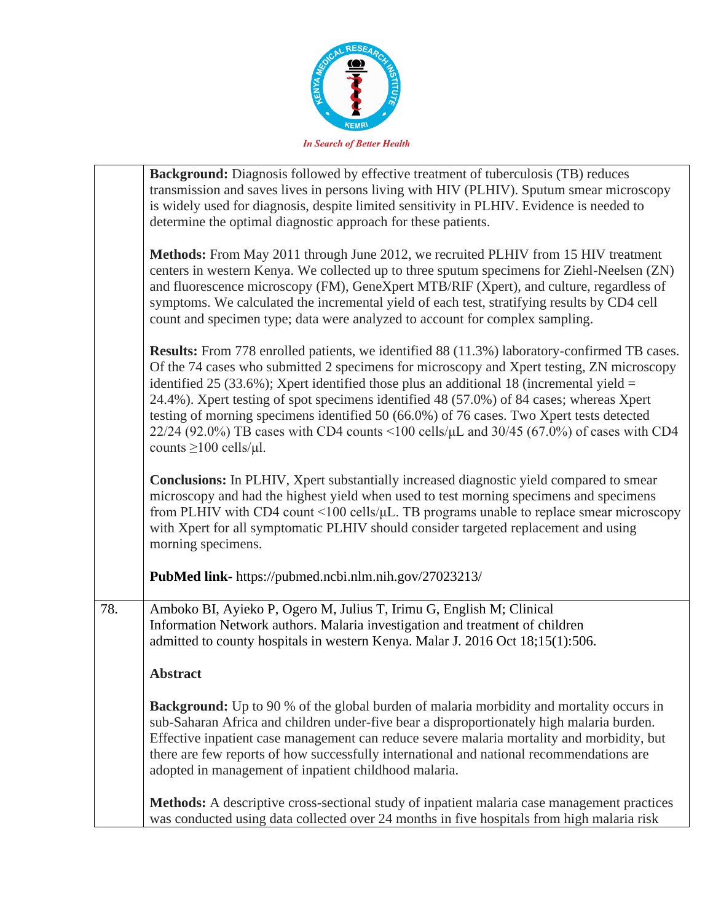

|     | <b>Background:</b> Diagnosis followed by effective treatment of tuberculosis (TB) reduces<br>transmission and saves lives in persons living with HIV (PLHIV). Sputum smear microscopy<br>is widely used for diagnosis, despite limited sensitivity in PLHIV. Evidence is needed to<br>determine the optimal diagnostic approach for these patients.                                                                                                                                                                                                                                                              |
|-----|------------------------------------------------------------------------------------------------------------------------------------------------------------------------------------------------------------------------------------------------------------------------------------------------------------------------------------------------------------------------------------------------------------------------------------------------------------------------------------------------------------------------------------------------------------------------------------------------------------------|
|     | Methods: From May 2011 through June 2012, we recruited PLHIV from 15 HIV treatment<br>centers in western Kenya. We collected up to three sputum specimens for Ziehl-Neelsen (ZN)<br>and fluorescence microscopy (FM), GeneXpert MTB/RIF (Xpert), and culture, regardless of<br>symptoms. We calculated the incremental yield of each test, stratifying results by CD4 cell<br>count and specimen type; data were analyzed to account for complex sampling.                                                                                                                                                       |
|     | Results: From 778 enrolled patients, we identified 88 (11.3%) laboratory-confirmed TB cases.<br>Of the 74 cases who submitted 2 specimens for microscopy and Xpert testing, ZN microscopy<br>identified 25 (33.6%); Xpert identified those plus an additional 18 (incremental yield $=$<br>24.4%). Xpert testing of spot specimens identified 48 (57.0%) of 84 cases; whereas Xpert<br>testing of morning specimens identified 50 (66.0%) of 76 cases. Two Xpert tests detected<br>22/24 (92.0%) TB cases with CD4 counts <100 cells/ $\mu$ L and 30/45 (67.0%) of cases with CD4<br>counts $\geq$ 100 cells/µl. |
|     | Conclusions: In PLHIV, Xpert substantially increased diagnostic yield compared to smear<br>microscopy and had the highest yield when used to test morning specimens and specimens<br>from PLHIV with CD4 count <100 cells/ $\mu$ L. TB programs unable to replace smear microscopy<br>with Xpert for all symptomatic PLHIV should consider targeted replacement and using<br>morning specimens.                                                                                                                                                                                                                  |
|     | PubMed link- https://pubmed.ncbi.nlm.nih.gov/27023213/                                                                                                                                                                                                                                                                                                                                                                                                                                                                                                                                                           |
| 78. | Amboko BI, Ayieko P, Ogero M, Julius T, Irimu G, English M; Clinical<br>Information Network authors. Malaria investigation and treatment of children<br>admitted to county hospitals in western Kenya. Malar J. 2016 Oct 18;15(1):506.                                                                                                                                                                                                                                                                                                                                                                           |
|     | <b>Abstract</b>                                                                                                                                                                                                                                                                                                                                                                                                                                                                                                                                                                                                  |
|     | <b>Background:</b> Up to 90 % of the global burden of malaria morbidity and mortality occurs in<br>sub-Saharan Africa and children under-five bear a disproportionately high malaria burden.<br>Effective inpatient case management can reduce severe malaria mortality and morbidity, but<br>there are few reports of how successfully international and national recommendations are<br>adopted in management of inpatient childhood malaria.                                                                                                                                                                  |
|     | Methods: A descriptive cross-sectional study of inpatient malaria case management practices<br>was conducted using data collected over 24 months in five hospitals from high malaria risk                                                                                                                                                                                                                                                                                                                                                                                                                        |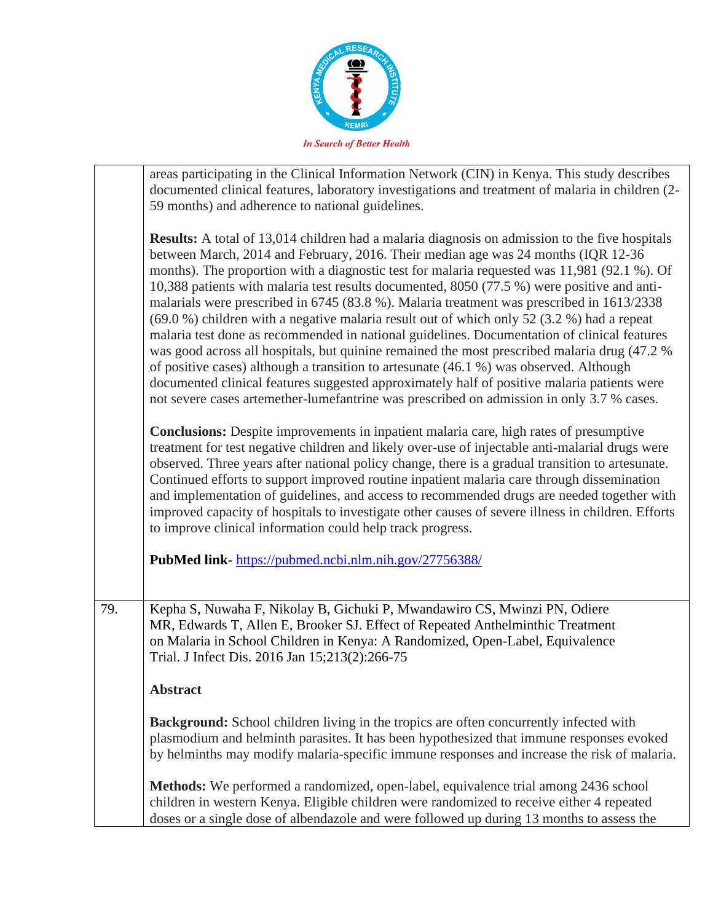

|     | areas participating in the Clinical Information Network (CIN) in Kenya. This study describes<br>documented clinical features, laboratory investigations and treatment of malaria in children (2-<br>59 months) and adherence to national guidelines.                                                                                                                                                                                                                                                                                                                                                                                                                                                                                                                                                                                                                                                                                                                                                                                                                         |
|-----|------------------------------------------------------------------------------------------------------------------------------------------------------------------------------------------------------------------------------------------------------------------------------------------------------------------------------------------------------------------------------------------------------------------------------------------------------------------------------------------------------------------------------------------------------------------------------------------------------------------------------------------------------------------------------------------------------------------------------------------------------------------------------------------------------------------------------------------------------------------------------------------------------------------------------------------------------------------------------------------------------------------------------------------------------------------------------|
|     | <b>Results:</b> A total of 13,014 children had a malaria diagnosis on admission to the five hospitals<br>between March, 2014 and February, 2016. Their median age was 24 months (IQR 12-36)<br>months). The proportion with a diagnostic test for malaria requested was 11,981 (92.1 %). Of<br>10,388 patients with malaria test results documented, 8050 (77.5 %) were positive and anti-<br>malarials were prescribed in 6745 (83.8 %). Malaria treatment was prescribed in 1613/2338<br>$(69.0 %)$ children with a negative malaria result out of which only 52 (3.2 %) had a repeat<br>malaria test done as recommended in national guidelines. Documentation of clinical features<br>was good across all hospitals, but quinine remained the most prescribed malaria drug (47.2 %<br>of positive cases) although a transition to artesunate (46.1 %) was observed. Although<br>documented clinical features suggested approximately half of positive malaria patients were<br>not severe cases artemether-lumefantrine was prescribed on admission in only 3.7 % cases. |
|     | <b>Conclusions:</b> Despite improvements in inpatient malaria care, high rates of presumptive<br>treatment for test negative children and likely over-use of injectable anti-malarial drugs were<br>observed. Three years after national policy change, there is a gradual transition to artesunate.<br>Continued efforts to support improved routine inpatient malaria care through dissemination<br>and implementation of guidelines, and access to recommended drugs are needed together with<br>improved capacity of hospitals to investigate other causes of severe illness in children. Efforts<br>to improve clinical information could help track progress.                                                                                                                                                                                                                                                                                                                                                                                                          |
|     | PubMed link-https://pubmed.ncbi.nlm.nih.gov/27756388/                                                                                                                                                                                                                                                                                                                                                                                                                                                                                                                                                                                                                                                                                                                                                                                                                                                                                                                                                                                                                        |
| 79. | Kepha S, Nuwaha F, Nikolay B, Gichuki P, Mwandawiro CS, Mwinzi PN, Odiere<br>MR, Edwards T, Allen E, Brooker SJ. Effect of Repeated Anthelminthic Treatment<br>on Malaria in School Children in Kenya: A Randomized, Open-Label, Equivalence<br>Trial. J Infect Dis. 2016 Jan 15;213(2):266-75                                                                                                                                                                                                                                                                                                                                                                                                                                                                                                                                                                                                                                                                                                                                                                               |
|     | <b>Abstract</b>                                                                                                                                                                                                                                                                                                                                                                                                                                                                                                                                                                                                                                                                                                                                                                                                                                                                                                                                                                                                                                                              |
|     | Background: School children living in the tropics are often concurrently infected with<br>plasmodium and helminth parasites. It has been hypothesized that immune responses evoked<br>by helminths may modify malaria-specific immune responses and increase the risk of malaria.                                                                                                                                                                                                                                                                                                                                                                                                                                                                                                                                                                                                                                                                                                                                                                                            |
|     | Methods: We performed a randomized, open-label, equivalence trial among 2436 school<br>children in western Kenya. Eligible children were randomized to receive either 4 repeated<br>doses or a single dose of albendazole and were followed up during 13 months to assess the                                                                                                                                                                                                                                                                                                                                                                                                                                                                                                                                                                                                                                                                                                                                                                                                |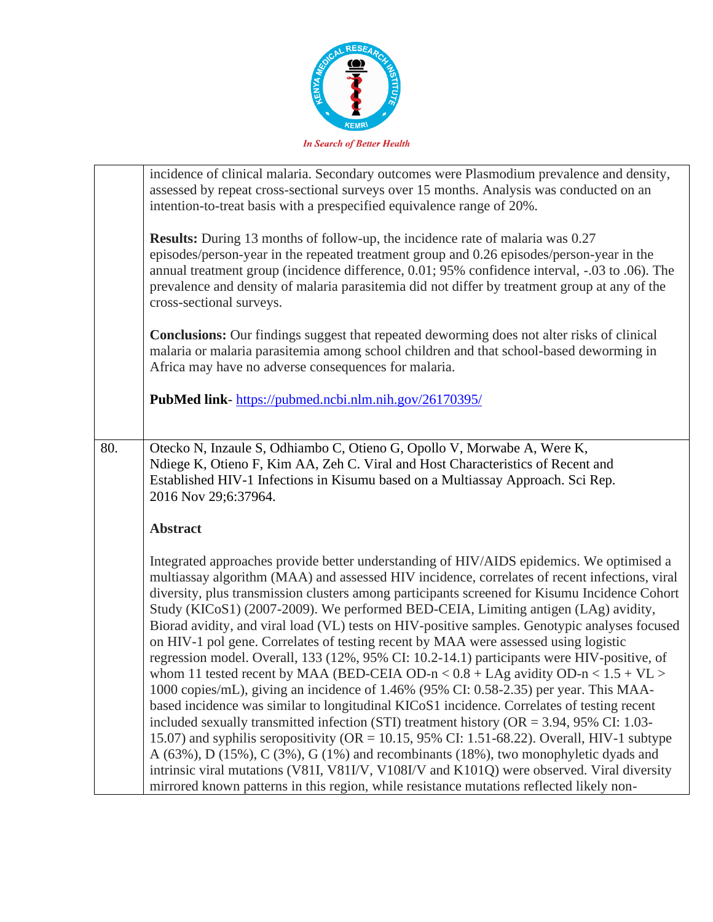

|     | incidence of clinical malaria. Secondary outcomes were Plasmodium prevalence and density,<br>assessed by repeat cross-sectional surveys over 15 months. Analysis was conducted on an<br>intention-to-treat basis with a prespecified equivalence range of 20%.                                                                                                                                                                                                                                                                                                                                                                                                                                                                                                                                                                                                                                                                                                                                                                                                                                                                                                                                                                                                                                                                                                                                                                                               |
|-----|--------------------------------------------------------------------------------------------------------------------------------------------------------------------------------------------------------------------------------------------------------------------------------------------------------------------------------------------------------------------------------------------------------------------------------------------------------------------------------------------------------------------------------------------------------------------------------------------------------------------------------------------------------------------------------------------------------------------------------------------------------------------------------------------------------------------------------------------------------------------------------------------------------------------------------------------------------------------------------------------------------------------------------------------------------------------------------------------------------------------------------------------------------------------------------------------------------------------------------------------------------------------------------------------------------------------------------------------------------------------------------------------------------------------------------------------------------------|
|     | <b>Results:</b> During 13 months of follow-up, the incidence rate of malaria was 0.27<br>episodes/person-year in the repeated treatment group and 0.26 episodes/person-year in the<br>annual treatment group (incidence difference, 0.01; 95% confidence interval, -.03 to .06). The<br>prevalence and density of malaria parasitemia did not differ by treatment group at any of the<br>cross-sectional surveys.                                                                                                                                                                                                                                                                                                                                                                                                                                                                                                                                                                                                                                                                                                                                                                                                                                                                                                                                                                                                                                            |
|     | <b>Conclusions:</b> Our findings suggest that repeated deworming does not alter risks of clinical<br>malaria or malaria parasitemia among school children and that school-based deworming in<br>Africa may have no adverse consequences for malaria.                                                                                                                                                                                                                                                                                                                                                                                                                                                                                                                                                                                                                                                                                                                                                                                                                                                                                                                                                                                                                                                                                                                                                                                                         |
|     | PubMed link-https://pubmed.ncbi.nlm.nih.gov/26170395/                                                                                                                                                                                                                                                                                                                                                                                                                                                                                                                                                                                                                                                                                                                                                                                                                                                                                                                                                                                                                                                                                                                                                                                                                                                                                                                                                                                                        |
| 80. | Otecko N, Inzaule S, Odhiambo C, Otieno G, Opollo V, Morwabe A, Were K,<br>Ndiege K, Otieno F, Kim AA, Zeh C. Viral and Host Characteristics of Recent and<br>Established HIV-1 Infections in Kisumu based on a Multiassay Approach. Sci Rep.<br>2016 Nov 29;6:37964.                                                                                                                                                                                                                                                                                                                                                                                                                                                                                                                                                                                                                                                                                                                                                                                                                                                                                                                                                                                                                                                                                                                                                                                        |
|     | <b>Abstract</b>                                                                                                                                                                                                                                                                                                                                                                                                                                                                                                                                                                                                                                                                                                                                                                                                                                                                                                                                                                                                                                                                                                                                                                                                                                                                                                                                                                                                                                              |
|     | Integrated approaches provide better understanding of HIV/AIDS epidemics. We optimised a<br>multiassay algorithm (MAA) and assessed HIV incidence, correlates of recent infections, viral<br>diversity, plus transmission clusters among participants screened for Kisumu Incidence Cohort<br>Study (KICoS1) (2007-2009). We performed BED-CEIA, Limiting antigen (LAg) avidity,<br>Biorad avidity, and viral load (VL) tests on HIV-positive samples. Genotypic analyses focused<br>on HIV-1 pol gene. Correlates of testing recent by MAA were assessed using logistic<br>regression model. Overall, 133 (12%, 95% CI: 10.2-14.1) participants were HIV-positive, of<br>whom 11 tested recent by MAA (BED-CEIA OD-n $< 0.8 +$ LAg avidity OD-n $< 1.5 +$ VL $>$<br>1000 copies/mL), giving an incidence of 1.46% (95% CI: 0.58-2.35) per year. This MAA-<br>based incidence was similar to longitudinal KICoS1 incidence. Correlates of testing recent<br>included sexually transmitted infection (STI) treatment history ( $OR = 3.94$ , 95% CI: 1.03-<br>15.07) and syphilis seropositivity (OR = 10.15, 95% CI: 1.51-68.22). Overall, HIV-1 subtype<br>A $(63\%)$ , D $(15\%)$ , C $(3\%)$ , G $(1\%)$ and recombinants $(18\%)$ , two monophyletic dyads and<br>intrinsic viral mutations (V81I, V81I/V, V108I/V and K101Q) were observed. Viral diversity<br>mirrored known patterns in this region, while resistance mutations reflected likely non- |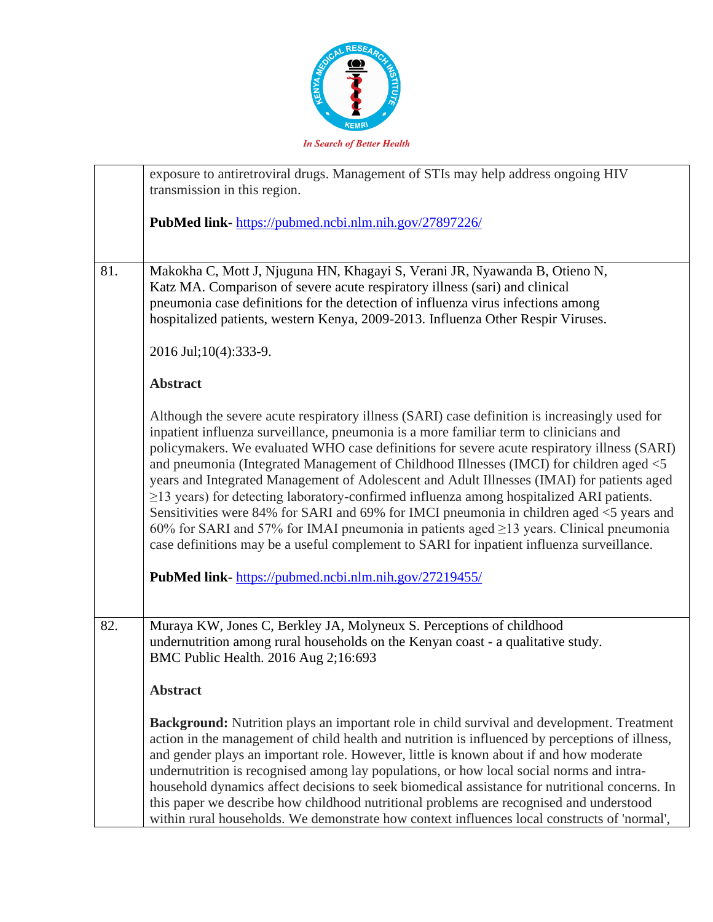

|     | exposure to antiretroviral drugs. Management of STIs may help address ongoing HIV<br>transmission in this region.                                                                                                                                                                                                                                                                                                                                                                                                                                                                                                                                                                                                                                                                                                                                                                                                                          |
|-----|--------------------------------------------------------------------------------------------------------------------------------------------------------------------------------------------------------------------------------------------------------------------------------------------------------------------------------------------------------------------------------------------------------------------------------------------------------------------------------------------------------------------------------------------------------------------------------------------------------------------------------------------------------------------------------------------------------------------------------------------------------------------------------------------------------------------------------------------------------------------------------------------------------------------------------------------|
|     | PubMed link- https://pubmed.ncbi.nlm.nih.gov/27897226/                                                                                                                                                                                                                                                                                                                                                                                                                                                                                                                                                                                                                                                                                                                                                                                                                                                                                     |
| 81. | Makokha C, Mott J, Njuguna HN, Khagayi S, Verani JR, Nyawanda B, Otieno N,<br>Katz MA. Comparison of severe acute respiratory illness (sari) and clinical<br>pneumonia case definitions for the detection of influenza virus infections among<br>hospitalized patients, western Kenya, 2009-2013. Influenza Other Respir Viruses.                                                                                                                                                                                                                                                                                                                                                                                                                                                                                                                                                                                                          |
|     | 2016 Jul; 10(4): 333-9.                                                                                                                                                                                                                                                                                                                                                                                                                                                                                                                                                                                                                                                                                                                                                                                                                                                                                                                    |
|     | <b>Abstract</b>                                                                                                                                                                                                                                                                                                                                                                                                                                                                                                                                                                                                                                                                                                                                                                                                                                                                                                                            |
|     | Although the severe acute respiratory illness (SARI) case definition is increasingly used for<br>inpatient influenza surveillance, pneumonia is a more familiar term to clinicians and<br>policymakers. We evaluated WHO case definitions for severe acute respiratory illness (SARI)<br>and pneumonia (Integrated Management of Childhood Illnesses (IMCI) for children aged <5<br>years and Integrated Management of Adolescent and Adult Illnesses (IMAI) for patients aged<br>$\geq$ 13 years) for detecting laboratory-confirmed influenza among hospitalized ARI patients.<br>Sensitivities were 84% for SARI and 69% for IMCI pneumonia in children aged <5 years and<br>60% for SARI and 57% for IMAI pneumonia in patients aged $\geq$ 13 years. Clinical pneumonia<br>case definitions may be a useful complement to SARI for inpatient influenza surveillance.<br><b>PubMed link-</b> https://pubmed.ncbi.nlm.nih.gov/27219455/ |
|     |                                                                                                                                                                                                                                                                                                                                                                                                                                                                                                                                                                                                                                                                                                                                                                                                                                                                                                                                            |
| 82. | Muraya KW, Jones C, Berkley JA, Molyneux S. Perceptions of childhood<br>undernutrition among rural households on the Kenyan coast - a qualitative study.<br>BMC Public Health. 2016 Aug 2;16:693                                                                                                                                                                                                                                                                                                                                                                                                                                                                                                                                                                                                                                                                                                                                           |
|     | <b>Abstract</b>                                                                                                                                                                                                                                                                                                                                                                                                                                                                                                                                                                                                                                                                                                                                                                                                                                                                                                                            |
|     | <b>Background:</b> Nutrition plays an important role in child survival and development. Treatment<br>action in the management of child health and nutrition is influenced by perceptions of illness,<br>and gender plays an important role. However, little is known about if and how moderate<br>undernutrition is recognised among lay populations, or how local social norms and intra-<br>household dynamics affect decisions to seek biomedical assistance for nutritional concerns. In<br>this paper we describe how childhood nutritional problems are recognised and understood<br>within rural households. We demonstrate how context influences local constructs of 'normal',                                                                                                                                                                                                                                                    |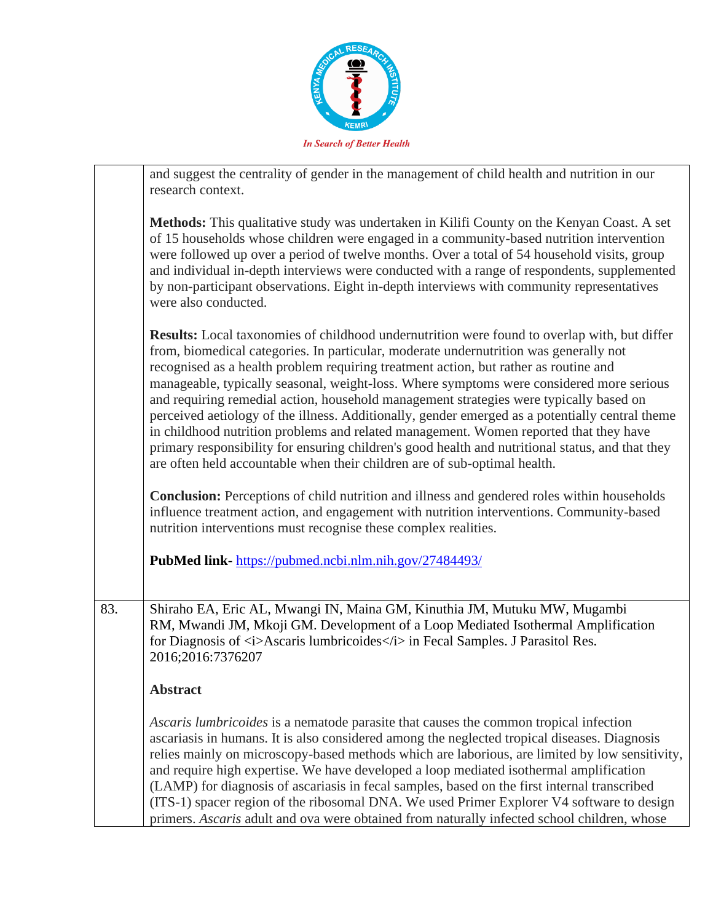

|     | and suggest the centrality of gender in the management of child health and nutrition in our<br>research context.                                                                                                                                                                                                                                                                                                                                                                                                                                                                                                                                                                                                                                                                                                                                        |
|-----|---------------------------------------------------------------------------------------------------------------------------------------------------------------------------------------------------------------------------------------------------------------------------------------------------------------------------------------------------------------------------------------------------------------------------------------------------------------------------------------------------------------------------------------------------------------------------------------------------------------------------------------------------------------------------------------------------------------------------------------------------------------------------------------------------------------------------------------------------------|
|     | Methods: This qualitative study was undertaken in Kilifi County on the Kenyan Coast. A set<br>of 15 households whose children were engaged in a community-based nutrition intervention<br>were followed up over a period of twelve months. Over a total of 54 household visits, group<br>and individual in-depth interviews were conducted with a range of respondents, supplemented<br>by non-participant observations. Eight in-depth interviews with community representatives<br>were also conducted.                                                                                                                                                                                                                                                                                                                                               |
|     | <b>Results:</b> Local taxonomies of childhood undernutrition were found to overlap with, but differ<br>from, biomedical categories. In particular, moderate undernutrition was generally not<br>recognised as a health problem requiring treatment action, but rather as routine and<br>manageable, typically seasonal, weight-loss. Where symptoms were considered more serious<br>and requiring remedial action, household management strategies were typically based on<br>perceived aetiology of the illness. Additionally, gender emerged as a potentially central theme<br>in childhood nutrition problems and related management. Women reported that they have<br>primary responsibility for ensuring children's good health and nutritional status, and that they<br>are often held accountable when their children are of sub-optimal health. |
|     | <b>Conclusion:</b> Perceptions of child nutrition and illness and gendered roles within households<br>influence treatment action, and engagement with nutrition interventions. Community-based<br>nutrition interventions must recognise these complex realities.                                                                                                                                                                                                                                                                                                                                                                                                                                                                                                                                                                                       |
|     | PubMed link-https://pubmed.ncbi.nlm.nih.gov/27484493/                                                                                                                                                                                                                                                                                                                                                                                                                                                                                                                                                                                                                                                                                                                                                                                                   |
| 83. | Shiraho EA, Eric AL, Mwangi IN, Maina GM, Kinuthia JM, Mutuku MW, Mugambi<br>RM, Mwandi JM, Mkoji GM. Development of a Loop Mediated Isothermal Amplification<br>for Diagnosis of <i>Ascaris lumbricoides</i> in Fecal Samples. J Parasitol Res.<br>2016;2016:7376207                                                                                                                                                                                                                                                                                                                                                                                                                                                                                                                                                                                   |
|     | <b>Abstract</b>                                                                                                                                                                                                                                                                                                                                                                                                                                                                                                                                                                                                                                                                                                                                                                                                                                         |
|     | Ascaris lumbricoides is a nematode parasite that causes the common tropical infection<br>ascariasis in humans. It is also considered among the neglected tropical diseases. Diagnosis<br>relies mainly on microscopy-based methods which are laborious, are limited by low sensitivity,<br>and require high expertise. We have developed a loop mediated isothermal amplification<br>(LAMP) for diagnosis of ascariasis in fecal samples, based on the first internal transcribed<br>(ITS-1) spacer region of the ribosomal DNA. We used Primer Explorer V4 software to design<br>primers. Ascaris adult and ova were obtained from naturally infected school children, whose                                                                                                                                                                           |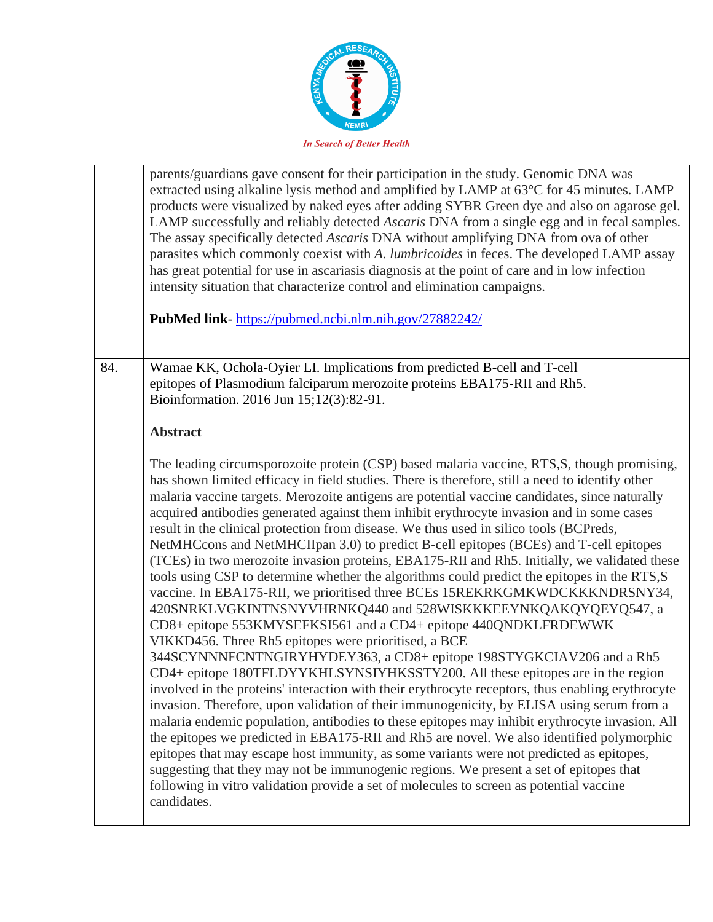

|     | parents/guardians gave consent for their participation in the study. Genomic DNA was<br>extracted using alkaline lysis method and amplified by LAMP at 63°C for 45 minutes. LAMP<br>products were visualized by naked eyes after adding SYBR Green dye and also on agarose gel.<br>LAMP successfully and reliably detected <i>Ascaris</i> DNA from a single egg and in fecal samples.<br>The assay specifically detected Ascaris DNA without amplifying DNA from ova of other<br>parasites which commonly coexist with A. lumbricoides in feces. The developed LAMP assay<br>has great potential for use in ascariasis diagnosis at the point of care and in low infection<br>intensity situation that characterize control and elimination campaigns.                                                                                                                                                                                                                                                                                                                                                                                                                                                                                                                                                                                                                                                                                                                                                                                                                                                                                                                                                                                                                                                                                                                                                               |
|-----|----------------------------------------------------------------------------------------------------------------------------------------------------------------------------------------------------------------------------------------------------------------------------------------------------------------------------------------------------------------------------------------------------------------------------------------------------------------------------------------------------------------------------------------------------------------------------------------------------------------------------------------------------------------------------------------------------------------------------------------------------------------------------------------------------------------------------------------------------------------------------------------------------------------------------------------------------------------------------------------------------------------------------------------------------------------------------------------------------------------------------------------------------------------------------------------------------------------------------------------------------------------------------------------------------------------------------------------------------------------------------------------------------------------------------------------------------------------------------------------------------------------------------------------------------------------------------------------------------------------------------------------------------------------------------------------------------------------------------------------------------------------------------------------------------------------------------------------------------------------------------------------------------------------------|
|     | PubMed link-https://pubmed.ncbi.nlm.nih.gov/27882242/                                                                                                                                                                                                                                                                                                                                                                                                                                                                                                                                                                                                                                                                                                                                                                                                                                                                                                                                                                                                                                                                                                                                                                                                                                                                                                                                                                                                                                                                                                                                                                                                                                                                                                                                                                                                                                                                |
| 84. | Wamae KK, Ochola-Oyier LI. Implications from predicted B-cell and T-cell<br>epitopes of Plasmodium falciparum merozoite proteins EBA175-RII and Rh5.<br>Bioinformation. 2016 Jun 15;12(3):82-91.                                                                                                                                                                                                                                                                                                                                                                                                                                                                                                                                                                                                                                                                                                                                                                                                                                                                                                                                                                                                                                                                                                                                                                                                                                                                                                                                                                                                                                                                                                                                                                                                                                                                                                                     |
|     | <b>Abstract</b>                                                                                                                                                                                                                                                                                                                                                                                                                                                                                                                                                                                                                                                                                                                                                                                                                                                                                                                                                                                                                                                                                                                                                                                                                                                                                                                                                                                                                                                                                                                                                                                                                                                                                                                                                                                                                                                                                                      |
|     | The leading circumsporozoite protein (CSP) based malaria vaccine, RTS, S, though promising,<br>has shown limited efficacy in field studies. There is therefore, still a need to identify other<br>malaria vaccine targets. Merozoite antigens are potential vaccine candidates, since naturally<br>acquired antibodies generated against them inhibit erythrocyte invasion and in some cases<br>result in the clinical protection from disease. We thus used in silico tools (BCPreds,<br>NetMHCcons and NetMHCIIpan 3.0) to predict B-cell epitopes (BCEs) and T-cell epitopes<br>(TCEs) in two merozoite invasion proteins, EBA175-RII and Rh5. Initially, we validated these<br>tools using CSP to determine whether the algorithms could predict the epitopes in the RTS,S<br>vaccine. In EBA175-RII, we prioritised three BCEs 15REKRKGMKWDCKKKNDRSNY34,<br>420SNRKLVGKINTNSNYVHRNKQ440 and 528WISKKKEEYNKQAKQYQEYQ547, a<br>CD8+ epitope 553KMYSEFKSI561 and a CD4+ epitope 440QNDKLFRDEWWK<br>VIKKD456. Three Rh5 epitopes were prioritised, a BCE<br>344SCYNNNFCNTNGIRYHYDEY363, a CD8+ epitope 198STYGKCIAV206 and a Rh5<br>CD4+ epitope 180TFLDYYKHLSYNSIYHKSSTY200. All these epitopes are in the region<br>involved in the proteins' interaction with their erythrocyte receptors, thus enabling erythrocyte<br>invasion. Therefore, upon validation of their immunogenicity, by ELISA using serum from a<br>malaria endemic population, antibodies to these epitopes may inhibit erythrocyte invasion. All<br>the epitopes we predicted in EBA175-RII and Rh5 are novel. We also identified polymorphic<br>epitopes that may escape host immunity, as some variants were not predicted as epitopes,<br>suggesting that they may not be immunogenic regions. We present a set of epitopes that<br>following in vitro validation provide a set of molecules to screen as potential vaccine<br>candidates. |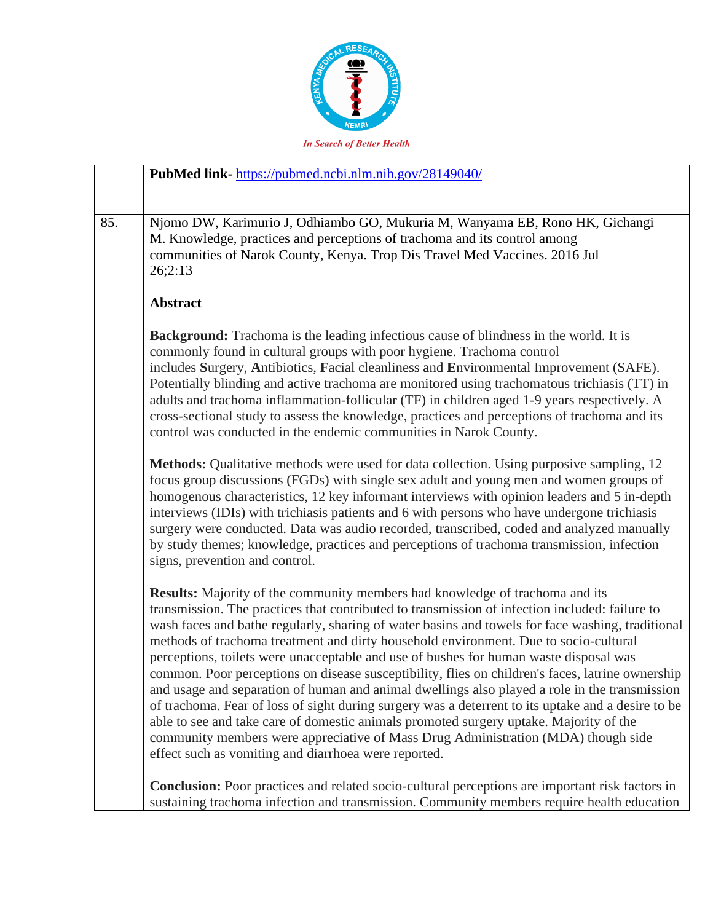

|  | <b>In Search of Better Health</b> |  |
|--|-----------------------------------|--|
|  |                                   |  |

|     | PubMed link-https://pubmed.ncbi.nlm.nih.gov/28149040/                                                                                                                                                                                                                                                                                                                                                                                                                                                                                                                                                                                                                                                                                                                                                                                                                                                                                                                                                                        |
|-----|------------------------------------------------------------------------------------------------------------------------------------------------------------------------------------------------------------------------------------------------------------------------------------------------------------------------------------------------------------------------------------------------------------------------------------------------------------------------------------------------------------------------------------------------------------------------------------------------------------------------------------------------------------------------------------------------------------------------------------------------------------------------------------------------------------------------------------------------------------------------------------------------------------------------------------------------------------------------------------------------------------------------------|
|     |                                                                                                                                                                                                                                                                                                                                                                                                                                                                                                                                                                                                                                                                                                                                                                                                                                                                                                                                                                                                                              |
| 85. | Njomo DW, Karimurio J, Odhiambo GO, Mukuria M, Wanyama EB, Rono HK, Gichangi<br>M. Knowledge, practices and perceptions of trachoma and its control among<br>communities of Narok County, Kenya. Trop Dis Travel Med Vaccines. 2016 Jul<br>26;2:13                                                                                                                                                                                                                                                                                                                                                                                                                                                                                                                                                                                                                                                                                                                                                                           |
|     | <b>Abstract</b>                                                                                                                                                                                                                                                                                                                                                                                                                                                                                                                                                                                                                                                                                                                                                                                                                                                                                                                                                                                                              |
|     | <b>Background:</b> Trachoma is the leading infectious cause of blindness in the world. It is<br>commonly found in cultural groups with poor hygiene. Trachoma control<br>includes Surgery, Antibiotics, Facial cleanliness and Environmental Improvement (SAFE).<br>Potentially blinding and active trachoma are monitored using trachomatous trichiasis (TT) in<br>adults and trachoma inflammation-follicular (TF) in children aged 1-9 years respectively. A<br>cross-sectional study to assess the knowledge, practices and perceptions of trachoma and its<br>control was conducted in the endemic communities in Narok County.                                                                                                                                                                                                                                                                                                                                                                                         |
|     | Methods: Qualitative methods were used for data collection. Using purposive sampling, 12<br>focus group discussions (FGDs) with single sex adult and young men and women groups of<br>homogenous characteristics, 12 key informant interviews with opinion leaders and 5 in-depth<br>interviews (IDIs) with trichiasis patients and 6 with persons who have undergone trichiasis<br>surgery were conducted. Data was audio recorded, transcribed, coded and analyzed manually<br>by study themes; knowledge, practices and perceptions of trachoma transmission, infection<br>signs, prevention and control.                                                                                                                                                                                                                                                                                                                                                                                                                 |
|     | <b>Results:</b> Majority of the community members had knowledge of trachoma and its<br>transmission. The practices that contributed to transmission of infection included: failure to<br>wash faces and bathe regularly, sharing of water basins and towels for face washing, traditional<br>methods of trachoma treatment and dirty household environment. Due to socio-cultural<br>perceptions, toilets were unacceptable and use of bushes for human waste disposal was<br>common. Poor perceptions on disease susceptibility, flies on children's faces, latrine ownership<br>and usage and separation of human and animal dwellings also played a role in the transmission<br>of trachoma. Fear of loss of sight during surgery was a deterrent to its uptake and a desire to be<br>able to see and take care of domestic animals promoted surgery uptake. Majority of the<br>community members were appreciative of Mass Drug Administration (MDA) though side<br>effect such as vomiting and diarrhoea were reported. |
|     | Conclusion: Poor practices and related socio-cultural perceptions are important risk factors in<br>sustaining trachoma infection and transmission. Community members require health education                                                                                                                                                                                                                                                                                                                                                                                                                                                                                                                                                                                                                                                                                                                                                                                                                                |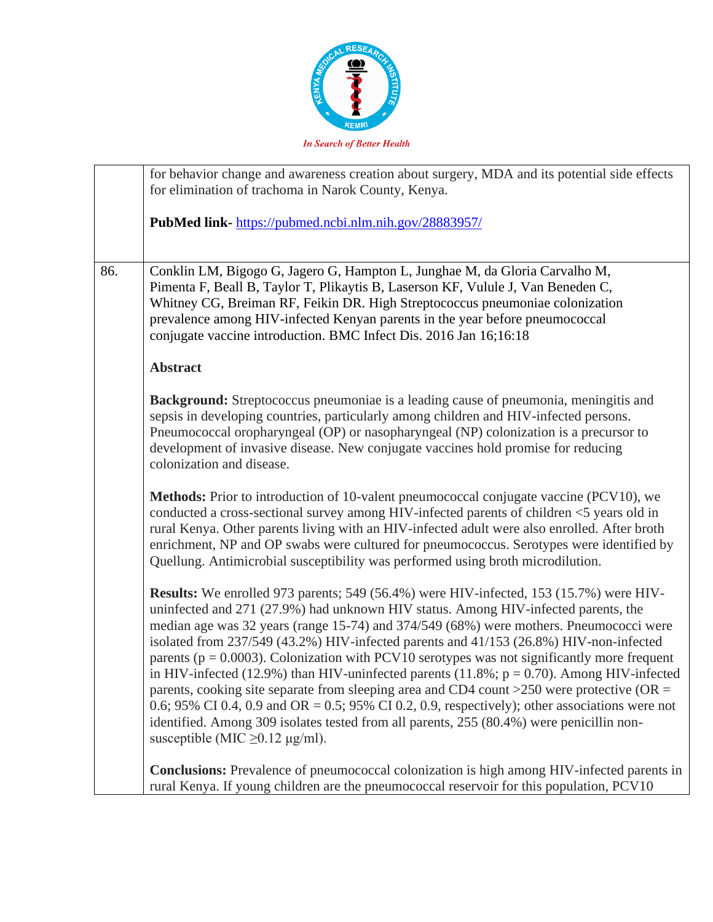

|     | for behavior change and awareness creation about surgery, MDA and its potential side effects<br>for elimination of trachoma in Narok County, Kenya.                                                                                                                                                                                                                                                                                                                                                                                                                                                                                                                                                                                                                                                                                                                                                       |
|-----|-----------------------------------------------------------------------------------------------------------------------------------------------------------------------------------------------------------------------------------------------------------------------------------------------------------------------------------------------------------------------------------------------------------------------------------------------------------------------------------------------------------------------------------------------------------------------------------------------------------------------------------------------------------------------------------------------------------------------------------------------------------------------------------------------------------------------------------------------------------------------------------------------------------|
|     | PubMed link-https://pubmed.ncbi.nlm.nih.gov/28883957/                                                                                                                                                                                                                                                                                                                                                                                                                                                                                                                                                                                                                                                                                                                                                                                                                                                     |
| 86. | Conklin LM, Bigogo G, Jagero G, Hampton L, Junghae M, da Gloria Carvalho M,<br>Pimenta F, Beall B, Taylor T, Plikaytis B, Laserson KF, Vulule J, Van Beneden C,<br>Whitney CG, Breiman RF, Feikin DR. High Streptococcus pneumoniae colonization<br>prevalence among HIV-infected Kenyan parents in the year before pneumococcal<br>conjugate vaccine introduction. BMC Infect Dis. 2016 Jan 16;16:18                                                                                                                                                                                                                                                                                                                                                                                                                                                                                                     |
|     | <b>Abstract</b>                                                                                                                                                                                                                                                                                                                                                                                                                                                                                                                                                                                                                                                                                                                                                                                                                                                                                           |
|     | <b>Background:</b> Streptococcus pneumoniae is a leading cause of pneumonia, meningitis and<br>sepsis in developing countries, particularly among children and HIV-infected persons.<br>Pneumococcal oropharyngeal (OP) or nasopharyngeal (NP) colonization is a precursor to<br>development of invasive disease. New conjugate vaccines hold promise for reducing<br>colonization and disease.                                                                                                                                                                                                                                                                                                                                                                                                                                                                                                           |
|     | <b>Methods:</b> Prior to introduction of 10-valent pneumococcal conjugate vaccine (PCV10), we<br>conducted a cross-sectional survey among HIV-infected parents of children <5 years old in<br>rural Kenya. Other parents living with an HIV-infected adult were also enrolled. After broth<br>enrichment, NP and OP swabs were cultured for pneumococcus. Serotypes were identified by<br>Quellung. Antimicrobial susceptibility was performed using broth microdilution.                                                                                                                                                                                                                                                                                                                                                                                                                                 |
|     | Results: We enrolled 973 parents; 549 (56.4%) were HIV-infected, 153 (15.7%) were HIV-<br>uninfected and 271 (27.9%) had unknown HIV status. Among HIV-infected parents, the<br>median age was 32 years (range 15-74) and 374/549 (68%) were mothers. Pneumococci were<br>isolated from 237/549 (43.2%) HIV-infected parents and 41/153 (26.8%) HIV-non-infected<br>parents ( $p = 0.0003$ ). Colonization with PCV10 serotypes was not significantly more frequent<br>in HIV-infected (12.9%) than HIV-uninfected parents (11.8%; $p = 0.70$ ). Among HIV-infected<br>parents, cooking site separate from sleeping area and CD4 count $>250$ were protective (OR =<br>0.6; 95% CI 0.4, 0.9 and OR = 0.5; 95% CI 0.2, 0.9, respectively); other associations were not<br>identified. Among 309 isolates tested from all parents, 255 (80.4%) were penicillin non-<br>susceptible (MIC $\geq$ 0.12 µg/ml). |
|     | <b>Conclusions:</b> Prevalence of pneumococcal colonization is high among HIV-infected parents in<br>rural Kenya. If young children are the pneumococcal reservoir for this population, PCV10                                                                                                                                                                                                                                                                                                                                                                                                                                                                                                                                                                                                                                                                                                             |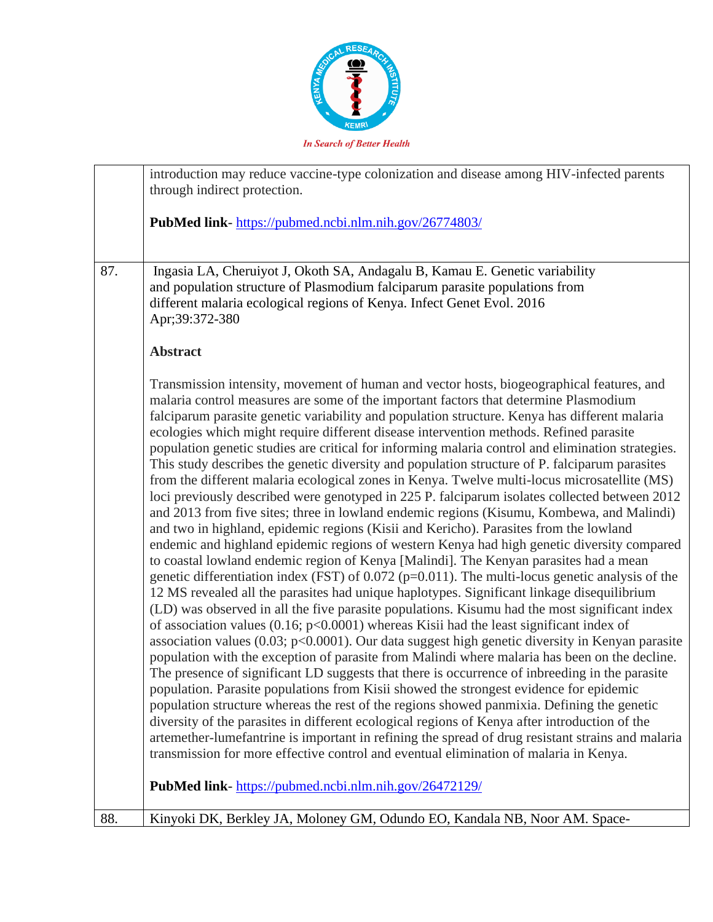

| introduction may reduce vaccine-type colonization and disease among HIV-infected parents<br>through indirect protection.<br>PubMed link- https://pubmed.ncbi.nlm.nih.gov/26774803/<br>87.<br>Ingasia LA, Cheruiyot J, Okoth SA, Andagalu B, Kamau E. Genetic variability<br>and population structure of Plasmodium falciparum parasite populations from<br>different malaria ecological regions of Kenya. Infect Genet Evol. 2016<br>Apr;39:372-380<br><b>Abstract</b><br>Transmission intensity, movement of human and vector hosts, biogeographical features, and<br>malaria control measures are some of the important factors that determine Plasmodium<br>falciparum parasite genetic variability and population structure. Kenya has different malaria<br>ecologies which might require different disease intervention methods. Refined parasite<br>population genetic studies are critical for informing malaria control and elimination strategies.<br>This study describes the genetic diversity and population structure of P. falciparum parasites<br>from the different malaria ecological zones in Kenya. Twelve multi-locus microsatellite (MS)<br>loci previously described were genotyped in 225 P. falciparum isolates collected between 2012<br>and 2013 from five sites; three in lowland endemic regions (Kisumu, Kombewa, and Malindi)<br>and two in highland, epidemic regions (Kisii and Kericho). Parasites from the lowland<br>endemic and highland epidemic regions of western Kenya had high genetic diversity compared<br>to coastal lowland endemic region of Kenya [Malindi]. The Kenyan parasites had a mean<br>genetic differentiation index (FST) of $0.072$ ( $p=0.011$ ). The multi-locus genetic analysis of the<br>12 MS revealed all the parasites had unique haplotypes. Significant linkage disequilibrium<br>(LD) was observed in all the five parasite populations. Kisumu had the most significant index<br>of association values $(0.16; p<0.0001)$ whereas Kisii had the least significant index of<br>association values (0.03; p<0.0001). Our data suggest high genetic diversity in Kenyan parasite<br>population with the exception of parasite from Malindi where malaria has been on the decline.<br>The presence of significant LD suggests that there is occurrence of inbreeding in the parasite<br>population. Parasite populations from Kisii showed the strongest evidence for epidemic<br>population structure whereas the rest of the regions showed panmixia. Defining the genetic<br>diversity of the parasites in different ecological regions of Kenya after introduction of the<br>artemether-lumefantrine is important in refining the spread of drug resistant strains and malaria<br>transmission for more effective control and eventual elimination of malaria in Kenya.<br>PubMed link-https://pubmed.ncbi.nlm.nih.gov/26472129/ |     |                                                                            |
|--------------------------------------------------------------------------------------------------------------------------------------------------------------------------------------------------------------------------------------------------------------------------------------------------------------------------------------------------------------------------------------------------------------------------------------------------------------------------------------------------------------------------------------------------------------------------------------------------------------------------------------------------------------------------------------------------------------------------------------------------------------------------------------------------------------------------------------------------------------------------------------------------------------------------------------------------------------------------------------------------------------------------------------------------------------------------------------------------------------------------------------------------------------------------------------------------------------------------------------------------------------------------------------------------------------------------------------------------------------------------------------------------------------------------------------------------------------------------------------------------------------------------------------------------------------------------------------------------------------------------------------------------------------------------------------------------------------------------------------------------------------------------------------------------------------------------------------------------------------------------------------------------------------------------------------------------------------------------------------------------------------------------------------------------------------------------------------------------------------------------------------------------------------------------------------------------------------------------------------------------------------------------------------------------------------------------------------------------------------------------------------------------------------------------------------------------------------------------------------------------------------------------------------------------------------------------------------------------------------------------------------------------------------------------------------------------------------------------------------------------------------------------------------------------------------------------------------------------------------------------------------------------------|-----|----------------------------------------------------------------------------|
|                                                                                                                                                                                                                                                                                                                                                                                                                                                                                                                                                                                                                                                                                                                                                                                                                                                                                                                                                                                                                                                                                                                                                                                                                                                                                                                                                                                                                                                                                                                                                                                                                                                                                                                                                                                                                                                                                                                                                                                                                                                                                                                                                                                                                                                                                                                                                                                                                                                                                                                                                                                                                                                                                                                                                                                                                                                                                                        |     |                                                                            |
|                                                                                                                                                                                                                                                                                                                                                                                                                                                                                                                                                                                                                                                                                                                                                                                                                                                                                                                                                                                                                                                                                                                                                                                                                                                                                                                                                                                                                                                                                                                                                                                                                                                                                                                                                                                                                                                                                                                                                                                                                                                                                                                                                                                                                                                                                                                                                                                                                                                                                                                                                                                                                                                                                                                                                                                                                                                                                                        |     |                                                                            |
|                                                                                                                                                                                                                                                                                                                                                                                                                                                                                                                                                                                                                                                                                                                                                                                                                                                                                                                                                                                                                                                                                                                                                                                                                                                                                                                                                                                                                                                                                                                                                                                                                                                                                                                                                                                                                                                                                                                                                                                                                                                                                                                                                                                                                                                                                                                                                                                                                                                                                                                                                                                                                                                                                                                                                                                                                                                                                                        |     |                                                                            |
|                                                                                                                                                                                                                                                                                                                                                                                                                                                                                                                                                                                                                                                                                                                                                                                                                                                                                                                                                                                                                                                                                                                                                                                                                                                                                                                                                                                                                                                                                                                                                                                                                                                                                                                                                                                                                                                                                                                                                                                                                                                                                                                                                                                                                                                                                                                                                                                                                                                                                                                                                                                                                                                                                                                                                                                                                                                                                                        |     |                                                                            |
|                                                                                                                                                                                                                                                                                                                                                                                                                                                                                                                                                                                                                                                                                                                                                                                                                                                                                                                                                                                                                                                                                                                                                                                                                                                                                                                                                                                                                                                                                                                                                                                                                                                                                                                                                                                                                                                                                                                                                                                                                                                                                                                                                                                                                                                                                                                                                                                                                                                                                                                                                                                                                                                                                                                                                                                                                                                                                                        |     |                                                                            |
|                                                                                                                                                                                                                                                                                                                                                                                                                                                                                                                                                                                                                                                                                                                                                                                                                                                                                                                                                                                                                                                                                                                                                                                                                                                                                                                                                                                                                                                                                                                                                                                                                                                                                                                                                                                                                                                                                                                                                                                                                                                                                                                                                                                                                                                                                                                                                                                                                                                                                                                                                                                                                                                                                                                                                                                                                                                                                                        | 88. | Kinyoki DK, Berkley JA, Moloney GM, Odundo EO, Kandala NB, Noor AM. Space- |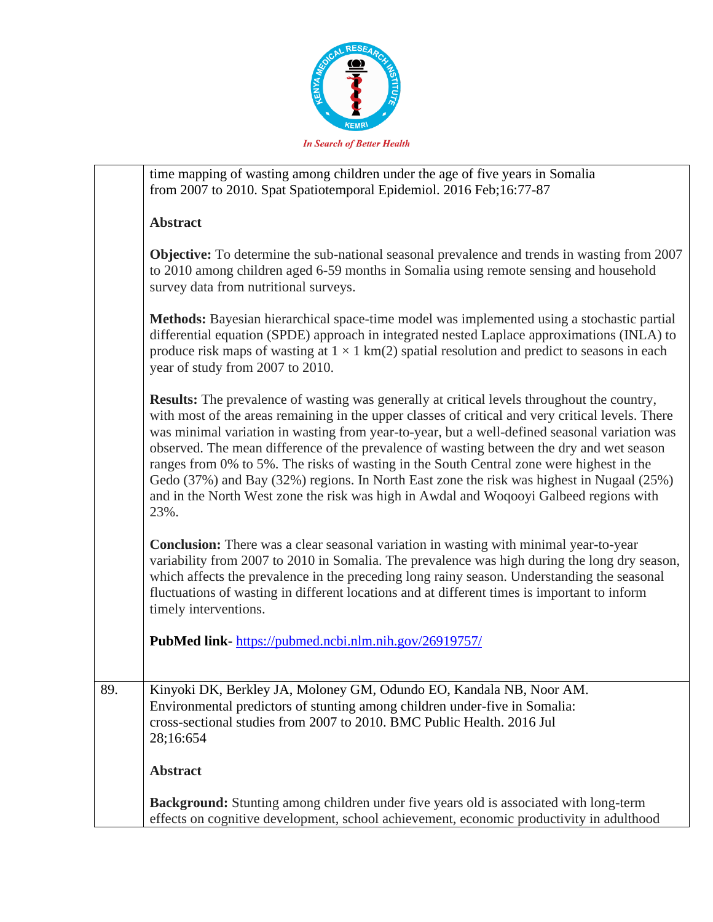

|     | time mapping of wasting among children under the age of five years in Somalia<br>from 2007 to 2010. Spat Spatiotemporal Epidemiol. 2016 Feb;16:77-87                                                                                                                                                                                                                                                                                                                                                                                                                                                                                                                                             |
|-----|--------------------------------------------------------------------------------------------------------------------------------------------------------------------------------------------------------------------------------------------------------------------------------------------------------------------------------------------------------------------------------------------------------------------------------------------------------------------------------------------------------------------------------------------------------------------------------------------------------------------------------------------------------------------------------------------------|
|     | <b>Abstract</b>                                                                                                                                                                                                                                                                                                                                                                                                                                                                                                                                                                                                                                                                                  |
|     | <b>Objective:</b> To determine the sub-national seasonal prevalence and trends in wasting from 2007<br>to 2010 among children aged 6-59 months in Somalia using remote sensing and household<br>survey data from nutritional surveys.                                                                                                                                                                                                                                                                                                                                                                                                                                                            |
|     | Methods: Bayesian hierarchical space-time model was implemented using a stochastic partial<br>differential equation (SPDE) approach in integrated nested Laplace approximations (INLA) to<br>produce risk maps of wasting at $1 \times 1$ km(2) spatial resolution and predict to seasons in each<br>year of study from 2007 to 2010.                                                                                                                                                                                                                                                                                                                                                            |
|     | <b>Results:</b> The prevalence of wasting was generally at critical levels throughout the country,<br>with most of the areas remaining in the upper classes of critical and very critical levels. There<br>was minimal variation in wasting from year-to-year, but a well-defined seasonal variation was<br>observed. The mean difference of the prevalence of wasting between the dry and wet season<br>ranges from 0% to 5%. The risks of wasting in the South Central zone were highest in the<br>Gedo (37%) and Bay (32%) regions. In North East zone the risk was highest in Nugaal (25%)<br>and in the North West zone the risk was high in Awdal and Woqooyi Galbeed regions with<br>23%. |
|     | <b>Conclusion:</b> There was a clear seasonal variation in wasting with minimal year-to-year<br>variability from 2007 to 2010 in Somalia. The prevalence was high during the long dry season,<br>which affects the prevalence in the preceding long rainy season. Understanding the seasonal<br>fluctuations of wasting in different locations and at different times is important to inform<br>timely interventions.                                                                                                                                                                                                                                                                            |
|     | PubMed link- https://pubmed.ncbi.nlm.nih.gov/26919757/                                                                                                                                                                                                                                                                                                                                                                                                                                                                                                                                                                                                                                           |
| 89. | Kinyoki DK, Berkley JA, Moloney GM, Odundo EO, Kandala NB, Noor AM.<br>Environmental predictors of stunting among children under-five in Somalia:<br>cross-sectional studies from 2007 to 2010. BMC Public Health. 2016 Jul<br>28;16:654                                                                                                                                                                                                                                                                                                                                                                                                                                                         |
|     | <b>Abstract</b>                                                                                                                                                                                                                                                                                                                                                                                                                                                                                                                                                                                                                                                                                  |
|     | <b>Background:</b> Stunting among children under five years old is associated with long-term<br>effects on cognitive development, school achievement, economic productivity in adulthood                                                                                                                                                                                                                                                                                                                                                                                                                                                                                                         |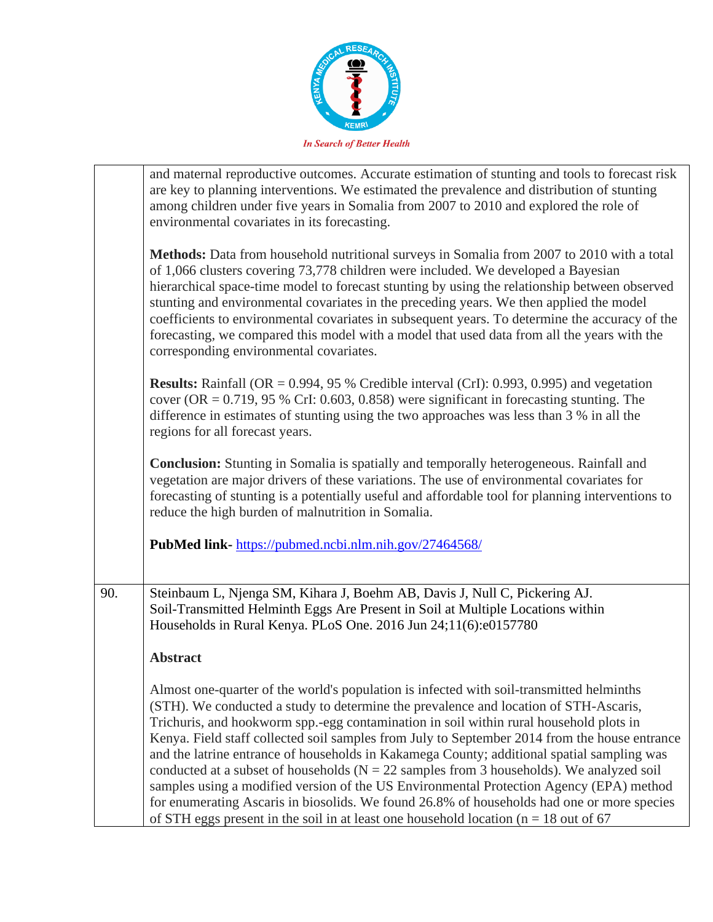

|     | and maternal reproductive outcomes. Accurate estimation of stunting and tools to forecast risk<br>are key to planning interventions. We estimated the prevalence and distribution of stunting<br>among children under five years in Somalia from 2007 to 2010 and explored the role of<br>environmental covariates in its forecasting.                                                                                                                                                                                                                                                                                                                                                                                                                                                                                                                       |
|-----|--------------------------------------------------------------------------------------------------------------------------------------------------------------------------------------------------------------------------------------------------------------------------------------------------------------------------------------------------------------------------------------------------------------------------------------------------------------------------------------------------------------------------------------------------------------------------------------------------------------------------------------------------------------------------------------------------------------------------------------------------------------------------------------------------------------------------------------------------------------|
|     | Methods: Data from household nutritional surveys in Somalia from 2007 to 2010 with a total<br>of 1,066 clusters covering 73,778 children were included. We developed a Bayesian<br>hierarchical space-time model to forecast stunting by using the relationship between observed<br>stunting and environmental covariates in the preceding years. We then applied the model<br>coefficients to environmental covariates in subsequent years. To determine the accuracy of the<br>forecasting, we compared this model with a model that used data from all the years with the<br>corresponding environmental covariates.                                                                                                                                                                                                                                      |
|     | <b>Results:</b> Rainfall (OR = $0.994$ , 95 % Credible interval (CrI): $0.993$ , $0.995$ ) and vegetation<br>cover (OR = $0.719$ , 95 % CrI: 0.603, 0.858) were significant in forecasting stunting. The<br>difference in estimates of stunting using the two approaches was less than 3 % in all the<br>regions for all forecast years.                                                                                                                                                                                                                                                                                                                                                                                                                                                                                                                     |
|     | <b>Conclusion:</b> Stunting in Somalia is spatially and temporally heterogeneous. Rainfall and<br>vegetation are major drivers of these variations. The use of environmental covariates for<br>forecasting of stunting is a potentially useful and affordable tool for planning interventions to<br>reduce the high burden of malnutrition in Somalia.                                                                                                                                                                                                                                                                                                                                                                                                                                                                                                       |
|     | PubMed link-https://pubmed.ncbi.nlm.nih.gov/27464568/                                                                                                                                                                                                                                                                                                                                                                                                                                                                                                                                                                                                                                                                                                                                                                                                        |
| 90. | Steinbaum L, Njenga SM, Kihara J, Boehm AB, Davis J, Null C, Pickering AJ.<br>Soil-Transmitted Helminth Eggs Are Present in Soil at Multiple Locations within<br>Households in Rural Kenya. PLoS One. 2016 Jun 24;11(6):e0157780                                                                                                                                                                                                                                                                                                                                                                                                                                                                                                                                                                                                                             |
|     | <b>Abstract</b>                                                                                                                                                                                                                                                                                                                                                                                                                                                                                                                                                                                                                                                                                                                                                                                                                                              |
|     | Almost one-quarter of the world's population is infected with soil-transmitted helminths<br>(STH). We conducted a study to determine the prevalence and location of STH-Ascaris,<br>Trichuris, and hookworm spp.-egg contamination in soil within rural household plots in<br>Kenya. Field staff collected soil samples from July to September 2014 from the house entrance<br>and the latrine entrance of households in Kakamega County; additional spatial sampling was<br>conducted at a subset of households ( $N = 22$ samples from 3 households). We analyzed soil<br>samples using a modified version of the US Environmental Protection Agency (EPA) method<br>for enumerating Ascaris in biosolids. We found 26.8% of households had one or more species<br>of STH eggs present in the soil in at least one household location ( $n = 18$ out of 67 |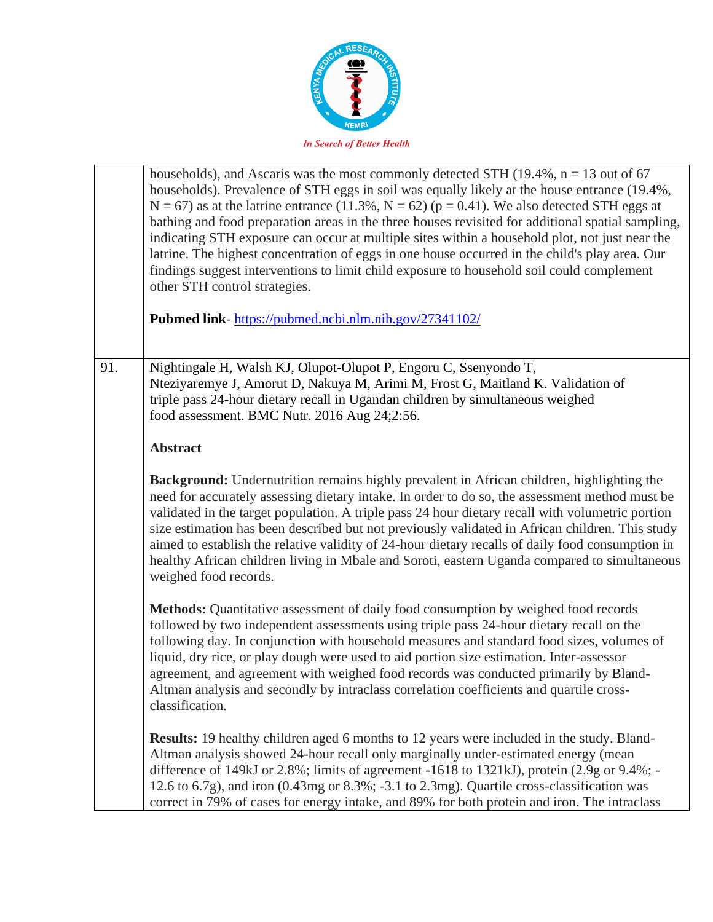

|     | households), and Ascaris was the most commonly detected STH (19.4%, $n = 13$ out of 67<br>households). Prevalence of STH eggs in soil was equally likely at the house entrance (19.4%,<br>$N = 67$ ) as at the latrine entrance (11.3%, $N = 62$ ) ( $p = 0.41$ ). We also detected STH eggs at<br>bathing and food preparation areas in the three houses revisited for additional spatial sampling,<br>indicating STH exposure can occur at multiple sites within a household plot, not just near the<br>latrine. The highest concentration of eggs in one house occurred in the child's play area. Our<br>findings suggest interventions to limit child exposure to household soil could complement<br>other STH control strategies. |
|-----|----------------------------------------------------------------------------------------------------------------------------------------------------------------------------------------------------------------------------------------------------------------------------------------------------------------------------------------------------------------------------------------------------------------------------------------------------------------------------------------------------------------------------------------------------------------------------------------------------------------------------------------------------------------------------------------------------------------------------------------|
|     | Pubmed link-https://pubmed.ncbi.nlm.nih.gov/27341102/                                                                                                                                                                                                                                                                                                                                                                                                                                                                                                                                                                                                                                                                                  |
| 91. | Nightingale H, Walsh KJ, Olupot-Olupot P, Engoru C, Ssenyondo T,<br>Nteziyaremye J, Amorut D, Nakuya M, Arimi M, Frost G, Maitland K. Validation of<br>triple pass 24-hour dietary recall in Ugandan children by simultaneous weighed<br>food assessment. BMC Nutr. 2016 Aug 24;2:56.                                                                                                                                                                                                                                                                                                                                                                                                                                                  |
|     | <b>Abstract</b>                                                                                                                                                                                                                                                                                                                                                                                                                                                                                                                                                                                                                                                                                                                        |
|     | <b>Background:</b> Undernutrition remains highly prevalent in African children, highlighting the<br>need for accurately assessing dietary intake. In order to do so, the assessment method must be<br>validated in the target population. A triple pass 24 hour dietary recall with volumetric portion<br>size estimation has been described but not previously validated in African children. This study<br>aimed to establish the relative validity of 24-hour dietary recalls of daily food consumption in<br>healthy African children living in Mbale and Soroti, eastern Uganda compared to simultaneous<br>weighed food records.                                                                                                 |
|     | Methods: Quantitative assessment of daily food consumption by weighed food records<br>followed by two independent assessments using triple pass 24-hour dietary recall on the<br>following day. In conjunction with household measures and standard food sizes, volumes of<br>liquid, dry rice, or play dough were used to aid portion size estimation. Inter-assessor<br>agreement, and agreement with weighed food records was conducted primarily by Bland-<br>Altman analysis and secondly by intraclass correlation coefficients and quartile cross-<br>classification.                                                                                                                                                           |
|     | <b>Results:</b> 19 healthy children aged 6 months to 12 years were included in the study. Bland-<br>Altman analysis showed 24-hour recall only marginally under-estimated energy (mean<br>difference of 149kJ or 2.8%; limits of agreement -1618 to 1321kJ), protein (2.9g or 9.4%; -<br>12.6 to 6.7g), and iron (0.43mg or 8.3%; -3.1 to 2.3mg). Quartile cross-classification was<br>correct in 79% of cases for energy intake, and 89% for both protein and iron. The intraclass                                                                                                                                                                                                                                                    |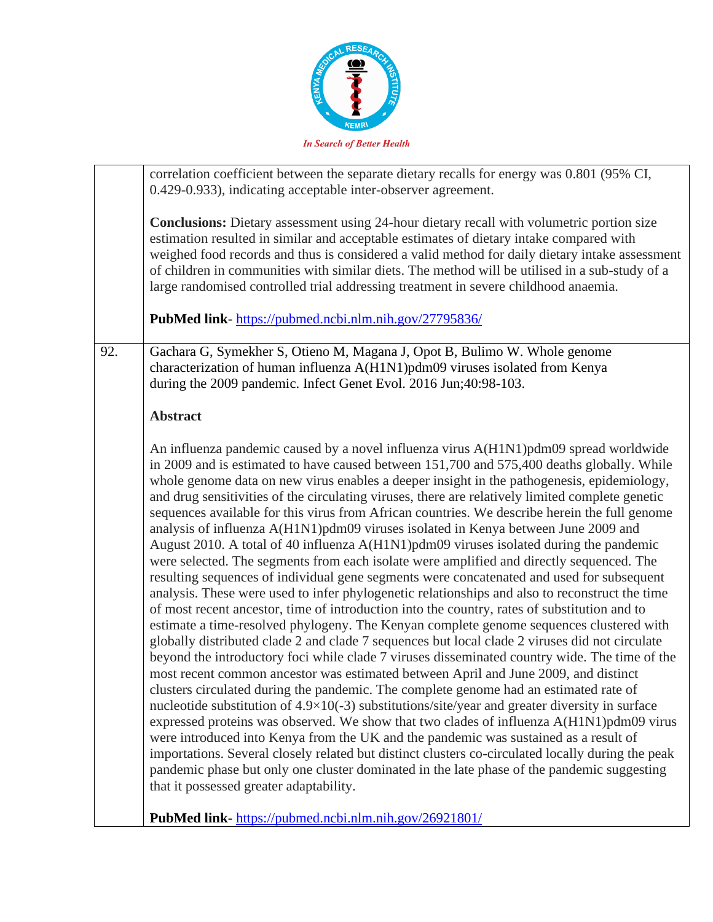

|     | correlation coefficient between the separate dietary recalls for energy was 0.801 (95% CI,<br>0.429-0.933), indicating acceptable inter-observer agreement.                                                                                                                                                                                                                                                                                                                                                                                                                                                                                                                                                                                                                                                                                                                                                                                                                                                                                                                                                                                                                                                                                                                                                                                                                                                                                                                                                                                                                                                                                                                                                                                                                                                                                                                                                                                                                                                                                                                                  |
|-----|----------------------------------------------------------------------------------------------------------------------------------------------------------------------------------------------------------------------------------------------------------------------------------------------------------------------------------------------------------------------------------------------------------------------------------------------------------------------------------------------------------------------------------------------------------------------------------------------------------------------------------------------------------------------------------------------------------------------------------------------------------------------------------------------------------------------------------------------------------------------------------------------------------------------------------------------------------------------------------------------------------------------------------------------------------------------------------------------------------------------------------------------------------------------------------------------------------------------------------------------------------------------------------------------------------------------------------------------------------------------------------------------------------------------------------------------------------------------------------------------------------------------------------------------------------------------------------------------------------------------------------------------------------------------------------------------------------------------------------------------------------------------------------------------------------------------------------------------------------------------------------------------------------------------------------------------------------------------------------------------------------------------------------------------------------------------------------------------|
|     | <b>Conclusions:</b> Dietary assessment using 24-hour dietary recall with volumetric portion size<br>estimation resulted in similar and acceptable estimates of dietary intake compared with<br>weighed food records and thus is considered a valid method for daily dietary intake assessment<br>of children in communities with similar diets. The method will be utilised in a sub-study of a<br>large randomised controlled trial addressing treatment in severe childhood anaemia.<br>PubMed link-https://pubmed.ncbi.nlm.nih.gov/27795836/                                                                                                                                                                                                                                                                                                                                                                                                                                                                                                                                                                                                                                                                                                                                                                                                                                                                                                                                                                                                                                                                                                                                                                                                                                                                                                                                                                                                                                                                                                                                              |
|     |                                                                                                                                                                                                                                                                                                                                                                                                                                                                                                                                                                                                                                                                                                                                                                                                                                                                                                                                                                                                                                                                                                                                                                                                                                                                                                                                                                                                                                                                                                                                                                                                                                                                                                                                                                                                                                                                                                                                                                                                                                                                                              |
| 92. | Gachara G, Symekher S, Otieno M, Magana J, Opot B, Bulimo W. Whole genome<br>characterization of human influenza A(H1N1)pdm09 viruses isolated from Kenya<br>during the 2009 pandemic. Infect Genet Evol. 2016 Jun;40:98-103.                                                                                                                                                                                                                                                                                                                                                                                                                                                                                                                                                                                                                                                                                                                                                                                                                                                                                                                                                                                                                                                                                                                                                                                                                                                                                                                                                                                                                                                                                                                                                                                                                                                                                                                                                                                                                                                                |
|     | <b>Abstract</b>                                                                                                                                                                                                                                                                                                                                                                                                                                                                                                                                                                                                                                                                                                                                                                                                                                                                                                                                                                                                                                                                                                                                                                                                                                                                                                                                                                                                                                                                                                                                                                                                                                                                                                                                                                                                                                                                                                                                                                                                                                                                              |
|     | An influenza pandemic caused by a novel influenza virus A(H1N1)pdm09 spread worldwide<br>in 2009 and is estimated to have caused between 151,700 and 575,400 deaths globally. While<br>whole genome data on new virus enables a deeper insight in the pathogenesis, epidemiology,<br>and drug sensitivities of the circulating viruses, there are relatively limited complete genetic<br>sequences available for this virus from African countries. We describe herein the full genome<br>analysis of influenza A(H1N1)pdm09 viruses isolated in Kenya between June 2009 and<br>August 2010. A total of 40 influenza A(H1N1)pdm09 viruses isolated during the pandemic<br>were selected. The segments from each isolate were amplified and directly sequenced. The<br>resulting sequences of individual gene segments were concatenated and used for subsequent<br>analysis. These were used to infer phylogenetic relationships and also to reconstruct the time<br>of most recent ancestor, time of introduction into the country, rates of substitution and to<br>estimate a time-resolved phylogeny. The Kenyan complete genome sequences clustered with<br>globally distributed clade 2 and clade 7 sequences but local clade 2 viruses did not circulate<br>beyond the introductory foci while clade 7 viruses disseminated country wide. The time of the<br>most recent common ancestor was estimated between April and June 2009, and distinct<br>clusters circulated during the pandemic. The complete genome had an estimated rate of<br>nucleotide substitution of $4.9 \times 10(-3)$ substitutions/site/year and greater diversity in surface<br>expressed proteins was observed. We show that two clades of influenza A(H1N1)pdm09 virus<br>were introduced into Kenya from the UK and the pandemic was sustained as a result of<br>importations. Several closely related but distinct clusters co-circulated locally during the peak<br>pandemic phase but only one cluster dominated in the late phase of the pandemic suggesting<br>that it possessed greater adaptability. |

**PubMed link-** <https://pubmed.ncbi.nlm.nih.gov/26921801/>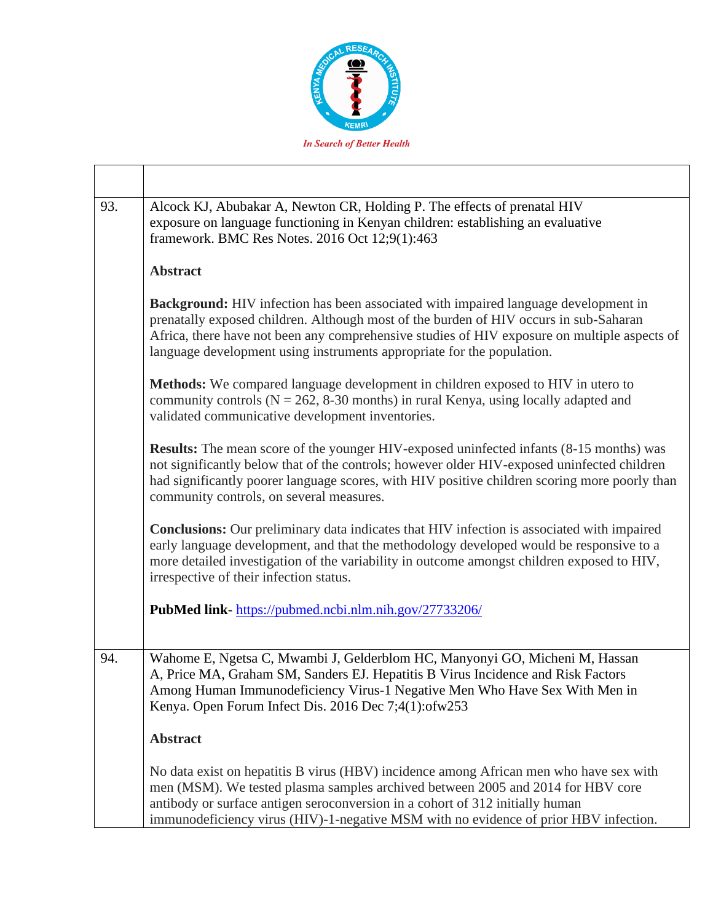

| 93. | Alcock KJ, Abubakar A, Newton CR, Holding P. The effects of prenatal HIV<br>exposure on language functioning in Kenyan children: establishing an evaluative<br>framework. BMC Res Notes. 2016 Oct 12;9(1):463                                                                                                                                                 |
|-----|---------------------------------------------------------------------------------------------------------------------------------------------------------------------------------------------------------------------------------------------------------------------------------------------------------------------------------------------------------------|
|     | <b>Abstract</b>                                                                                                                                                                                                                                                                                                                                               |
|     | <b>Background:</b> HIV infection has been associated with impaired language development in<br>prenatally exposed children. Although most of the burden of HIV occurs in sub-Saharan<br>Africa, there have not been any comprehensive studies of HIV exposure on multiple aspects of<br>language development using instruments appropriate for the population. |
|     | Methods: We compared language development in children exposed to HIV in utero to<br>community controls ( $N = 262$ , 8-30 months) in rural Kenya, using locally adapted and<br>validated communicative development inventories.                                                                                                                               |
|     | <b>Results:</b> The mean score of the younger HIV-exposed uninfected infants (8-15 months) was<br>not significantly below that of the controls; however older HIV-exposed uninfected children<br>had significantly poorer language scores, with HIV positive children scoring more poorly than<br>community controls, on several measures.                    |
|     | <b>Conclusions:</b> Our preliminary data indicates that HIV infection is associated with impaired<br>early language development, and that the methodology developed would be responsive to a<br>more detailed investigation of the variability in outcome amongst children exposed to HIV,<br>irrespective of their infection status.                         |
|     | PubMed link-https://pubmed.ncbi.nlm.nih.gov/27733206/                                                                                                                                                                                                                                                                                                         |
| 94. | Wahome E, Ngetsa C, Mwambi J, Gelderblom HC, Manyonyi GO, Micheni M, Hassan<br>A, Price MA, Graham SM, Sanders EJ. Hepatitis B Virus Incidence and Risk Factors<br>Among Human Immunodeficiency Virus-1 Negative Men Who Have Sex With Men in<br>Kenya. Open Forum Infect Dis. 2016 Dec 7;4(1):ofw253                                                         |
|     | <b>Abstract</b>                                                                                                                                                                                                                                                                                                                                               |
|     | No data exist on hepatitis B virus (HBV) incidence among African men who have sex with<br>men (MSM). We tested plasma samples archived between 2005 and 2014 for HBV core<br>antibody or surface antigen seroconversion in a cohort of 312 initially human<br>immunodeficiency virus (HIV)-1-negative MSM with no evidence of prior HBV infection.            |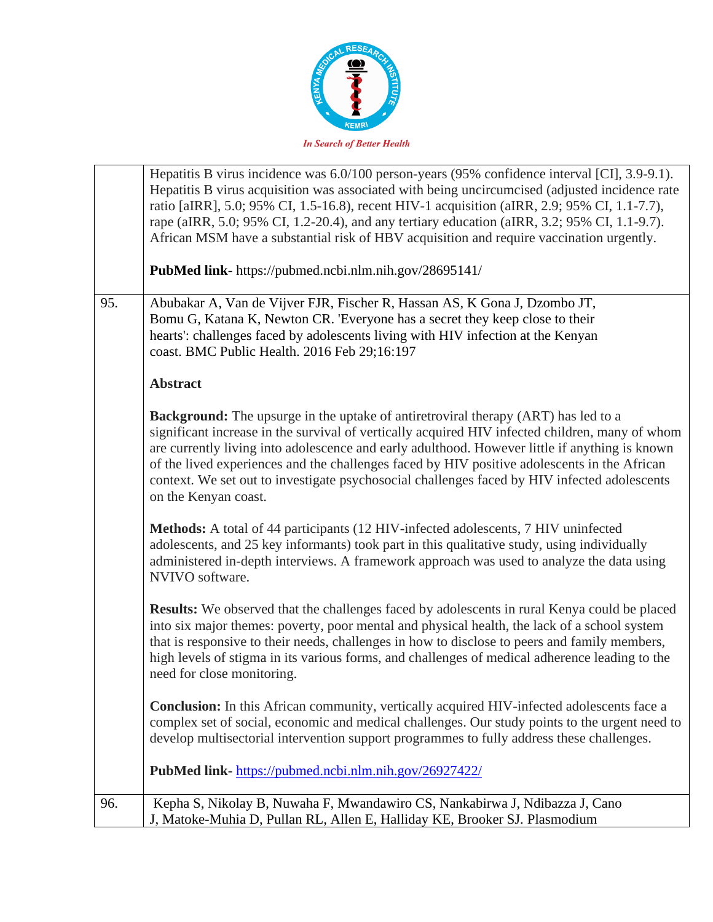

|     | Hepatitis B virus incidence was 6.0/100 person-years (95% confidence interval [CI], 3.9-9.1).<br>Hepatitis B virus acquisition was associated with being uncircumcised (adjusted incidence rate<br>ratio [aIRR], 5.0; 95% CI, 1.5-16.8), recent HIV-1 acquisition (aIRR, 2.9; 95% CI, 1.1-7.7),<br>rape (aIRR, 5.0; 95% CI, 1.2-20.4), and any tertiary education (aIRR, 3.2; 95% CI, 1.1-9.7).<br>African MSM have a substantial risk of HBV acquisition and require vaccination urgently.<br>PubMed link- https://pubmed.ncbi.nlm.nih.gov/28695141/ |
|-----|-------------------------------------------------------------------------------------------------------------------------------------------------------------------------------------------------------------------------------------------------------------------------------------------------------------------------------------------------------------------------------------------------------------------------------------------------------------------------------------------------------------------------------------------------------|
| 95. | Abubakar A, Van de Vijver FJR, Fischer R, Hassan AS, K Gona J, Dzombo JT,<br>Bomu G, Katana K, Newton CR. 'Everyone has a secret they keep close to their<br>hearts': challenges faced by adolescents living with HIV infection at the Kenyan<br>coast. BMC Public Health. 2016 Feb 29;16:197                                                                                                                                                                                                                                                         |
|     | <b>Abstract</b>                                                                                                                                                                                                                                                                                                                                                                                                                                                                                                                                       |
|     | <b>Background:</b> The upsurge in the uptake of antiretroviral therapy (ART) has led to a<br>significant increase in the survival of vertically acquired HIV infected children, many of whom<br>are currently living into adolescence and early adulthood. However little if anything is known<br>of the lived experiences and the challenges faced by HIV positive adolescents in the African<br>context. We set out to investigate psychosocial challenges faced by HIV infected adolescents<br>on the Kenyan coast.                                |
|     | Methods: A total of 44 participants (12 HIV-infected adolescents, 7 HIV uninfected<br>adolescents, and 25 key informants) took part in this qualitative study, using individually<br>administered in-depth interviews. A framework approach was used to analyze the data using<br>NVIVO software.                                                                                                                                                                                                                                                     |
|     | <b>Results:</b> We observed that the challenges faced by adolescents in rural Kenya could be placed<br>into six major themes: poverty, poor mental and physical health, the lack of a school system<br>that is responsive to their needs, challenges in how to disclose to peers and family members,<br>high levels of stigma in its various forms, and challenges of medical adherence leading to the<br>need for close monitoring.                                                                                                                  |
|     | <b>Conclusion:</b> In this African community, vertically acquired HIV-infected adolescents face a<br>complex set of social, economic and medical challenges. Our study points to the urgent need to<br>develop multisectorial intervention support programmes to fully address these challenges.                                                                                                                                                                                                                                                      |
|     | PubMed link- https://pubmed.ncbi.nlm.nih.gov/26927422/                                                                                                                                                                                                                                                                                                                                                                                                                                                                                                |
| 96. | Kepha S, Nikolay B, Nuwaha F, Mwandawiro CS, Nankabirwa J, Ndibazza J, Cano<br>J, Matoke-Muhia D, Pullan RL, Allen E, Halliday KE, Brooker SJ. Plasmodium                                                                                                                                                                                                                                                                                                                                                                                             |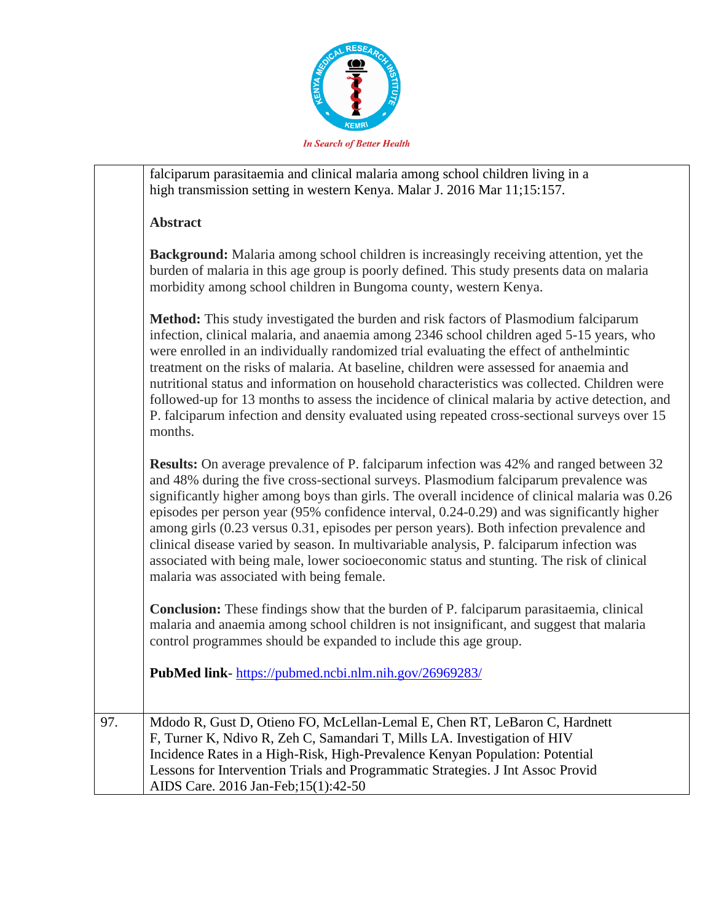

falciparum parasitaemia and clinical malaria among school children living in a high transmission setting in western Kenya. Malar J. 2016 Mar 11;15:157.

## **Abstract**

**Background:** Malaria among school children is increasingly receiving attention, yet the burden of malaria in this age group is poorly defined. This study presents data on malaria morbidity among school children in Bungoma county, western Kenya.

**Method:** This study investigated the burden and risk factors of Plasmodium falciparum infection, clinical malaria, and anaemia among 2346 school children aged 5-15 years, who were enrolled in an individually randomized trial evaluating the effect of anthelmintic treatment on the risks of malaria. At baseline, children were assessed for anaemia and nutritional status and information on household characteristics was collected. Children were followed-up for 13 months to assess the incidence of clinical malaria by active detection, and P. falciparum infection and density evaluated using repeated cross-sectional surveys over 15 months.

**Results:** On average prevalence of P. falciparum infection was 42% and ranged between 32 and 48% during the five cross-sectional surveys. Plasmodium falciparum prevalence was significantly higher among boys than girls. The overall incidence of clinical malaria was 0.26 episodes per person year (95% confidence interval, 0.24-0.29) and was significantly higher among girls (0.23 versus 0.31, episodes per person years). Both infection prevalence and clinical disease varied by season. In multivariable analysis, P. falciparum infection was associated with being male, lower socioeconomic status and stunting. The risk of clinical malaria was associated with being female.

**Conclusion:** These findings show that the burden of P. falciparum parasitaemia, clinical malaria and anaemia among school children is not insignificant, and suggest that malaria control programmes should be expanded to include this age group.

**PubMed link**- <https://pubmed.ncbi.nlm.nih.gov/26969283/>

| 97. | Mdodo R, Gust D, Otieno FO, McLellan-Lemal E, Chen RT, LeBaron C, Hardnett      |
|-----|---------------------------------------------------------------------------------|
|     | F, Turner K, Ndivo R, Zeh C, Samandari T, Mills LA. Investigation of HIV        |
|     | Incidence Rates in a High-Risk, High-Prevalence Kenyan Population: Potential    |
|     | Lessons for Intervention Trials and Programmatic Strategies. J Int Assoc Provid |
|     | AIDS Care. 2016 Jan-Feb; 15(1): 42-50                                           |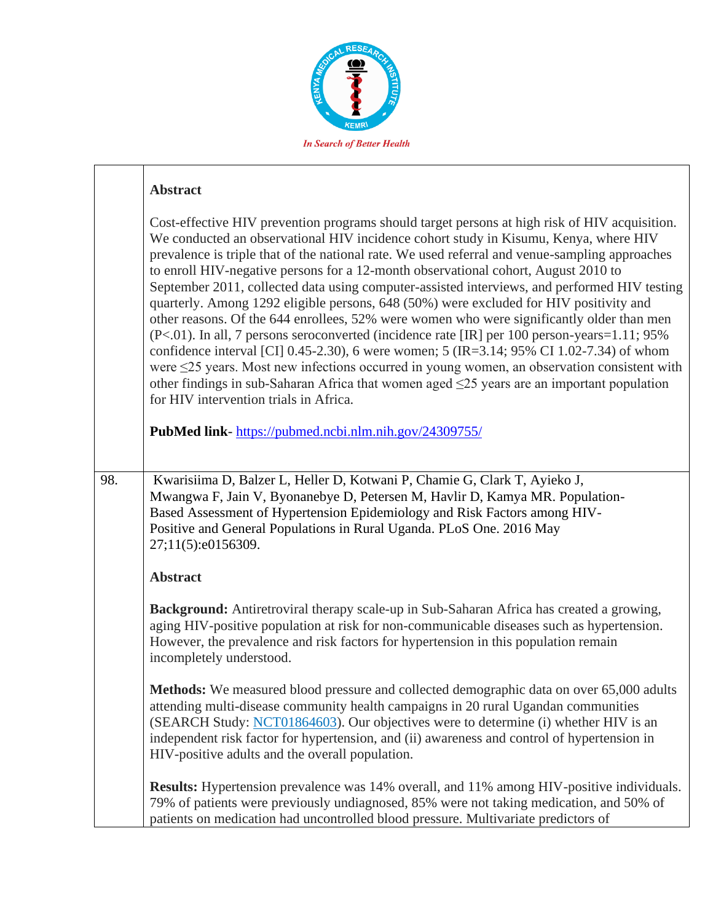

|     | Cost-effective HIV prevention programs should target persons at high risk of HIV acquisition.<br>We conducted an observational HIV incidence cohort study in Kisumu, Kenya, where HIV<br>prevalence is triple that of the national rate. We used referral and venue-sampling approaches<br>to enroll HIV-negative persons for a 12-month observational cohort, August 2010 to<br>September 2011, collected data using computer-assisted interviews, and performed HIV testing<br>quarterly. Among 1292 eligible persons, 648 (50%) were excluded for HIV positivity and<br>other reasons. Of the 644 enrollees, 52% were women who were significantly older than men<br>(P<.01). In all, 7 persons seroconverted (incidence rate [IR] per 100 person-years=1.11; 95%<br>confidence interval [CI] 0.45-2.30), 6 were women; 5 (IR=3.14; 95% CI 1.02-7.34) of whom<br>were $\leq$ 25 years. Most new infections occurred in young women, an observation consistent with<br>other findings in sub-Saharan Africa that women aged $\leq$ 25 years are an important population<br>for HIV intervention trials in Africa.<br>PubMed link-https://pubmed.ncbi.nlm.nih.gov/24309755/ |
|-----|------------------------------------------------------------------------------------------------------------------------------------------------------------------------------------------------------------------------------------------------------------------------------------------------------------------------------------------------------------------------------------------------------------------------------------------------------------------------------------------------------------------------------------------------------------------------------------------------------------------------------------------------------------------------------------------------------------------------------------------------------------------------------------------------------------------------------------------------------------------------------------------------------------------------------------------------------------------------------------------------------------------------------------------------------------------------------------------------------------------------------------------------------------------------------|
| 98. | Kwarisiima D, Balzer L, Heller D, Kotwani P, Chamie G, Clark T, Ayieko J,<br>Mwangwa F, Jain V, Byonanebye D, Petersen M, Havlir D, Kamya MR. Population-<br>Based Assessment of Hypertension Epidemiology and Risk Factors among HIV-<br>Positive and General Populations in Rural Uganda. PLoS One. 2016 May<br>27;11(5):e0156309.                                                                                                                                                                                                                                                                                                                                                                                                                                                                                                                                                                                                                                                                                                                                                                                                                                         |
|     | <b>Abstract</b>                                                                                                                                                                                                                                                                                                                                                                                                                                                                                                                                                                                                                                                                                                                                                                                                                                                                                                                                                                                                                                                                                                                                                              |
|     | Background: Antiretroviral therapy scale-up in Sub-Saharan Africa has created a growing,<br>aging HIV-positive population at risk for non-communicable diseases such as hypertension.<br>However, the prevalence and risk factors for hypertension in this population remain<br>incompletely understood.                                                                                                                                                                                                                                                                                                                                                                                                                                                                                                                                                                                                                                                                                                                                                                                                                                                                     |
|     | Methods: We measured blood pressure and collected demographic data on over 65,000 adults<br>attending multi-disease community health campaigns in 20 rural Ugandan communities<br>(SEARCH Study: NCT01864603). Our objectives were to determine (i) whether HIV is an<br>independent risk factor for hypertension, and (ii) awareness and control of hypertension in<br>HIV-positive adults and the overall population.                                                                                                                                                                                                                                                                                                                                                                                                                                                                                                                                                                                                                                                                                                                                                      |
|     | Results: Hypertension prevalence was 14% overall, and 11% among HIV-positive individuals.<br>79% of patients were previously undiagnosed, 85% were not taking medication, and 50% of<br>patients on medication had uncontrolled blood pressure. Multivariate predictors of                                                                                                                                                                                                                                                                                                                                                                                                                                                                                                                                                                                                                                                                                                                                                                                                                                                                                                   |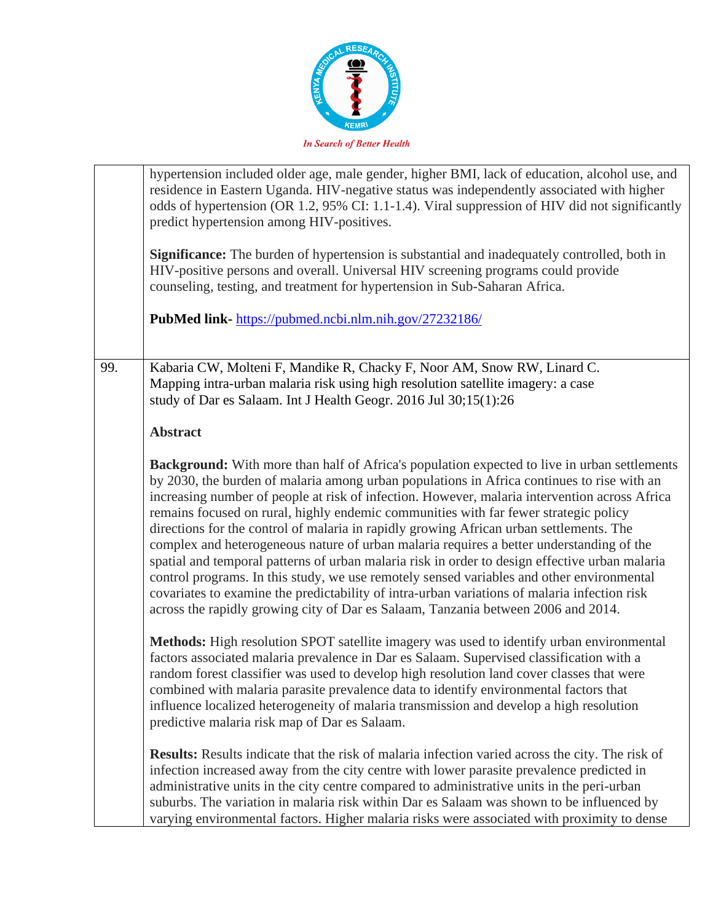

|     | hypertension included older age, male gender, higher BMI, lack of education, alcohol use, and<br>residence in Eastern Uganda. HIV-negative status was independently associated with higher<br>odds of hypertension (OR 1.2, 95% CI: 1.1-1.4). Viral suppression of HIV did not significantly<br>predict hypertension among HIV-positives.                                                                                                                                                                                                                                                                                                                                                                                                                                                                                                                                                                                                                             |
|-----|-----------------------------------------------------------------------------------------------------------------------------------------------------------------------------------------------------------------------------------------------------------------------------------------------------------------------------------------------------------------------------------------------------------------------------------------------------------------------------------------------------------------------------------------------------------------------------------------------------------------------------------------------------------------------------------------------------------------------------------------------------------------------------------------------------------------------------------------------------------------------------------------------------------------------------------------------------------------------|
|     | Significance: The burden of hypertension is substantial and inadequately controlled, both in<br>HIV-positive persons and overall. Universal HIV screening programs could provide<br>counseling, testing, and treatment for hypertension in Sub-Saharan Africa.                                                                                                                                                                                                                                                                                                                                                                                                                                                                                                                                                                                                                                                                                                        |
|     | PubMed link-https://pubmed.ncbi.nlm.nih.gov/27232186/                                                                                                                                                                                                                                                                                                                                                                                                                                                                                                                                                                                                                                                                                                                                                                                                                                                                                                                 |
| 99. | Kabaria CW, Molteni F, Mandike R, Chacky F, Noor AM, Snow RW, Linard C.<br>Mapping intra-urban malaria risk using high resolution satellite imagery: a case<br>study of Dar es Salaam. Int J Health Geogr. 2016 Jul 30;15(1):26                                                                                                                                                                                                                                                                                                                                                                                                                                                                                                                                                                                                                                                                                                                                       |
|     | <b>Abstract</b>                                                                                                                                                                                                                                                                                                                                                                                                                                                                                                                                                                                                                                                                                                                                                                                                                                                                                                                                                       |
|     | <b>Background:</b> With more than half of Africa's population expected to live in urban settlements<br>by 2030, the burden of malaria among urban populations in Africa continues to rise with an<br>increasing number of people at risk of infection. However, malaria intervention across Africa<br>remains focused on rural, highly endemic communities with far fewer strategic policy<br>directions for the control of malaria in rapidly growing African urban settlements. The<br>complex and heterogeneous nature of urban malaria requires a better understanding of the<br>spatial and temporal patterns of urban malaria risk in order to design effective urban malaria<br>control programs. In this study, we use remotely sensed variables and other environmental<br>covariates to examine the predictability of intra-urban variations of malaria infection risk<br>across the rapidly growing city of Dar es Salaam, Tanzania between 2006 and 2014. |
|     | Methods: High resolution SPOT satellite imagery was used to identify urban environmental<br>factors associated malaria prevalence in Dar es Salaam. Supervised classification with a<br>random forest classifier was used to develop high resolution land cover classes that were<br>combined with malaria parasite prevalence data to identify environmental factors that<br>influence localized heterogeneity of malaria transmission and develop a high resolution<br>predictive malaria risk map of Dar es Salaam.                                                                                                                                                                                                                                                                                                                                                                                                                                                |
|     | <b>Results:</b> Results indicate that the risk of malaria infection varied across the city. The risk of<br>infection increased away from the city centre with lower parasite prevalence predicted in<br>administrative units in the city centre compared to administrative units in the peri-urban<br>suburbs. The variation in malaria risk within Dar es Salaam was shown to be influenced by<br>varying environmental factors. Higher malaria risks were associated with proximity to dense                                                                                                                                                                                                                                                                                                                                                                                                                                                                        |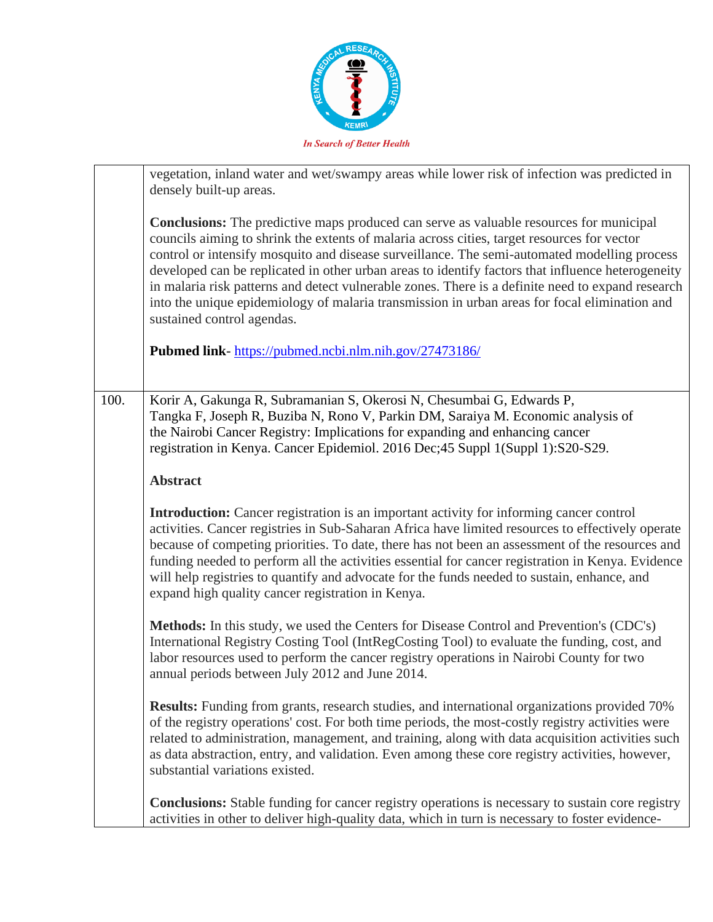

|      | vegetation, inland water and wet/swampy areas while lower risk of infection was predicted in<br>densely built-up areas.                                                                                                                                                                                                                                                                                                                                                                                                                                                                                                                |
|------|----------------------------------------------------------------------------------------------------------------------------------------------------------------------------------------------------------------------------------------------------------------------------------------------------------------------------------------------------------------------------------------------------------------------------------------------------------------------------------------------------------------------------------------------------------------------------------------------------------------------------------------|
|      | <b>Conclusions:</b> The predictive maps produced can serve as valuable resources for municipal<br>councils aiming to shrink the extents of malaria across cities, target resources for vector<br>control or intensify mosquito and disease surveillance. The semi-automated modelling process<br>developed can be replicated in other urban areas to identify factors that influence heterogeneity<br>in malaria risk patterns and detect vulnerable zones. There is a definite need to expand research<br>into the unique epidemiology of malaria transmission in urban areas for focal elimination and<br>sustained control agendas. |
|      | Pubmed link-https://pubmed.ncbi.nlm.nih.gov/27473186/                                                                                                                                                                                                                                                                                                                                                                                                                                                                                                                                                                                  |
| 100. | Korir A, Gakunga R, Subramanian S, Okerosi N, Chesumbai G, Edwards P,                                                                                                                                                                                                                                                                                                                                                                                                                                                                                                                                                                  |
|      | Tangka F, Joseph R, Buziba N, Rono V, Parkin DM, Saraiya M. Economic analysis of                                                                                                                                                                                                                                                                                                                                                                                                                                                                                                                                                       |
|      | the Nairobi Cancer Registry: Implications for expanding and enhancing cancer                                                                                                                                                                                                                                                                                                                                                                                                                                                                                                                                                           |
|      | registration in Kenya. Cancer Epidemiol. 2016 Dec; 45 Suppl 1(Suppl 1): S20-S29.                                                                                                                                                                                                                                                                                                                                                                                                                                                                                                                                                       |
|      | <b>Abstract</b>                                                                                                                                                                                                                                                                                                                                                                                                                                                                                                                                                                                                                        |
|      | <b>Introduction:</b> Cancer registration is an important activity for informing cancer control<br>activities. Cancer registries in Sub-Saharan Africa have limited resources to effectively operate<br>because of competing priorities. To date, there has not been an assessment of the resources and<br>funding needed to perform all the activities essential for cancer registration in Kenya. Evidence<br>will help registries to quantify and advocate for the funds needed to sustain, enhance, and<br>expand high quality cancer registration in Kenya.                                                                        |
|      | <b>Methods:</b> In this study, we used the Centers for Disease Control and Prevention's (CDC's)<br>International Registry Costing Tool (IntRegCosting Tool) to evaluate the funding, cost, and<br>labor resources used to perform the cancer registry operations in Nairobi County for two<br>annual periods between July 2012 and June 2014.                                                                                                                                                                                                                                                                                          |
|      | <b>Results:</b> Funding from grants, research studies, and international organizations provided 70%<br>of the registry operations' cost. For both time periods, the most-costly registry activities were<br>related to administration, management, and training, along with data acquisition activities such<br>as data abstraction, entry, and validation. Even among these core registry activities, however,<br>substantial variations existed.                                                                                                                                                                                     |
|      | <b>Conclusions:</b> Stable funding for cancer registry operations is necessary to sustain core registry<br>activities in other to deliver high-quality data, which in turn is necessary to foster evidence-                                                                                                                                                                                                                                                                                                                                                                                                                            |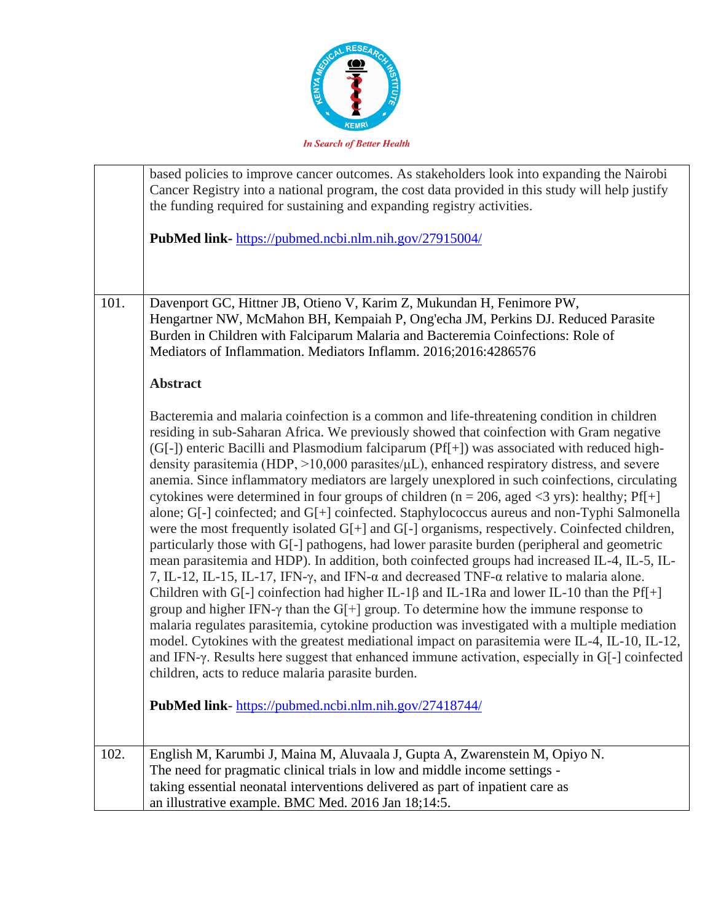

|      | based policies to improve cancer outcomes. As stakeholders look into expanding the Nairobi<br>Cancer Registry into a national program, the cost data provided in this study will help justify<br>the funding required for sustaining and expanding registry activities.                                                                                                                                                                                                                                                                                                                                                                                                                                                                                                                                                                                                                                                                                                                                                                                                                                                                                                                                                                                                                                                                                                                                                                                                                                                                                                                                                                                                                                                                    |
|------|--------------------------------------------------------------------------------------------------------------------------------------------------------------------------------------------------------------------------------------------------------------------------------------------------------------------------------------------------------------------------------------------------------------------------------------------------------------------------------------------------------------------------------------------------------------------------------------------------------------------------------------------------------------------------------------------------------------------------------------------------------------------------------------------------------------------------------------------------------------------------------------------------------------------------------------------------------------------------------------------------------------------------------------------------------------------------------------------------------------------------------------------------------------------------------------------------------------------------------------------------------------------------------------------------------------------------------------------------------------------------------------------------------------------------------------------------------------------------------------------------------------------------------------------------------------------------------------------------------------------------------------------------------------------------------------------------------------------------------------------|
|      | PubMed link- https://pubmed.ncbi.nlm.nih.gov/27915004/                                                                                                                                                                                                                                                                                                                                                                                                                                                                                                                                                                                                                                                                                                                                                                                                                                                                                                                                                                                                                                                                                                                                                                                                                                                                                                                                                                                                                                                                                                                                                                                                                                                                                     |
| 101. | Davenport GC, Hittner JB, Otieno V, Karim Z, Mukundan H, Fenimore PW,<br>Hengartner NW, McMahon BH, Kempaiah P, Ong'echa JM, Perkins DJ. Reduced Parasite<br>Burden in Children with Falciparum Malaria and Bacteremia Coinfections: Role of<br>Mediators of Inflammation. Mediators Inflamm. 2016;2016:4286576<br><b>Abstract</b>                                                                                                                                                                                                                                                                                                                                                                                                                                                                                                                                                                                                                                                                                                                                                                                                                                                                                                                                                                                                                                                                                                                                                                                                                                                                                                                                                                                                         |
|      | Bacteremia and malaria coinfection is a common and life-threatening condition in children<br>residing in sub-Saharan Africa. We previously showed that coinfection with Gram negative<br>$(G[-])$ enteric Bacilli and Plasmodium falciparum $(Pf[+]$ ) was associated with reduced high-<br>density parasitemia (HDP, $>10,000$ parasites/ $\mu$ L), enhanced respiratory distress, and severe<br>anemia. Since inflammatory mediators are largely unexplored in such coinfections, circulating<br>cytokines were determined in four groups of children ( $n = 206$ , aged <3 yrs): healthy; Pf[+]<br>alone; G[-] coinfected; and G[+] coinfected. Staphylococcus aureus and non-Typhi Salmonella<br>were the most frequently isolated G[+] and G[-] organisms, respectively. Coinfected children,<br>particularly those with G[-] pathogens, had lower parasite burden (peripheral and geometric<br>mean parasitemia and HDP). In addition, both coinfected groups had increased IL-4, IL-5, IL-<br>7, IL-12, IL-15, IL-17, IFN- $\gamma$ , and IFN- $\alpha$ and decreased TNF- $\alpha$ relative to malaria alone.<br>Children with G[-] coinfection had higher IL-1 $\beta$ and IL-1Ra and lower IL-10 than the Pf[+]<br>group and higher IFN- $\gamma$ than the G[+] group. To determine how the immune response to<br>malaria regulates parasitemia, cytokine production was investigated with a multiple mediation<br>model. Cytokines with the greatest mediational impact on parasitemia were IL-4, IL-10, IL-12,<br>and IFN-y. Results here suggest that enhanced immune activation, especially in G[-] coinfected<br>children, acts to reduce malaria parasite burden.<br>PubMed link-https://pubmed.ncbi.nlm.nih.gov/27418744/ |
|      |                                                                                                                                                                                                                                                                                                                                                                                                                                                                                                                                                                                                                                                                                                                                                                                                                                                                                                                                                                                                                                                                                                                                                                                                                                                                                                                                                                                                                                                                                                                                                                                                                                                                                                                                            |
| 102. | English M, Karumbi J, Maina M, Aluvaala J, Gupta A, Zwarenstein M, Opiyo N.<br>The need for pragmatic clinical trials in low and middle income settings -<br>taking essential neonatal interventions delivered as part of inpatient care as<br>an illustrative example. BMC Med. 2016 Jan 18;14:5.                                                                                                                                                                                                                                                                                                                                                                                                                                                                                                                                                                                                                                                                                                                                                                                                                                                                                                                                                                                                                                                                                                                                                                                                                                                                                                                                                                                                                                         |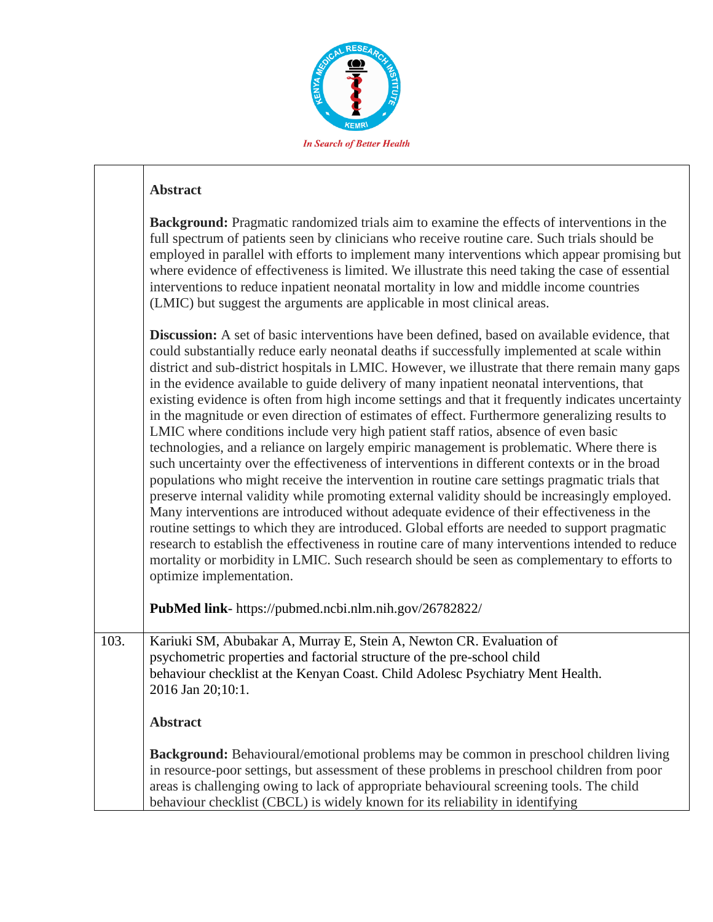

**Background:** Pragmatic randomized trials aim to examine the effects of interventions in the full spectrum of patients seen by clinicians who receive routine care. Such trials should be employed in parallel with efforts to implement many interventions which appear promising but where evidence of effectiveness is limited. We illustrate this need taking the case of essential interventions to reduce inpatient neonatal mortality in low and middle income countries (LMIC) but suggest the arguments are applicable in most clinical areas.

**Discussion:** A set of basic interventions have been defined, based on available evidence, that could substantially reduce early neonatal deaths if successfully implemented at scale within district and sub-district hospitals in LMIC. However, we illustrate that there remain many gaps in the evidence available to guide delivery of many inpatient neonatal interventions, that existing evidence is often from high income settings and that it frequently indicates uncertainty in the magnitude or even direction of estimates of effect. Furthermore generalizing results to LMIC where conditions include very high patient staff ratios, absence of even basic technologies, and a reliance on largely empiric management is problematic. Where there is such uncertainty over the effectiveness of interventions in different contexts or in the broad populations who might receive the intervention in routine care settings pragmatic trials that preserve internal validity while promoting external validity should be increasingly employed. Many interventions are introduced without adequate evidence of their effectiveness in the routine settings to which they are introduced. Global efforts are needed to support pragmatic research to establish the effectiveness in routine care of many interventions intended to reduce mortality or morbidity in LMIC. Such research should be seen as complementary to efforts to optimize implementation.

**PubMed link**- https://pubmed.ncbi.nlm.nih.gov/26782822/

103. Kariuki SM, Abubakar A, Murray E, Stein A, Newton CR. Evaluation of psychometric properties and factorial structure of the pre-school child behaviour checklist at the Kenyan Coast. Child Adolesc Psychiatry Ment Health. 2016 Jan 20;10:1.

### **Abstract**

**Background:** Behavioural/emotional problems may be common in preschool children living in resource-poor settings, but assessment of these problems in preschool children from poor areas is challenging owing to lack of appropriate behavioural screening tools. The child behaviour checklist (CBCL) is widely known for its reliability in identifying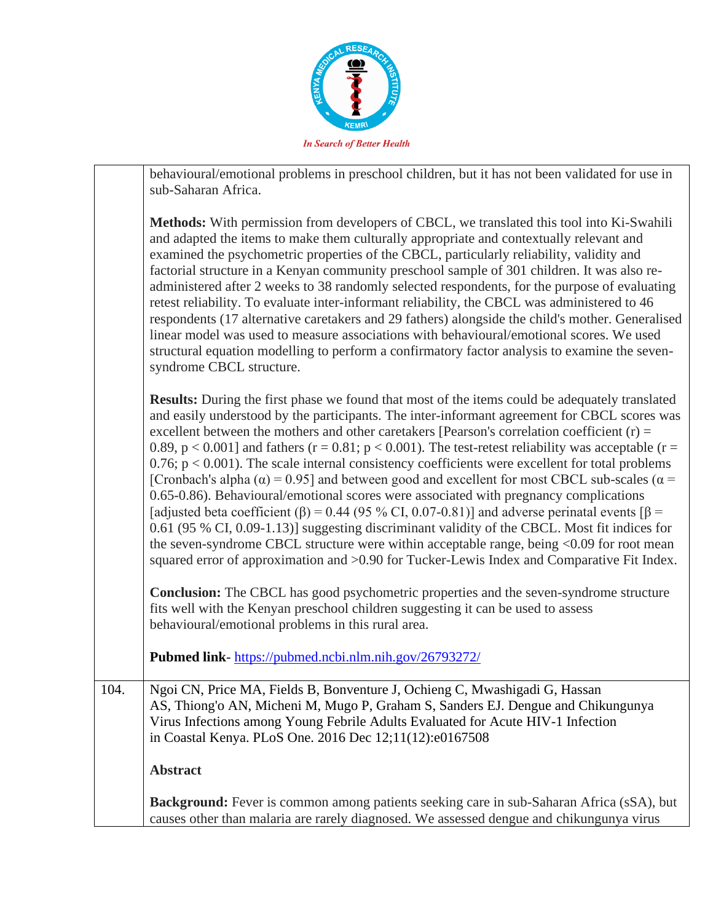

behavioural/emotional problems in preschool children, but it has not been validated for use in sub-Saharan Africa.

|      | Methods: With permission from developers of CBCL, we translated this tool into Ki-Swahili<br>and adapted the items to make them culturally appropriate and contextually relevant and<br>examined the psychometric properties of the CBCL, particularly reliability, validity and<br>factorial structure in a Kenyan community preschool sample of 301 children. It was also re-<br>administered after 2 weeks to 38 randomly selected respondents, for the purpose of evaluating<br>retest reliability. To evaluate inter-informant reliability, the CBCL was administered to 46<br>respondents (17 alternative caretakers and 29 fathers) alongside the child's mother. Generalised<br>linear model was used to measure associations with behavioural/emotional scores. We used<br>structural equation modelling to perform a confirmatory factor analysis to examine the seven-<br>syndrome CBCL structure.                                                                                                                                                                                                                                        |
|------|------------------------------------------------------------------------------------------------------------------------------------------------------------------------------------------------------------------------------------------------------------------------------------------------------------------------------------------------------------------------------------------------------------------------------------------------------------------------------------------------------------------------------------------------------------------------------------------------------------------------------------------------------------------------------------------------------------------------------------------------------------------------------------------------------------------------------------------------------------------------------------------------------------------------------------------------------------------------------------------------------------------------------------------------------------------------------------------------------------------------------------------------------|
|      | <b>Results:</b> During the first phase we found that most of the items could be adequately translated<br>and easily understood by the participants. The inter-informant agreement for CBCL scores was<br>excellent between the mothers and other caretakers [Pearson's correlation coefficient $(r)$ =<br>0.89, $p < 0.001$ ] and fathers ( $r = 0.81$ ; $p < 0.001$ ). The test-retest reliability was acceptable ( $r =$<br>0.76; $p < 0.001$ ). The scale internal consistency coefficients were excellent for total problems<br>[Cronbach's alpha ( $\alpha$ ) = 0.95] and between good and excellent for most CBCL sub-scales ( $\alpha$ =<br>0.65-0.86). Behavioural/emotional scores were associated with pregnancy complications<br>[adjusted beta coefficient ( $\beta$ ) = 0.44 (95 % CI, 0.07-0.81)] and adverse perinatal events [ $\beta$ =<br>0.61 (95 % CI, 0.09-1.13)] suggesting discriminant validity of the CBCL. Most fit indices for<br>the seven-syndrome CBCL structure were within acceptable range, being <0.09 for root mean<br>squared error of approximation and >0.90 for Tucker-Lewis Index and Comparative Fit Index. |
|      | <b>Conclusion:</b> The CBCL has good psychometric properties and the seven-syndrome structure<br>fits well with the Kenyan preschool children suggesting it can be used to assess<br>behavioural/emotional problems in this rural area.<br>Pubmed link-https://pubmed.ncbi.nlm.nih.gov/26793272/                                                                                                                                                                                                                                                                                                                                                                                                                                                                                                                                                                                                                                                                                                                                                                                                                                                     |
| 104. | Ngoi CN, Price MA, Fields B, Bonventure J, Ochieng C, Mwashigadi G, Hassan                                                                                                                                                                                                                                                                                                                                                                                                                                                                                                                                                                                                                                                                                                                                                                                                                                                                                                                                                                                                                                                                           |
|      | AS, Thiong'o AN, Micheni M, Mugo P, Graham S, Sanders EJ. Dengue and Chikungunya<br>Virus Infections among Young Febrile Adults Evaluated for Acute HIV-1 Infection<br>in Coastal Kenya. PLoS One. 2016 Dec 12;11(12):e0167508                                                                                                                                                                                                                                                                                                                                                                                                                                                                                                                                                                                                                                                                                                                                                                                                                                                                                                                       |
|      | <b>Abstract</b>                                                                                                                                                                                                                                                                                                                                                                                                                                                                                                                                                                                                                                                                                                                                                                                                                                                                                                                                                                                                                                                                                                                                      |
|      | Background: Fever is common among patients seeking care in sub-Saharan Africa (sSA), but<br>causes other than malaria are rarely diagnosed. We assessed dengue and chikungunya virus                                                                                                                                                                                                                                                                                                                                                                                                                                                                                                                                                                                                                                                                                                                                                                                                                                                                                                                                                                 |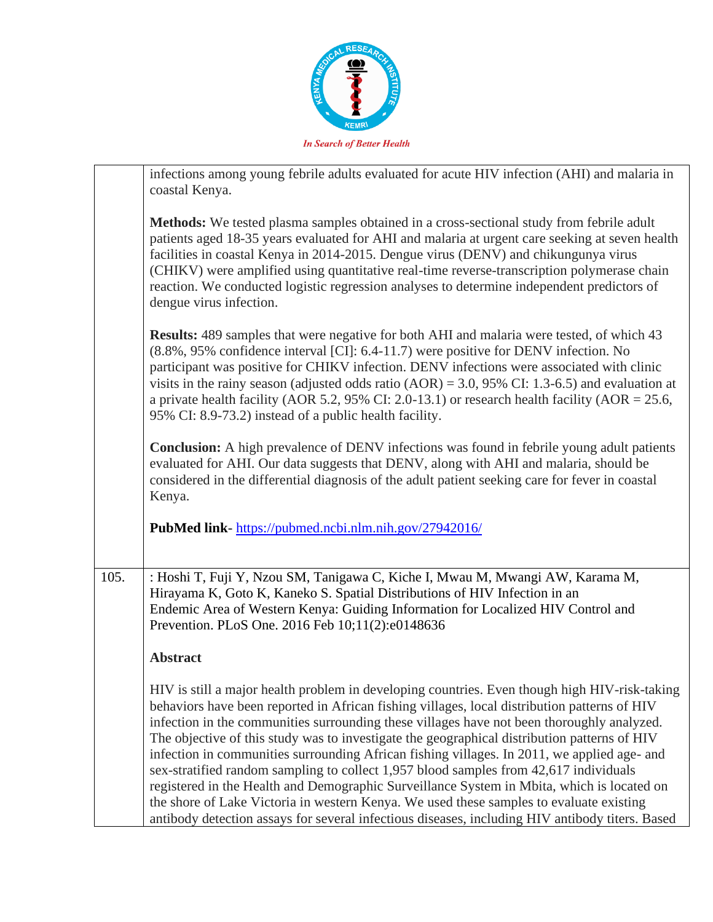

|      | infections among young febrile adults evaluated for acute HIV infection (AHI) and malaria in<br>coastal Kenya.                                                                                                                                                                                                                                                                                                                                                                                                                                                                                                                                                                                                                                                                                                                                                                  |
|------|---------------------------------------------------------------------------------------------------------------------------------------------------------------------------------------------------------------------------------------------------------------------------------------------------------------------------------------------------------------------------------------------------------------------------------------------------------------------------------------------------------------------------------------------------------------------------------------------------------------------------------------------------------------------------------------------------------------------------------------------------------------------------------------------------------------------------------------------------------------------------------|
|      | Methods: We tested plasma samples obtained in a cross-sectional study from febrile adult<br>patients aged 18-35 years evaluated for AHI and malaria at urgent care seeking at seven health<br>facilities in coastal Kenya in 2014-2015. Dengue virus (DENV) and chikungunya virus<br>(CHIKV) were amplified using quantitative real-time reverse-transcription polymerase chain<br>reaction. We conducted logistic regression analyses to determine independent predictors of<br>dengue virus infection.                                                                                                                                                                                                                                                                                                                                                                        |
|      | <b>Results:</b> 489 samples that were negative for both AHI and malaria were tested, of which 43<br>(8.8%, 95% confidence interval [CI]: 6.4-11.7) were positive for DENV infection. No<br>participant was positive for CHIKV infection. DENV infections were associated with clinic<br>visits in the rainy season (adjusted odds ratio $(AOR) = 3.0, 95\%$ CI: 1.3-6.5) and evaluation at<br>a private health facility (AOR 5.2, 95% CI: 2.0-13.1) or research health facility (AOR = 25.6,<br>95% CI: 8.9-73.2) instead of a public health facility.                                                                                                                                                                                                                                                                                                                          |
|      | <b>Conclusion:</b> A high prevalence of DENV infections was found in febrile young adult patients<br>evaluated for AHI. Our data suggests that DENV, along with AHI and malaria, should be<br>considered in the differential diagnosis of the adult patient seeking care for fever in coastal<br>Kenya.                                                                                                                                                                                                                                                                                                                                                                                                                                                                                                                                                                         |
|      | PubMed link-https://pubmed.ncbi.nlm.nih.gov/27942016/                                                                                                                                                                                                                                                                                                                                                                                                                                                                                                                                                                                                                                                                                                                                                                                                                           |
| 105. | : Hoshi T, Fuji Y, Nzou SM, Tanigawa C, Kiche I, Mwau M, Mwangi AW, Karama M,<br>Hirayama K, Goto K, Kaneko S. Spatial Distributions of HIV Infection in an<br>Endemic Area of Western Kenya: Guiding Information for Localized HIV Control and<br>Prevention. PLoS One. 2016 Feb 10;11(2):e0148636                                                                                                                                                                                                                                                                                                                                                                                                                                                                                                                                                                             |
|      | <b>Abstract</b>                                                                                                                                                                                                                                                                                                                                                                                                                                                                                                                                                                                                                                                                                                                                                                                                                                                                 |
|      | HIV is still a major health problem in developing countries. Even though high HIV-risk-taking<br>behaviors have been reported in African fishing villages, local distribution patterns of HIV<br>infection in the communities surrounding these villages have not been thoroughly analyzed.<br>The objective of this study was to investigate the geographical distribution patterns of HIV<br>infection in communities surrounding African fishing villages. In 2011, we applied age- and<br>sex-stratified random sampling to collect 1,957 blood samples from 42,617 individuals<br>registered in the Health and Demographic Surveillance System in Mbita, which is located on<br>the shore of Lake Victoria in western Kenya. We used these samples to evaluate existing<br>antibody detection assays for several infectious diseases, including HIV antibody titers. Based |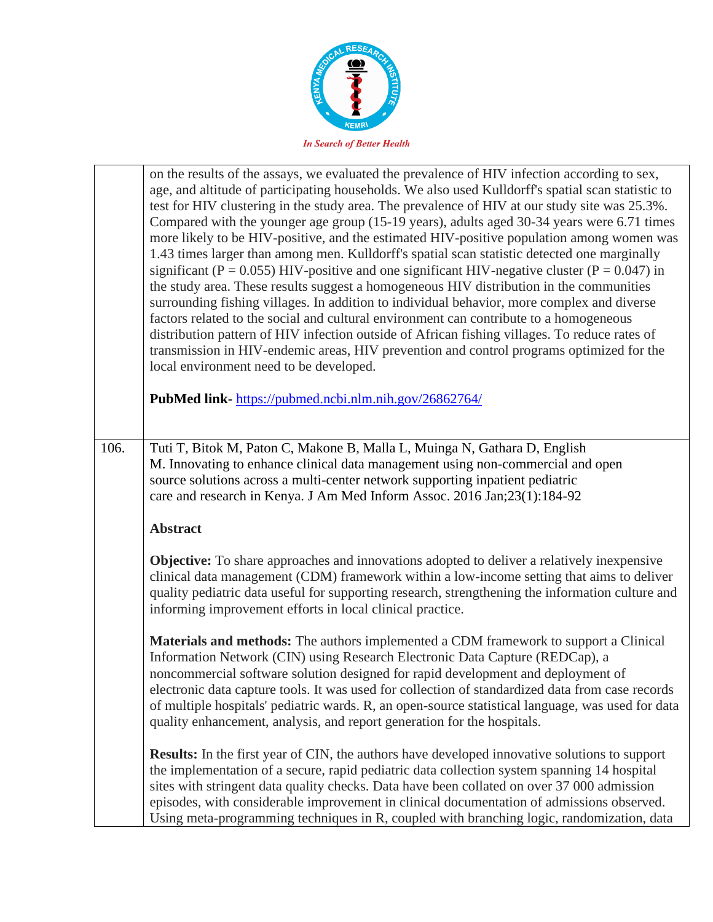

|      | on the results of the assays, we evaluated the prevalence of HIV infection according to sex,<br>age, and altitude of participating households. We also used Kulldorff's spatial scan statistic to<br>test for HIV clustering in the study area. The prevalence of HIV at our study site was 25.3%.<br>Compared with the younger age group (15-19 years), adults aged 30-34 years were 6.71 times<br>more likely to be HIV-positive, and the estimated HIV-positive population among women was<br>1.43 times larger than among men. Kulldorff's spatial scan statistic detected one marginally<br>significant ( $P = 0.055$ ) HIV-positive and one significant HIV-negative cluster ( $P = 0.047$ ) in<br>the study area. These results suggest a homogeneous HIV distribution in the communities<br>surrounding fishing villages. In addition to individual behavior, more complex and diverse<br>factors related to the social and cultural environment can contribute to a homogeneous<br>distribution pattern of HIV infection outside of African fishing villages. To reduce rates of<br>transmission in HIV-endemic areas, HIV prevention and control programs optimized for the<br>local environment need to be developed.<br>PubMed link-https://pubmed.ncbi.nlm.nih.gov/26862764/ |
|------|-------------------------------------------------------------------------------------------------------------------------------------------------------------------------------------------------------------------------------------------------------------------------------------------------------------------------------------------------------------------------------------------------------------------------------------------------------------------------------------------------------------------------------------------------------------------------------------------------------------------------------------------------------------------------------------------------------------------------------------------------------------------------------------------------------------------------------------------------------------------------------------------------------------------------------------------------------------------------------------------------------------------------------------------------------------------------------------------------------------------------------------------------------------------------------------------------------------------------------------------------------------------------------------------|
| 106. | Tuti T, Bitok M, Paton C, Makone B, Malla L, Muinga N, Gathara D, English<br>M. Innovating to enhance clinical data management using non-commercial and open<br>source solutions across a multi-center network supporting inpatient pediatric<br>care and research in Kenya. J Am Med Inform Assoc. 2016 Jan;23(1):184-92                                                                                                                                                                                                                                                                                                                                                                                                                                                                                                                                                                                                                                                                                                                                                                                                                                                                                                                                                                 |
|      | <b>Abstract</b>                                                                                                                                                                                                                                                                                                                                                                                                                                                                                                                                                                                                                                                                                                                                                                                                                                                                                                                                                                                                                                                                                                                                                                                                                                                                           |
|      | <b>Objective:</b> To share approaches and innovations adopted to deliver a relatively inexpensive<br>clinical data management (CDM) framework within a low-income setting that aims to deliver<br>quality pediatric data useful for supporting research, strengthening the information culture and<br>informing improvement efforts in local clinical practice.                                                                                                                                                                                                                                                                                                                                                                                                                                                                                                                                                                                                                                                                                                                                                                                                                                                                                                                           |
|      | Materials and methods: The authors implemented a CDM framework to support a Clinical<br>Information Network (CIN) using Research Electronic Data Capture (REDCap), a<br>noncommercial software solution designed for rapid development and deployment of<br>electronic data capture tools. It was used for collection of standardized data from case records<br>of multiple hospitals' pediatric wards. R, an open-source statistical language, was used for data<br>quality enhancement, analysis, and report generation for the hospitals.                                                                                                                                                                                                                                                                                                                                                                                                                                                                                                                                                                                                                                                                                                                                              |
|      | <b>Results:</b> In the first year of CIN, the authors have developed innovative solutions to support<br>the implementation of a secure, rapid pediatric data collection system spanning 14 hospital<br>sites with stringent data quality checks. Data have been collated on over 37 000 admission<br>episodes, with considerable improvement in clinical documentation of admissions observed.<br>Using meta-programming techniques in R, coupled with branching logic, randomization, data                                                                                                                                                                                                                                                                                                                                                                                                                                                                                                                                                                                                                                                                                                                                                                                               |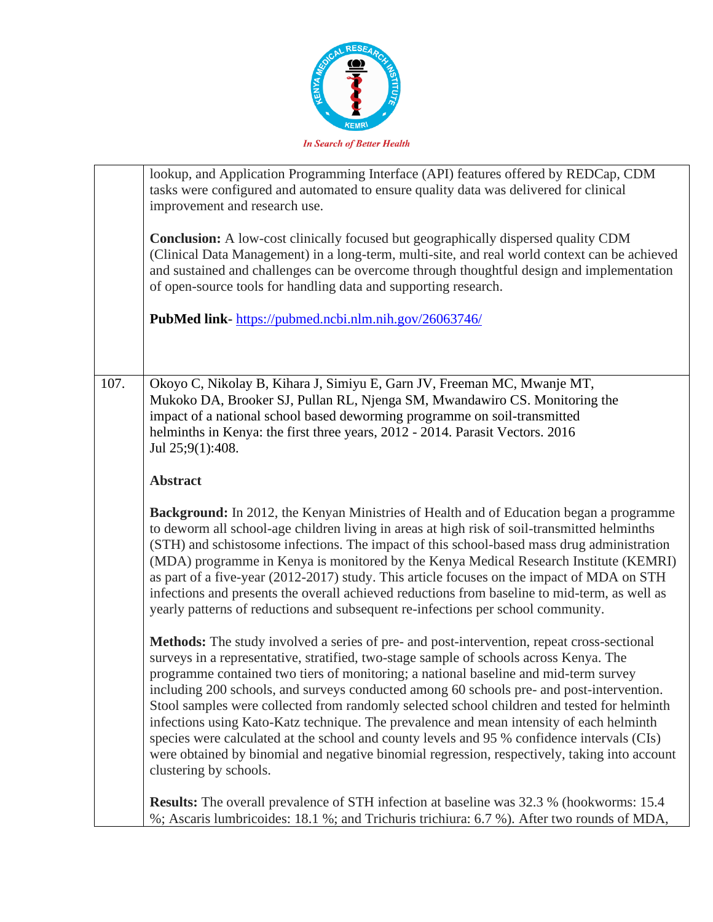

|      | lookup, and Application Programming Interface (API) features offered by REDCap, CDM<br>tasks were configured and automated to ensure quality data was delivered for clinical<br>improvement and research use.                                                                                                                                                                                                                                                                                                                                                                                                                                                                                                                                                                                  |
|------|------------------------------------------------------------------------------------------------------------------------------------------------------------------------------------------------------------------------------------------------------------------------------------------------------------------------------------------------------------------------------------------------------------------------------------------------------------------------------------------------------------------------------------------------------------------------------------------------------------------------------------------------------------------------------------------------------------------------------------------------------------------------------------------------|
|      | <b>Conclusion:</b> A low-cost clinically focused but geographically dispersed quality CDM<br>(Clinical Data Management) in a long-term, multi-site, and real world context can be achieved<br>and sustained and challenges can be overcome through thoughtful design and implementation<br>of open-source tools for handling data and supporting research.                                                                                                                                                                                                                                                                                                                                                                                                                                     |
|      | PubMed link-https://pubmed.ncbi.nlm.nih.gov/26063746/                                                                                                                                                                                                                                                                                                                                                                                                                                                                                                                                                                                                                                                                                                                                          |
| 107. | Okoyo C, Nikolay B, Kihara J, Simiyu E, Garn JV, Freeman MC, Mwanje MT,<br>Mukoko DA, Brooker SJ, Pullan RL, Njenga SM, Mwandawiro CS. Monitoring the<br>impact of a national school based deworming programme on soil-transmitted<br>helminths in Kenya: the first three years, 2012 - 2014. Parasit Vectors. 2016<br>Jul 25;9(1):408.                                                                                                                                                                                                                                                                                                                                                                                                                                                        |
|      | <b>Abstract</b>                                                                                                                                                                                                                                                                                                                                                                                                                                                                                                                                                                                                                                                                                                                                                                                |
|      | Background: In 2012, the Kenyan Ministries of Health and of Education began a programme<br>to deworm all school-age children living in areas at high risk of soil-transmitted helminths<br>(STH) and schistosome infections. The impact of this school-based mass drug administration<br>(MDA) programme in Kenya is monitored by the Kenya Medical Research Institute (KEMRI)<br>as part of a five-year (2012-2017) study. This article focuses on the impact of MDA on STH<br>infections and presents the overall achieved reductions from baseline to mid-term, as well as<br>yearly patterns of reductions and subsequent re-infections per school community.                                                                                                                              |
|      | Methods: The study involved a series of pre- and post-intervention, repeat cross-sectional<br>surveys in a representative, stratified, two-stage sample of schools across Kenya. The<br>programme contained two tiers of monitoring; a national baseline and mid-term survey<br>including 200 schools, and surveys conducted among 60 schools pre- and post-intervention.<br>Stool samples were collected from randomly selected school children and tested for helminth<br>infections using Kato-Katz technique. The prevalence and mean intensity of each helminth<br>species were calculated at the school and county levels and 95 % confidence intervals (CIs)<br>were obtained by binomial and negative binomial regression, respectively, taking into account<br>clustering by schools. |
|      | <b>Results:</b> The overall prevalence of STH infection at baseline was 32.3 % (hookworms: 15.4)<br>%; Ascaris lumbricoides: 18.1 %; and Trichuris trichiura: 6.7 %). After two rounds of MDA,                                                                                                                                                                                                                                                                                                                                                                                                                                                                                                                                                                                                 |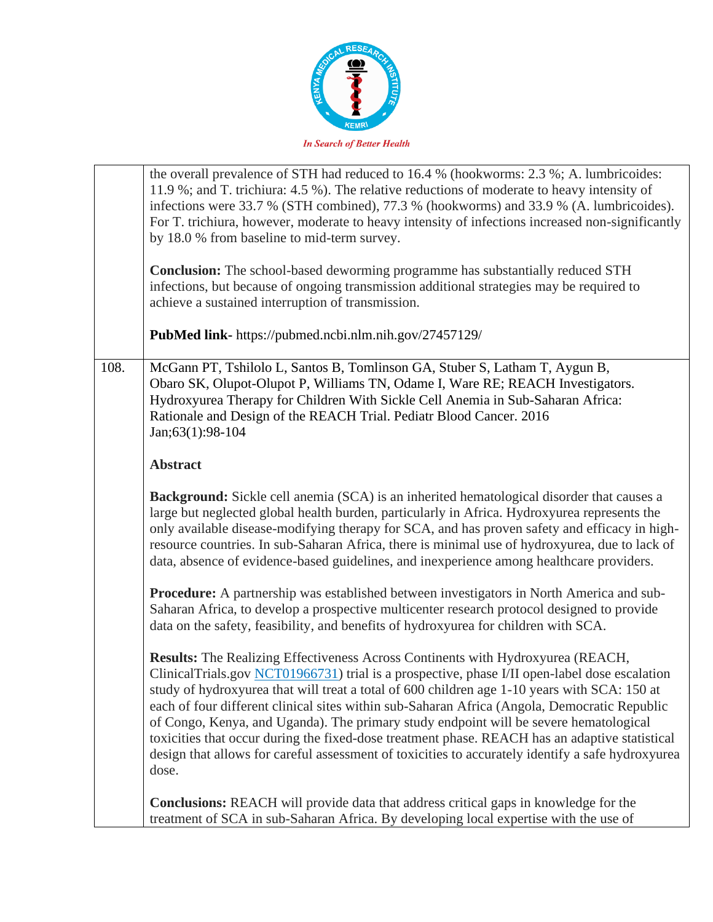

|      | the overall prevalence of STH had reduced to 16.4 % (hookworms: 2.3 %; A. lumbricoides:<br>11.9 %; and T. trichiura: 4.5 %). The relative reductions of moderate to heavy intensity of<br>infections were 33.7 % (STH combined), 77.3 % (hookworms) and 33.9 % (A. lumbricoides).<br>For T. trichiura, however, moderate to heavy intensity of infections increased non-significantly<br>by 18.0 % from baseline to mid-term survey.                                                                                                                                                                                                                                                             |
|------|--------------------------------------------------------------------------------------------------------------------------------------------------------------------------------------------------------------------------------------------------------------------------------------------------------------------------------------------------------------------------------------------------------------------------------------------------------------------------------------------------------------------------------------------------------------------------------------------------------------------------------------------------------------------------------------------------|
|      | <b>Conclusion:</b> The school-based deworming programme has substantially reduced STH<br>infections, but because of ongoing transmission additional strategies may be required to<br>achieve a sustained interruption of transmission.                                                                                                                                                                                                                                                                                                                                                                                                                                                           |
|      | PubMed link- https://pubmed.ncbi.nlm.nih.gov/27457129/                                                                                                                                                                                                                                                                                                                                                                                                                                                                                                                                                                                                                                           |
| 108. | McGann PT, Tshilolo L, Santos B, Tomlinson GA, Stuber S, Latham T, Aygun B,<br>Obaro SK, Olupot-Olupot P, Williams TN, Odame I, Ware RE; REACH Investigators.<br>Hydroxyurea Therapy for Children With Sickle Cell Anemia in Sub-Saharan Africa:<br>Rationale and Design of the REACH Trial. Pediatr Blood Cancer. 2016<br>Jan;63(1):98-104                                                                                                                                                                                                                                                                                                                                                      |
|      | <b>Abstract</b>                                                                                                                                                                                                                                                                                                                                                                                                                                                                                                                                                                                                                                                                                  |
|      | <b>Background:</b> Sickle cell anemia (SCA) is an inherited hematological disorder that causes a<br>large but neglected global health burden, particularly in Africa. Hydroxyurea represents the<br>only available disease-modifying therapy for SCA, and has proven safety and efficacy in high-<br>resource countries. In sub-Saharan Africa, there is minimal use of hydroxyurea, due to lack of<br>data, absence of evidence-based guidelines, and inexperience among healthcare providers.                                                                                                                                                                                                  |
|      | <b>Procedure:</b> A partnership was established between investigators in North America and sub-<br>Saharan Africa, to develop a prospective multicenter research protocol designed to provide<br>data on the safety, feasibility, and benefits of hydroxyurea for children with SCA.                                                                                                                                                                                                                                                                                                                                                                                                             |
|      | <b>Results:</b> The Realizing Effectiveness Across Continents with Hydroxyurea (REACH,<br>ClinicalTrials.gov NCT01966731) trial is a prospective, phase I/II open-label dose escalation<br>study of hydroxyurea that will treat a total of 600 children age 1-10 years with SCA: 150 at<br>each of four different clinical sites within sub-Saharan Africa (Angola, Democratic Republic<br>of Congo, Kenya, and Uganda). The primary study endpoint will be severe hematological<br>toxicities that occur during the fixed-dose treatment phase. REACH has an adaptive statistical<br>design that allows for careful assessment of toxicities to accurately identify a safe hydroxyurea<br>dose. |
|      | <b>Conclusions:</b> REACH will provide data that address critical gaps in knowledge for the<br>treatment of SCA in sub-Saharan Africa. By developing local expertise with the use of                                                                                                                                                                                                                                                                                                                                                                                                                                                                                                             |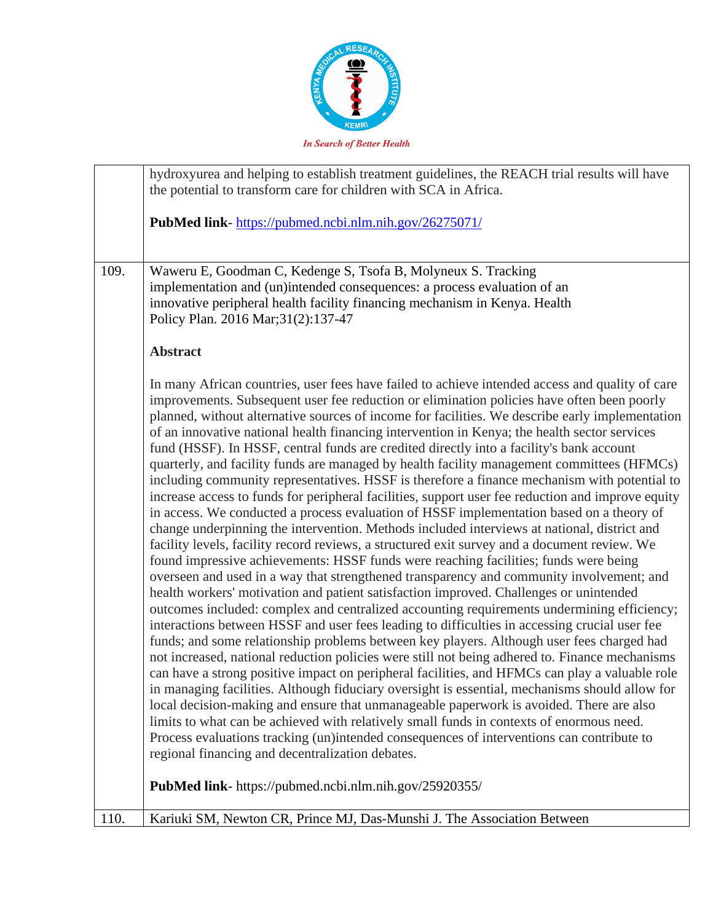

|      | hydroxyurea and helping to establish treatment guidelines, the REACH trial results will have<br>the potential to transform care for children with SCA in Africa.                                                                                                                                                                                                                                                                                                                                                                                                                                                                                                                                                                                                                                                                                                                                                                                                                                                                                                                                                                                                                                                                                                                                                                                                                                                                                                                                                                                                                                                                                                                                                                                                                                                                                                                                                                                                                                                                                                                                                                                                                                                                                                                                                                                                                    |
|------|-------------------------------------------------------------------------------------------------------------------------------------------------------------------------------------------------------------------------------------------------------------------------------------------------------------------------------------------------------------------------------------------------------------------------------------------------------------------------------------------------------------------------------------------------------------------------------------------------------------------------------------------------------------------------------------------------------------------------------------------------------------------------------------------------------------------------------------------------------------------------------------------------------------------------------------------------------------------------------------------------------------------------------------------------------------------------------------------------------------------------------------------------------------------------------------------------------------------------------------------------------------------------------------------------------------------------------------------------------------------------------------------------------------------------------------------------------------------------------------------------------------------------------------------------------------------------------------------------------------------------------------------------------------------------------------------------------------------------------------------------------------------------------------------------------------------------------------------------------------------------------------------------------------------------------------------------------------------------------------------------------------------------------------------------------------------------------------------------------------------------------------------------------------------------------------------------------------------------------------------------------------------------------------------------------------------------------------------------------------------------------------|
|      | PubMed link-https://pubmed.ncbi.nlm.nih.gov/26275071/                                                                                                                                                                                                                                                                                                                                                                                                                                                                                                                                                                                                                                                                                                                                                                                                                                                                                                                                                                                                                                                                                                                                                                                                                                                                                                                                                                                                                                                                                                                                                                                                                                                                                                                                                                                                                                                                                                                                                                                                                                                                                                                                                                                                                                                                                                                               |
| 109. | Waweru E, Goodman C, Kedenge S, Tsofa B, Molyneux S. Tracking<br>implementation and (un)intended consequences: a process evaluation of an<br>innovative peripheral health facility financing mechanism in Kenya. Health<br>Policy Plan. 2016 Mar; 31(2): 137-47<br><b>Abstract</b>                                                                                                                                                                                                                                                                                                                                                                                                                                                                                                                                                                                                                                                                                                                                                                                                                                                                                                                                                                                                                                                                                                                                                                                                                                                                                                                                                                                                                                                                                                                                                                                                                                                                                                                                                                                                                                                                                                                                                                                                                                                                                                  |
|      | In many African countries, user fees have failed to achieve intended access and quality of care<br>improvements. Subsequent user fee reduction or elimination policies have often been poorly<br>planned, without alternative sources of income for facilities. We describe early implementation<br>of an innovative national health financing intervention in Kenya; the health sector services<br>fund (HSSF). In HSSF, central funds are credited directly into a facility's bank account<br>quarterly, and facility funds are managed by health facility management committees (HFMCs)<br>including community representatives. HSSF is therefore a finance mechanism with potential to<br>increase access to funds for peripheral facilities, support user fee reduction and improve equity<br>in access. We conducted a process evaluation of HSSF implementation based on a theory of<br>change underpinning the intervention. Methods included interviews at national, district and<br>facility levels, facility record reviews, a structured exit survey and a document review. We<br>found impressive achievements: HSSF funds were reaching facilities; funds were being<br>overseen and used in a way that strengthened transparency and community involvement; and<br>health workers' motivation and patient satisfaction improved. Challenges or unintended<br>outcomes included: complex and centralized accounting requirements undermining efficiency;<br>interactions between HSSF and user fees leading to difficulties in accessing crucial user fee<br>funds; and some relationship problems between key players. Although user fees charged had<br>not increased, national reduction policies were still not being adhered to. Finance mechanisms<br>can have a strong positive impact on peripheral facilities, and HFMCs can play a valuable role<br>in managing facilities. Although fiduciary oversight is essential, mechanisms should allow for<br>local decision-making and ensure that unmanageable paperwork is avoided. There are also<br>limits to what can be achieved with relatively small funds in contexts of enormous need.<br>Process evaluations tracking (un)intended consequences of interventions can contribute to<br>regional financing and decentralization debates.<br><b>PubMed link-</b> https://pubmed.ncbi.nlm.nih.gov/25920355/ |
| 110. | Kariuki SM, Newton CR, Prince MJ, Das-Munshi J. The Association Between                                                                                                                                                                                                                                                                                                                                                                                                                                                                                                                                                                                                                                                                                                                                                                                                                                                                                                                                                                                                                                                                                                                                                                                                                                                                                                                                                                                                                                                                                                                                                                                                                                                                                                                                                                                                                                                                                                                                                                                                                                                                                                                                                                                                                                                                                                             |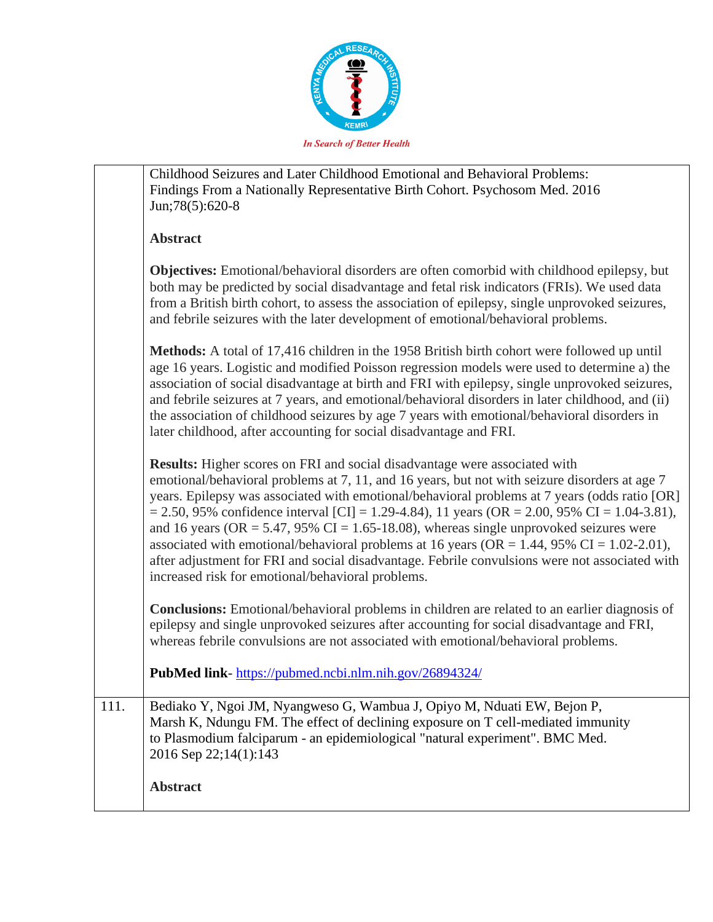

|      | Childhood Seizures and Later Childhood Emotional and Behavioral Problems:<br>Findings From a Nationally Representative Birth Cohort. Psychosom Med. 2016                                                                                                                                                                                                                                                                                                                                                                                                                                                                                                                                                                                  |
|------|-------------------------------------------------------------------------------------------------------------------------------------------------------------------------------------------------------------------------------------------------------------------------------------------------------------------------------------------------------------------------------------------------------------------------------------------------------------------------------------------------------------------------------------------------------------------------------------------------------------------------------------------------------------------------------------------------------------------------------------------|
|      | Jun;78(5):620-8                                                                                                                                                                                                                                                                                                                                                                                                                                                                                                                                                                                                                                                                                                                           |
|      | <b>Abstract</b>                                                                                                                                                                                                                                                                                                                                                                                                                                                                                                                                                                                                                                                                                                                           |
|      | <b>Objectives:</b> Emotional/behavioral disorders are often comorbid with childhood epilepsy, but<br>both may be predicted by social disadvantage and fetal risk indicators (FRIs). We used data<br>from a British birth cohort, to assess the association of epilepsy, single unprovoked seizures,<br>and febrile seizures with the later development of emotional/behavioral problems.                                                                                                                                                                                                                                                                                                                                                  |
|      | Methods: A total of 17,416 children in the 1958 British birth cohort were followed up until<br>age 16 years. Logistic and modified Poisson regression models were used to determine a) the<br>association of social disadvantage at birth and FRI with epilepsy, single unprovoked seizures,<br>and febrile seizures at 7 years, and emotional/behavioral disorders in later childhood, and (ii)<br>the association of childhood seizures by age 7 years with emotional/behavioral disorders in<br>later childhood, after accounting for social disadvantage and FRI.                                                                                                                                                                     |
|      | <b>Results:</b> Higher scores on FRI and social disadvantage were associated with<br>emotional/behavioral problems at 7, 11, and 16 years, but not with seizure disorders at age 7<br>years. Epilepsy was associated with emotional/behavioral problems at 7 years (odds ratio [OR]<br>$= 2.50, 95\%$ confidence interval [CI] = 1.29-4.84), 11 years (OR = 2.00, 95% CI = 1.04-3.81),<br>and 16 years (OR = 5.47, 95% CI = 1.65-18.08), whereas single unprovoked seizures were<br>associated with emotional/behavioral problems at 16 years ( $OR = 1.44$ , 95% CI = 1.02-2.01),<br>after adjustment for FRI and social disadvantage. Febrile convulsions were not associated with<br>increased risk for emotional/behavioral problems. |
|      | <b>Conclusions:</b> Emotional/behavioral problems in children are related to an earlier diagnosis of<br>epilepsy and single unprovoked seizures after accounting for social disadvantage and FRI,<br>whereas febrile convulsions are not associated with emotional/behavioral problems.                                                                                                                                                                                                                                                                                                                                                                                                                                                   |
|      | PubMed link- https://pubmed.ncbi.nlm.nih.gov/26894324/                                                                                                                                                                                                                                                                                                                                                                                                                                                                                                                                                                                                                                                                                    |
| 111. | Bediako Y, Ngoi JM, Nyangweso G, Wambua J, Opiyo M, Nduati EW, Bejon P,<br>Marsh K, Ndungu FM. The effect of declining exposure on T cell-mediated immunity<br>to Plasmodium falciparum - an epidemiological "natural experiment". BMC Med.<br>2016 Sep 22;14(1):143                                                                                                                                                                                                                                                                                                                                                                                                                                                                      |
|      | <b>Abstract</b>                                                                                                                                                                                                                                                                                                                                                                                                                                                                                                                                                                                                                                                                                                                           |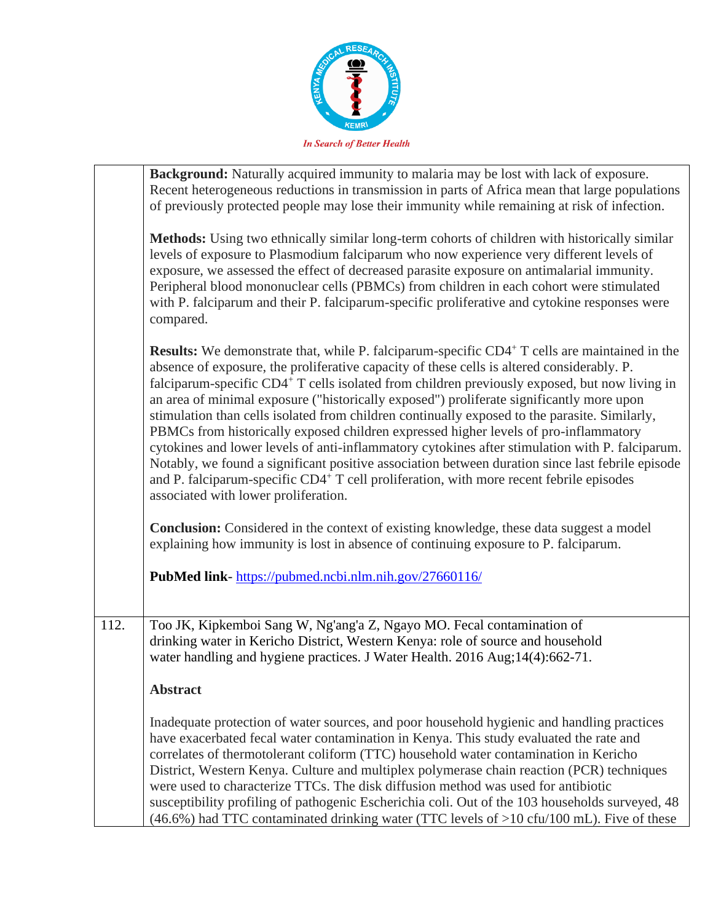

|      | Background: Naturally acquired immunity to malaria may be lost with lack of exposure.<br>Recent heterogeneous reductions in transmission in parts of Africa mean that large populations<br>of previously protected people may lose their immunity while remaining at risk of infection.                                                                                                                                                                                                                                                                                                                                                                                                                                                                                                                                                                                                                                                             |
|------|-----------------------------------------------------------------------------------------------------------------------------------------------------------------------------------------------------------------------------------------------------------------------------------------------------------------------------------------------------------------------------------------------------------------------------------------------------------------------------------------------------------------------------------------------------------------------------------------------------------------------------------------------------------------------------------------------------------------------------------------------------------------------------------------------------------------------------------------------------------------------------------------------------------------------------------------------------|
|      | Methods: Using two ethnically similar long-term cohorts of children with historically similar<br>levels of exposure to Plasmodium falciparum who now experience very different levels of<br>exposure, we assessed the effect of decreased parasite exposure on antimalarial immunity.<br>Peripheral blood mononuclear cells (PBMCs) from children in each cohort were stimulated<br>with P. falciparum and their P. falciparum-specific proliferative and cytokine responses were<br>compared.                                                                                                                                                                                                                                                                                                                                                                                                                                                      |
|      | Results: We demonstrate that, while P. falciparum-specific CD4+ T cells are maintained in the<br>absence of exposure, the proliferative capacity of these cells is altered considerably. P.<br>falciparum-specific CD4 <sup>+</sup> T cells isolated from children previously exposed, but now living in<br>an area of minimal exposure ("historically exposed") proliferate significantly more upon<br>stimulation than cells isolated from children continually exposed to the parasite. Similarly,<br>PBMCs from historically exposed children expressed higher levels of pro-inflammatory<br>cytokines and lower levels of anti-inflammatory cytokines after stimulation with P. falciparum.<br>Notably, we found a significant positive association between duration since last febrile episode<br>and P. falciparum-specific CD4 <sup>+</sup> T cell proliferation, with more recent febrile episodes<br>associated with lower proliferation. |
|      | <b>Conclusion:</b> Considered in the context of existing knowledge, these data suggest a model<br>explaining how immunity is lost in absence of continuing exposure to P. falciparum.                                                                                                                                                                                                                                                                                                                                                                                                                                                                                                                                                                                                                                                                                                                                                               |
|      | PubMed link-https://pubmed.ncbi.nlm.nih.gov/27660116/                                                                                                                                                                                                                                                                                                                                                                                                                                                                                                                                                                                                                                                                                                                                                                                                                                                                                               |
| 112. | Too JK, Kipkemboi Sang W, Ng'ang'a Z, Ngayo MO. Fecal contamination of<br>drinking water in Kericho District, Western Kenya: role of source and household<br>water handling and hygiene practices. J Water Health. 2016 Aug;14(4):662-71.                                                                                                                                                                                                                                                                                                                                                                                                                                                                                                                                                                                                                                                                                                           |
|      | <b>Abstract</b>                                                                                                                                                                                                                                                                                                                                                                                                                                                                                                                                                                                                                                                                                                                                                                                                                                                                                                                                     |
|      | Inadequate protection of water sources, and poor household hygienic and handling practices<br>have exacerbated fecal water contamination in Kenya. This study evaluated the rate and<br>correlates of thermotolerant coliform (TTC) household water contamination in Kericho<br>District, Western Kenya. Culture and multiplex polymerase chain reaction (PCR) techniques<br>were used to characterize TTCs. The disk diffusion method was used for antibiotic<br>susceptibility profiling of pathogenic Escherichia coli. Out of the 103 households surveyed, 48<br>$(46.6%)$ had TTC contaminated drinking water (TTC levels of $>10$ cfu/100 mL). Five of these                                                                                                                                                                                                                                                                                  |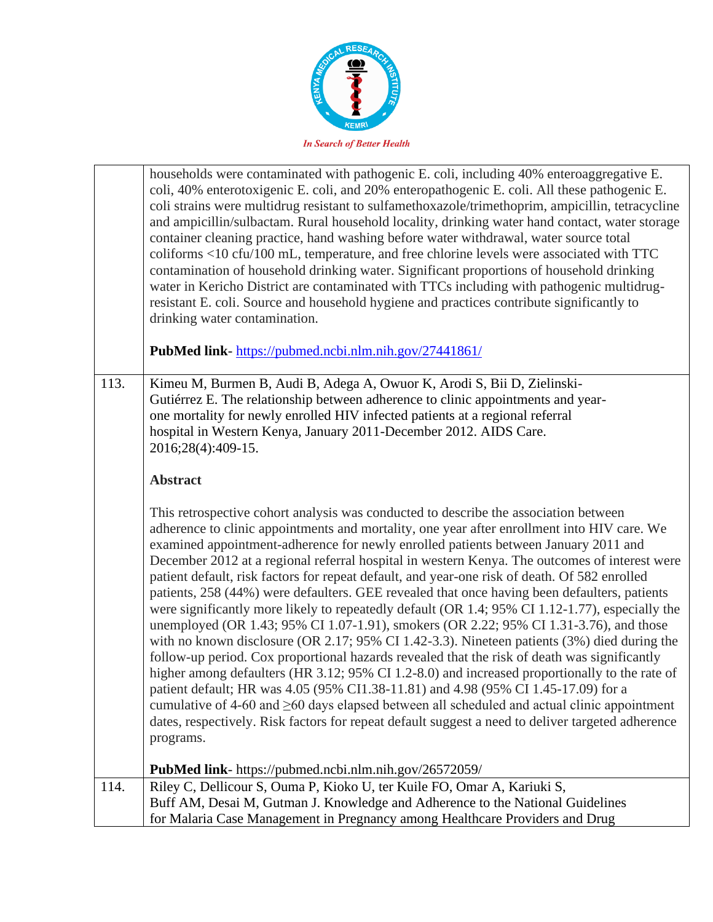

|      | households were contaminated with pathogenic E. coli, including 40% enteroaggregative E.<br>coli, 40% enterotoxigenic E. coli, and 20% enteropathogenic E. coli. All these pathogenic E.<br>coli strains were multidrug resistant to sulfamethoxazole/trimethoprim, ampicillin, tetracycline<br>and ampicillin/sulbactam. Rural household locality, drinking water hand contact, water storage<br>container cleaning practice, hand washing before water withdrawal, water source total<br>coliforms <10 cfu/100 mL, temperature, and free chlorine levels were associated with TTC<br>contamination of household drinking water. Significant proportions of household drinking<br>water in Kericho District are contaminated with TTCs including with pathogenic multidrug-<br>resistant E. coli. Source and household hygiene and practices contribute significantly to<br>drinking water contamination.<br><b>PubMed link-</b> https://pubmed.ncbi.nlm.nih.gov/27441861/                                                                                                                                                                                                                                                                                                                                                                                                               |
|------|-------------------------------------------------------------------------------------------------------------------------------------------------------------------------------------------------------------------------------------------------------------------------------------------------------------------------------------------------------------------------------------------------------------------------------------------------------------------------------------------------------------------------------------------------------------------------------------------------------------------------------------------------------------------------------------------------------------------------------------------------------------------------------------------------------------------------------------------------------------------------------------------------------------------------------------------------------------------------------------------------------------------------------------------------------------------------------------------------------------------------------------------------------------------------------------------------------------------------------------------------------------------------------------------------------------------------------------------------------------------------------------------|
| 113. | Kimeu M, Burmen B, Audi B, Adega A, Owuor K, Arodi S, Bii D, Zielinski-                                                                                                                                                                                                                                                                                                                                                                                                                                                                                                                                                                                                                                                                                                                                                                                                                                                                                                                                                                                                                                                                                                                                                                                                                                                                                                                   |
|      | Gutiérrez E. The relationship between adherence to clinic appointments and year-                                                                                                                                                                                                                                                                                                                                                                                                                                                                                                                                                                                                                                                                                                                                                                                                                                                                                                                                                                                                                                                                                                                                                                                                                                                                                                          |
|      | one mortality for newly enrolled HIV infected patients at a regional referral                                                                                                                                                                                                                                                                                                                                                                                                                                                                                                                                                                                                                                                                                                                                                                                                                                                                                                                                                                                                                                                                                                                                                                                                                                                                                                             |
|      | hospital in Western Kenya, January 2011-December 2012. AIDS Care.                                                                                                                                                                                                                                                                                                                                                                                                                                                                                                                                                                                                                                                                                                                                                                                                                                                                                                                                                                                                                                                                                                                                                                                                                                                                                                                         |
|      | 2016;28(4):409-15.                                                                                                                                                                                                                                                                                                                                                                                                                                                                                                                                                                                                                                                                                                                                                                                                                                                                                                                                                                                                                                                                                                                                                                                                                                                                                                                                                                        |
|      | <b>Abstract</b>                                                                                                                                                                                                                                                                                                                                                                                                                                                                                                                                                                                                                                                                                                                                                                                                                                                                                                                                                                                                                                                                                                                                                                                                                                                                                                                                                                           |
|      | This retrospective cohort analysis was conducted to describe the association between<br>adherence to clinic appointments and mortality, one year after enrollment into HIV care. We<br>examined appointment-adherence for newly enrolled patients between January 2011 and<br>December 2012 at a regional referral hospital in western Kenya. The outcomes of interest were<br>patient default, risk factors for repeat default, and year-one risk of death. Of 582 enrolled<br>patients, 258 (44%) were defaulters. GEE revealed that once having been defaulters, patients<br>were significantly more likely to repeatedly default (OR 1.4; 95% CI 1.12-1.77), especially the<br>unemployed (OR 1.43; 95% CI 1.07-1.91), smokers (OR 2.22; 95% CI 1.31-3.76), and those<br>with no known disclosure (OR 2.17; $95\%$ CI 1.42-3.3). Nineteen patients (3%) died during the<br>follow-up period. Cox proportional hazards revealed that the risk of death was significantly<br>higher among defaulters (HR 3.12; 95% CI 1.2-8.0) and increased proportionally to the rate of<br>patient default; HR was 4.05 (95% CI1.38-11.81) and 4.98 (95% CI 1.45-17.09) for a<br>cumulative of 4-60 and $\geq$ 60 days elapsed between all scheduled and actual clinic appointment<br>dates, respectively. Risk factors for repeat default suggest a need to deliver targeted adherence<br>programs. |
|      | <b>PubMed link-</b> https://pubmed.ncbi.nlm.nih.gov/26572059/                                                                                                                                                                                                                                                                                                                                                                                                                                                                                                                                                                                                                                                                                                                                                                                                                                                                                                                                                                                                                                                                                                                                                                                                                                                                                                                             |
| 114. | Riley C, Dellicour S, Ouma P, Kioko U, ter Kuile FO, Omar A, Kariuki S,                                                                                                                                                                                                                                                                                                                                                                                                                                                                                                                                                                                                                                                                                                                                                                                                                                                                                                                                                                                                                                                                                                                                                                                                                                                                                                                   |
|      | Buff AM, Desai M, Gutman J. Knowledge and Adherence to the National Guidelines                                                                                                                                                                                                                                                                                                                                                                                                                                                                                                                                                                                                                                                                                                                                                                                                                                                                                                                                                                                                                                                                                                                                                                                                                                                                                                            |
|      | for Malaria Case Management in Pregnancy among Healthcare Providers and Drug                                                                                                                                                                                                                                                                                                                                                                                                                                                                                                                                                                                                                                                                                                                                                                                                                                                                                                                                                                                                                                                                                                                                                                                                                                                                                                              |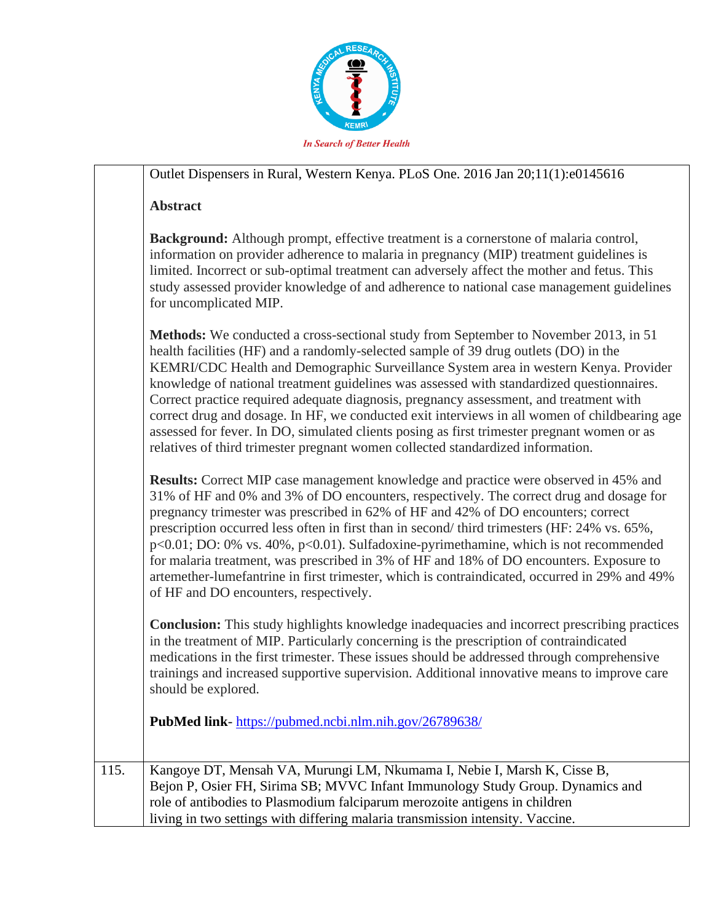

|      | Outlet Dispensers in Rural, Western Kenya. PLoS One. 2016 Jan 20;11(1):e0145616                                                                                                                                                                                                                                                                                                                                                                                                                                                                                                                                                                                                                                                                |
|------|------------------------------------------------------------------------------------------------------------------------------------------------------------------------------------------------------------------------------------------------------------------------------------------------------------------------------------------------------------------------------------------------------------------------------------------------------------------------------------------------------------------------------------------------------------------------------------------------------------------------------------------------------------------------------------------------------------------------------------------------|
|      | <b>Abstract</b>                                                                                                                                                                                                                                                                                                                                                                                                                                                                                                                                                                                                                                                                                                                                |
|      | Background: Although prompt, effective treatment is a cornerstone of malaria control,<br>information on provider adherence to malaria in pregnancy (MIP) treatment guidelines is<br>limited. Incorrect or sub-optimal treatment can adversely affect the mother and fetus. This<br>study assessed provider knowledge of and adherence to national case management guidelines<br>for uncomplicated MIP.                                                                                                                                                                                                                                                                                                                                         |
|      | Methods: We conducted a cross-sectional study from September to November 2013, in 51<br>health facilities (HF) and a randomly-selected sample of 39 drug outlets (DO) in the<br>KEMRI/CDC Health and Demographic Surveillance System area in western Kenya. Provider<br>knowledge of national treatment guidelines was assessed with standardized questionnaires.<br>Correct practice required adequate diagnosis, pregnancy assessment, and treatment with<br>correct drug and dosage. In HF, we conducted exit interviews in all women of childbearing age<br>assessed for fever. In DO, simulated clients posing as first trimester pregnant women or as<br>relatives of third trimester pregnant women collected standardized information. |
|      | <b>Results:</b> Correct MIP case management knowledge and practice were observed in 45% and<br>31% of HF and 0% and 3% of DO encounters, respectively. The correct drug and dosage for<br>pregnancy trimester was prescribed in 62% of HF and 42% of DO encounters; correct<br>prescription occurred less often in first than in second/third trimesters (HF: 24% vs. 65%,<br>p<0.01; DO: 0% vs. 40%, p<0.01). Sulfadoxine-pyrimethamine, which is not recommended<br>for malaria treatment, was prescribed in 3% of HF and 18% of DO encounters. Exposure to<br>artemether-lumefantrine in first trimester, which is contraindicated, occurred in 29% and 49%<br>of HF and DO encounters, respectively.                                       |
|      | <b>Conclusion:</b> This study highlights knowledge inadequacies and incorrect prescribing practices<br>in the treatment of MIP. Particularly concerning is the prescription of contraindicated<br>medications in the first trimester. These issues should be addressed through comprehensive<br>trainings and increased supportive supervision. Additional innovative means to improve care<br>should be explored.                                                                                                                                                                                                                                                                                                                             |
|      | PubMed link-https://pubmed.ncbi.nlm.nih.gov/26789638/                                                                                                                                                                                                                                                                                                                                                                                                                                                                                                                                                                                                                                                                                          |
| 115. | Kangoye DT, Mensah VA, Murungi LM, Nkumama I, Nebie I, Marsh K, Cisse B,<br>Bejon P, Osier FH, Sirima SB; MVVC Infant Immunology Study Group. Dynamics and<br>role of antibodies to Plasmodium falciparum merozoite antigens in children<br>living in two settings with differing malaria transmission intensity. Vaccine.                                                                                                                                                                                                                                                                                                                                                                                                                     |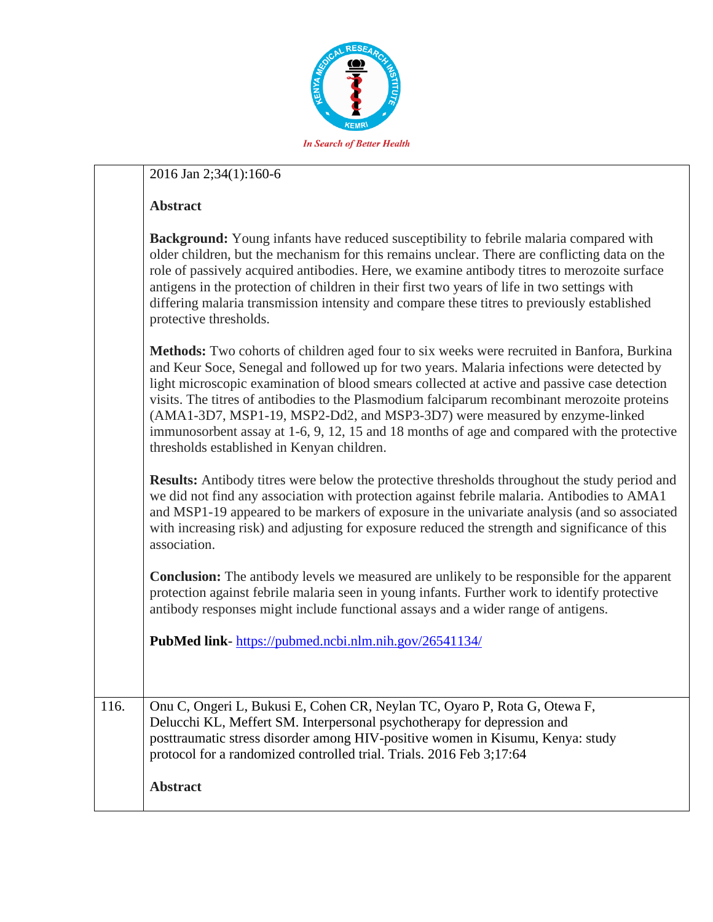

# 2016 Jan 2;34(1):160-6

### **Abstract**

**Background:** Young infants have reduced susceptibility to febrile malaria compared with older children, but the mechanism for this remains unclear. There are conflicting data on the role of passively acquired antibodies. Here, we examine antibody titres to merozoite surface antigens in the protection of children in their first two years of life in two settings with differing malaria transmission intensity and compare these titres to previously established protective thresholds.

**Methods:** Two cohorts of children aged four to six weeks were recruited in Banfora, Burkina and Keur Soce, Senegal and followed up for two years. Malaria infections were detected by light microscopic examination of blood smears collected at active and passive case detection visits. The titres of antibodies to the Plasmodium falciparum recombinant merozoite proteins (AMA1-3D7, MSP1-19, MSP2-Dd2, and MSP3-3D7) were measured by enzyme-linked immunosorbent assay at 1-6, 9, 12, 15 and 18 months of age and compared with the protective thresholds established in Kenyan children.

**Results:** Antibody titres were below the protective thresholds throughout the study period and we did not find any association with protection against febrile malaria. Antibodies to AMA1 and MSP1-19 appeared to be markers of exposure in the univariate analysis (and so associated with increasing risk) and adjusting for exposure reduced the strength and significance of this association.

**Conclusion:** The antibody levels we measured are unlikely to be responsible for the apparent protection against febrile malaria seen in young infants. Further work to identify protective antibody responses might include functional assays and a wider range of antigens.

**PubMed link**- <https://pubmed.ncbi.nlm.nih.gov/26541134/>

116. | Onu C, Ongeri L, Bukusi E, Cohen CR, Neylan TC, Oyaro P, Rota G, Otewa F, Delucchi KL, Meffert SM. Interpersonal psychotherapy for depression and posttraumatic stress disorder among HIV-positive women in Kisumu, Kenya: study protocol for a randomized controlled trial. Trials. 2016 Feb 3;17:64 **Abstract**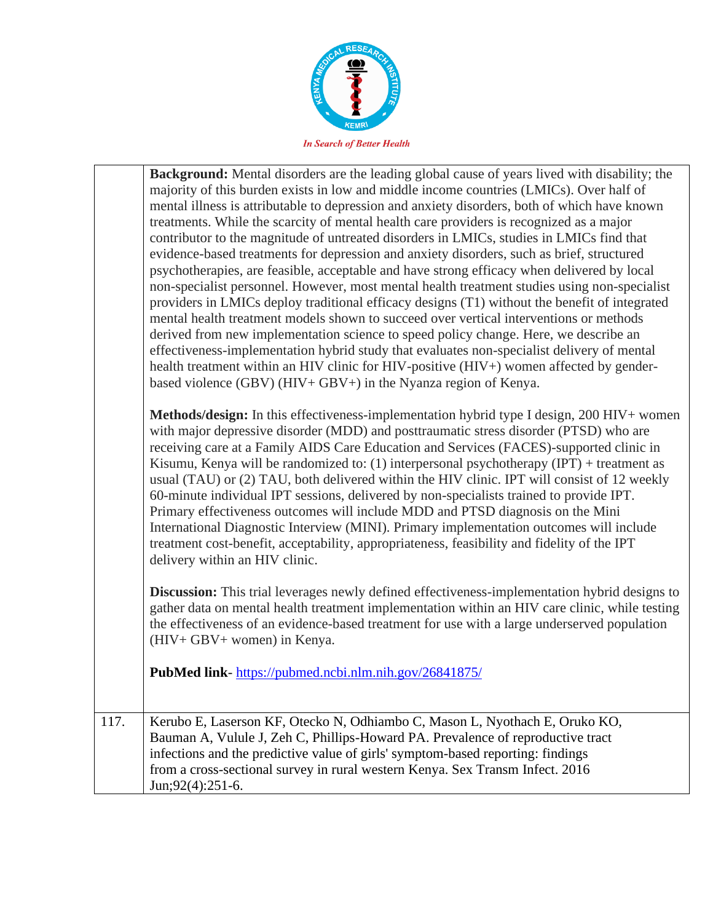

|      | Background: Mental disorders are the leading global cause of years lived with disability; the<br>majority of this burden exists in low and middle income countries (LMICs). Over half of<br>mental illness is attributable to depression and anxiety disorders, both of which have known<br>treatments. While the scarcity of mental health care providers is recognized as a major<br>contributor to the magnitude of untreated disorders in LMICs, studies in LMICs find that<br>evidence-based treatments for depression and anxiety disorders, such as brief, structured<br>psychotherapies, are feasible, acceptable and have strong efficacy when delivered by local<br>non-specialist personnel. However, most mental health treatment studies using non-specialist<br>providers in LMICs deploy traditional efficacy designs (T1) without the benefit of integrated<br>mental health treatment models shown to succeed over vertical interventions or methods<br>derived from new implementation science to speed policy change. Here, we describe an<br>effectiveness-implementation hybrid study that evaluates non-specialist delivery of mental<br>health treatment within an HIV clinic for HIV-positive (HIV+) women affected by gender-<br>based violence (GBV) (HIV+ GBV+) in the Nyanza region of Kenya. |
|------|---------------------------------------------------------------------------------------------------------------------------------------------------------------------------------------------------------------------------------------------------------------------------------------------------------------------------------------------------------------------------------------------------------------------------------------------------------------------------------------------------------------------------------------------------------------------------------------------------------------------------------------------------------------------------------------------------------------------------------------------------------------------------------------------------------------------------------------------------------------------------------------------------------------------------------------------------------------------------------------------------------------------------------------------------------------------------------------------------------------------------------------------------------------------------------------------------------------------------------------------------------------------------------------------------------------------------|
|      | Methods/design: In this effectiveness-implementation hybrid type I design, 200 HIV+ women<br>with major depressive disorder (MDD) and posttraumatic stress disorder (PTSD) who are<br>receiving care at a Family AIDS Care Education and Services (FACES)-supported clinic in<br>Kisumu, Kenya will be randomized to: (1) interpersonal psychotherapy (IPT) + treatment as<br>usual (TAU) or (2) TAU, both delivered within the HIV clinic. IPT will consist of 12 weekly<br>60-minute individual IPT sessions, delivered by non-specialists trained to provide IPT.<br>Primary effectiveness outcomes will include MDD and PTSD diagnosis on the Mini<br>International Diagnostic Interview (MINI). Primary implementation outcomes will include<br>treatment cost-benefit, acceptability, appropriateness, feasibility and fidelity of the IPT<br>delivery within an HIV clinic.                                                                                                                                                                                                                                                                                                                                                                                                                                        |
|      | <b>Discussion:</b> This trial leverages newly defined effectiveness-implementation hybrid designs to<br>gather data on mental health treatment implementation within an HIV care clinic, while testing<br>the effectiveness of an evidence-based treatment for use with a large underserved population<br>(HIV+ GBV+ women) in Kenya.<br>PubMed link-https://pubmed.ncbi.nlm.nih.gov/26841875/                                                                                                                                                                                                                                                                                                                                                                                                                                                                                                                                                                                                                                                                                                                                                                                                                                                                                                                            |
|      |                                                                                                                                                                                                                                                                                                                                                                                                                                                                                                                                                                                                                                                                                                                                                                                                                                                                                                                                                                                                                                                                                                                                                                                                                                                                                                                           |
| 117. | Kerubo E, Laserson KF, Otecko N, Odhiambo C, Mason L, Nyothach E, Oruko KO,<br>Bauman A, Vulule J, Zeh C, Phillips-Howard PA. Prevalence of reproductive tract<br>infections and the predictive value of girls' symptom-based reporting: findings<br>from a cross-sectional survey in rural western Kenya. Sex Transm Infect. 2016<br>Jun; 92(4): 251-6.                                                                                                                                                                                                                                                                                                                                                                                                                                                                                                                                                                                                                                                                                                                                                                                                                                                                                                                                                                  |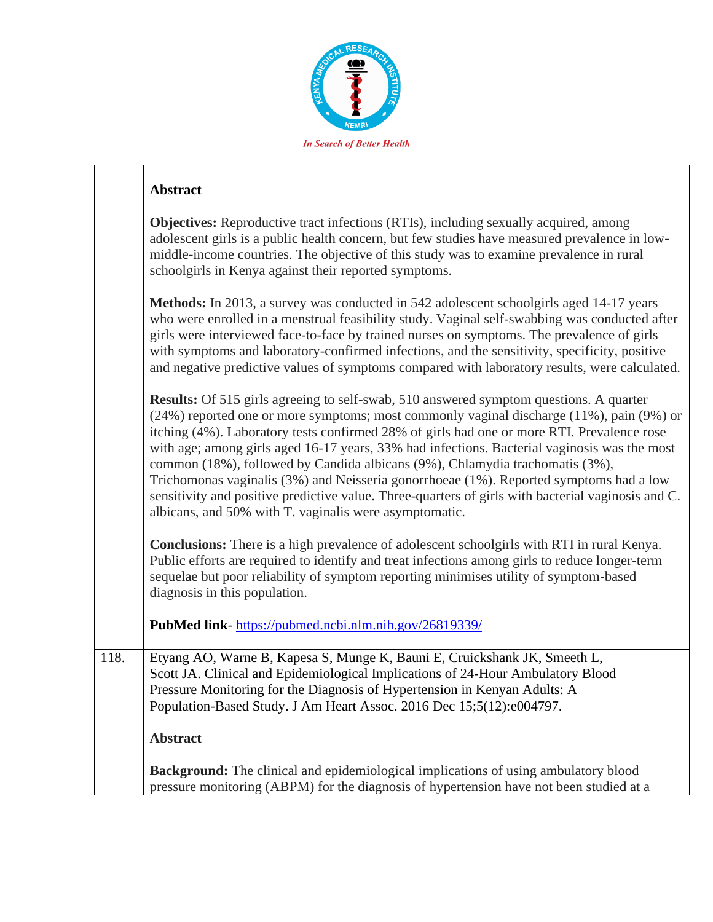

|      | <b>Objectives:</b> Reproductive tract infections (RTIs), including sexually acquired, among<br>adolescent girls is a public health concern, but few studies have measured prevalence in low-<br>middle-income countries. The objective of this study was to examine prevalence in rural<br>schoolgirls in Kenya against their reported symptoms.                                                                                                                                                                                                                                                                                                                                                                           |
|------|----------------------------------------------------------------------------------------------------------------------------------------------------------------------------------------------------------------------------------------------------------------------------------------------------------------------------------------------------------------------------------------------------------------------------------------------------------------------------------------------------------------------------------------------------------------------------------------------------------------------------------------------------------------------------------------------------------------------------|
|      | Methods: In 2013, a survey was conducted in 542 adolescent schoolgirls aged 14-17 years<br>who were enrolled in a menstrual feasibility study. Vaginal self-swabbing was conducted after<br>girls were interviewed face-to-face by trained nurses on symptoms. The prevalence of girls<br>with symptoms and laboratory-confirmed infections, and the sensitivity, specificity, positive<br>and negative predictive values of symptoms compared with laboratory results, were calculated.                                                                                                                                                                                                                                   |
|      | Results: Of 515 girls agreeing to self-swab, 510 answered symptom questions. A quarter<br>(24%) reported one or more symptoms; most commonly vaginal discharge (11%), pain (9%) or<br>itching (4%). Laboratory tests confirmed 28% of girls had one or more RTI. Prevalence rose<br>with age; among girls aged 16-17 years, 33% had infections. Bacterial vaginosis was the most<br>common (18%), followed by Candida albicans (9%), Chlamydia trachomatis (3%),<br>Trichomonas vaginalis (3%) and Neisseria gonorrhoeae (1%). Reported symptoms had a low<br>sensitivity and positive predictive value. Three-quarters of girls with bacterial vaginosis and C.<br>albicans, and 50% with T. vaginalis were asymptomatic. |
|      | Conclusions: There is a high prevalence of adolescent schoolgirls with RTI in rural Kenya.<br>Public efforts are required to identify and treat infections among girls to reduce longer-term<br>sequelae but poor reliability of symptom reporting minimises utility of symptom-based<br>diagnosis in this population.                                                                                                                                                                                                                                                                                                                                                                                                     |
|      | PubMed link-https://pubmed.ncbi.nlm.nih.gov/26819339/                                                                                                                                                                                                                                                                                                                                                                                                                                                                                                                                                                                                                                                                      |
| 118. | Etyang AO, Warne B, Kapesa S, Munge K, Bauni E, Cruickshank JK, Smeeth L,<br>Scott JA. Clinical and Epidemiological Implications of 24-Hour Ambulatory Blood<br>Pressure Monitoring for the Diagnosis of Hypertension in Kenyan Adults: A<br>Population-Based Study. J Am Heart Assoc. 2016 Dec 15;5(12):e004797.                                                                                                                                                                                                                                                                                                                                                                                                          |
|      | <b>Abstract</b>                                                                                                                                                                                                                                                                                                                                                                                                                                                                                                                                                                                                                                                                                                            |
|      | <b>Background:</b> The clinical and epidemiological implications of using ambulatory blood<br>pressure monitoring (ABPM) for the diagnosis of hypertension have not been studied at a                                                                                                                                                                                                                                                                                                                                                                                                                                                                                                                                      |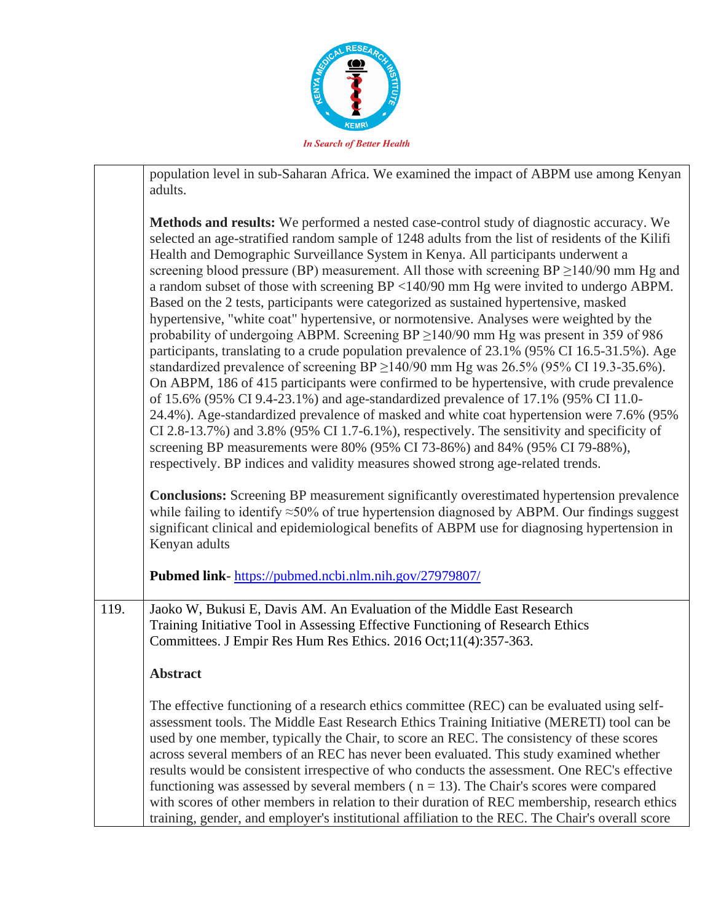

population level in sub-Saharan Africa. We examined the impact of ABPM use among Kenyan adults.

|      | Methods and results: We performed a nested case-control study of diagnostic accuracy. We<br>selected an age-stratified random sample of 1248 adults from the list of residents of the Kilifi<br>Health and Demographic Surveillance System in Kenya. All participants underwent a<br>screening blood pressure (BP) measurement. All those with screening BP ≥140/90 mm Hg and<br>a random subset of those with screening $BP < 140/90$ mm Hg were invited to undergo ABPM.<br>Based on the 2 tests, participants were categorized as sustained hypertensive, masked<br>hypertensive, "white coat" hypertensive, or normotensive. Analyses were weighted by the<br>probability of undergoing ABPM. Screening BP $\geq$ 140/90 mm Hg was present in 359 of 986<br>participants, translating to a crude population prevalence of 23.1% (95% CI 16.5-31.5%). Age<br>standardized prevalence of screening BP $\geq$ 140/90 mm Hg was 26.5% (95% CI 19.3-35.6%).<br>On ABPM, 186 of 415 participants were confirmed to be hypertensive, with crude prevalence<br>of 15.6% (95% CI 9.4-23.1%) and age-standardized prevalence of 17.1% (95% CI 11.0-<br>24.4%). Age-standardized prevalence of masked and white coat hypertension were 7.6% (95%)<br>CI 2.8-13.7%) and 3.8% (95% CI 1.7-6.1%), respectively. The sensitivity and specificity of<br>screening BP measurements were 80% (95% CI 73-86%) and 84% (95% CI 79-88%),<br>respectively. BP indices and validity measures showed strong age-related trends.<br><b>Conclusions:</b> Screening BP measurement significantly overestimated hypertension prevalence<br>while failing to identify $\approx$ 50% of true hypertension diagnosed by ABPM. Our findings suggest<br>significant clinical and epidemiological benefits of ABPM use for diagnosing hypertension in |
|------|-------------------------------------------------------------------------------------------------------------------------------------------------------------------------------------------------------------------------------------------------------------------------------------------------------------------------------------------------------------------------------------------------------------------------------------------------------------------------------------------------------------------------------------------------------------------------------------------------------------------------------------------------------------------------------------------------------------------------------------------------------------------------------------------------------------------------------------------------------------------------------------------------------------------------------------------------------------------------------------------------------------------------------------------------------------------------------------------------------------------------------------------------------------------------------------------------------------------------------------------------------------------------------------------------------------------------------------------------------------------------------------------------------------------------------------------------------------------------------------------------------------------------------------------------------------------------------------------------------------------------------------------------------------------------------------------------------------------------------------------------------------------------------------------------------------------------|
|      | Kenyan adults                                                                                                                                                                                                                                                                                                                                                                                                                                                                                                                                                                                                                                                                                                                                                                                                                                                                                                                                                                                                                                                                                                                                                                                                                                                                                                                                                                                                                                                                                                                                                                                                                                                                                                                                                                                                           |
|      | Pubmed link- https://pubmed.ncbi.nlm.nih.gov/27979807/                                                                                                                                                                                                                                                                                                                                                                                                                                                                                                                                                                                                                                                                                                                                                                                                                                                                                                                                                                                                                                                                                                                                                                                                                                                                                                                                                                                                                                                                                                                                                                                                                                                                                                                                                                  |
| 119. | Jaoko W, Bukusi E, Davis AM. An Evaluation of the Middle East Research<br>Training Initiative Tool in Assessing Effective Functioning of Research Ethics<br>Committees. J Empir Res Hum Res Ethics. 2016 Oct; 11(4): 357-363.                                                                                                                                                                                                                                                                                                                                                                                                                                                                                                                                                                                                                                                                                                                                                                                                                                                                                                                                                                                                                                                                                                                                                                                                                                                                                                                                                                                                                                                                                                                                                                                           |
|      | <b>Abstract</b>                                                                                                                                                                                                                                                                                                                                                                                                                                                                                                                                                                                                                                                                                                                                                                                                                                                                                                                                                                                                                                                                                                                                                                                                                                                                                                                                                                                                                                                                                                                                                                                                                                                                                                                                                                                                         |
|      | The effective functioning of a research ethics committee (REC) can be evaluated using self-<br>assessment tools. The Middle East Research Ethics Training Initiative (MERETI) tool can be<br>used by one member, typically the Chair, to score an REC. The consistency of these scores<br>across several members of an REC has never been evaluated. This study examined whether<br>results would be consistent irrespective of who conducts the assessment. One REC's effective<br>functioning was assessed by several members ( $n = 13$ ). The Chair's scores were compared<br>with scores of other members in relation to their duration of REC membership, research ethics<br>training, gender, and employer's institutional affiliation to the REC. The Chair's overall score                                                                                                                                                                                                                                                                                                                                                                                                                                                                                                                                                                                                                                                                                                                                                                                                                                                                                                                                                                                                                                     |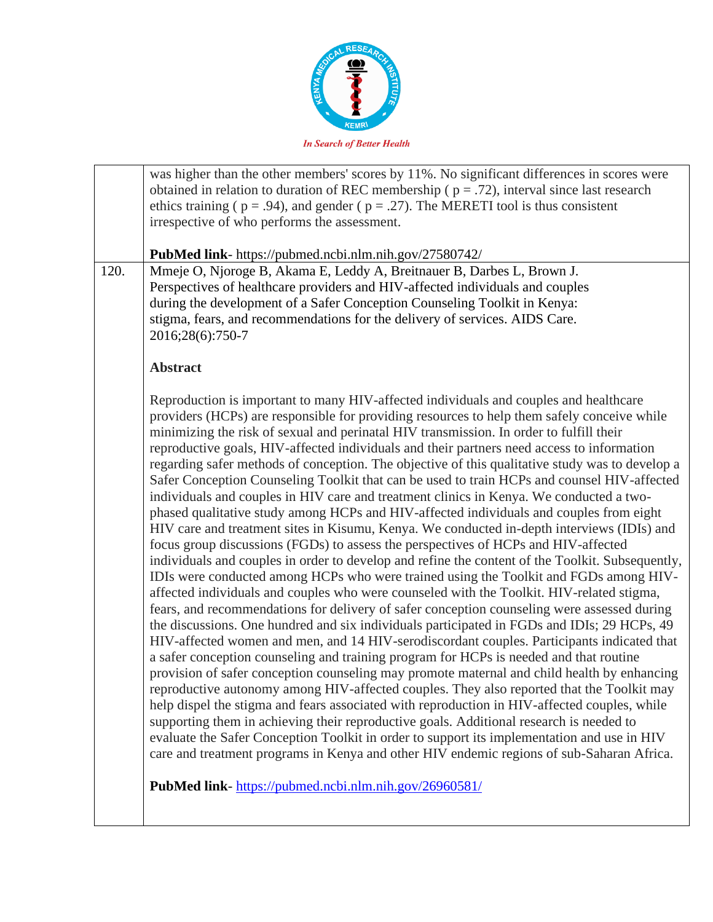

|      | was higher than the other members' scores by 11%. No significant differences in scores were<br>obtained in relation to duration of REC membership ( $p = .72$ ), interval since last research<br>ethics training ( $p = .94$ ), and gender ( $p = .27$ ). The MERETI tool is thus consistent<br>irrespective of who performs the assessment.                                                                                                                                                                                                                                                                                                                                                                                                                                                                                                                                                                                                                                                                                                                                                                                                                                                                                                                                                                                                                                                                                                                                                                                                                                                                                                                                                                                                                                                                                                                                                                                                                                                                                                                                                                                                                                                                                 |
|------|------------------------------------------------------------------------------------------------------------------------------------------------------------------------------------------------------------------------------------------------------------------------------------------------------------------------------------------------------------------------------------------------------------------------------------------------------------------------------------------------------------------------------------------------------------------------------------------------------------------------------------------------------------------------------------------------------------------------------------------------------------------------------------------------------------------------------------------------------------------------------------------------------------------------------------------------------------------------------------------------------------------------------------------------------------------------------------------------------------------------------------------------------------------------------------------------------------------------------------------------------------------------------------------------------------------------------------------------------------------------------------------------------------------------------------------------------------------------------------------------------------------------------------------------------------------------------------------------------------------------------------------------------------------------------------------------------------------------------------------------------------------------------------------------------------------------------------------------------------------------------------------------------------------------------------------------------------------------------------------------------------------------------------------------------------------------------------------------------------------------------------------------------------------------------------------------------------------------------|
|      | PubMed link- https://pubmed.ncbi.nlm.nih.gov/27580742/                                                                                                                                                                                                                                                                                                                                                                                                                                                                                                                                                                                                                                                                                                                                                                                                                                                                                                                                                                                                                                                                                                                                                                                                                                                                                                                                                                                                                                                                                                                                                                                                                                                                                                                                                                                                                                                                                                                                                                                                                                                                                                                                                                       |
| 120. | Mmeje O, Njoroge B, Akama E, Leddy A, Breitnauer B, Darbes L, Brown J.<br>Perspectives of healthcare providers and HIV-affected individuals and couples<br>during the development of a Safer Conception Counseling Toolkit in Kenya:<br>stigma, fears, and recommendations for the delivery of services. AIDS Care.<br>2016;28(6):750-7                                                                                                                                                                                                                                                                                                                                                                                                                                                                                                                                                                                                                                                                                                                                                                                                                                                                                                                                                                                                                                                                                                                                                                                                                                                                                                                                                                                                                                                                                                                                                                                                                                                                                                                                                                                                                                                                                      |
|      | <b>Abstract</b>                                                                                                                                                                                                                                                                                                                                                                                                                                                                                                                                                                                                                                                                                                                                                                                                                                                                                                                                                                                                                                                                                                                                                                                                                                                                                                                                                                                                                                                                                                                                                                                                                                                                                                                                                                                                                                                                                                                                                                                                                                                                                                                                                                                                              |
|      | Reproduction is important to many HIV-affected individuals and couples and healthcare<br>providers (HCPs) are responsible for providing resources to help them safely conceive while<br>minimizing the risk of sexual and perinatal HIV transmission. In order to fulfill their<br>reproductive goals, HIV-affected individuals and their partners need access to information<br>regarding safer methods of conception. The objective of this qualitative study was to develop a<br>Safer Conception Counseling Toolkit that can be used to train HCPs and counsel HIV-affected<br>individuals and couples in HIV care and treatment clinics in Kenya. We conducted a two-<br>phased qualitative study among HCPs and HIV-affected individuals and couples from eight<br>HIV care and treatment sites in Kisumu, Kenya. We conducted in-depth interviews (IDIs) and<br>focus group discussions (FGDs) to assess the perspectives of HCPs and HIV-affected<br>individuals and couples in order to develop and refine the content of the Toolkit. Subsequently,<br>IDIs were conducted among HCPs who were trained using the Toolkit and FGDs among HIV-<br>affected individuals and couples who were counseled with the Toolkit. HIV-related stigma,<br>fears, and recommendations for delivery of safer conception counseling were assessed during<br>the discussions. One hundred and six individuals participated in FGDs and IDIs; 29 HCPs, 49<br>HIV-affected women and men, and 14 HIV-serodiscordant couples. Participants indicated that<br>a safer conception counseling and training program for HCPs is needed and that routine<br>provision of safer conception counseling may promote maternal and child health by enhancing<br>reproductive autonomy among HIV-affected couples. They also reported that the Toolkit may<br>help dispel the stigma and fears associated with reproduction in HIV-affected couples, while<br>supporting them in achieving their reproductive goals. Additional research is needed to<br>evaluate the Safer Conception Toolkit in order to support its implementation and use in HIV<br>care and treatment programs in Kenya and other HIV endemic regions of sub-Saharan Africa. |

**PubMed link**- <https://pubmed.ncbi.nlm.nih.gov/26960581/>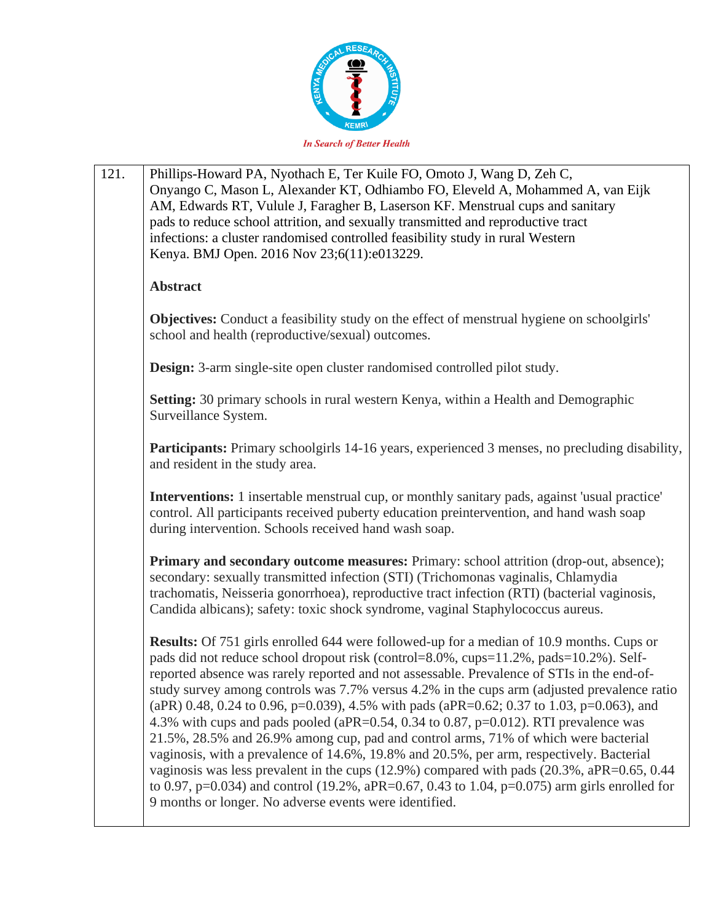

| 121. | Phillips-Howard PA, Nyothach E, Ter Kuile FO, Omoto J, Wang D, Zeh C,                                                                                                                            |
|------|--------------------------------------------------------------------------------------------------------------------------------------------------------------------------------------------------|
|      | Onyango C, Mason L, Alexander KT, Odhiambo FO, Eleveld A, Mohammed A, van Eijk                                                                                                                   |
|      | AM, Edwards RT, Vulule J, Faragher B, Laserson KF. Menstrual cups and sanitary                                                                                                                   |
|      | pads to reduce school attrition, and sexually transmitted and reproductive tract                                                                                                                 |
|      | infections: a cluster randomised controlled feasibility study in rural Western                                                                                                                   |
|      | Kenya. BMJ Open. 2016 Nov 23;6(11):e013229.                                                                                                                                                      |
|      | <b>Abstract</b>                                                                                                                                                                                  |
|      | <b>Objectives:</b> Conduct a feasibility study on the effect of menstrual hygiene on schoolgirls'<br>school and health (reproductive/sexual) outcomes.                                           |
|      | <b>Design:</b> 3-arm single-site open cluster randomised controlled pilot study.                                                                                                                 |
|      | Setting: 30 primary schools in rural western Kenya, within a Health and Demographic                                                                                                              |
|      | Surveillance System.                                                                                                                                                                             |
|      |                                                                                                                                                                                                  |
|      | Participants: Primary schoolgirls 14-16 years, experienced 3 menses, no precluding disability,<br>and resident in the study area.                                                                |
|      |                                                                                                                                                                                                  |
|      | <b>Interventions:</b> 1 insertable menstrual cup, or monthly sanitary pads, against 'usual practice'<br>control. All participants received puberty education preintervention, and hand wash soap |
|      | during intervention. Schools received hand wash soap.                                                                                                                                            |
|      |                                                                                                                                                                                                  |
|      | Primary and secondary outcome measures: Primary: school attrition (drop-out, absence);                                                                                                           |
|      | secondary: sexually transmitted infection (STI) (Trichomonas vaginalis, Chlamydia                                                                                                                |
|      | trachomatis, Neisseria gonorrhoea), reproductive tract infection (RTI) (bacterial vaginosis,<br>Candida albicans); safety: toxic shock syndrome, vaginal Staphylococcus aureus.                  |
|      |                                                                                                                                                                                                  |
|      | <b>Results:</b> Of 751 girls enrolled 644 were followed-up for a median of 10.9 months. Cups or                                                                                                  |
|      | pads did not reduce school dropout risk (control=8.0%, cups=11.2%, pads=10.2%). Self-                                                                                                            |
|      | reported absence was rarely reported and not assessable. Prevalence of STIs in the end-of-                                                                                                       |
|      | study survey among controls was 7.7% versus 4.2% in the cups arm (adjusted prevalence ratio<br>(aPR) 0.48, 0.24 to 0.96, p=0.039), 4.5% with pads (aPR=0.62; 0.37 to 1.03, p=0.063), and         |
|      | 4.3% with cups and pads pooled (aPR=0.54, 0.34 to 0.87, p=0.012). RTI prevalence was                                                                                                             |
|      | 21.5%, 28.5% and 26.9% among cup, pad and control arms, 71% of which were bacterial                                                                                                              |
|      | vaginosis, with a prevalence of 14.6%, 19.8% and 20.5%, per arm, respectively. Bacterial                                                                                                         |
|      | vaginosis was less prevalent in the cups (12.9%) compared with pads (20.3%, aPR=0.65, 0.44                                                                                                       |
|      | to 0.97, p=0.034) and control (19.2%, aPR=0.67, 0.43 to 1.04, p=0.075) arm girls enrolled for                                                                                                    |
|      | 9 months or longer. No adverse events were identified.                                                                                                                                           |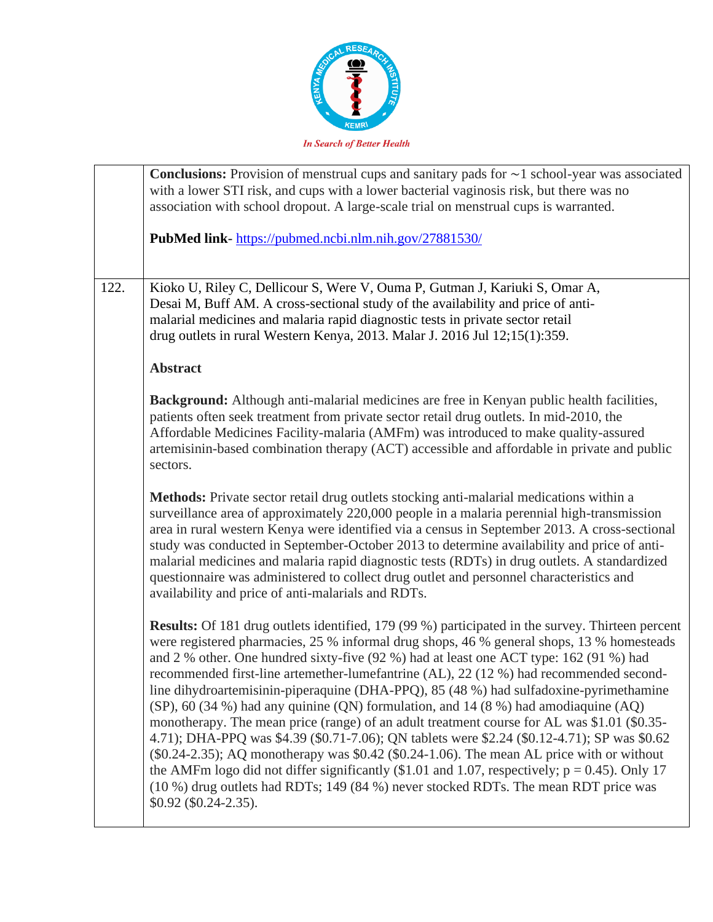

| <b>Conclusions:</b> Provision of menstrual cups and sanitary pads for $\sim$ 1 school-year was associated<br>with a lower STI risk, and cups with a lower bacterial vaginosis risk, but there was no<br>association with school dropout. A large-scale trial on menstrual cups is warranted.                                                                                                                                                                                                                                                                                                                                                                                                                                                                                                                                                                                                                                                                                                                                                                                                           |
|--------------------------------------------------------------------------------------------------------------------------------------------------------------------------------------------------------------------------------------------------------------------------------------------------------------------------------------------------------------------------------------------------------------------------------------------------------------------------------------------------------------------------------------------------------------------------------------------------------------------------------------------------------------------------------------------------------------------------------------------------------------------------------------------------------------------------------------------------------------------------------------------------------------------------------------------------------------------------------------------------------------------------------------------------------------------------------------------------------|
| PubMed link-https://pubmed.ncbi.nlm.nih.gov/27881530/                                                                                                                                                                                                                                                                                                                                                                                                                                                                                                                                                                                                                                                                                                                                                                                                                                                                                                                                                                                                                                                  |
| Kioko U, Riley C, Dellicour S, Were V, Ouma P, Gutman J, Kariuki S, Omar A,<br>Desai M, Buff AM. A cross-sectional study of the availability and price of anti-<br>malarial medicines and malaria rapid diagnostic tests in private sector retail<br>drug outlets in rural Western Kenya, 2013. Malar J. 2016 Jul 12;15(1):359.                                                                                                                                                                                                                                                                                                                                                                                                                                                                                                                                                                                                                                                                                                                                                                        |
| <b>Abstract</b>                                                                                                                                                                                                                                                                                                                                                                                                                                                                                                                                                                                                                                                                                                                                                                                                                                                                                                                                                                                                                                                                                        |
| <b>Background:</b> Although anti-malarial medicines are free in Kenyan public health facilities,<br>patients often seek treatment from private sector retail drug outlets. In mid-2010, the<br>Affordable Medicines Facility-malaria (AMFm) was introduced to make quality-assured<br>artemisinin-based combination therapy (ACT) accessible and affordable in private and public<br>sectors.                                                                                                                                                                                                                                                                                                                                                                                                                                                                                                                                                                                                                                                                                                          |
| Methods: Private sector retail drug outlets stocking anti-malarial medications within a<br>surveillance area of approximately 220,000 people in a malaria perennial high-transmission<br>area in rural western Kenya were identified via a census in September 2013. A cross-sectional<br>study was conducted in September-October 2013 to determine availability and price of anti-<br>malarial medicines and malaria rapid diagnostic tests (RDTs) in drug outlets. A standardized<br>questionnaire was administered to collect drug outlet and personnel characteristics and<br>availability and price of anti-malarials and RDTs.                                                                                                                                                                                                                                                                                                                                                                                                                                                                  |
| <b>Results:</b> Of 181 drug outlets identified, 179 (99 %) participated in the survey. Thirteen percent<br>were registered pharmacies, 25 % informal drug shops, 46 % general shops, 13 % homesteads<br>and 2 % other. One hundred sixty-five (92 %) had at least one ACT type: 162 (91 %) had<br>recommended first-line artemether-lumefantrine (AL), 22 (12 %) had recommended second-<br>line dihydroartemisinin-piperaquine (DHA-PPQ), 85 (48 %) had sulfadoxine-pyrimethamine<br>$(SP)$ , 60 (34 %) had any quinine (QN) formulation, and 14 (8 %) had amodiaquine (AQ)<br>monotherapy. The mean price (range) of an adult treatment course for AL was \$1.01 (\$0.35-<br>4.71); DHA-PPQ was \$4.39 (\$0.71-7.06); QN tablets were \$2.24 (\$0.12-4.71); SP was \$0.62<br>$(\$0.24-2.35)$ ; AQ monotherapy was $\$0.42$ ( $\$0.24-1.06$ ). The mean AL price with or without<br>the AMFm logo did not differ significantly (\$1.01 and 1.07, respectively; $p = 0.45$ ). Only 17<br>(10 %) drug outlets had RDTs; 149 (84 %) never stocked RDTs. The mean RDT price was<br>$$0.92$ (\$0.24-2.35). |
|                                                                                                                                                                                                                                                                                                                                                                                                                                                                                                                                                                                                                                                                                                                                                                                                                                                                                                                                                                                                                                                                                                        |

 $\mathsf{l}$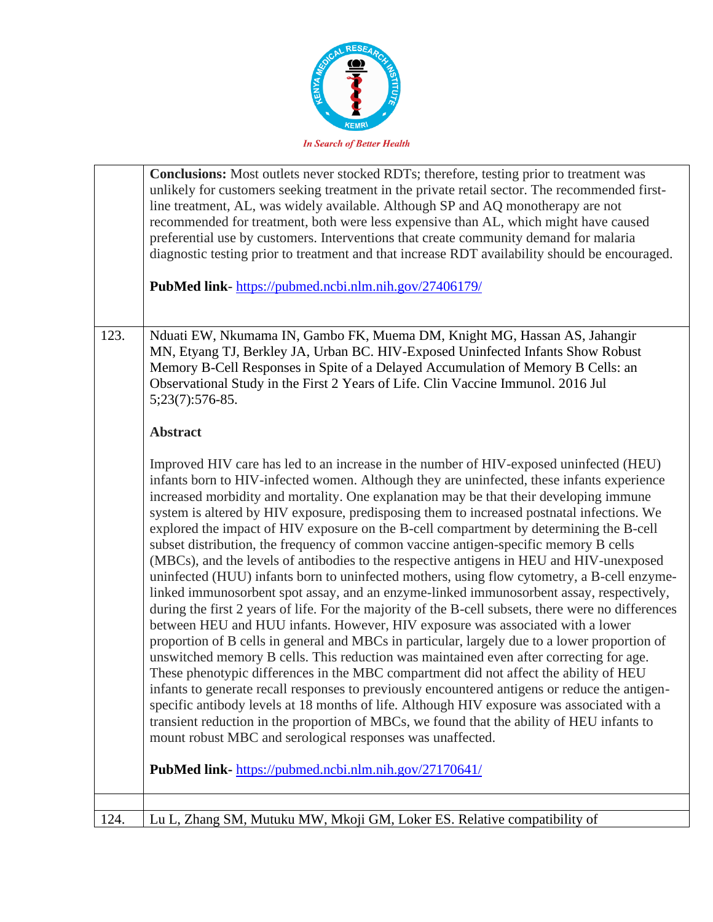

|      | <b>Conclusions:</b> Most outlets never stocked RDTs; therefore, testing prior to treatment was<br>unlikely for customers seeking treatment in the private retail sector. The recommended first-<br>line treatment, AL, was widely available. Although SP and AQ monotherapy are not<br>recommended for treatment, both were less expensive than AL, which might have caused<br>preferential use by customers. Interventions that create community demand for malaria<br>diagnostic testing prior to treatment and that increase RDT availability should be encouraged.                                                                                                                                                                                                                                                                                                                                                                                                                                                                                                                                                                                                                                                                                                                                                                                                                                                                                                                                                                                                                                                                                                                           |
|------|--------------------------------------------------------------------------------------------------------------------------------------------------------------------------------------------------------------------------------------------------------------------------------------------------------------------------------------------------------------------------------------------------------------------------------------------------------------------------------------------------------------------------------------------------------------------------------------------------------------------------------------------------------------------------------------------------------------------------------------------------------------------------------------------------------------------------------------------------------------------------------------------------------------------------------------------------------------------------------------------------------------------------------------------------------------------------------------------------------------------------------------------------------------------------------------------------------------------------------------------------------------------------------------------------------------------------------------------------------------------------------------------------------------------------------------------------------------------------------------------------------------------------------------------------------------------------------------------------------------------------------------------------------------------------------------------------|
|      | PubMed link-https://pubmed.ncbi.nlm.nih.gov/27406179/                                                                                                                                                                                                                                                                                                                                                                                                                                                                                                                                                                                                                                                                                                                                                                                                                                                                                                                                                                                                                                                                                                                                                                                                                                                                                                                                                                                                                                                                                                                                                                                                                                            |
| 123. | Nduati EW, Nkumama IN, Gambo FK, Muema DM, Knight MG, Hassan AS, Jahangir<br>MN, Etyang TJ, Berkley JA, Urban BC. HIV-Exposed Uninfected Infants Show Robust<br>Memory B-Cell Responses in Spite of a Delayed Accumulation of Memory B Cells: an<br>Observational Study in the First 2 Years of Life. Clin Vaccine Immunol. 2016 Jul<br>5;23(7):576-85.                                                                                                                                                                                                                                                                                                                                                                                                                                                                                                                                                                                                                                                                                                                                                                                                                                                                                                                                                                                                                                                                                                                                                                                                                                                                                                                                          |
|      | <b>Abstract</b>                                                                                                                                                                                                                                                                                                                                                                                                                                                                                                                                                                                                                                                                                                                                                                                                                                                                                                                                                                                                                                                                                                                                                                                                                                                                                                                                                                                                                                                                                                                                                                                                                                                                                  |
|      | Improved HIV care has led to an increase in the number of HIV-exposed uninfected (HEU)<br>infants born to HIV-infected women. Although they are uninfected, these infants experience<br>increased morbidity and mortality. One explanation may be that their developing immune<br>system is altered by HIV exposure, predisposing them to increased postnatal infections. We<br>explored the impact of HIV exposure on the B-cell compartment by determining the B-cell<br>subset distribution, the frequency of common vaccine antigen-specific memory B cells<br>(MBCs), and the levels of antibodies to the respective antigens in HEU and HIV-unexposed<br>uninfected (HUU) infants born to uninfected mothers, using flow cytometry, a B-cell enzyme-<br>linked immunosorbent spot assay, and an enzyme-linked immunosorbent assay, respectively,<br>during the first 2 years of life. For the majority of the B-cell subsets, there were no differences<br>between HEU and HUU infants. However, HIV exposure was associated with a lower<br>proportion of B cells in general and MBCs in particular, largely due to a lower proportion of<br>unswitched memory B cells. This reduction was maintained even after correcting for age.<br>These phenotypic differences in the MBC compartment did not affect the ability of HEU<br>infants to generate recall responses to previously encountered antigens or reduce the antigen-<br>specific antibody levels at 18 months of life. Although HIV exposure was associated with a<br>transient reduction in the proportion of MBCs, we found that the ability of HEU infants to<br>mount robust MBC and serological responses was unaffected. |
|      | PubMed link- https://pubmed.ncbi.nlm.nih.gov/27170641/                                                                                                                                                                                                                                                                                                                                                                                                                                                                                                                                                                                                                                                                                                                                                                                                                                                                                                                                                                                                                                                                                                                                                                                                                                                                                                                                                                                                                                                                                                                                                                                                                                           |
|      |                                                                                                                                                                                                                                                                                                                                                                                                                                                                                                                                                                                                                                                                                                                                                                                                                                                                                                                                                                                                                                                                                                                                                                                                                                                                                                                                                                                                                                                                                                                                                                                                                                                                                                  |
| 124. | Lu L, Zhang SM, Mutuku MW, Mkoji GM, Loker ES. Relative compatibility of                                                                                                                                                                                                                                                                                                                                                                                                                                                                                                                                                                                                                                                                                                                                                                                                                                                                                                                                                                                                                                                                                                                                                                                                                                                                                                                                                                                                                                                                                                                                                                                                                         |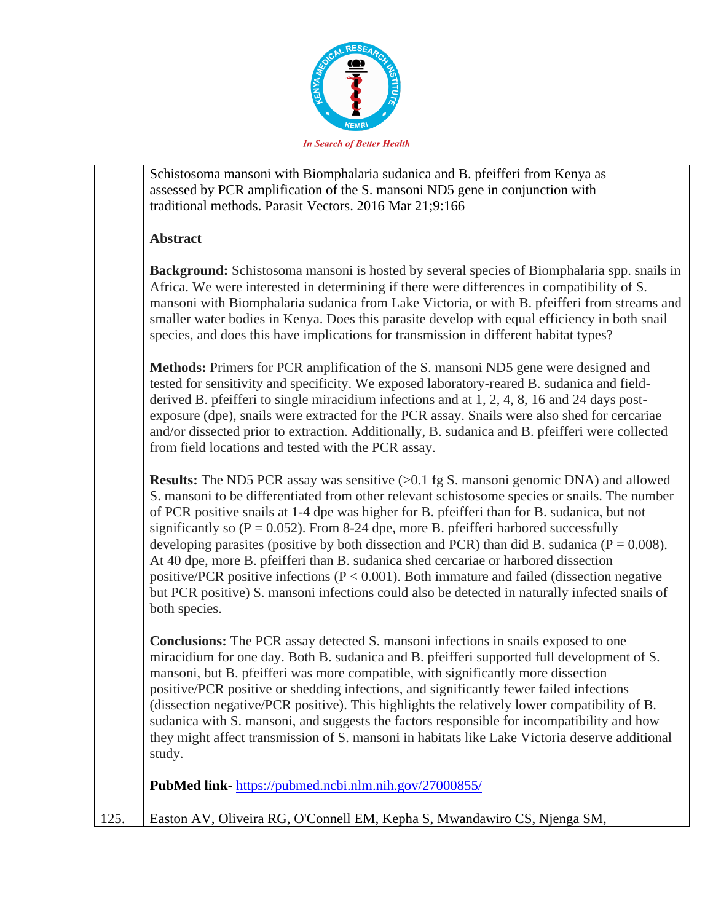

Schistosoma mansoni with Biomphalaria sudanica and B. pfeifferi from Kenya as assessed by PCR amplification of the S. mansoni ND5 gene in conjunction with traditional methods. Parasit Vectors. 2016 Mar 21;9:166

## **Abstract**

**Background:** Schistosoma mansoni is hosted by several species of Biomphalaria spp. snails in Africa. We were interested in determining if there were differences in compatibility of S. mansoni with Biomphalaria sudanica from Lake Victoria, or with B. pfeifferi from streams and smaller water bodies in Kenya. Does this parasite develop with equal efficiency in both snail species, and does this have implications for transmission in different habitat types?

**Methods:** Primers for PCR amplification of the S. mansoni ND5 gene were designed and tested for sensitivity and specificity. We exposed laboratory-reared B. sudanica and fieldderived B. pfeifferi to single miracidium infections and at 1, 2, 4, 8, 16 and 24 days postexposure (dpe), snails were extracted for the PCR assay. Snails were also shed for cercariae and/or dissected prior to extraction. Additionally, B. sudanica and B. pfeifferi were collected from field locations and tested with the PCR assay.

**Results:** The ND5 PCR assay was sensitive ( $>0.1$  fg S. mansoni genomic DNA) and allowed S. mansoni to be differentiated from other relevant schistosome species or snails. The number of PCR positive snails at 1-4 dpe was higher for B. pfeifferi than for B. sudanica, but not significantly so  $(P = 0.052)$ . From 8-24 dpe, more B. pfeifferi harbored successfully developing parasites (positive by both dissection and PCR) than did B. sudanica ( $P = 0.008$ ). At 40 dpe, more B. pfeifferi than B. sudanica shed cercariae or harbored dissection positive/PCR positive infections ( $P < 0.001$ ). Both immature and failed (dissection negative but PCR positive) S. mansoni infections could also be detected in naturally infected snails of both species.

**Conclusions:** The PCR assay detected S. mansoni infections in snails exposed to one miracidium for one day. Both B. sudanica and B. pfeifferi supported full development of S. mansoni, but B. pfeifferi was more compatible, with significantly more dissection positive/PCR positive or shedding infections, and significantly fewer failed infections (dissection negative/PCR positive). This highlights the relatively lower compatibility of B. sudanica with S. mansoni, and suggests the factors responsible for incompatibility and how they might affect transmission of S. mansoni in habitats like Lake Victoria deserve additional study.

**PubMed link**- <https://pubmed.ncbi.nlm.nih.gov/27000855/>

| 125. | Easton AV, Oliveira RG, O'Connell EM, Kepha S, Mwandawiro CS, Njenga SM, |
|------|--------------------------------------------------------------------------|
|------|--------------------------------------------------------------------------|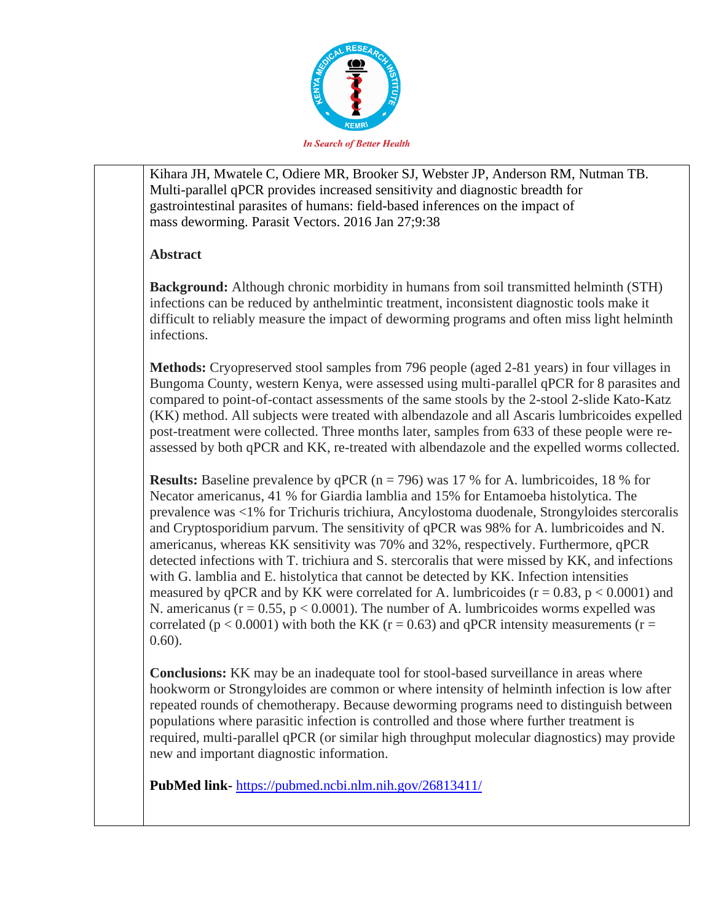

Kihara JH, Mwatele C, Odiere MR, Brooker SJ, Webster JP, Anderson RM, Nutman TB. Multi-parallel qPCR provides increased sensitivity and diagnostic breadth for gastrointestinal parasites of humans: field-based inferences on the impact of mass deworming. Parasit Vectors. 2016 Jan 27;9:38

## **Abstract**

**Background:** Although chronic morbidity in humans from soil transmitted helminth (STH) infections can be reduced by anthelmintic treatment, inconsistent diagnostic tools make it difficult to reliably measure the impact of deworming programs and often miss light helminth infections.

**Methods:** Cryopreserved stool samples from 796 people (aged 2-81 years) in four villages in Bungoma County, western Kenya, were assessed using multi-parallel qPCR for 8 parasites and compared to point-of-contact assessments of the same stools by the 2-stool 2-slide Kato-Katz (KK) method. All subjects were treated with albendazole and all Ascaris lumbricoides expelled post-treatment were collected. Three months later, samples from 633 of these people were reassessed by both qPCR and KK, re-treated with albendazole and the expelled worms collected.

**Results:** Baseline prevalence by qPCR ( $n = 796$ ) was 17 % for A. lumbricoides, 18 % for Necator americanus, 41 % for Giardia lamblia and 15% for Entamoeba histolytica. The prevalence was <1% for Trichuris trichiura, Ancylostoma duodenale, Strongyloides stercoralis and Cryptosporidium parvum. The sensitivity of qPCR was 98% for A. lumbricoides and N. americanus, whereas KK sensitivity was 70% and 32%, respectively. Furthermore, qPCR detected infections with T. trichiura and S. stercoralis that were missed by KK, and infections with G. lamblia and E. histolytica that cannot be detected by KK. Infection intensities measured by qPCR and by KK were correlated for A. lumbricoides  $(r = 0.83, p < 0.0001)$  and N. americanus ( $r = 0.55$ ,  $p < 0.0001$ ). The number of A. lumbricoides worms expelled was correlated ( $p < 0.0001$ ) with both the KK ( $r = 0.63$ ) and qPCR intensity measurements ( $r =$ 0.60).

**Conclusions:** KK may be an inadequate tool for stool-based surveillance in areas where hookworm or Strongyloides are common or where intensity of helminth infection is low after repeated rounds of chemotherapy. Because deworming programs need to distinguish between populations where parasitic infection is controlled and those where further treatment is required, multi-parallel qPCR (or similar high throughput molecular diagnostics) may provide new and important diagnostic information.

**PubMed link-** <https://pubmed.ncbi.nlm.nih.gov/26813411/>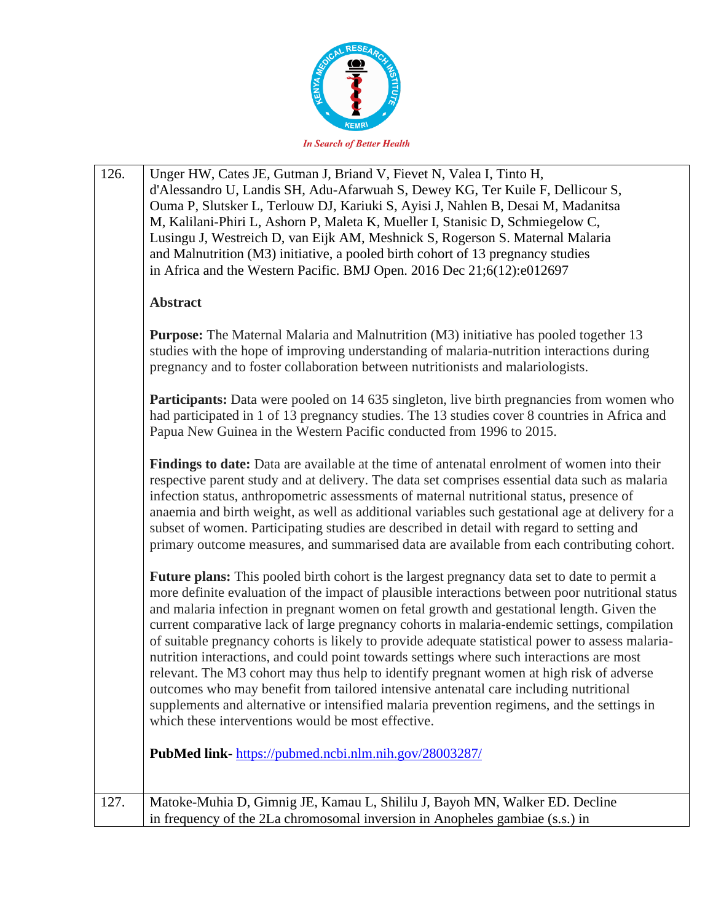

| 126. | Unger HW, Cates JE, Gutman J, Briand V, Fievet N, Valea I, Tinto H,<br>d'Alessandro U, Landis SH, Adu-Afarwuah S, Dewey KG, Ter Kuile F, Dellicour S,<br>Ouma P, Slutsker L, Terlouw DJ, Kariuki S, Ayisi J, Nahlen B, Desai M, Madanitsa<br>M, Kalilani-Phiri L, Ashorn P, Maleta K, Mueller I, Stanisic D, Schmiegelow C,<br>Lusingu J, Westreich D, van Eijk AM, Meshnick S, Rogerson S. Maternal Malaria<br>and Malnutrition (M3) initiative, a pooled birth cohort of 13 pregnancy studies<br>in Africa and the Western Pacific. BMJ Open. 2016 Dec 21;6(12):e012697<br><b>Abstract</b>                                                                                                                                                                                                                                                                                                                                             |
|------|------------------------------------------------------------------------------------------------------------------------------------------------------------------------------------------------------------------------------------------------------------------------------------------------------------------------------------------------------------------------------------------------------------------------------------------------------------------------------------------------------------------------------------------------------------------------------------------------------------------------------------------------------------------------------------------------------------------------------------------------------------------------------------------------------------------------------------------------------------------------------------------------------------------------------------------|
|      | <b>Purpose:</b> The Maternal Malaria and Malnutrition (M3) initiative has pooled together 13<br>studies with the hope of improving understanding of malaria-nutrition interactions during<br>pregnancy and to foster collaboration between nutritionists and malariologists.                                                                                                                                                                                                                                                                                                                                                                                                                                                                                                                                                                                                                                                             |
|      | Participants: Data were pooled on 14 635 singleton, live birth pregnancies from women who<br>had participated in 1 of 13 pregnancy studies. The 13 studies cover 8 countries in Africa and<br>Papua New Guinea in the Western Pacific conducted from 1996 to 2015.                                                                                                                                                                                                                                                                                                                                                                                                                                                                                                                                                                                                                                                                       |
|      | Findings to date: Data are available at the time of antenatal enrolment of women into their<br>respective parent study and at delivery. The data set comprises essential data such as malaria<br>infection status, anthropometric assessments of maternal nutritional status, presence of<br>anaemia and birth weight, as well as additional variables such gestational age at delivery for a<br>subset of women. Participating studies are described in detail with regard to setting and<br>primary outcome measures, and summarised data are available from each contributing cohort.                                                                                                                                                                                                                                                                                                                                                 |
|      | Future plans: This pooled birth cohort is the largest pregnancy data set to date to permit a<br>more definite evaluation of the impact of plausible interactions between poor nutritional status<br>and malaria infection in pregnant women on fetal growth and gestational length. Given the<br>current comparative lack of large pregnancy cohorts in malaria-endemic settings, compilation<br>of suitable pregnancy cohorts is likely to provide adequate statistical power to assess malaria-<br>nutrition interactions, and could point towards settings where such interactions are most<br>relevant. The M3 cohort may thus help to identify pregnant women at high risk of adverse<br>outcomes who may benefit from tailored intensive antenatal care including nutritional<br>supplements and alternative or intensified malaria prevention regimens, and the settings in<br>which these interventions would be most effective. |
|      | PubMed link-https://pubmed.ncbi.nlm.nih.gov/28003287/                                                                                                                                                                                                                                                                                                                                                                                                                                                                                                                                                                                                                                                                                                                                                                                                                                                                                    |
| 127. | Matoke-Muhia D, Gimnig JE, Kamau L, Shililu J, Bayoh MN, Walker ED. Decline<br>in frequency of the 2La chromosomal inversion in Anopheles gambiae (s.s.) in                                                                                                                                                                                                                                                                                                                                                                                                                                                                                                                                                                                                                                                                                                                                                                              |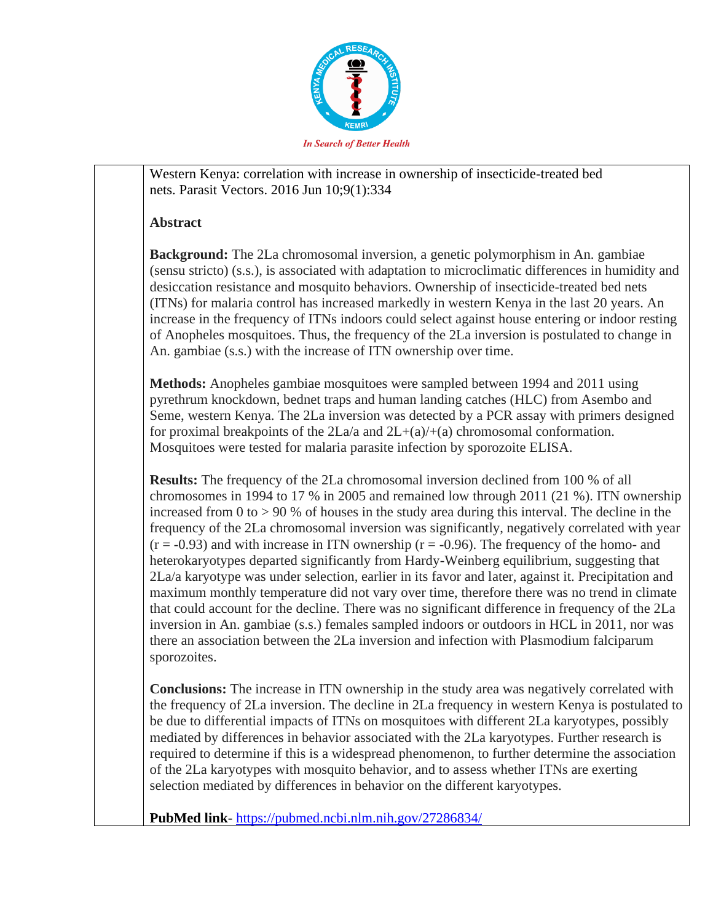

**In Search of Better Health** 

Western Kenya: correlation with increase in ownership of insecticide-treated bed nets. Parasit Vectors. 2016 Jun 10;9(1):334

#### **Abstract**

**Background:** The 2La chromosomal inversion, a genetic polymorphism in An. gambiae (sensu stricto) (s.s.), is associated with adaptation to microclimatic differences in humidity and desiccation resistance and mosquito behaviors. Ownership of insecticide-treated bed nets (ITNs) for malaria control has increased markedly in western Kenya in the last 20 years. An increase in the frequency of ITNs indoors could select against house entering or indoor resting of Anopheles mosquitoes. Thus, the frequency of the 2La inversion is postulated to change in An. gambiae (s.s.) with the increase of ITN ownership over time.

**Methods:** Anopheles gambiae mosquitoes were sampled between 1994 and 2011 using pyrethrum knockdown, bednet traps and human landing catches (HLC) from Asembo and Seme, western Kenya. The 2La inversion was detected by a PCR assay with primers designed for proximal breakpoints of the  $2La/a$  and  $2L+(a)/(a)$  chromosomal conformation. Mosquitoes were tested for malaria parasite infection by sporozoite ELISA.

**Results:** The frequency of the 2La chromosomal inversion declined from 100 % of all chromosomes in 1994 to 17 % in 2005 and remained low through 2011 (21 %). ITN ownership increased from 0 to  $> 90$  % of houses in the study area during this interval. The decline in the frequency of the 2La chromosomal inversion was significantly, negatively correlated with year  $(r = -0.93)$  and with increase in ITN ownership  $(r = -0.96)$ . The frequency of the homo- and heterokaryotypes departed significantly from Hardy-Weinberg equilibrium, suggesting that 2La/a karyotype was under selection, earlier in its favor and later, against it. Precipitation and maximum monthly temperature did not vary over time, therefore there was no trend in climate that could account for the decline. There was no significant difference in frequency of the 2La inversion in An. gambiae (s.s.) females sampled indoors or outdoors in HCL in 2011, nor was there an association between the 2La inversion and infection with Plasmodium falciparum sporozoites.

**Conclusions:** The increase in ITN ownership in the study area was negatively correlated with the frequency of 2La inversion. The decline in 2La frequency in western Kenya is postulated to be due to differential impacts of ITNs on mosquitoes with different 2La karyotypes, possibly mediated by differences in behavior associated with the 2La karyotypes. Further research is required to determine if this is a widespread phenomenon, to further determine the association of the 2La karyotypes with mosquito behavior, and to assess whether ITNs are exerting selection mediated by differences in behavior on the different karyotypes.

**PubMed link**- <https://pubmed.ncbi.nlm.nih.gov/27286834/>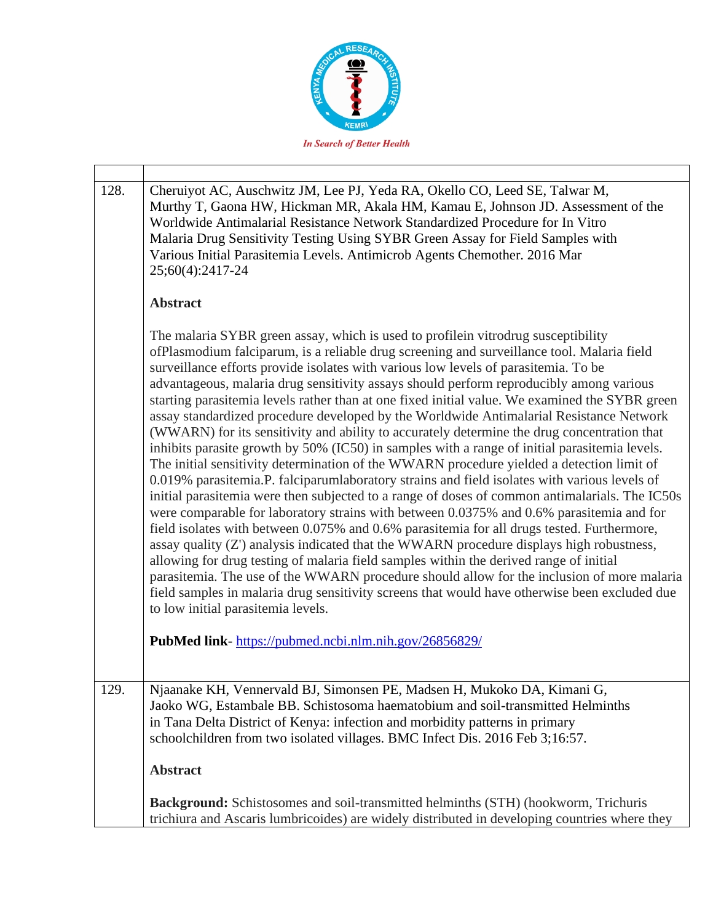

| 128. | Cheruiyot AC, Auschwitz JM, Lee PJ, Yeda RA, Okello CO, Leed SE, Talwar M,<br>Murthy T, Gaona HW, Hickman MR, Akala HM, Kamau E, Johnson JD. Assessment of the<br>Worldwide Antimalarial Resistance Network Standardized Procedure for In Vitro<br>Malaria Drug Sensitivity Testing Using SYBR Green Assay for Field Samples with<br>Various Initial Parasitemia Levels. Antimicrob Agents Chemother. 2016 Mar<br>25;60(4):2417-24                                                                                                                                                                                                                                                                                                                                                                                                                                                                                                                                                                                                                                                                                                                                                                                                                                                                                                                                                                                                                                                                                                                                                                                                                                                 |
|------|------------------------------------------------------------------------------------------------------------------------------------------------------------------------------------------------------------------------------------------------------------------------------------------------------------------------------------------------------------------------------------------------------------------------------------------------------------------------------------------------------------------------------------------------------------------------------------------------------------------------------------------------------------------------------------------------------------------------------------------------------------------------------------------------------------------------------------------------------------------------------------------------------------------------------------------------------------------------------------------------------------------------------------------------------------------------------------------------------------------------------------------------------------------------------------------------------------------------------------------------------------------------------------------------------------------------------------------------------------------------------------------------------------------------------------------------------------------------------------------------------------------------------------------------------------------------------------------------------------------------------------------------------------------------------------|
|      | <b>Abstract</b>                                                                                                                                                                                                                                                                                                                                                                                                                                                                                                                                                                                                                                                                                                                                                                                                                                                                                                                                                                                                                                                                                                                                                                                                                                                                                                                                                                                                                                                                                                                                                                                                                                                                    |
|      | The malaria SYBR green assay, which is used to profilein vitrodrug susceptibility<br>ofPlasmodium falciparum, is a reliable drug screening and surveillance tool. Malaria field<br>surveillance efforts provide isolates with various low levels of parasitemia. To be<br>advantageous, malaria drug sensitivity assays should perform reproducibly among various<br>starting parasitemia levels rather than at one fixed initial value. We examined the SYBR green<br>assay standardized procedure developed by the Worldwide Antimalarial Resistance Network<br>(WWARN) for its sensitivity and ability to accurately determine the drug concentration that<br>inhibits parasite growth by 50% (IC50) in samples with a range of initial parasitemia levels.<br>The initial sensitivity determination of the WWARN procedure yielded a detection limit of<br>0.019% parasitemia.P. falciparumlaboratory strains and field isolates with various levels of<br>initial parasitemia were then subjected to a range of doses of common antimalarials. The IC50s<br>were comparable for laboratory strains with between 0.0375% and 0.6% parasitemia and for<br>field isolates with between 0.075% and 0.6% parasitemia for all drugs tested. Furthermore,<br>assay quality (Z') analysis indicated that the WWARN procedure displays high robustness,<br>allowing for drug testing of malaria field samples within the derived range of initial<br>parasitemia. The use of the WWARN procedure should allow for the inclusion of more malaria<br>field samples in malaria drug sensitivity screens that would have otherwise been excluded due<br>to low initial parasitemia levels. |
|      | PubMed link- https://pubmed.ncbi.nlm.nih.gov/26856829/                                                                                                                                                                                                                                                                                                                                                                                                                                                                                                                                                                                                                                                                                                                                                                                                                                                                                                                                                                                                                                                                                                                                                                                                                                                                                                                                                                                                                                                                                                                                                                                                                             |
| 129. | Njaanake KH, Vennervald BJ, Simonsen PE, Madsen H, Mukoko DA, Kimani G,<br>Jaoko WG, Estambale BB. Schistosoma haematobium and soil-transmitted Helminths<br>in Tana Delta District of Kenya: infection and morbidity patterns in primary<br>schoolchildren from two isolated villages. BMC Infect Dis. 2016 Feb 3;16:57.                                                                                                                                                                                                                                                                                                                                                                                                                                                                                                                                                                                                                                                                                                                                                                                                                                                                                                                                                                                                                                                                                                                                                                                                                                                                                                                                                          |
|      | <b>Abstract</b>                                                                                                                                                                                                                                                                                                                                                                                                                                                                                                                                                                                                                                                                                                                                                                                                                                                                                                                                                                                                                                                                                                                                                                                                                                                                                                                                                                                                                                                                                                                                                                                                                                                                    |
|      | <b>Background:</b> Schistosomes and soil-transmitted helminths (STH) (hookworm, Trichuris<br>trichiura and Ascaris lumbricoides) are widely distributed in developing countries where they                                                                                                                                                                                                                                                                                                                                                                                                                                                                                                                                                                                                                                                                                                                                                                                                                                                                                                                                                                                                                                                                                                                                                                                                                                                                                                                                                                                                                                                                                         |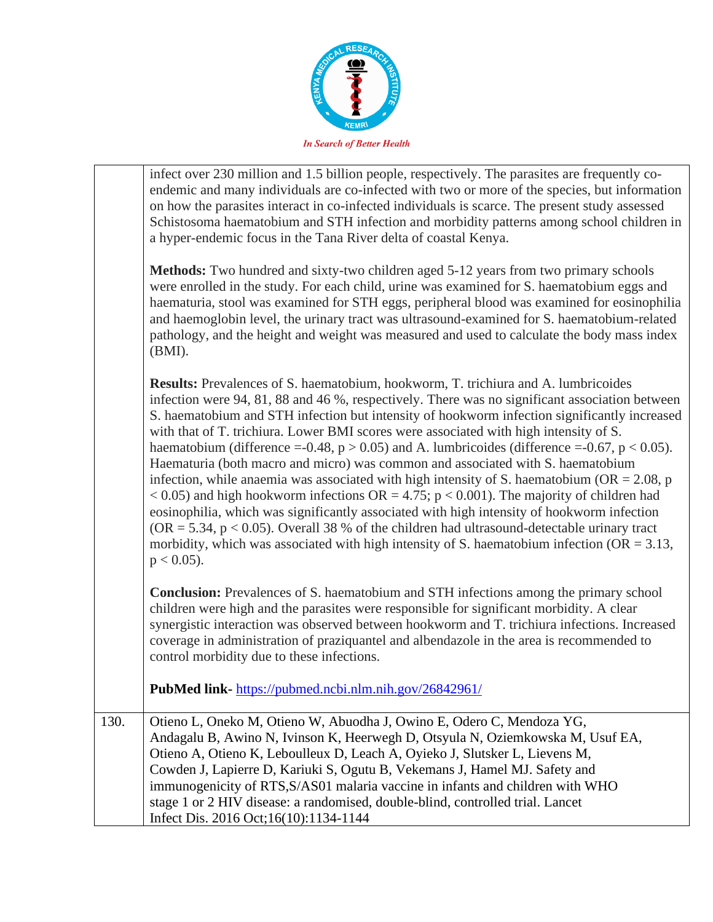

|      | infect over 230 million and 1.5 billion people, respectively. The parasites are frequently co-                                                                                                                                                                                                                                                                                                                                                                                                                                                                                                                                                                                                                                                                                                                                                                                                                                                                                                                                                                                                 |
|------|------------------------------------------------------------------------------------------------------------------------------------------------------------------------------------------------------------------------------------------------------------------------------------------------------------------------------------------------------------------------------------------------------------------------------------------------------------------------------------------------------------------------------------------------------------------------------------------------------------------------------------------------------------------------------------------------------------------------------------------------------------------------------------------------------------------------------------------------------------------------------------------------------------------------------------------------------------------------------------------------------------------------------------------------------------------------------------------------|
|      | endemic and many individuals are co-infected with two or more of the species, but information<br>on how the parasites interact in co-infected individuals is scarce. The present study assessed<br>Schistosoma haematobium and STH infection and morbidity patterns among school children in<br>a hyper-endemic focus in the Tana River delta of coastal Kenya.                                                                                                                                                                                                                                                                                                                                                                                                                                                                                                                                                                                                                                                                                                                                |
|      | <b>Methods:</b> Two hundred and sixty-two children aged 5-12 years from two primary schools<br>were enrolled in the study. For each child, urine was examined for S. haematobium eggs and<br>haematuria, stool was examined for STH eggs, peripheral blood was examined for eosinophilia<br>and haemoglobin level, the urinary tract was ultrasound-examined for S. haematobium-related<br>pathology, and the height and weight was measured and used to calculate the body mass index<br>(BMI).                                                                                                                                                                                                                                                                                                                                                                                                                                                                                                                                                                                               |
|      | Results: Prevalences of S. haematobium, hookworm, T. trichiura and A. lumbricoides<br>infection were 94, 81, 88 and 46 %, respectively. There was no significant association between<br>S. haematobium and STH infection but intensity of hookworm infection significantly increased<br>with that of T. trichiura. Lower BMI scores were associated with high intensity of S.<br>haematobium (difference = -0.48, $p > 0.05$ ) and A. lumbricoides (difference = -0.67, $p < 0.05$ ).<br>Haematuria (both macro and micro) was common and associated with S. haematobium<br>infection, while anaemia was associated with high intensity of S. haematobium ( $OR = 2.08$ , p<br>< 0.05) and high hookworm infections OR = 4.75; $p < 0.001$ ). The majority of children had<br>eosinophilia, which was significantly associated with high intensity of hookworm infection<br>(OR = 5.34, $p < 0.05$ ). Overall 38 % of the children had ultrasound-detectable urinary tract<br>morbidity, which was associated with high intensity of S. haematobium infection ( $OR = 3.13$ ,<br>$p < 0.05$ ). |
|      | <b>Conclusion:</b> Prevalences of S. haematobium and STH infections among the primary school<br>children were high and the parasites were responsible for significant morbidity. A clear<br>synergistic interaction was observed between hookworm and T. trichiura infections. Increased<br>coverage in administration of praziquantel and albendazole in the area is recommended to<br>control morbidity due to these infections.<br>PubMed link-https://pubmed.ncbi.nlm.nih.gov/26842961/                                                                                                                                                                                                                                                                                                                                                                                                                                                                                                                                                                                                    |
|      |                                                                                                                                                                                                                                                                                                                                                                                                                                                                                                                                                                                                                                                                                                                                                                                                                                                                                                                                                                                                                                                                                                |
| 130. | Otieno L, Oneko M, Otieno W, Abuodha J, Owino E, Odero C, Mendoza YG,<br>Andagalu B, Awino N, Ivinson K, Heerwegh D, Otsyula N, Oziemkowska M, Usuf EA,<br>Otieno A, Otieno K, Leboulleux D, Leach A, Oyieko J, Slutsker L, Lievens M,<br>Cowden J, Lapierre D, Kariuki S, Ogutu B, Vekemans J, Hamel MJ. Safety and<br>immunogenicity of RTS, S/AS01 malaria vaccine in infants and children with WHO<br>stage 1 or 2 HIV disease: a randomised, double-blind, controlled trial. Lancet<br>Infect Dis. 2016 Oct; 16(10): 1134-1144                                                                                                                                                                                                                                                                                                                                                                                                                                                                                                                                                            |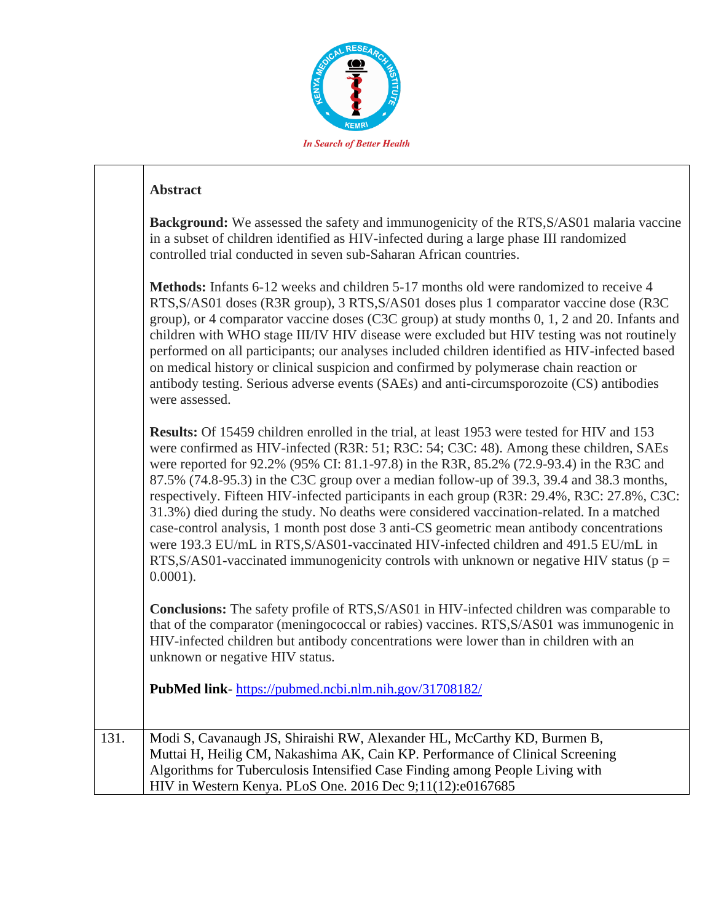

**Background:** We assessed the safety and immunogenicity of the RTS, S/AS01 malaria vaccine in a subset of children identified as HIV-infected during a large phase III randomized controlled trial conducted in seven sub-Saharan African countries.

**Methods:** Infants 6-12 weeks and children 5-17 months old were randomized to receive 4 RTS,S/AS01 doses (R3R group), 3 RTS,S/AS01 doses plus 1 comparator vaccine dose (R3C group), or 4 comparator vaccine doses (C3C group) at study months 0, 1, 2 and 20. Infants and children with WHO stage III/IV HIV disease were excluded but HIV testing was not routinely performed on all participants; our analyses included children identified as HIV-infected based on medical history or clinical suspicion and confirmed by polymerase chain reaction or antibody testing. Serious adverse events (SAEs) and anti-circumsporozoite (CS) antibodies were assessed.

**Results:** Of 15459 children enrolled in the trial, at least 1953 were tested for HIV and 153 were confirmed as HIV-infected (R3R: 51; R3C: 54; C3C: 48). Among these children, SAEs were reported for 92.2% (95% CI: 81.1-97.8) in the R3R, 85.2% (72.9-93.4) in the R3C and 87.5% (74.8-95.3) in the C3C group over a median follow-up of 39.3, 39.4 and 38.3 months, respectively. Fifteen HIV-infected participants in each group (R3R: 29.4%, R3C: 27.8%, C3C: 31.3%) died during the study. No deaths were considered vaccination-related. In a matched case-control analysis, 1 month post dose 3 anti-CS geometric mean antibody concentrations were 193.3 EU/mL in RTS,S/AS01-vaccinated HIV-infected children and 491.5 EU/mL in RTS, S/AS01-vaccinated immunogenicity controls with unknown or negative HIV status ( $p =$ 0.0001).

**Conclusions:** The safety profile of RTS,S/AS01 in HIV-infected children was comparable to that of the comparator (meningococcal or rabies) vaccines. RTS,S/AS01 was immunogenic in HIV-infected children but antibody concentrations were lower than in children with an unknown or negative HIV status.

**PubMed link**- <https://pubmed.ncbi.nlm.nih.gov/31708182/>

131. | Modi S, Cavanaugh JS, Shiraishi RW, Alexander HL, McCarthy KD, Burmen B, Muttai H, Heilig CM, Nakashima AK, Cain KP. Performance of Clinical Screening Algorithms for Tuberculosis Intensified Case Finding among People Living with HIV in Western Kenya. PLoS One. 2016 Dec 9;11(12):e0167685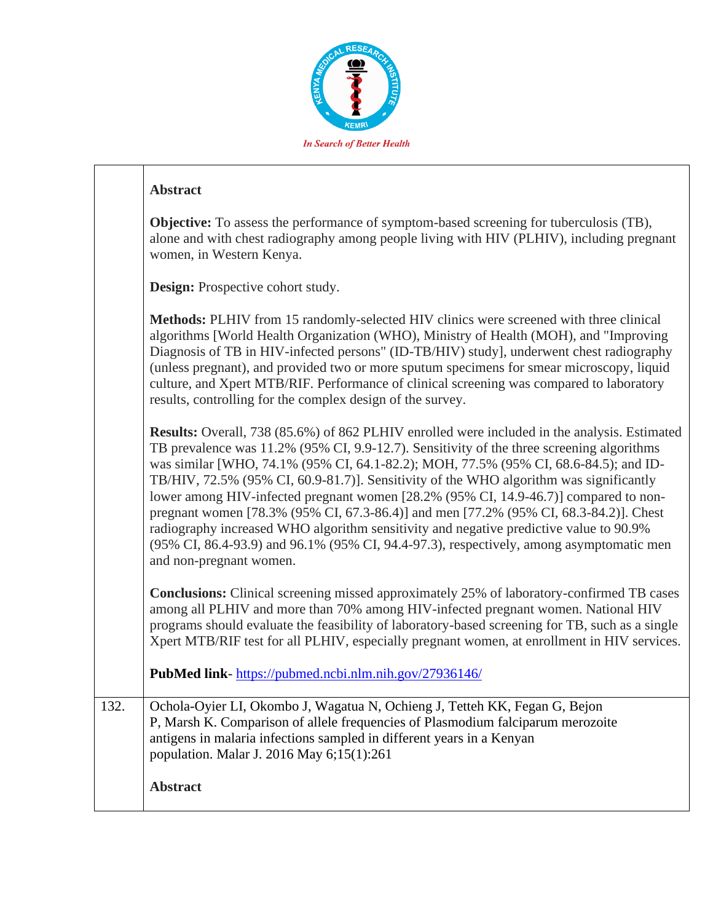

**Objective:** To assess the performance of symptom-based screening for tuberculosis (TB), alone and with chest radiography among people living with HIV (PLHIV), including pregnant women, in Western Kenya.

**Design:** Prospective cohort study.

**Methods:** PLHIV from 15 randomly-selected HIV clinics were screened with three clinical algorithms [World Health Organization (WHO), Ministry of Health (MOH), and "Improving Diagnosis of TB in HIV-infected persons" (ID-TB/HIV) study], underwent chest radiography (unless pregnant), and provided two or more sputum specimens for smear microscopy, liquid culture, and Xpert MTB/RIF. Performance of clinical screening was compared to laboratory results, controlling for the complex design of the survey.

**Results:** Overall, 738 (85.6%) of 862 PLHIV enrolled were included in the analysis. Estimated TB prevalence was 11.2% (95% CI, 9.9-12.7). Sensitivity of the three screening algorithms was similar [WHO, 74.1% (95% CI, 64.1-82.2); MOH, 77.5% (95% CI, 68.6-84.5); and ID-TB/HIV, 72.5% (95% CI, 60.9-81.7)]. Sensitivity of the WHO algorithm was significantly lower among HIV-infected pregnant women [28.2% (95% CI, 14.9-46.7)] compared to nonpregnant women [78.3% (95% CI, 67.3-86.4)] and men [77.2% (95% CI, 68.3-84.2)]. Chest radiography increased WHO algorithm sensitivity and negative predictive value to 90.9% (95% CI, 86.4-93.9) and 96.1% (95% CI, 94.4-97.3), respectively, among asymptomatic men and non-pregnant women.

**Conclusions:** Clinical screening missed approximately 25% of laboratory-confirmed TB cases among all PLHIV and more than 70% among HIV-infected pregnant women. National HIV programs should evaluate the feasibility of laboratory-based screening for TB, such as a single Xpert MTB/RIF test for all PLHIV, especially pregnant women, at enrollment in HIV services.

**PubMed link**- <https://pubmed.ncbi.nlm.nih.gov/27936146/>

| 132. | Ochola-Oyier LI, Okombo J, Wagatua N, Ochieng J, Tetteh KK, Fegan G, Bejon      |
|------|---------------------------------------------------------------------------------|
|      | P, Marsh K. Comparison of allele frequencies of Plasmodium falciparum merozoite |
|      | antigens in malaria infections sampled in different years in a Kenyan           |
|      | population. Malar J. 2016 May 6;15(1):261                                       |
|      |                                                                                 |
|      | <b>Abstract</b>                                                                 |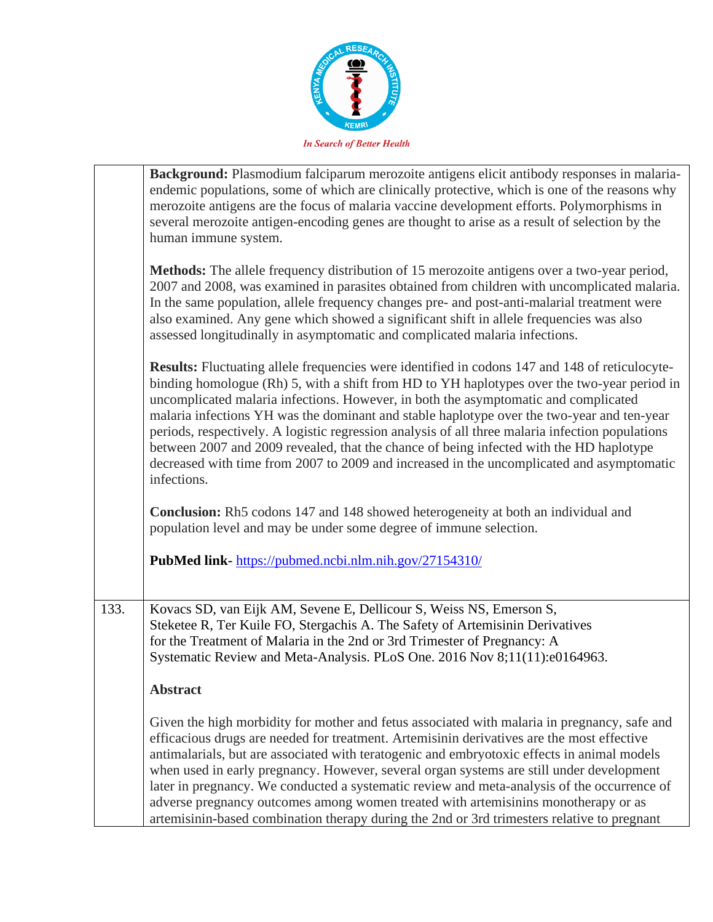

|      | Background: Plasmodium falciparum merozoite antigens elicit antibody responses in malaria-<br>endemic populations, some of which are clinically protective, which is one of the reasons why<br>merozoite antigens are the focus of malaria vaccine development efforts. Polymorphisms in<br>several merozoite antigen-encoding genes are thought to arise as a result of selection by the<br>human immune system.                                                                                                                                                                                                                                                                                    |
|------|------------------------------------------------------------------------------------------------------------------------------------------------------------------------------------------------------------------------------------------------------------------------------------------------------------------------------------------------------------------------------------------------------------------------------------------------------------------------------------------------------------------------------------------------------------------------------------------------------------------------------------------------------------------------------------------------------|
|      | Methods: The allele frequency distribution of 15 merozoite antigens over a two-year period,<br>2007 and 2008, was examined in parasites obtained from children with uncomplicated malaria.<br>In the same population, allele frequency changes pre- and post-anti-malarial treatment were<br>also examined. Any gene which showed a significant shift in allele frequencies was also<br>assessed longitudinally in asymptomatic and complicated malaria infections.                                                                                                                                                                                                                                  |
|      | <b>Results:</b> Fluctuating allele frequencies were identified in codons 147 and 148 of reticulocyte-<br>binding homologue (Rh) 5, with a shift from HD to YH haplotypes over the two-year period in<br>uncomplicated malaria infections. However, in both the asymptomatic and complicated<br>malaria infections YH was the dominant and stable haplotype over the two-year and ten-year<br>periods, respectively. A logistic regression analysis of all three malaria infection populations<br>between 2007 and 2009 revealed, that the chance of being infected with the HD haplotype<br>decreased with time from 2007 to 2009 and increased in the uncomplicated and asymptomatic<br>infections. |
|      | Conclusion: Rh5 codons 147 and 148 showed heterogeneity at both an individual and<br>population level and may be under some degree of immune selection.                                                                                                                                                                                                                                                                                                                                                                                                                                                                                                                                              |
|      | PubMed link-https://pubmed.ncbi.nlm.nih.gov/27154310/                                                                                                                                                                                                                                                                                                                                                                                                                                                                                                                                                                                                                                                |
| 133. | Kovacs SD, van Eijk AM, Sevene E, Dellicour S, Weiss NS, Emerson S,<br>Steketee R, Ter Kuile FO, Stergachis A. The Safety of Artemisinin Derivatives<br>for the Treatment of Malaria in the 2nd or 3rd Trimester of Pregnancy: A<br>Systematic Review and Meta-Analysis. PLoS One. 2016 Nov 8;11(11):e0164963.                                                                                                                                                                                                                                                                                                                                                                                       |
|      | <b>Abstract</b>                                                                                                                                                                                                                                                                                                                                                                                                                                                                                                                                                                                                                                                                                      |
|      | Given the high morbidity for mother and fetus associated with malaria in pregnancy, safe and<br>efficacious drugs are needed for treatment. Artemisinin derivatives are the most effective<br>antimalarials, but are associated with teratogenic and embryotoxic effects in animal models<br>when used in early pregnancy. However, several organ systems are still under development<br>later in pregnancy. We conducted a systematic review and meta-analysis of the occurrence of<br>adverse pregnancy outcomes among women treated with artemisinins monotherapy or as<br>artemisinin-based combination therapy during the 2nd or 3rd trimesters relative to pregnant                            |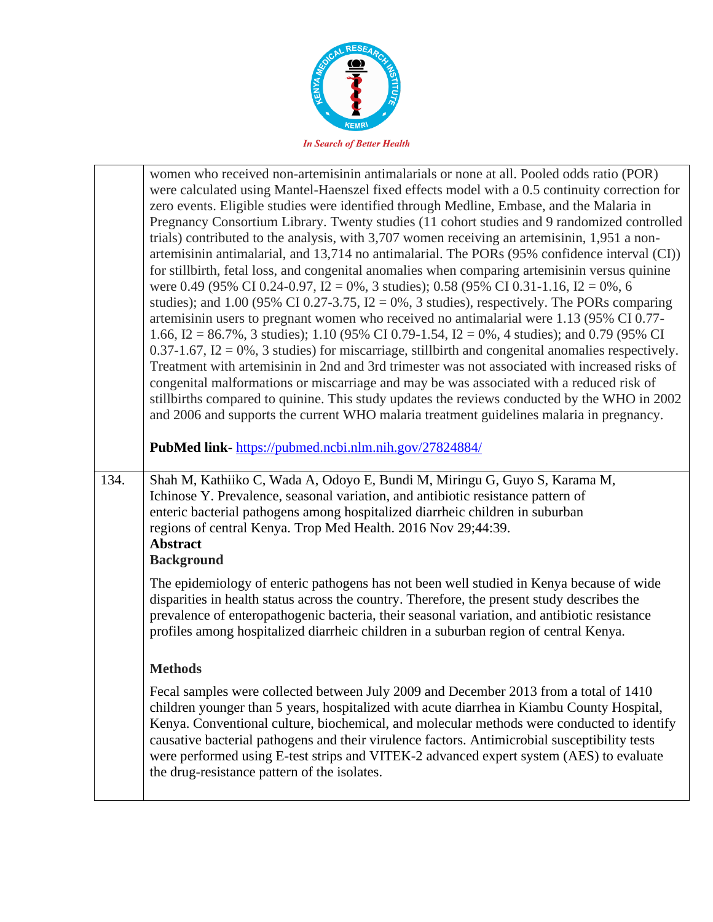

|      | women who received non-artemisinin antimalarials or none at all. Pooled odds ratio (POR)<br>were calculated using Mantel-Haenszel fixed effects model with a 0.5 continuity correction for<br>zero events. Eligible studies were identified through Medline, Embase, and the Malaria in<br>Pregnancy Consortium Library. Twenty studies (11 cohort studies and 9 randomized controlled<br>trials) contributed to the analysis, with 3,707 women receiving an artemisinin, 1,951 a non-<br>artemisinin antimalarial, and 13,714 no antimalarial. The PORs (95% confidence interval (CI))<br>for stillbirth, fetal loss, and congenital anomalies when comparing artemisinin versus quinine<br>were 0.49 (95% CI 0.24-0.97, I2 = 0%, 3 studies); 0.58 (95% CI 0.31-1.16, I2 = 0%, 6<br>studies); and $1.00$ (95% CI 0.27-3.75, I2 = 0%, 3 studies), respectively. The PORs comparing<br>artemisinin users to pregnant women who received no antimalarial were 1.13 (95% CI 0.77-<br>1.66, $I2 = 86.7\%$ , 3 studies); 1.10 (95% CI 0.79-1.54, $I2 = 0\%$ , 4 studies); and 0.79 (95% CI<br>$0.37-1.67$ , $I2 = 0\%$ , 3 studies) for miscarriage, still birth and congenital anomalies respectively.<br>Treatment with artemisinin in 2nd and 3rd trimester was not associated with increased risks of<br>congenital malformations or miscarriage and may be was associated with a reduced risk of<br>stillbirths compared to quinine. This study updates the reviews conducted by the WHO in 2002<br>and 2006 and supports the current WHO malaria treatment guidelines malaria in pregnancy.<br>PubMed link- https://pubmed.ncbi.nlm.nih.gov/27824884/ |
|------|--------------------------------------------------------------------------------------------------------------------------------------------------------------------------------------------------------------------------------------------------------------------------------------------------------------------------------------------------------------------------------------------------------------------------------------------------------------------------------------------------------------------------------------------------------------------------------------------------------------------------------------------------------------------------------------------------------------------------------------------------------------------------------------------------------------------------------------------------------------------------------------------------------------------------------------------------------------------------------------------------------------------------------------------------------------------------------------------------------------------------------------------------------------------------------------------------------------------------------------------------------------------------------------------------------------------------------------------------------------------------------------------------------------------------------------------------------------------------------------------------------------------------------------------------------------------------------------------------------------------------------------------------------|
| 134. | Shah M, Kathiiko C, Wada A, Odoyo E, Bundi M, Miringu G, Guyo S, Karama M,                                                                                                                                                                                                                                                                                                                                                                                                                                                                                                                                                                                                                                                                                                                                                                                                                                                                                                                                                                                                                                                                                                                                                                                                                                                                                                                                                                                                                                                                                                                                                                             |
|      | Ichinose Y. Prevalence, seasonal variation, and antibiotic resistance pattern of<br>enteric bacterial pathogens among hospitalized diarrheic children in suburban<br>regions of central Kenya. Trop Med Health. 2016 Nov 29;44:39.<br><b>Abstract</b><br><b>Background</b>                                                                                                                                                                                                                                                                                                                                                                                                                                                                                                                                                                                                                                                                                                                                                                                                                                                                                                                                                                                                                                                                                                                                                                                                                                                                                                                                                                             |
|      | The epidemiology of enteric pathogens has not been well studied in Kenya because of wide<br>disparities in health status across the country. Therefore, the present study describes the<br>prevalence of enteropathogenic bacteria, their seasonal variation, and antibiotic resistance<br>profiles among hospitalized diarrheic children in a suburban region of central Kenya.                                                                                                                                                                                                                                                                                                                                                                                                                                                                                                                                                                                                                                                                                                                                                                                                                                                                                                                                                                                                                                                                                                                                                                                                                                                                       |
|      | <b>Methods</b>                                                                                                                                                                                                                                                                                                                                                                                                                                                                                                                                                                                                                                                                                                                                                                                                                                                                                                                                                                                                                                                                                                                                                                                                                                                                                                                                                                                                                                                                                                                                                                                                                                         |
|      | Fecal samples were collected between July 2009 and December 2013 from a total of 1410<br>children younger than 5 years, hospitalized with acute diarrhea in Kiambu County Hospital,<br>Kenya. Conventional culture, biochemical, and molecular methods were conducted to identify<br>causative bacterial pathogens and their virulence factors. Antimicrobial susceptibility tests<br>were performed using E-test strips and VITEK-2 advanced expert system (AES) to evaluate<br>the drug-resistance pattern of the isolates.                                                                                                                                                                                                                                                                                                                                                                                                                                                                                                                                                                                                                                                                                                                                                                                                                                                                                                                                                                                                                                                                                                                          |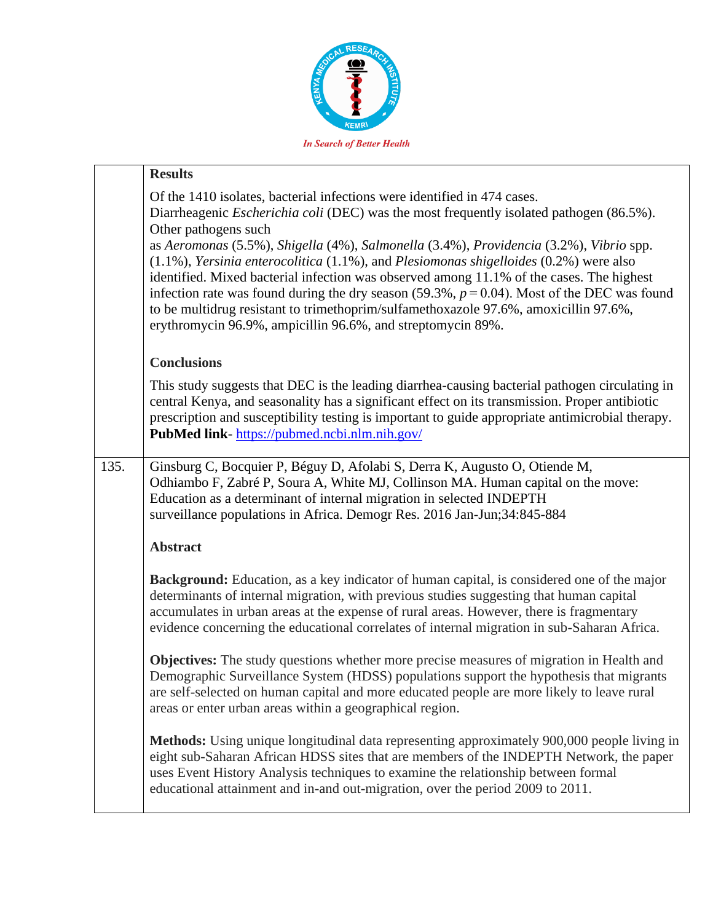

|      | <b>Results</b>                                                                                                                                                                                                                                                                                                                                                                                                                                                                                                                                                                                                                                                                                                                                 |
|------|------------------------------------------------------------------------------------------------------------------------------------------------------------------------------------------------------------------------------------------------------------------------------------------------------------------------------------------------------------------------------------------------------------------------------------------------------------------------------------------------------------------------------------------------------------------------------------------------------------------------------------------------------------------------------------------------------------------------------------------------|
|      | Of the 1410 isolates, bacterial infections were identified in 474 cases.<br>Diarrheagenic <i>Escherichia coli</i> (DEC) was the most frequently isolated pathogen (86.5%).<br>Other pathogens such<br>as Aeromonas (5.5%), Shigella (4%), Salmonella (3.4%), Providencia (3.2%), Vibrio spp.<br>$(1.1\%)$ , Yersinia enterocolitica (1.1%), and Plesiomonas shigelloides (0.2%) were also<br>identified. Mixed bacterial infection was observed among 11.1% of the cases. The highest<br>infection rate was found during the dry season (59.3%, $p = 0.04$ ). Most of the DEC was found<br>to be multidrug resistant to trimethoprim/sulfamethoxazole 97.6%, amoxicillin 97.6%,<br>erythromycin 96.9%, ampicillin 96.6%, and streptomycin 89%. |
|      | <b>Conclusions</b>                                                                                                                                                                                                                                                                                                                                                                                                                                                                                                                                                                                                                                                                                                                             |
|      | This study suggests that DEC is the leading diarrhea-causing bacterial pathogen circulating in<br>central Kenya, and seasonality has a significant effect on its transmission. Proper antibiotic<br>prescription and susceptibility testing is important to guide appropriate antimicrobial therapy.<br>PubMed link-https://pubmed.ncbi.nlm.nih.gov/                                                                                                                                                                                                                                                                                                                                                                                           |
| 135. | Ginsburg C, Bocquier P, Béguy D, Afolabi S, Derra K, Augusto O, Otiende M,<br>Odhiambo F, Zabré P, Soura A, White MJ, Collinson MA. Human capital on the move:<br>Education as a determinant of internal migration in selected INDEPTH<br>surveillance populations in Africa. Demogr Res. 2016 Jan-Jun; 34:845-884                                                                                                                                                                                                                                                                                                                                                                                                                             |
|      | <b>Abstract</b>                                                                                                                                                                                                                                                                                                                                                                                                                                                                                                                                                                                                                                                                                                                                |
|      | <b>Background:</b> Education, as a key indicator of human capital, is considered one of the major<br>determinants of internal migration, with previous studies suggesting that human capital<br>accumulates in urban areas at the expense of rural areas. However, there is fragmentary<br>evidence concerning the educational correlates of internal migration in sub-Saharan Africa.                                                                                                                                                                                                                                                                                                                                                         |
|      | <b>Objectives:</b> The study questions whether more precise measures of migration in Health and<br>Demographic Surveillance System (HDSS) populations support the hypothesis that migrants<br>are self-selected on human capital and more educated people are more likely to leave rural<br>areas or enter urban areas within a geographical region.                                                                                                                                                                                                                                                                                                                                                                                           |
|      | Methods: Using unique longitudinal data representing approximately 900,000 people living in<br>eight sub-Saharan African HDSS sites that are members of the INDEPTH Network, the paper<br>uses Event History Analysis techniques to examine the relationship between formal<br>educational attainment and in-and out-migration, over the period 2009 to 2011.                                                                                                                                                                                                                                                                                                                                                                                  |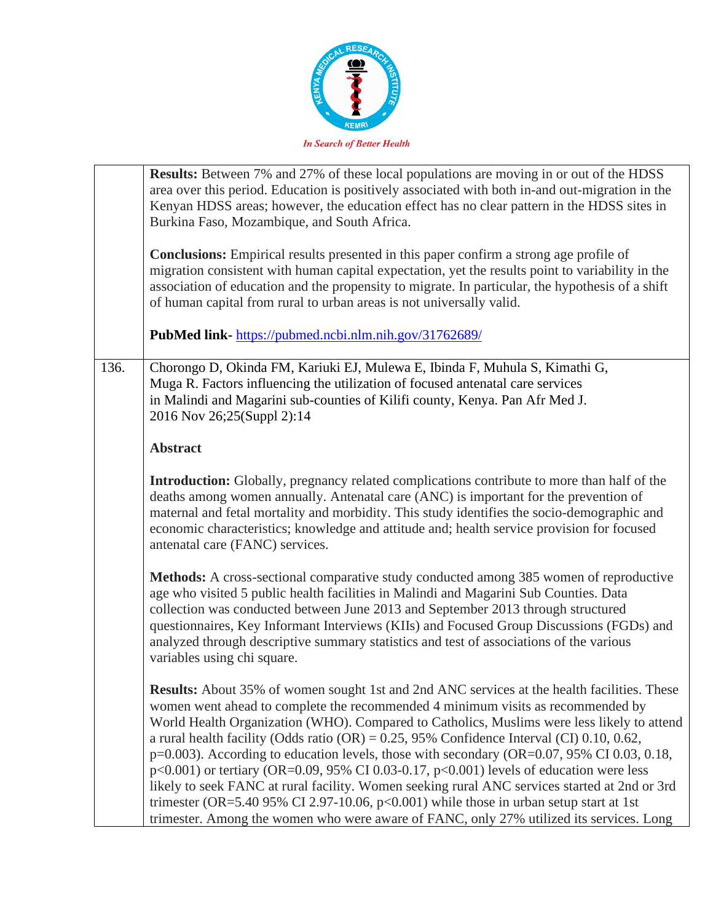

|      | Results: Between 7% and 27% of these local populations are moving in or out of the HDSS<br>area over this period. Education is positively associated with both in-and out-migration in the<br>Kenyan HDSS areas; however, the education effect has no clear pattern in the HDSS sites in<br>Burkina Faso, Mozambique, and South Africa.                                                                                                                                                                                                                                                                                                                                                                                                                                                                                                                                     |
|------|-----------------------------------------------------------------------------------------------------------------------------------------------------------------------------------------------------------------------------------------------------------------------------------------------------------------------------------------------------------------------------------------------------------------------------------------------------------------------------------------------------------------------------------------------------------------------------------------------------------------------------------------------------------------------------------------------------------------------------------------------------------------------------------------------------------------------------------------------------------------------------|
|      |                                                                                                                                                                                                                                                                                                                                                                                                                                                                                                                                                                                                                                                                                                                                                                                                                                                                             |
|      | Conclusions: Empirical results presented in this paper confirm a strong age profile of<br>migration consistent with human capital expectation, yet the results point to variability in the<br>association of education and the propensity to migrate. In particular, the hypothesis of a shift<br>of human capital from rural to urban areas is not universally valid.                                                                                                                                                                                                                                                                                                                                                                                                                                                                                                      |
|      | PubMed link- https://pubmed.ncbi.nlm.nih.gov/31762689/                                                                                                                                                                                                                                                                                                                                                                                                                                                                                                                                                                                                                                                                                                                                                                                                                      |
| 136. | Chorongo D, Okinda FM, Kariuki EJ, Mulewa E, Ibinda F, Muhula S, Kimathi G,<br>Muga R. Factors influencing the utilization of focused antenatal care services<br>in Malindi and Magarini sub-counties of Kilifi county, Kenya. Pan Afr Med J.<br>2016 Nov 26;25(Suppl 2):14                                                                                                                                                                                                                                                                                                                                                                                                                                                                                                                                                                                                 |
|      | <b>Abstract</b>                                                                                                                                                                                                                                                                                                                                                                                                                                                                                                                                                                                                                                                                                                                                                                                                                                                             |
|      | <b>Introduction:</b> Globally, pregnancy related complications contribute to more than half of the<br>deaths among women annually. Antenatal care (ANC) is important for the prevention of<br>maternal and fetal mortality and morbidity. This study identifies the socio-demographic and<br>economic characteristics; knowledge and attitude and; health service provision for focused<br>antenatal care (FANC) services.                                                                                                                                                                                                                                                                                                                                                                                                                                                  |
|      | Methods: A cross-sectional comparative study conducted among 385 women of reproductive<br>age who visited 5 public health facilities in Malindi and Magarini Sub Counties. Data<br>collection was conducted between June 2013 and September 2013 through structured<br>questionnaires, Key Informant Interviews (KIIs) and Focused Group Discussions (FGDs) and<br>analyzed through descriptive summary statistics and test of associations of the various<br>variables using chi square.                                                                                                                                                                                                                                                                                                                                                                                   |
|      | <b>Results:</b> About 35% of women sought 1st and 2nd ANC services at the health facilities. These<br>women went ahead to complete the recommended 4 minimum visits as recommended by<br>World Health Organization (WHO). Compared to Catholics, Muslims were less likely to attend<br>a rural health facility (Odds ratio (OR) = $0.25$ , 95% Confidence Interval (CI) 0.10, 0.62,<br>p=0.003). According to education levels, those with secondary (OR=0.07, 95% CI 0.03, 0.18,<br>$p<0.001$ ) or tertiary (OR=0.09, 95% CI 0.03-0.17, $p<0.001$ ) levels of education were less<br>likely to seek FANC at rural facility. Women seeking rural ANC services started at 2nd or 3rd<br>trimester (OR=5.40 95% CI 2.97-10.06, $p<0.001$ ) while those in urban setup start at 1st<br>trimester. Among the women who were aware of FANC, only 27% utilized its services. Long |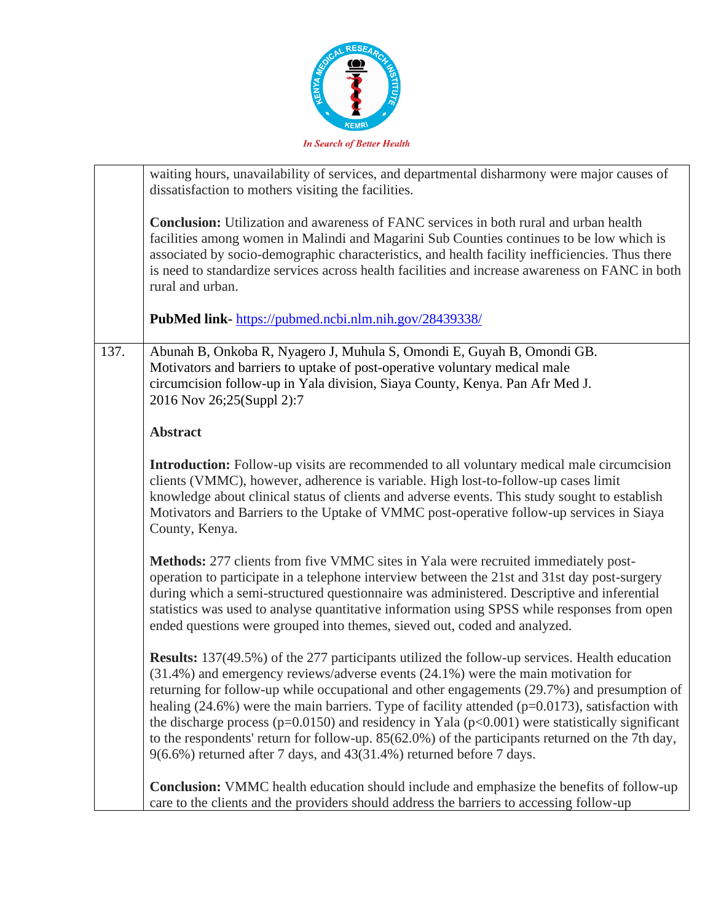

|      | waiting hours, unavailability of services, and departmental disharmony were major causes of<br>dissatisfaction to mothers visiting the facilities.                                                                                                                                                                                                                                                                                                                                                                                                                                                                                                                                            |
|------|-----------------------------------------------------------------------------------------------------------------------------------------------------------------------------------------------------------------------------------------------------------------------------------------------------------------------------------------------------------------------------------------------------------------------------------------------------------------------------------------------------------------------------------------------------------------------------------------------------------------------------------------------------------------------------------------------|
|      | <b>Conclusion:</b> Utilization and awareness of FANC services in both rural and urban health<br>facilities among women in Malindi and Magarini Sub Counties continues to be low which is<br>associated by socio-demographic characteristics, and health facility inefficiencies. Thus there<br>is need to standardize services across health facilities and increase awareness on FANC in both<br>rural and urban.                                                                                                                                                                                                                                                                            |
|      | PubMed link- https://pubmed.ncbi.nlm.nih.gov/28439338/                                                                                                                                                                                                                                                                                                                                                                                                                                                                                                                                                                                                                                        |
| 137. | Abunah B, Onkoba R, Nyagero J, Muhula S, Omondi E, Guyah B, Omondi GB.<br>Motivators and barriers to uptake of post-operative voluntary medical male<br>circumcision follow-up in Yala division, Siaya County, Kenya. Pan Afr Med J.<br>2016 Nov 26;25(Suppl 2):7                                                                                                                                                                                                                                                                                                                                                                                                                             |
|      | <b>Abstract</b>                                                                                                                                                                                                                                                                                                                                                                                                                                                                                                                                                                                                                                                                               |
|      | <b>Introduction:</b> Follow-up visits are recommended to all voluntary medical male circumcision<br>clients (VMMC), however, adherence is variable. High lost-to-follow-up cases limit<br>knowledge about clinical status of clients and adverse events. This study sought to establish<br>Motivators and Barriers to the Uptake of VMMC post-operative follow-up services in Siaya<br>County, Kenya.                                                                                                                                                                                                                                                                                         |
|      | Methods: 277 clients from five VMMC sites in Yala were recruited immediately post-<br>operation to participate in a telephone interview between the 21st and 31st day post-surgery<br>during which a semi-structured questionnaire was administered. Descriptive and inferential<br>statistics was used to analyse quantitative information using SPSS while responses from open<br>ended questions were grouped into themes, sieved out, coded and analyzed.                                                                                                                                                                                                                                 |
|      | <b>Results:</b> 137(49.5%) of the 277 participants utilized the follow-up services. Health education<br>$(31.4%)$ and emergency reviews/adverse events $(24.1%)$ were the main motivation for<br>returning for follow-up while occupational and other engagements (29.7%) and presumption of<br>healing $(24.6\%)$ were the main barriers. Type of facility attended ( $p=0.0173$ ), satisfaction with<br>the discharge process ( $p=0.0150$ ) and residency in Yala ( $p<0.001$ ) were statistically significant<br>to the respondents' return for follow-up. 85(62.0%) of the participants returned on the 7th day,<br>9(6.6%) returned after 7 days, and 43(31.4%) returned before 7 days. |
|      | <b>Conclusion:</b> VMMC health education should include and emphasize the benefits of follow-up<br>care to the clients and the providers should address the barriers to accessing follow-up                                                                                                                                                                                                                                                                                                                                                                                                                                                                                                   |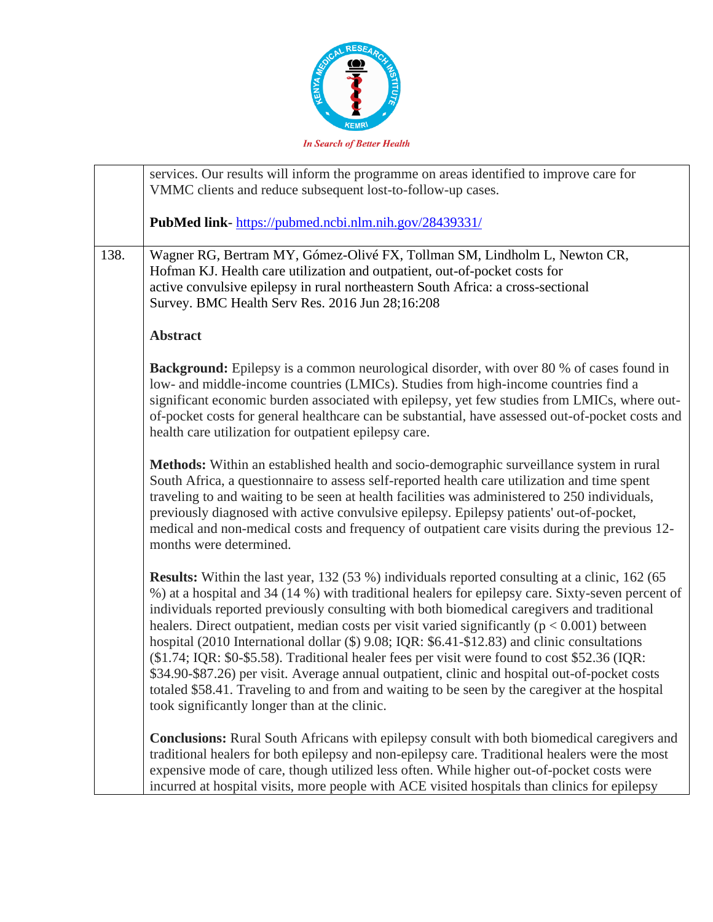

|      | services. Our results will inform the programme on areas identified to improve care for<br>VMMC clients and reduce subsequent lost-to-follow-up cases.                                                                                                                                                                                                                                                                                                                                                                                                                                                                                                                                                                                                                                                                                                             |
|------|--------------------------------------------------------------------------------------------------------------------------------------------------------------------------------------------------------------------------------------------------------------------------------------------------------------------------------------------------------------------------------------------------------------------------------------------------------------------------------------------------------------------------------------------------------------------------------------------------------------------------------------------------------------------------------------------------------------------------------------------------------------------------------------------------------------------------------------------------------------------|
|      | PubMed link-https://pubmed.ncbi.nlm.nih.gov/28439331/                                                                                                                                                                                                                                                                                                                                                                                                                                                                                                                                                                                                                                                                                                                                                                                                              |
| 138. | Wagner RG, Bertram MY, Gómez-Olivé FX, Tollman SM, Lindholm L, Newton CR,<br>Hofman KJ. Health care utilization and outpatient, out-of-pocket costs for<br>active convulsive epilepsy in rural northeastern South Africa: a cross-sectional<br>Survey. BMC Health Serv Res. 2016 Jun 28;16:208                                                                                                                                                                                                                                                                                                                                                                                                                                                                                                                                                                     |
|      | <b>Abstract</b>                                                                                                                                                                                                                                                                                                                                                                                                                                                                                                                                                                                                                                                                                                                                                                                                                                                    |
|      | <b>Background:</b> Epilepsy is a common neurological disorder, with over 80 % of cases found in<br>low- and middle-income countries (LMICs). Studies from high-income countries find a<br>significant economic burden associated with epilepsy, yet few studies from LMICs, where out-<br>of-pocket costs for general healthcare can be substantial, have assessed out-of-pocket costs and<br>health care utilization for outpatient epilepsy care.                                                                                                                                                                                                                                                                                                                                                                                                                |
|      | Methods: Within an established health and socio-demographic surveillance system in rural<br>South Africa, a questionnaire to assess self-reported health care utilization and time spent<br>traveling to and waiting to be seen at health facilities was administered to 250 individuals,<br>previously diagnosed with active convulsive epilepsy. Epilepsy patients' out-of-pocket,<br>medical and non-medical costs and frequency of outpatient care visits during the previous 12-<br>months were determined.                                                                                                                                                                                                                                                                                                                                                   |
|      | <b>Results:</b> Within the last year, 132 (53 %) individuals reported consulting at a clinic, 162 (65)<br>%) at a hospital and 34 (14 %) with traditional healers for epilepsy care. Sixty-seven percent of<br>individuals reported previously consulting with both biomedical caregivers and traditional<br>healers. Direct outpatient, median costs per visit varied significantly ( $p < 0.001$ ) between<br>hospital (2010 International dollar (\$) 9.08; IQR: \$6.41-\$12.83) and clinic consultations<br>(\$1.74; IQR: \$0-\$5.58). Traditional healer fees per visit were found to cost \$52.36 (IQR:<br>\$34.90-\$87.26) per visit. Average annual outpatient, clinic and hospital out-of-pocket costs<br>totaled \$58.41. Traveling to and from and waiting to be seen by the caregiver at the hospital<br>took significantly longer than at the clinic. |
|      | <b>Conclusions:</b> Rural South Africans with epilepsy consult with both biomedical caregivers and<br>traditional healers for both epilepsy and non-epilepsy care. Traditional healers were the most<br>expensive mode of care, though utilized less often. While higher out-of-pocket costs were<br>incurred at hospital visits, more people with ACE visited hospitals than clinics for epilepsy                                                                                                                                                                                                                                                                                                                                                                                                                                                                 |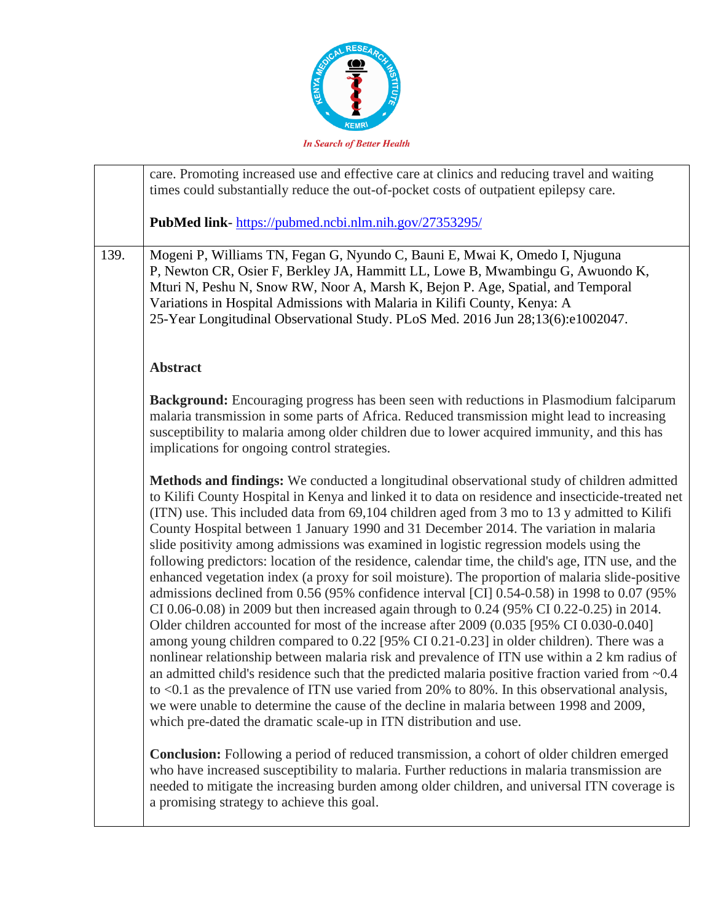

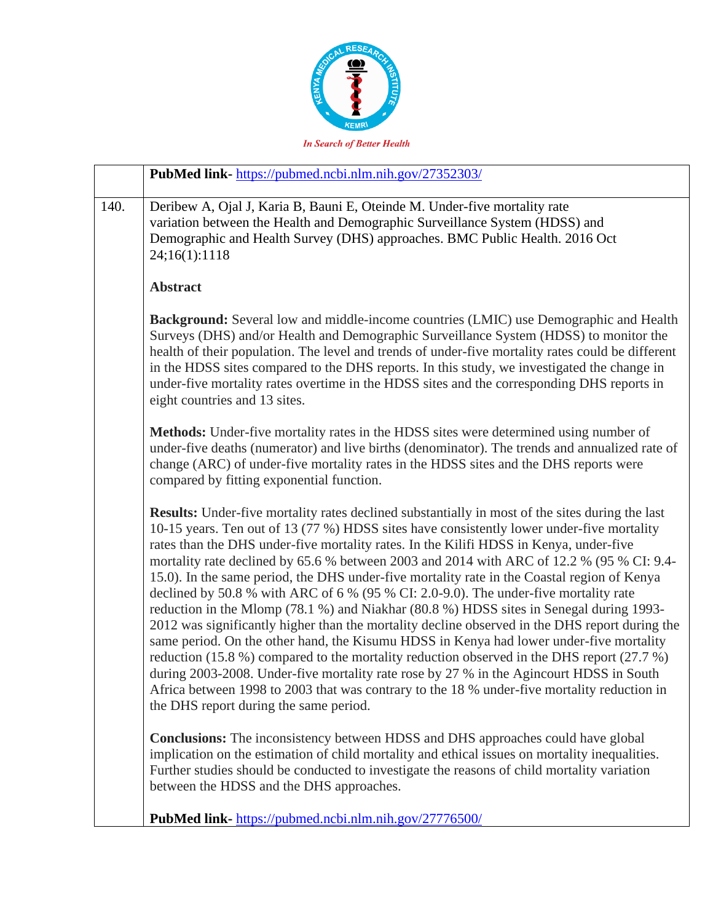

**In Search of Better Health** 

|      | PubMed link-https://pubmed.ncbi.nlm.nih.gov/27352303/                                                                                                                                                                                                                                                                                                                                                                                                                                                                                                                                                                                                                                                                                                                                                                                                                                                                                                                                                                                                                                                                                                                                                       |
|------|-------------------------------------------------------------------------------------------------------------------------------------------------------------------------------------------------------------------------------------------------------------------------------------------------------------------------------------------------------------------------------------------------------------------------------------------------------------------------------------------------------------------------------------------------------------------------------------------------------------------------------------------------------------------------------------------------------------------------------------------------------------------------------------------------------------------------------------------------------------------------------------------------------------------------------------------------------------------------------------------------------------------------------------------------------------------------------------------------------------------------------------------------------------------------------------------------------------|
| 140. | Deribew A, Ojal J, Karia B, Bauni E, Oteinde M. Under-five mortality rate<br>variation between the Health and Demographic Surveillance System (HDSS) and<br>Demographic and Health Survey (DHS) approaches. BMC Public Health. 2016 Oct<br>24;16(1):1118                                                                                                                                                                                                                                                                                                                                                                                                                                                                                                                                                                                                                                                                                                                                                                                                                                                                                                                                                    |
|      | <b>Abstract</b>                                                                                                                                                                                                                                                                                                                                                                                                                                                                                                                                                                                                                                                                                                                                                                                                                                                                                                                                                                                                                                                                                                                                                                                             |
|      | <b>Background:</b> Several low and middle-income countries (LMIC) use Demographic and Health<br>Surveys (DHS) and/or Health and Demographic Surveillance System (HDSS) to monitor the<br>health of their population. The level and trends of under-five mortality rates could be different<br>in the HDSS sites compared to the DHS reports. In this study, we investigated the change in<br>under-five mortality rates overtime in the HDSS sites and the corresponding DHS reports in<br>eight countries and 13 sites.                                                                                                                                                                                                                                                                                                                                                                                                                                                                                                                                                                                                                                                                                    |
|      | Methods: Under-five mortality rates in the HDSS sites were determined using number of<br>under-five deaths (numerator) and live births (denominator). The trends and annualized rate of<br>change (ARC) of under-five mortality rates in the HDSS sites and the DHS reports were<br>compared by fitting exponential function.                                                                                                                                                                                                                                                                                                                                                                                                                                                                                                                                                                                                                                                                                                                                                                                                                                                                               |
|      | <b>Results:</b> Under-five mortality rates declined substantially in most of the sites during the last<br>10-15 years. Ten out of 13 (77 %) HDSS sites have consistently lower under-five mortality<br>rates than the DHS under-five mortality rates. In the Kilifi HDSS in Kenya, under-five<br>mortality rate declined by 65.6 % between 2003 and 2014 with ARC of 12.2 % (95 % CI: 9.4-<br>15.0). In the same period, the DHS under-five mortality rate in the Coastal region of Kenya<br>declined by 50.8 % with ARC of 6 % (95 % CI: 2.0-9.0). The under-five mortality rate<br>reduction in the Mlomp (78.1 %) and Niakhar (80.8 %) HDSS sites in Senegal during 1993-<br>2012 was significantly higher than the mortality decline observed in the DHS report during the<br>same period. On the other hand, the Kisumu HDSS in Kenya had lower under-five mortality<br>reduction (15.8 %) compared to the mortality reduction observed in the DHS report (27.7 %)<br>during 2003-2008. Under-five mortality rate rose by 27 % in the Agincourt HDSS in South<br>Africa between 1998 to 2003 that was contrary to the 18 % under-five mortality reduction in<br>the DHS report during the same period. |
|      | <b>Conclusions:</b> The inconsistency between HDSS and DHS approaches could have global<br>implication on the estimation of child mortality and ethical issues on mortality inequalities.<br>Further studies should be conducted to investigate the reasons of child mortality variation<br>between the HDSS and the DHS approaches.                                                                                                                                                                                                                                                                                                                                                                                                                                                                                                                                                                                                                                                                                                                                                                                                                                                                        |
|      | PubMed link-https://pubmed.ncbi.nlm.nih.gov/27776500/                                                                                                                                                                                                                                                                                                                                                                                                                                                                                                                                                                                                                                                                                                                                                                                                                                                                                                                                                                                                                                                                                                                                                       |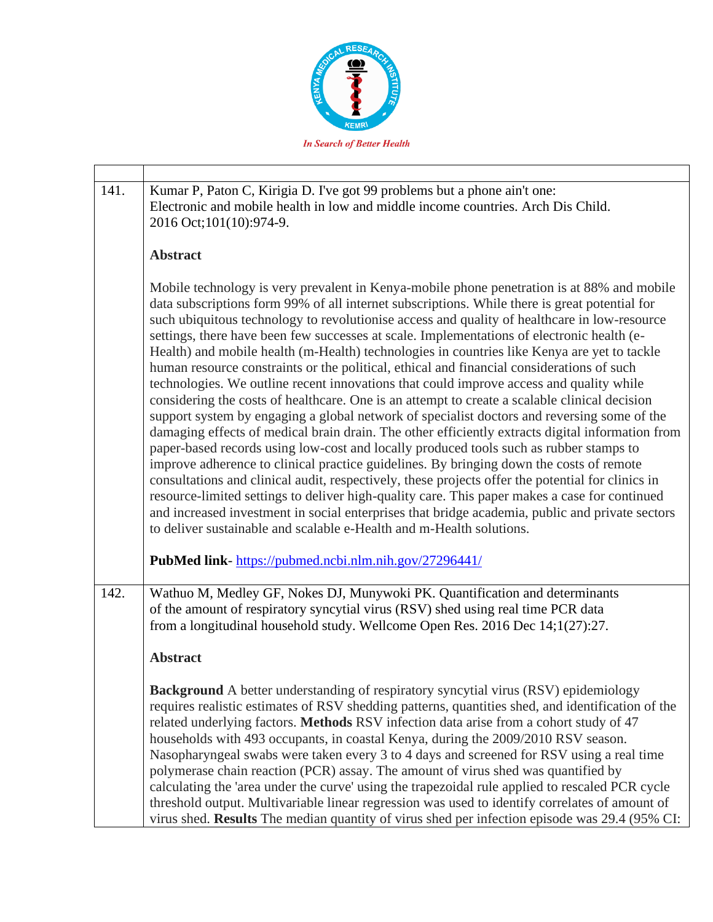

| 141. | Kumar P, Paton C, Kirigia D. I've got 99 problems but a phone ain't one:<br>Electronic and mobile health in low and middle income countries. Arch Dis Child.<br>2016 Oct; 101(10): 974-9.                                                                                                                                                                                                                                                                                                                                                                                                                                                                                                                                                                                                                                                                                                                                                                                                                                                                                                                                                                                                                                                                                                                                                                                                                                                                                                                                                                  |
|------|------------------------------------------------------------------------------------------------------------------------------------------------------------------------------------------------------------------------------------------------------------------------------------------------------------------------------------------------------------------------------------------------------------------------------------------------------------------------------------------------------------------------------------------------------------------------------------------------------------------------------------------------------------------------------------------------------------------------------------------------------------------------------------------------------------------------------------------------------------------------------------------------------------------------------------------------------------------------------------------------------------------------------------------------------------------------------------------------------------------------------------------------------------------------------------------------------------------------------------------------------------------------------------------------------------------------------------------------------------------------------------------------------------------------------------------------------------------------------------------------------------------------------------------------------------|
|      | <b>Abstract</b>                                                                                                                                                                                                                                                                                                                                                                                                                                                                                                                                                                                                                                                                                                                                                                                                                                                                                                                                                                                                                                                                                                                                                                                                                                                                                                                                                                                                                                                                                                                                            |
|      | Mobile technology is very prevalent in Kenya-mobile phone penetration is at 88% and mobile<br>data subscriptions form 99% of all internet subscriptions. While there is great potential for<br>such ubiquitous technology to revolutionise access and quality of healthcare in low-resource<br>settings, there have been few successes at scale. Implementations of electronic health (e-<br>Health) and mobile health (m-Health) technologies in countries like Kenya are yet to tackle<br>human resource constraints or the political, ethical and financial considerations of such<br>technologies. We outline recent innovations that could improve access and quality while<br>considering the costs of healthcare. One is an attempt to create a scalable clinical decision<br>support system by engaging a global network of specialist doctors and reversing some of the<br>damaging effects of medical brain drain. The other efficiently extracts digital information from<br>paper-based records using low-cost and locally produced tools such as rubber stamps to<br>improve adherence to clinical practice guidelines. By bringing down the costs of remote<br>consultations and clinical audit, respectively, these projects offer the potential for clinics in<br>resource-limited settings to deliver high-quality care. This paper makes a case for continued<br>and increased investment in social enterprises that bridge academia, public and private sectors<br>to deliver sustainable and scalable e-Health and m-Health solutions. |
|      | PubMed link-https://pubmed.ncbi.nlm.nih.gov/27296441/                                                                                                                                                                                                                                                                                                                                                                                                                                                                                                                                                                                                                                                                                                                                                                                                                                                                                                                                                                                                                                                                                                                                                                                                                                                                                                                                                                                                                                                                                                      |
| 142. | Wathuo M, Medley GF, Nokes DJ, Munywoki PK. Quantification and determinants<br>of the amount of respiratory syncytial virus (RSV) shed using real time PCR data<br>from a longitudinal household study. Wellcome Open Res. 2016 Dec 14;1(27):27.                                                                                                                                                                                                                                                                                                                                                                                                                                                                                                                                                                                                                                                                                                                                                                                                                                                                                                                                                                                                                                                                                                                                                                                                                                                                                                           |
|      | <b>Abstract</b>                                                                                                                                                                                                                                                                                                                                                                                                                                                                                                                                                                                                                                                                                                                                                                                                                                                                                                                                                                                                                                                                                                                                                                                                                                                                                                                                                                                                                                                                                                                                            |
|      | <b>Background</b> A better understanding of respiratory syncytial virus (RSV) epidemiology<br>requires realistic estimates of RSV shedding patterns, quantities shed, and identification of the<br>related underlying factors. Methods RSV infection data arise from a cohort study of 47<br>households with 493 occupants, in coastal Kenya, during the 2009/2010 RSV season.<br>Nasopharyngeal swabs were taken every 3 to 4 days and screened for RSV using a real time<br>polymerase chain reaction (PCR) assay. The amount of virus shed was quantified by<br>calculating the 'area under the curve' using the trapezoidal rule applied to rescaled PCR cycle<br>threshold output. Multivariable linear regression was used to identify correlates of amount of<br>virus shed. Results The median quantity of virus shed per infection episode was 29.4 (95% CI:                                                                                                                                                                                                                                                                                                                                                                                                                                                                                                                                                                                                                                                                                      |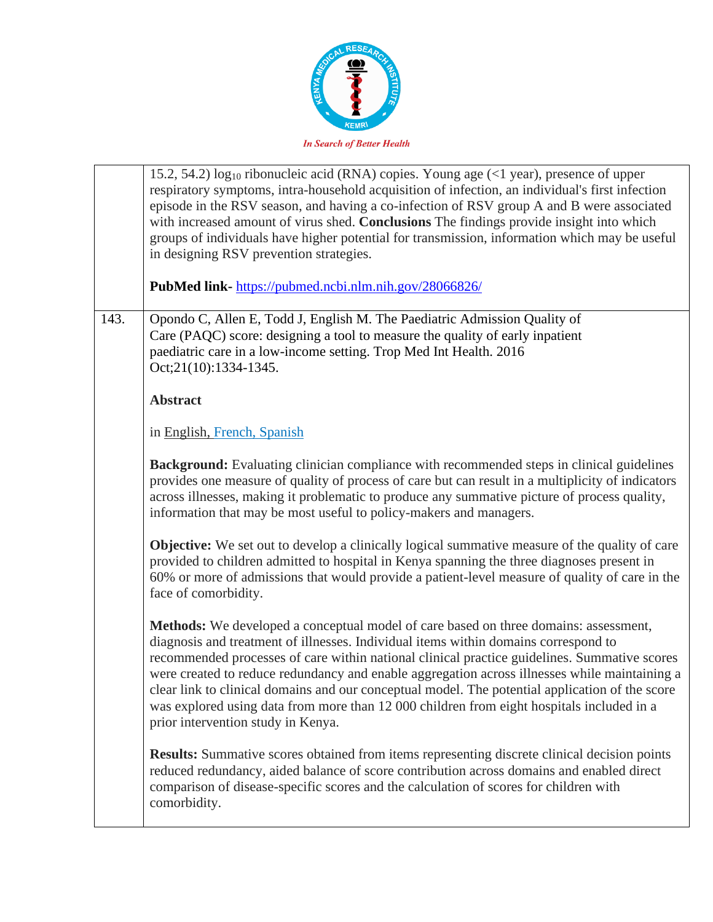

|      | 15.2, 54.2) log <sub>10</sub> ribonucleic acid (RNA) copies. Young age (<1 year), presence of upper<br>respiratory symptoms, intra-household acquisition of infection, an individual's first infection<br>episode in the RSV season, and having a co-infection of RSV group A and B were associated<br>with increased amount of virus shed. Conclusions The findings provide insight into which<br>groups of individuals have higher potential for transmission, information which may be useful<br>in designing RSV prevention strategies.<br>PubMed link-https://pubmed.ncbi.nlm.nih.gov/28066826/                      |
|------|---------------------------------------------------------------------------------------------------------------------------------------------------------------------------------------------------------------------------------------------------------------------------------------------------------------------------------------------------------------------------------------------------------------------------------------------------------------------------------------------------------------------------------------------------------------------------------------------------------------------------|
|      |                                                                                                                                                                                                                                                                                                                                                                                                                                                                                                                                                                                                                           |
| 143. | Opondo C, Allen E, Todd J, English M. The Paediatric Admission Quality of<br>Care (PAQC) score: designing a tool to measure the quality of early inpatient<br>paediatric care in a low-income setting. Trop Med Int Health. 2016<br>Oct;21(10):1334-1345.                                                                                                                                                                                                                                                                                                                                                                 |
|      | <b>Abstract</b>                                                                                                                                                                                                                                                                                                                                                                                                                                                                                                                                                                                                           |
|      | in English, French, Spanish                                                                                                                                                                                                                                                                                                                                                                                                                                                                                                                                                                                               |
|      |                                                                                                                                                                                                                                                                                                                                                                                                                                                                                                                                                                                                                           |
|      | <b>Background:</b> Evaluating clinician compliance with recommended steps in clinical guidelines<br>provides one measure of quality of process of care but can result in a multiplicity of indicators<br>across illnesses, making it problematic to produce any summative picture of process quality,<br>information that may be most useful to policy-makers and managers.                                                                                                                                                                                                                                               |
|      |                                                                                                                                                                                                                                                                                                                                                                                                                                                                                                                                                                                                                           |
|      | <b>Objective:</b> We set out to develop a clinically logical summative measure of the quality of care<br>provided to children admitted to hospital in Kenya spanning the three diagnoses present in<br>60% or more of admissions that would provide a patient-level measure of quality of care in the<br>face of comorbidity.                                                                                                                                                                                                                                                                                             |
|      |                                                                                                                                                                                                                                                                                                                                                                                                                                                                                                                                                                                                                           |
|      | <b>Methods:</b> We developed a conceptual model of care based on three domains: assessment,<br>diagnosis and treatment of illnesses. Individual items within domains correspond to<br>recommended processes of care within national clinical practice guidelines. Summative scores<br>were created to reduce redundancy and enable aggregation across illnesses while maintaining a<br>clear link to clinical domains and our conceptual model. The potential application of the score<br>was explored using data from more than 12 000 children from eight hospitals included in a<br>prior intervention study in Kenya. |
|      | <b>Results:</b> Summative scores obtained from items representing discrete clinical decision points<br>reduced redundancy, aided balance of score contribution across domains and enabled direct<br>comparison of disease-specific scores and the calculation of scores for children with<br>comorbidity.                                                                                                                                                                                                                                                                                                                 |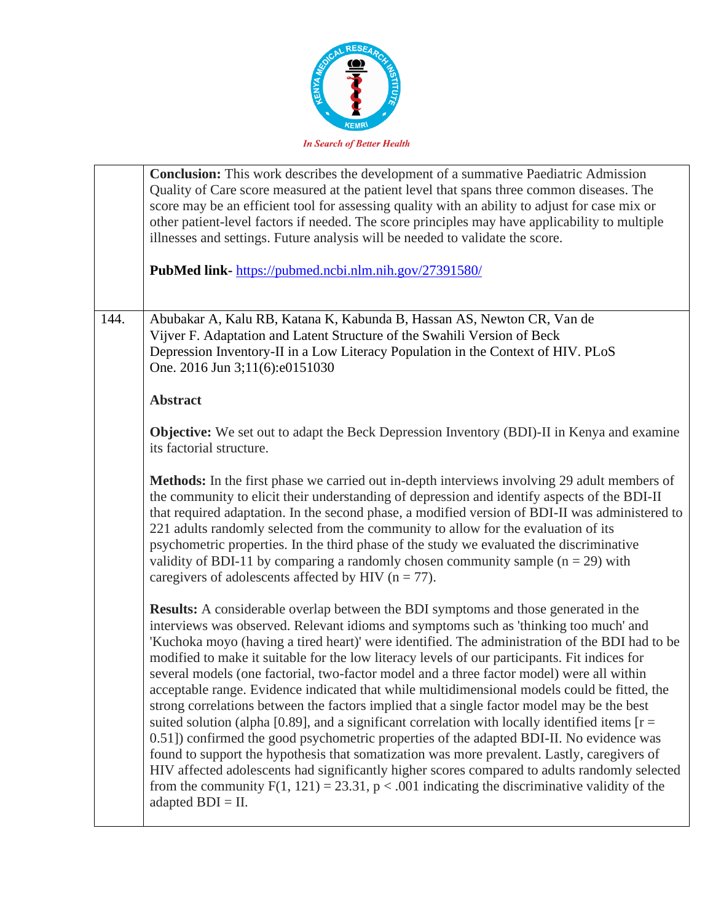

|      | <b>Conclusion:</b> This work describes the development of a summative Paediatric Admission<br>Quality of Care score measured at the patient level that spans three common diseases. The<br>score may be an efficient tool for assessing quality with an ability to adjust for case mix or<br>other patient-level factors if needed. The score principles may have applicability to multiple<br>illnesses and settings. Future analysis will be needed to validate the score.<br>PubMed link- https://pubmed.ncbi.nlm.nih.gov/27391580/                                                                                                                                                                                                                                                                                                                                                                                                                                                                                                                                                                                                                                                                          |
|------|-----------------------------------------------------------------------------------------------------------------------------------------------------------------------------------------------------------------------------------------------------------------------------------------------------------------------------------------------------------------------------------------------------------------------------------------------------------------------------------------------------------------------------------------------------------------------------------------------------------------------------------------------------------------------------------------------------------------------------------------------------------------------------------------------------------------------------------------------------------------------------------------------------------------------------------------------------------------------------------------------------------------------------------------------------------------------------------------------------------------------------------------------------------------------------------------------------------------|
| 144. | Abubakar A, Kalu RB, Katana K, Kabunda B, Hassan AS, Newton CR, Van de<br>Vijver F. Adaptation and Latent Structure of the Swahili Version of Beck<br>Depression Inventory-II in a Low Literacy Population in the Context of HIV. PLoS<br>One. 2016 Jun 3;11(6):e0151030<br><b>Abstract</b>                                                                                                                                                                                                                                                                                                                                                                                                                                                                                                                                                                                                                                                                                                                                                                                                                                                                                                                     |
|      | <b>Objective:</b> We set out to adapt the Beck Depression Inventory (BDI)-II in Kenya and examine<br>its factorial structure.                                                                                                                                                                                                                                                                                                                                                                                                                                                                                                                                                                                                                                                                                                                                                                                                                                                                                                                                                                                                                                                                                   |
|      | Methods: In the first phase we carried out in-depth interviews involving 29 adult members of<br>the community to elicit their understanding of depression and identify aspects of the BDI-II<br>that required adaptation. In the second phase, a modified version of BDI-II was administered to<br>221 adults randomly selected from the community to allow for the evaluation of its<br>psychometric properties. In the third phase of the study we evaluated the discriminative<br>validity of BDI-11 by comparing a randomly chosen community sample $(n = 29)$ with<br>caregivers of adolescents affected by HIV ( $n = 77$ ).                                                                                                                                                                                                                                                                                                                                                                                                                                                                                                                                                                              |
|      | <b>Results:</b> A considerable overlap between the BDI symptoms and those generated in the<br>interviews was observed. Relevant idioms and symptoms such as 'thinking too much' and<br>'Kuchoka moyo (having a tired heart)' were identified. The administration of the BDI had to be<br>modified to make it suitable for the low literacy levels of our participants. Fit indices for<br>several models (one factorial, two-factor model and a three factor model) were all within<br>acceptable range. Evidence indicated that while multidimensional models could be fitted, the<br>strong correlations between the factors implied that a single factor model may be the best<br>suited solution (alpha [0.89], and a significant correlation with locally identified items $[r =$<br>0.51]) confirmed the good psychometric properties of the adapted BDI-II. No evidence was<br>found to support the hypothesis that somatization was more prevalent. Lastly, caregivers of<br>HIV affected adolescents had significantly higher scores compared to adults randomly selected<br>from the community $F(1, 121) = 23.31$ , $p < .001$ indicating the discriminative validity of the<br>adapted $BDI = II$ . |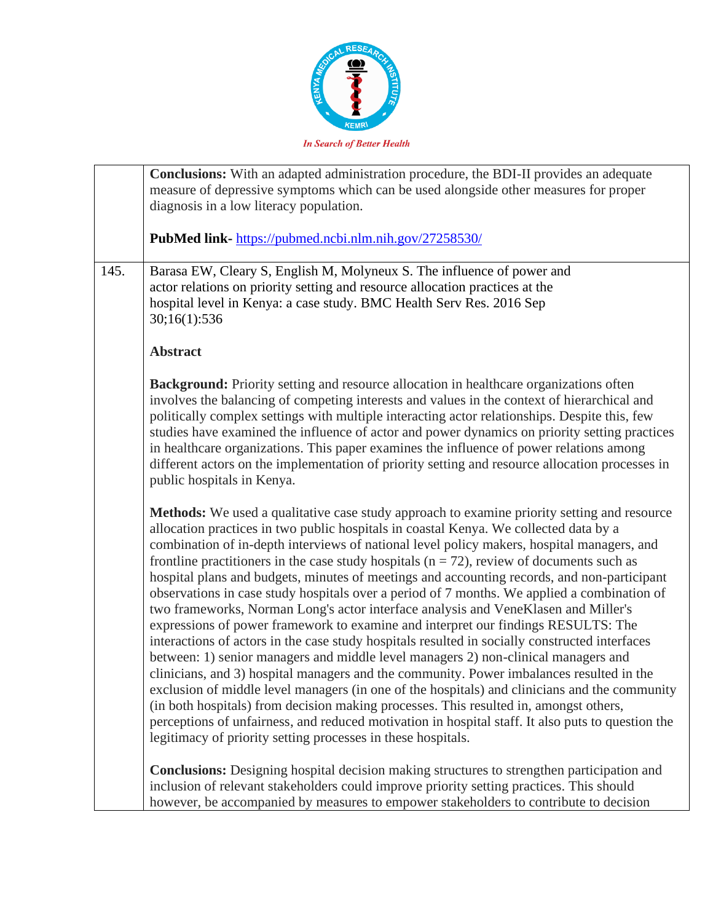

|      | <b>Conclusions:</b> With an adapted administration procedure, the BDI-II provides an adequate<br>measure of depressive symptoms which can be used alongside other measures for proper<br>diagnosis in a low literacy population.                                                                                                                                                                                                                                                                                                                                                                                                                                                                                                                                                                                                                                                                                                                                                                                                                                                                                                                                                                                                                                                                                                                                                                                |
|------|-----------------------------------------------------------------------------------------------------------------------------------------------------------------------------------------------------------------------------------------------------------------------------------------------------------------------------------------------------------------------------------------------------------------------------------------------------------------------------------------------------------------------------------------------------------------------------------------------------------------------------------------------------------------------------------------------------------------------------------------------------------------------------------------------------------------------------------------------------------------------------------------------------------------------------------------------------------------------------------------------------------------------------------------------------------------------------------------------------------------------------------------------------------------------------------------------------------------------------------------------------------------------------------------------------------------------------------------------------------------------------------------------------------------|
|      | PubMed link- https://pubmed.ncbi.nlm.nih.gov/27258530/                                                                                                                                                                                                                                                                                                                                                                                                                                                                                                                                                                                                                                                                                                                                                                                                                                                                                                                                                                                                                                                                                                                                                                                                                                                                                                                                                          |
| 145. | Barasa EW, Cleary S, English M, Molyneux S. The influence of power and<br>actor relations on priority setting and resource allocation practices at the<br>hospital level in Kenya: a case study. BMC Health Serv Res. 2016 Sep<br>30;16(1):536                                                                                                                                                                                                                                                                                                                                                                                                                                                                                                                                                                                                                                                                                                                                                                                                                                                                                                                                                                                                                                                                                                                                                                  |
|      | <b>Abstract</b>                                                                                                                                                                                                                                                                                                                                                                                                                                                                                                                                                                                                                                                                                                                                                                                                                                                                                                                                                                                                                                                                                                                                                                                                                                                                                                                                                                                                 |
|      | <b>Background:</b> Priority setting and resource allocation in healthcare organizations often<br>involves the balancing of competing interests and values in the context of hierarchical and<br>politically complex settings with multiple interacting actor relationships. Despite this, few<br>studies have examined the influence of actor and power dynamics on priority setting practices<br>in healthcare organizations. This paper examines the influence of power relations among<br>different actors on the implementation of priority setting and resource allocation processes in<br>public hospitals in Kenya.                                                                                                                                                                                                                                                                                                                                                                                                                                                                                                                                                                                                                                                                                                                                                                                      |
|      | Methods: We used a qualitative case study approach to examine priority setting and resource<br>allocation practices in two public hospitals in coastal Kenya. We collected data by a<br>combination of in-depth interviews of national level policy makers, hospital managers, and<br>frontline practitioners in the case study hospitals ( $n = 72$ ), review of documents such as<br>hospital plans and budgets, minutes of meetings and accounting records, and non-participant<br>observations in case study hospitals over a period of 7 months. We applied a combination of<br>two frameworks, Norman Long's actor interface analysis and VeneKlasen and Miller's<br>expressions of power framework to examine and interpret our findings RESULTS: The<br>interactions of actors in the case study hospitals resulted in socially constructed interfaces<br>between: 1) senior managers and middle level managers 2) non-clinical managers and<br>clinicians, and 3) hospital managers and the community. Power imbalances resulted in the<br>exclusion of middle level managers (in one of the hospitals) and clinicians and the community<br>(in both hospitals) from decision making processes. This resulted in, amongst others,<br>perceptions of unfairness, and reduced motivation in hospital staff. It also puts to question the<br>legitimacy of priority setting processes in these hospitals. |
|      | <b>Conclusions:</b> Designing hospital decision making structures to strengthen participation and<br>inclusion of relevant stakeholders could improve priority setting practices. This should<br>however, be accompanied by measures to empower stakeholders to contribute to decision                                                                                                                                                                                                                                                                                                                                                                                                                                                                                                                                                                                                                                                                                                                                                                                                                                                                                                                                                                                                                                                                                                                          |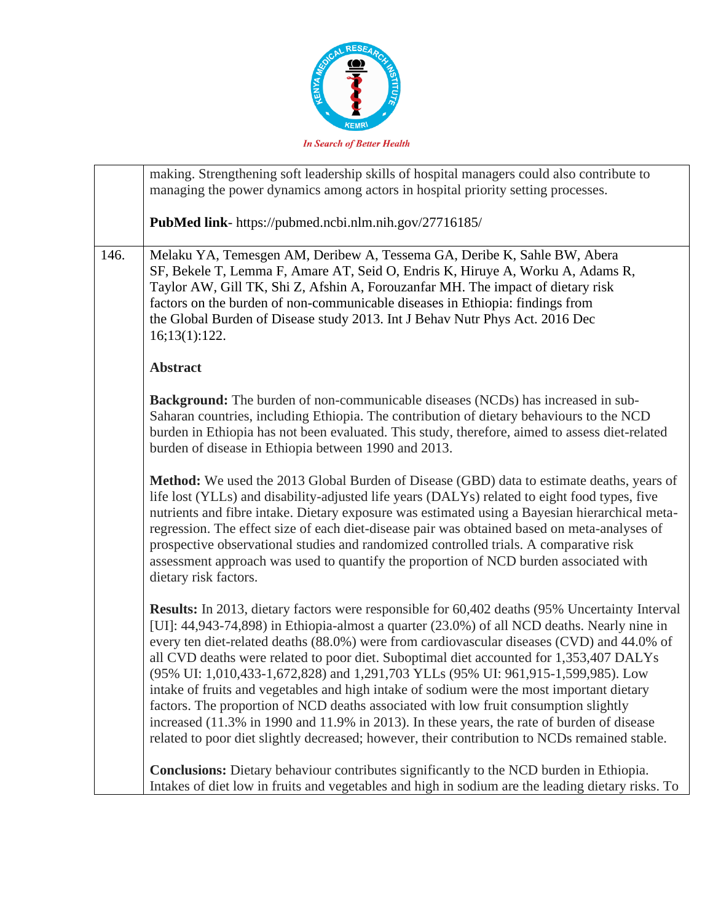

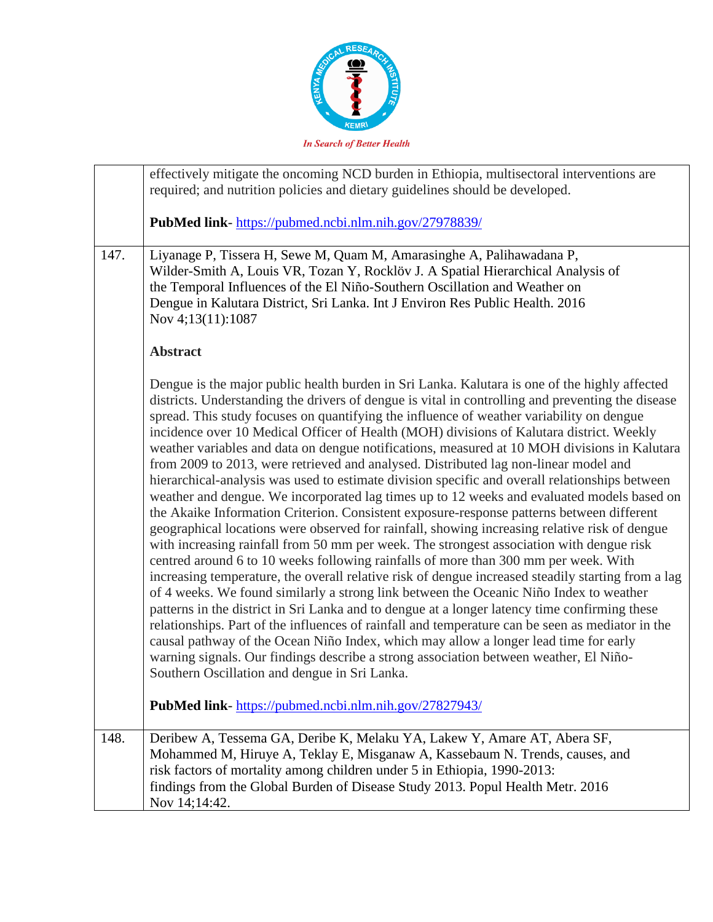

|      | effectively mitigate the oncoming NCD burden in Ethiopia, multisectoral interventions are<br>required; and nutrition policies and dietary guidelines should be developed.                                                                                                                                                                                                                                                                                                                                                                                                                                                                                                                                                                                                                                                                                                                                                                                                                                                                                                                                                                                                                                                                                                                                                                                                                                                                                                                                                                                                                                                                                                                                                                                                                                  |
|------|------------------------------------------------------------------------------------------------------------------------------------------------------------------------------------------------------------------------------------------------------------------------------------------------------------------------------------------------------------------------------------------------------------------------------------------------------------------------------------------------------------------------------------------------------------------------------------------------------------------------------------------------------------------------------------------------------------------------------------------------------------------------------------------------------------------------------------------------------------------------------------------------------------------------------------------------------------------------------------------------------------------------------------------------------------------------------------------------------------------------------------------------------------------------------------------------------------------------------------------------------------------------------------------------------------------------------------------------------------------------------------------------------------------------------------------------------------------------------------------------------------------------------------------------------------------------------------------------------------------------------------------------------------------------------------------------------------------------------------------------------------------------------------------------------------|
|      | PubMed link-https://pubmed.ncbi.nlm.nih.gov/27978839/                                                                                                                                                                                                                                                                                                                                                                                                                                                                                                                                                                                                                                                                                                                                                                                                                                                                                                                                                                                                                                                                                                                                                                                                                                                                                                                                                                                                                                                                                                                                                                                                                                                                                                                                                      |
| 147. | Liyanage P, Tissera H, Sewe M, Quam M, Amarasinghe A, Palihawadana P,<br>Wilder-Smith A, Louis VR, Tozan Y, Rocklöv J. A Spatial Hierarchical Analysis of<br>the Temporal Influences of the El Niño-Southern Oscillation and Weather on<br>Dengue in Kalutara District, Sri Lanka. Int J Environ Res Public Health. 2016<br>Nov 4;13(11):1087                                                                                                                                                                                                                                                                                                                                                                                                                                                                                                                                                                                                                                                                                                                                                                                                                                                                                                                                                                                                                                                                                                                                                                                                                                                                                                                                                                                                                                                              |
|      | <b>Abstract</b>                                                                                                                                                                                                                                                                                                                                                                                                                                                                                                                                                                                                                                                                                                                                                                                                                                                                                                                                                                                                                                                                                                                                                                                                                                                                                                                                                                                                                                                                                                                                                                                                                                                                                                                                                                                            |
|      | Dengue is the major public health burden in Sri Lanka. Kalutara is one of the highly affected<br>districts. Understanding the drivers of dengue is vital in controlling and preventing the disease<br>spread. This study focuses on quantifying the influence of weather variability on dengue<br>incidence over 10 Medical Officer of Health (MOH) divisions of Kalutara district. Weekly<br>weather variables and data on dengue notifications, measured at 10 MOH divisions in Kalutara<br>from 2009 to 2013, were retrieved and analysed. Distributed lag non-linear model and<br>hierarchical-analysis was used to estimate division specific and overall relationships between<br>weather and dengue. We incorporated lag times up to 12 weeks and evaluated models based on<br>the Akaike Information Criterion. Consistent exposure-response patterns between different<br>geographical locations were observed for rainfall, showing increasing relative risk of dengue<br>with increasing rainfall from 50 mm per week. The strongest association with dengue risk<br>centred around 6 to 10 weeks following rainfalls of more than 300 mm per week. With<br>increasing temperature, the overall relative risk of dengue increased steadily starting from a lag<br>of 4 weeks. We found similarly a strong link between the Oceanic Niño Index to weather<br>patterns in the district in Sri Lanka and to dengue at a longer latency time confirming these<br>relationships. Part of the influences of rainfall and temperature can be seen as mediator in the<br>causal pathway of the Ocean Niño Index, which may allow a longer lead time for early<br>warning signals. Our findings describe a strong association between weather, El Niño-<br>Southern Oscillation and dengue in Sri Lanka. |
|      | PubMed link- https://pubmed.ncbi.nlm.nih.gov/27827943/                                                                                                                                                                                                                                                                                                                                                                                                                                                                                                                                                                                                                                                                                                                                                                                                                                                                                                                                                                                                                                                                                                                                                                                                                                                                                                                                                                                                                                                                                                                                                                                                                                                                                                                                                     |
| 148. | Deribew A, Tessema GA, Deribe K, Melaku YA, Lakew Y, Amare AT, Abera SF,<br>Mohammed M, Hiruye A, Teklay E, Misganaw A, Kassebaum N. Trends, causes, and<br>risk factors of mortality among children under 5 in Ethiopia, 1990-2013:<br>findings from the Global Burden of Disease Study 2013. Popul Health Metr. 2016<br>Nov 14;14:42.                                                                                                                                                                                                                                                                                                                                                                                                                                                                                                                                                                                                                                                                                                                                                                                                                                                                                                                                                                                                                                                                                                                                                                                                                                                                                                                                                                                                                                                                    |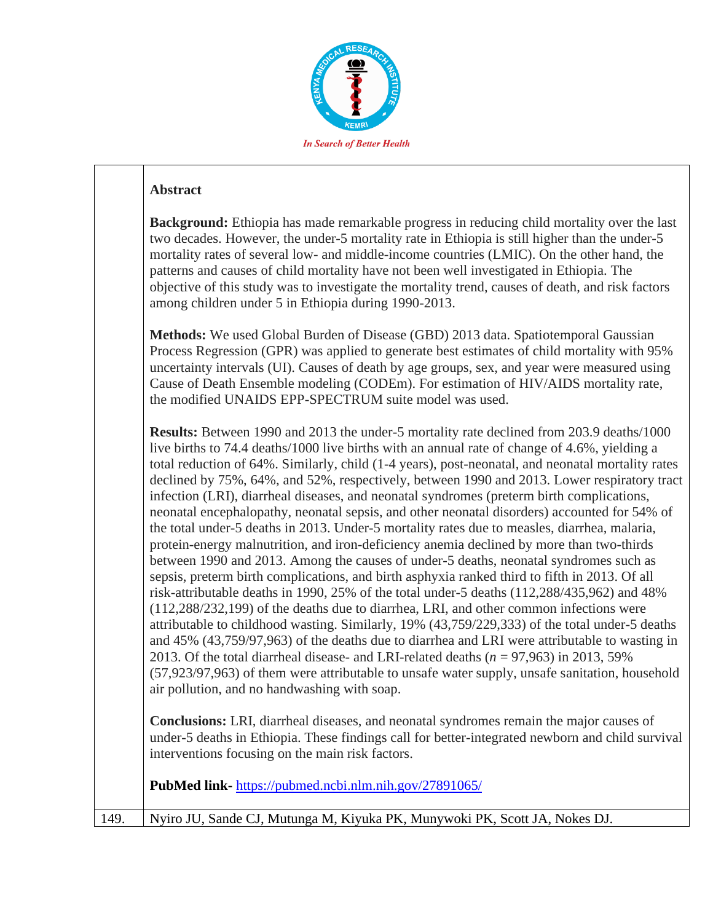

### **Abstract**

**Background:** Ethiopia has made remarkable progress in reducing child mortality over the last two decades. However, the under-5 mortality rate in Ethiopia is still higher than the under-5 mortality rates of several low- and middle-income countries (LMIC). On the other hand, the patterns and causes of child mortality have not been well investigated in Ethiopia. The objective of this study was to investigate the mortality trend, causes of death, and risk factors among children under 5 in Ethiopia during 1990-2013.

**Methods:** We used Global Burden of Disease (GBD) 2013 data. Spatiotemporal Gaussian Process Regression (GPR) was applied to generate best estimates of child mortality with 95% uncertainty intervals (UI). Causes of death by age groups, sex, and year were measured using Cause of Death Ensemble modeling (CODEm). For estimation of HIV/AIDS mortality rate, the modified UNAIDS EPP-SPECTRUM suite model was used.

**Results:** Between 1990 and 2013 the under-5 mortality rate declined from 203.9 deaths/1000 live births to 74.4 deaths/1000 live births with an annual rate of change of 4.6%, yielding a total reduction of 64%. Similarly, child (1-4 years), post-neonatal, and neonatal mortality rates declined by 75%, 64%, and 52%, respectively, between 1990 and 2013. Lower respiratory tract infection (LRI), diarrheal diseases, and neonatal syndromes (preterm birth complications, neonatal encephalopathy, neonatal sepsis, and other neonatal disorders) accounted for 54% of the total under-5 deaths in 2013. Under-5 mortality rates due to measles, diarrhea, malaria, protein-energy malnutrition, and iron-deficiency anemia declined by more than two-thirds between 1990 and 2013. Among the causes of under-5 deaths, neonatal syndromes such as sepsis, preterm birth complications, and birth asphyxia ranked third to fifth in 2013. Of all risk-attributable deaths in 1990, 25% of the total under-5 deaths (112,288/435,962) and 48% (112,288/232,199) of the deaths due to diarrhea, LRI, and other common infections were attributable to childhood wasting. Similarly, 19% (43,759/229,333) of the total under-5 deaths and 45% (43,759/97,963) of the deaths due to diarrhea and LRI were attributable to wasting in 2013. Of the total diarrheal disease- and LRI-related deaths (*n* = 97,963) in 2013, 59% (57,923/97,963) of them were attributable to unsafe water supply, unsafe sanitation, household air pollution, and no handwashing with soap.

**Conclusions:** LRI, diarrheal diseases, and neonatal syndromes remain the major causes of under-5 deaths in Ethiopia. These findings call for better-integrated newborn and child survival interventions focusing on the main risk factors.

**PubMed link-** <https://pubmed.ncbi.nlm.nih.gov/27891065/>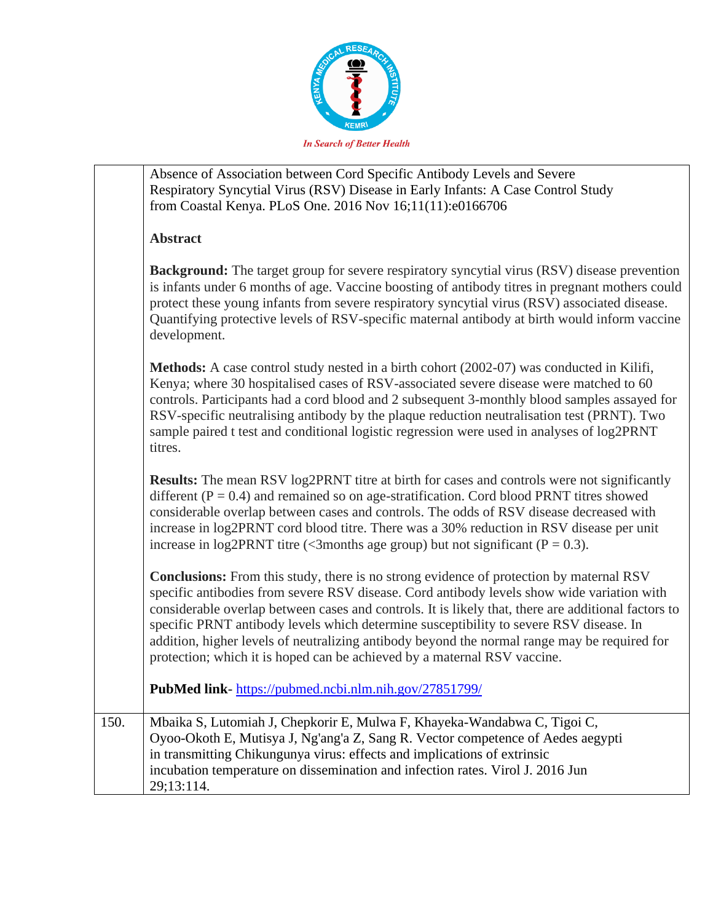

Absence of Association between Cord Specific Antibody Levels and Severe Respiratory Syncytial Virus (RSV) Disease in Early Infants: A Case Control Study from Coastal Kenya. PLoS One. 2016 Nov 16;11(11):e0166706

# **Abstract**

**Background:** The target group for severe respiratory syncytial virus (RSV) disease prevention is infants under 6 months of age. Vaccine boosting of antibody titres in pregnant mothers could protect these young infants from severe respiratory syncytial virus (RSV) associated disease. Quantifying protective levels of RSV-specific maternal antibody at birth would inform vaccine development.

**Methods:** A case control study nested in a birth cohort (2002-07) was conducted in Kilifi, Kenya; where 30 hospitalised cases of RSV-associated severe disease were matched to 60 controls. Participants had a cord blood and 2 subsequent 3-monthly blood samples assayed for RSV-specific neutralising antibody by the plaque reduction neutralisation test (PRNT). Two sample paired t test and conditional logistic regression were used in analyses of log2PRNT titres.

**Results:** The mean RSV log2PRNT titre at birth for cases and controls were not significantly different  $(P = 0.4)$  and remained so on age-stratification. Cord blood PRNT titres showed considerable overlap between cases and controls. The odds of RSV disease decreased with increase in log2PRNT cord blood titre. There was a 30% reduction in RSV disease per unit increase in log2PRNT titre (<3months age group) but not significant ( $P = 0.3$ ).

**Conclusions:** From this study, there is no strong evidence of protection by maternal RSV specific antibodies from severe RSV disease. Cord antibody levels show wide variation with considerable overlap between cases and controls. It is likely that, there are additional factors to specific PRNT antibody levels which determine susceptibility to severe RSV disease. In addition, higher levels of neutralizing antibody beyond the normal range may be required for protection; which it is hoped can be achieved by a maternal RSV vaccine.

**PubMed link**- <https://pubmed.ncbi.nlm.nih.gov/27851799/>

150. Mbaika S, Lutomiah J, Chepkorir E, Mulwa F, Khayeka-Wandabwa C, Tigoi C, Oyoo-Okoth E, Mutisya J, Ng'ang'a Z, Sang R. Vector competence of Aedes aegypti in transmitting Chikungunya virus: effects and implications of extrinsic incubation temperature on dissemination and infection rates. Virol J. 2016 Jun 29;13:114.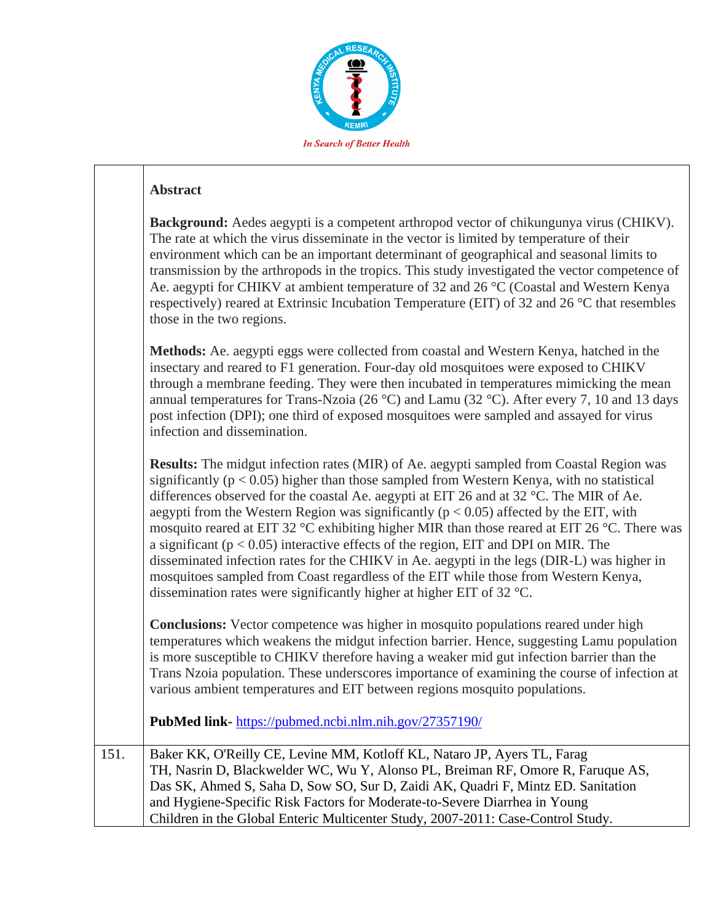

#### **Abstract**

**Background:** Aedes aegypti is a competent arthropod vector of chikungunya virus (CHIKV). The rate at which the virus disseminate in the vector is limited by temperature of their environment which can be an important determinant of geographical and seasonal limits to transmission by the arthropods in the tropics. This study investigated the vector competence of Ae. aegypti for CHIKV at ambient temperature of 32 and 26 °C (Coastal and Western Kenya respectively) reared at Extrinsic Incubation Temperature (EIT) of 32 and 26 °C that resembles those in the two regions.

**Methods:** Ae. aegypti eggs were collected from coastal and Western Kenya, hatched in the insectary and reared to F1 generation. Four-day old mosquitoes were exposed to CHIKV through a membrane feeding. They were then incubated in temperatures mimicking the mean annual temperatures for Trans-Nzoia (26 °C) and Lamu (32 °C). After every 7, 10 and 13 days post infection (DPI); one third of exposed mosquitoes were sampled and assayed for virus infection and dissemination.

**Results:** The midgut infection rates (MIR) of Ae. aegypti sampled from Coastal Region was significantly ( $p < 0.05$ ) higher than those sampled from Western Kenya, with no statistical differences observed for the coastal Ae. aegypti at EIT 26 and at 32 °C. The MIR of Ae. aegypti from the Western Region was significantly ( $p < 0.05$ ) affected by the EIT, with mosquito reared at EIT 32 °C exhibiting higher MIR than those reared at EIT 26 °C. There was a significant ( $p < 0.05$ ) interactive effects of the region, EIT and DPI on MIR. The disseminated infection rates for the CHIKV in Ae. aegypti in the legs (DIR-L) was higher in mosquitoes sampled from Coast regardless of the EIT while those from Western Kenya, dissemination rates were significantly higher at higher EIT of 32 °C.

**Conclusions:** Vector competence was higher in mosquito populations reared under high temperatures which weakens the midgut infection barrier. Hence, suggesting Lamu population is more susceptible to CHIKV therefore having a weaker mid gut infection barrier than the Trans Nzoia population. These underscores importance of examining the course of infection at various ambient temperatures and EIT between regions mosquito populations.

**PubMed link-** <https://pubmed.ncbi.nlm.nih.gov/27357190/>

151. Baker KK, O'Reilly CE, Levine MM, Kotloff KL, Nataro JP, Ayers TL, Farag TH, Nasrin D, Blackwelder WC, Wu Y, Alonso PL, Breiman RF, Omore R, Faruque AS, Das SK, Ahmed S, Saha D, Sow SO, Sur D, Zaidi AK, Quadri F, Mintz ED. Sanitation and Hygiene-Specific Risk Factors for Moderate-to-Severe Diarrhea in Young Children in the Global Enteric Multicenter Study, 2007-2011: Case-Control Study.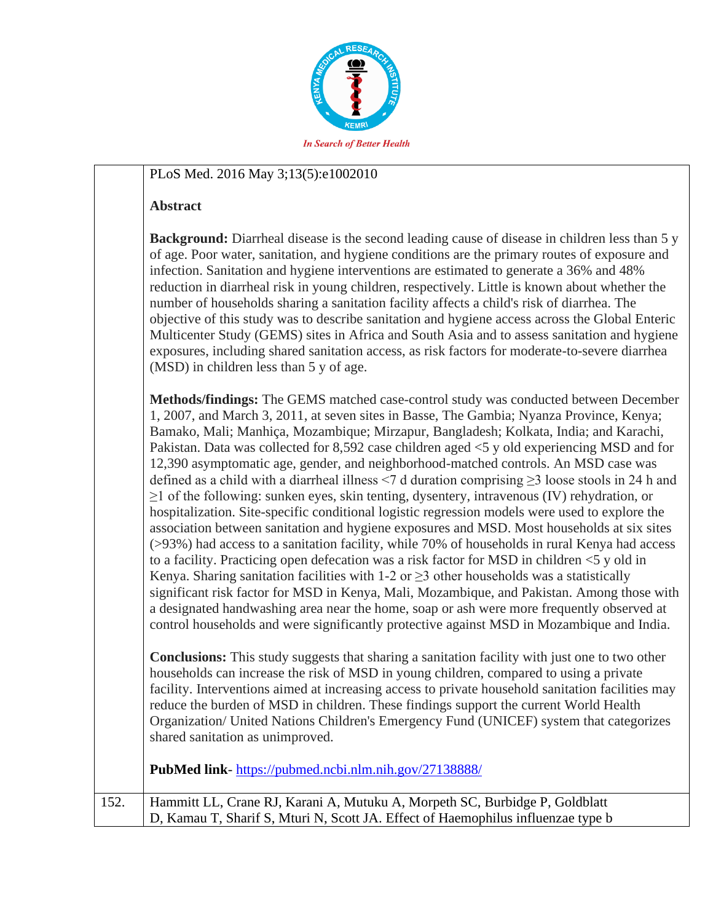

# PLoS Med. 2016 May 3;13(5):e1002010

# **Abstract**

**Background:** Diarrheal disease is the second leading cause of disease in children less than 5 y of age. Poor water, sanitation, and hygiene conditions are the primary routes of exposure and infection. Sanitation and hygiene interventions are estimated to generate a 36% and 48% reduction in diarrheal risk in young children, respectively. Little is known about whether the number of households sharing a sanitation facility affects a child's risk of diarrhea. The objective of this study was to describe sanitation and hygiene access across the Global Enteric Multicenter Study (GEMS) sites in Africa and South Asia and to assess sanitation and hygiene exposures, including shared sanitation access, as risk factors for moderate-to-severe diarrhea (MSD) in children less than 5 y of age.

**Methods/findings:** The GEMS matched case-control study was conducted between December 1, 2007, and March 3, 2011, at seven sites in Basse, The Gambia; Nyanza Province, Kenya; Bamako, Mali; Manhiça, Mozambique; Mirzapur, Bangladesh; Kolkata, India; and Karachi, Pakistan. Data was collected for 8,592 case children aged <5 y old experiencing MSD and for 12,390 asymptomatic age, gender, and neighborhood-matched controls. An MSD case was defined as a child with a diarrheal illness <7 d duration comprising ≥3 loose stools in 24 h and ≥1 of the following: sunken eyes, skin tenting, dysentery, intravenous (IV) rehydration, or hospitalization. Site-specific conditional logistic regression models were used to explore the association between sanitation and hygiene exposures and MSD. Most households at six sites (>93%) had access to a sanitation facility, while 70% of households in rural Kenya had access to a facility. Practicing open defecation was a risk factor for MSD in children <5 y old in Kenya. Sharing sanitation facilities with 1-2 or  $\geq$ 3 other households was a statistically significant risk factor for MSD in Kenya, Mali, Mozambique, and Pakistan. Among those with a designated handwashing area near the home, soap or ash were more frequently observed at control households and were significantly protective against MSD in Mozambique and India.

**Conclusions:** This study suggests that sharing a sanitation facility with just one to two other households can increase the risk of MSD in young children, compared to using a private facility. Interventions aimed at increasing access to private household sanitation facilities may reduce the burden of MSD in children. These findings support the current World Health Organization/ United Nations Children's Emergency Fund (UNICEF) system that categorizes shared sanitation as unimproved.

**PubMed link**- <https://pubmed.ncbi.nlm.nih.gov/27138888/>

| 152.<br>Hammitt LL, Crane RJ, Karani A, Mutuku A, Morpeth SC, Burbidge P, Goldblatt |  |
|-------------------------------------------------------------------------------------|--|
| D, Kamau T, Sharif S, Mturi N, Scott JA. Effect of Haemophilus influenzae type b    |  |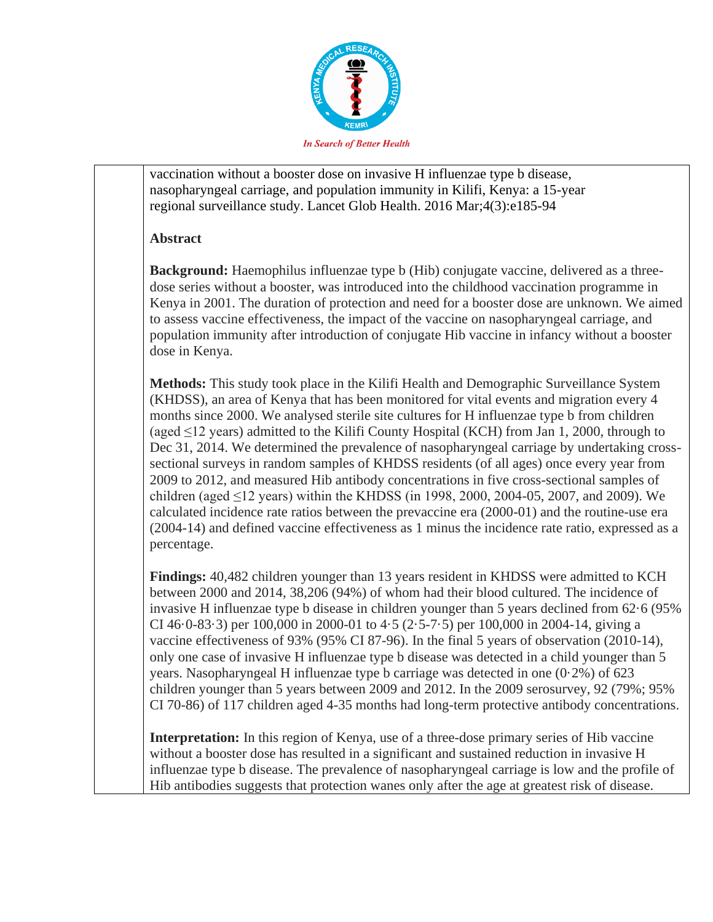

**In Search of Better Health** 

vaccination without a booster dose on invasive H influenzae type b disease, nasopharyngeal carriage, and population immunity in Kilifi, Kenya: a 15-year regional surveillance study. Lancet Glob Health. 2016 Mar;4(3):e185-94

### **Abstract**

**Background:** Haemophilus influenzae type b (Hib) conjugate vaccine, delivered as a threedose series without a booster, was introduced into the childhood vaccination programme in Kenya in 2001. The duration of protection and need for a booster dose are unknown. We aimed to assess vaccine effectiveness, the impact of the vaccine on nasopharyngeal carriage, and population immunity after introduction of conjugate Hib vaccine in infancy without a booster dose in Kenya.

**Methods:** This study took place in the Kilifi Health and Demographic Surveillance System (KHDSS), an area of Kenya that has been monitored for vital events and migration every 4 months since 2000. We analysed sterile site cultures for H influenzae type b from children (aged  $\leq$ 12 years) admitted to the Kilifi County Hospital (KCH) from Jan 1, 2000, through to Dec 31, 2014. We determined the prevalence of nasopharyngeal carriage by undertaking crosssectional surveys in random samples of KHDSS residents (of all ages) once every year from 2009 to 2012, and measured Hib antibody concentrations in five cross-sectional samples of children (aged  $\leq$ 12 years) within the KHDSS (in 1998, 2000, 2004-05, 2007, and 2009). We calculated incidence rate ratios between the prevaccine era (2000-01) and the routine-use era (2004-14) and defined vaccine effectiveness as 1 minus the incidence rate ratio, expressed as a percentage.

**Findings:** 40,482 children younger than 13 years resident in KHDSS were admitted to KCH between 2000 and 2014, 38,206 (94%) of whom had their blood cultured. The incidence of invasive H influenzae type b disease in children younger than 5 years declined from 62·6 (95% CI 46·0-83·3) per 100,000 in 2000-01 to 4·5 (2·5-7·5) per 100,000 in 2004-14, giving a vaccine effectiveness of 93% (95% CI 87-96). In the final 5 years of observation (2010-14), only one case of invasive H influenzae type b disease was detected in a child younger than 5 years. Nasopharyngeal H influenzae type b carriage was detected in one (0·2%) of 623 children younger than 5 years between 2009 and 2012. In the 2009 serosurvey, 92 (79%; 95% CI 70-86) of 117 children aged 4-35 months had long-term protective antibody concentrations.

**Interpretation:** In this region of Kenya, use of a three-dose primary series of Hib vaccine without a booster dose has resulted in a significant and sustained reduction in invasive H influenzae type b disease. The prevalence of nasopharyngeal carriage is low and the profile of Hib antibodies suggests that protection wanes only after the age at greatest risk of disease.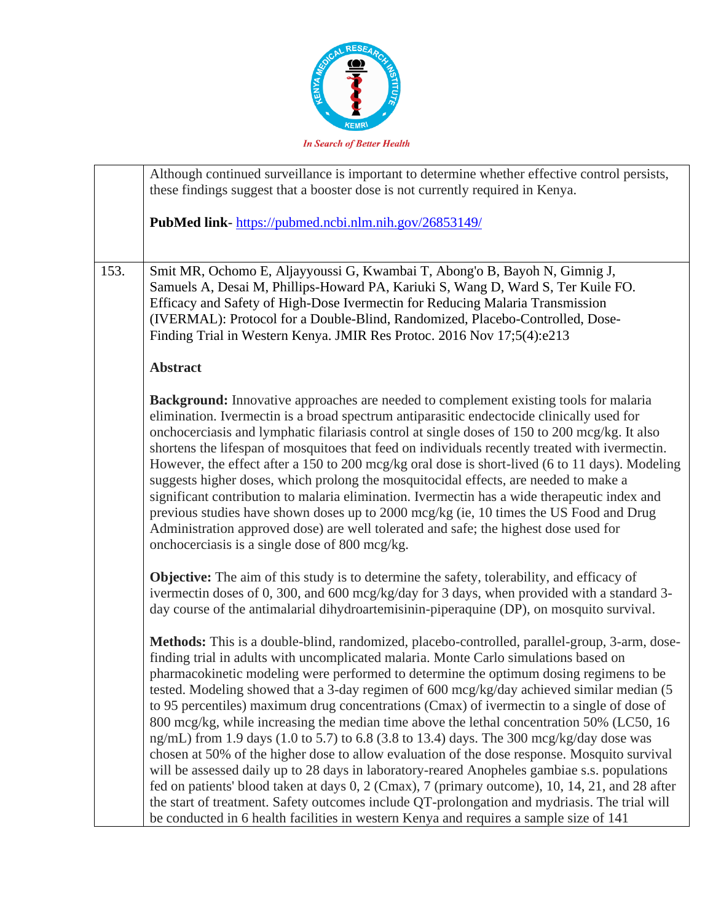

|      | Although continued surveillance is important to determine whether effective control persists,<br>these findings suggest that a booster dose is not currently required in Kenya.                                                                                                                                                                                                                                                                                                                                                                                                                                                                                                                                                                                                                                                                                                                                                                                                                                                                                                                                                                                   |
|------|-------------------------------------------------------------------------------------------------------------------------------------------------------------------------------------------------------------------------------------------------------------------------------------------------------------------------------------------------------------------------------------------------------------------------------------------------------------------------------------------------------------------------------------------------------------------------------------------------------------------------------------------------------------------------------------------------------------------------------------------------------------------------------------------------------------------------------------------------------------------------------------------------------------------------------------------------------------------------------------------------------------------------------------------------------------------------------------------------------------------------------------------------------------------|
|      | PubMed link-https://pubmed.ncbi.nlm.nih.gov/26853149/                                                                                                                                                                                                                                                                                                                                                                                                                                                                                                                                                                                                                                                                                                                                                                                                                                                                                                                                                                                                                                                                                                             |
| 153. | Smit MR, Ochomo E, Aljayyoussi G, Kwambai T, Abong'o B, Bayoh N, Gimnig J,<br>Samuels A, Desai M, Phillips-Howard PA, Kariuki S, Wang D, Ward S, Ter Kuile FO.<br>Efficacy and Safety of High-Dose Ivermectin for Reducing Malaria Transmission<br>(IVERMAL): Protocol for a Double-Blind, Randomized, Placebo-Controlled, Dose-<br>Finding Trial in Western Kenya. JMIR Res Protoc. 2016 Nov 17;5(4):e213                                                                                                                                                                                                                                                                                                                                                                                                                                                                                                                                                                                                                                                                                                                                                        |
|      | <b>Abstract</b>                                                                                                                                                                                                                                                                                                                                                                                                                                                                                                                                                                                                                                                                                                                                                                                                                                                                                                                                                                                                                                                                                                                                                   |
|      | <b>Background:</b> Innovative approaches are needed to complement existing tools for malaria<br>elimination. Ivermectin is a broad spectrum antiparasitic endectocide clinically used for<br>onchocerciasis and lymphatic filariasis control at single doses of 150 to 200 mcg/kg. It also<br>shortens the lifespan of mosquitoes that feed on individuals recently treated with ivermectin.<br>However, the effect after a 150 to 200 mcg/kg oral dose is short-lived (6 to 11 days). Modeling<br>suggests higher doses, which prolong the mosquitocidal effects, are needed to make a<br>significant contribution to malaria elimination. Ivermectin has a wide therapeutic index and<br>previous studies have shown doses up to 2000 mcg/kg (ie, 10 times the US Food and Drug<br>Administration approved dose) are well tolerated and safe; the highest dose used for<br>onchocerciasis is a single dose of 800 mcg/kg.                                                                                                                                                                                                                                       |
|      | <b>Objective:</b> The aim of this study is to determine the safety, tolerability, and efficacy of<br>ivermectin doses of 0, 300, and 600 mcg/kg/day for 3 days, when provided with a standard 3-<br>day course of the antimalarial dihydroartemisinin-piperaquine (DP), on mosquito survival.                                                                                                                                                                                                                                                                                                                                                                                                                                                                                                                                                                                                                                                                                                                                                                                                                                                                     |
|      | Methods: This is a double-blind, randomized, placebo-controlled, parallel-group, 3-arm, dose-<br>finding trial in adults with uncomplicated malaria. Monte Carlo simulations based on<br>pharmacokinetic modeling were performed to determine the optimum dosing regimens to be<br>tested. Modeling showed that a 3-day regimen of 600 mcg/kg/day achieved similar median (5<br>to 95 percentiles) maximum drug concentrations (Cmax) of ivermectin to a single of dose of<br>800 mcg/kg, while increasing the median time above the lethal concentration 50% (LC50, 16<br>ng/mL) from 1.9 days (1.0 to 5.7) to 6.8 (3.8 to 13.4) days. The 300 mcg/kg/day dose was<br>chosen at 50% of the higher dose to allow evaluation of the dose response. Mosquito survival<br>will be assessed daily up to 28 days in laboratory-reared Anopheles gambiae s.s. populations<br>fed on patients' blood taken at days 0, 2 (Cmax), 7 (primary outcome), 10, 14, 21, and 28 after<br>the start of treatment. Safety outcomes include QT-prolongation and mydriasis. The trial will<br>be conducted in 6 health facilities in western Kenya and requires a sample size of 141 |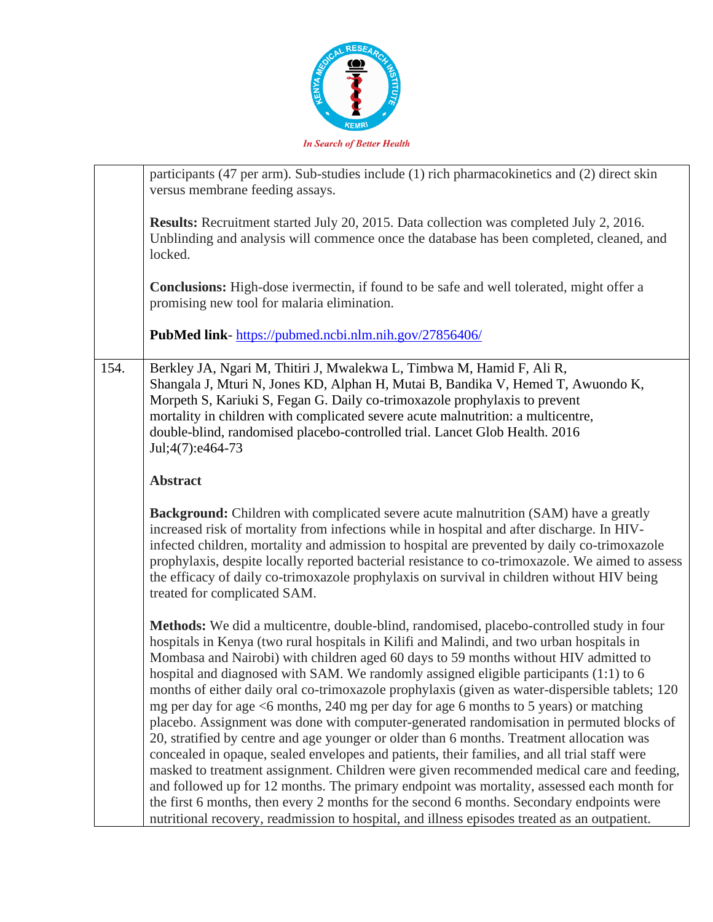

|      | participants (47 per arm). Sub-studies include (1) rich pharmacokinetics and (2) direct skin<br>versus membrane feeding assays.                                                                                                                                                                                                                                                                                                                                                                                                                                                                                                                                                                                                                                                                                                                                                                                                                                                                                                                                                                                                                                                                                                                                     |
|------|---------------------------------------------------------------------------------------------------------------------------------------------------------------------------------------------------------------------------------------------------------------------------------------------------------------------------------------------------------------------------------------------------------------------------------------------------------------------------------------------------------------------------------------------------------------------------------------------------------------------------------------------------------------------------------------------------------------------------------------------------------------------------------------------------------------------------------------------------------------------------------------------------------------------------------------------------------------------------------------------------------------------------------------------------------------------------------------------------------------------------------------------------------------------------------------------------------------------------------------------------------------------|
|      | Results: Recruitment started July 20, 2015. Data collection was completed July 2, 2016.<br>Unblinding and analysis will commence once the database has been completed, cleaned, and<br>locked.                                                                                                                                                                                                                                                                                                                                                                                                                                                                                                                                                                                                                                                                                                                                                                                                                                                                                                                                                                                                                                                                      |
|      | <b>Conclusions:</b> High-dose ivermectin, if found to be safe and well tolerated, might offer a<br>promising new tool for malaria elimination.                                                                                                                                                                                                                                                                                                                                                                                                                                                                                                                                                                                                                                                                                                                                                                                                                                                                                                                                                                                                                                                                                                                      |
|      | <b>PubMed link-</b> https://pubmed.ncbi.nlm.nih.gov/27856406/                                                                                                                                                                                                                                                                                                                                                                                                                                                                                                                                                                                                                                                                                                                                                                                                                                                                                                                                                                                                                                                                                                                                                                                                       |
| 154. | Berkley JA, Ngari M, Thitiri J, Mwalekwa L, Timbwa M, Hamid F, Ali R,<br>Shangala J, Mturi N, Jones KD, Alphan H, Mutai B, Bandika V, Hemed T, Awuondo K,<br>Morpeth S, Kariuki S, Fegan G. Daily co-trimoxazole prophylaxis to prevent<br>mortality in children with complicated severe acute malnutrition: a multicentre,<br>double-blind, randomised placebo-controlled trial. Lancet Glob Health. 2016<br>Jul;4(7):e464-73                                                                                                                                                                                                                                                                                                                                                                                                                                                                                                                                                                                                                                                                                                                                                                                                                                      |
|      | <b>Abstract</b>                                                                                                                                                                                                                                                                                                                                                                                                                                                                                                                                                                                                                                                                                                                                                                                                                                                                                                                                                                                                                                                                                                                                                                                                                                                     |
|      | <b>Background:</b> Children with complicated severe acute malnutrition (SAM) have a greatly<br>increased risk of mortality from infections while in hospital and after discharge. In HIV-<br>infected children, mortality and admission to hospital are prevented by daily co-trimoxazole<br>prophylaxis, despite locally reported bacterial resistance to co-trimoxazole. We aimed to assess<br>the efficacy of daily co-trimoxazole prophylaxis on survival in children without HIV being<br>treated for complicated SAM.                                                                                                                                                                                                                                                                                                                                                                                                                                                                                                                                                                                                                                                                                                                                         |
|      | <b>Methods:</b> We did a multicentre, double-blind, randomised, placebo-controlled study in four<br>hospitals in Kenya (two rural hospitals in Kilifi and Malindi, and two urban hospitals in<br>Mombasa and Nairobi) with children aged 60 days to 59 months without HIV admitted to<br>hospital and diagnosed with SAM. We randomly assigned eligible participants (1:1) to 6<br>months of either daily oral co-trimoxazole prophylaxis (given as water-dispersible tablets; 120<br>mg per day for age $\leq 6$ months, 240 mg per day for age 6 months to 5 years) or matching<br>placebo. Assignment was done with computer-generated randomisation in permuted blocks of<br>20, stratified by centre and age younger or older than 6 months. Treatment allocation was<br>concealed in opaque, sealed envelopes and patients, their families, and all trial staff were<br>masked to treatment assignment. Children were given recommended medical care and feeding,<br>and followed up for 12 months. The primary endpoint was mortality, assessed each month for<br>the first 6 months, then every 2 months for the second 6 months. Secondary endpoints were<br>nutritional recovery, readmission to hospital, and illness episodes treated as an outpatient. |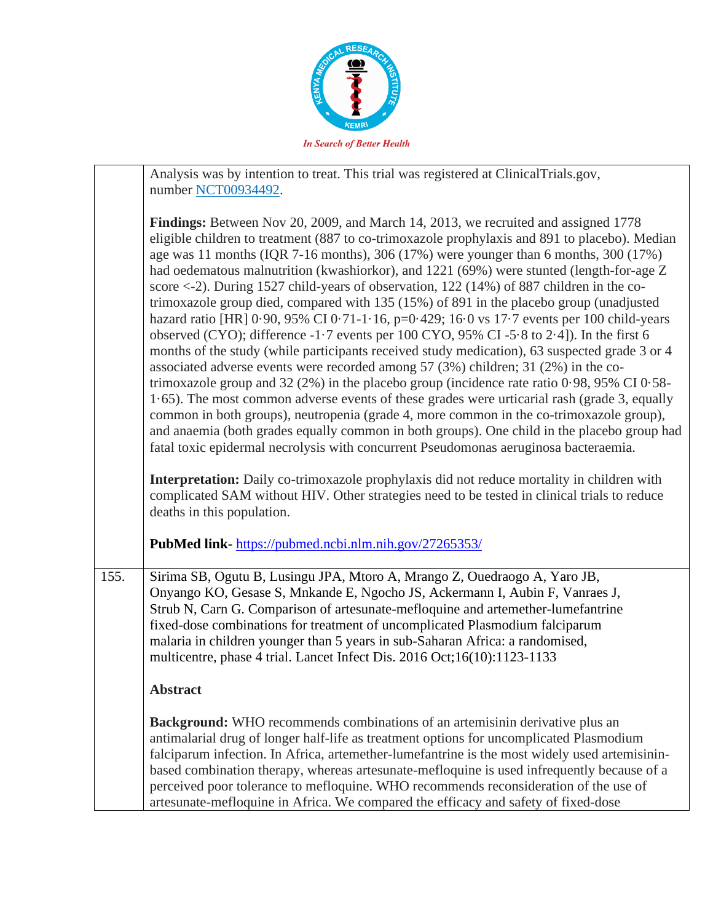

Analysis was by intention to treat. This trial was registered at ClinicalTrials.gov, number [NCT00934492.](http://clinicaltrials.gov/show/NCT00934492)

|      | Findings: Between Nov 20, 2009, and March 14, 2013, we recruited and assigned 1778<br>eligible children to treatment (887 to co-trimoxazole prophylaxis and 891 to placebo). Median<br>age was 11 months (IQR 7-16 months), 306 (17%) were younger than 6 months, 300 (17%)<br>had oedematous malnutrition (kwashiorkor), and 1221 (69%) were stunted (length-for-age Z<br>score $\langle -2 \rangle$ . During 1527 child-years of observation, 122 (14%) of 887 children in the co-<br>trimoxazole group died, compared with 135 (15%) of 891 in the placebo group (unadjusted<br>hazard ratio [HR] 0.90, 95% CI 0.71-1.16, p=0.429; 16.0 vs 17.7 events per 100 child-years<br>observed (CYO); difference $-1.7$ events per 100 CYO, 95% CI $-5.8$ to 2.4]). In the first 6<br>months of the study (while participants received study medication), 63 suspected grade 3 or 4<br>associated adverse events were recorded among 57 (3%) children; 31 (2%) in the co-<br>trimoxazole group and 32 (2%) in the placebo group (incidence rate ratio $0.98$ , 95% CI $0.58$ -<br>1.65). The most common adverse events of these grades were urticarial rash (grade 3, equally<br>common in both groups), neutropenia (grade 4, more common in the co-trimoxazole group),<br>and anaemia (both grades equally common in both groups). One child in the placebo group had<br>fatal toxic epidermal necrolysis with concurrent Pseudomonas aeruginosa bacteraemia.<br>Interpretation: Daily co-trimoxazole prophylaxis did not reduce mortality in children with |
|------|-----------------------------------------------------------------------------------------------------------------------------------------------------------------------------------------------------------------------------------------------------------------------------------------------------------------------------------------------------------------------------------------------------------------------------------------------------------------------------------------------------------------------------------------------------------------------------------------------------------------------------------------------------------------------------------------------------------------------------------------------------------------------------------------------------------------------------------------------------------------------------------------------------------------------------------------------------------------------------------------------------------------------------------------------------------------------------------------------------------------------------------------------------------------------------------------------------------------------------------------------------------------------------------------------------------------------------------------------------------------------------------------------------------------------------------------------------------------------------------------------------------------------------------------------------------|
|      | complicated SAM without HIV. Other strategies need to be tested in clinical trials to reduce<br>deaths in this population.                                                                                                                                                                                                                                                                                                                                                                                                                                                                                                                                                                                                                                                                                                                                                                                                                                                                                                                                                                                                                                                                                                                                                                                                                                                                                                                                                                                                                                |
|      | PubMed link-https://pubmed.ncbi.nlm.nih.gov/27265353/                                                                                                                                                                                                                                                                                                                                                                                                                                                                                                                                                                                                                                                                                                                                                                                                                                                                                                                                                                                                                                                                                                                                                                                                                                                                                                                                                                                                                                                                                                     |
| 155. | Sirima SB, Ogutu B, Lusingu JPA, Mtoro A, Mrango Z, Ouedraogo A, Yaro JB,<br>Onyango KO, Gesase S, Mnkande E, Ngocho JS, Ackermann I, Aubin F, Vanraes J,<br>Strub N, Carn G. Comparison of artesunate-mefloquine and artemether-lumefantrine<br>fixed-dose combinations for treatment of uncomplicated Plasmodium falciparum<br>malaria in children younger than 5 years in sub-Saharan Africa: a randomised,<br>multicentre, phase 4 trial. Lancet Infect Dis. 2016 Oct;16(10):1123-1133                                                                                                                                                                                                                                                                                                                                                                                                                                                                                                                                                                                                                                                                                                                                                                                                                                                                                                                                                                                                                                                                |
|      | <b>Abstract</b>                                                                                                                                                                                                                                                                                                                                                                                                                                                                                                                                                                                                                                                                                                                                                                                                                                                                                                                                                                                                                                                                                                                                                                                                                                                                                                                                                                                                                                                                                                                                           |
|      | <b>Background:</b> WHO recommends combinations of an artemisinin derivative plus an<br>antimalarial drug of longer half-life as treatment options for uncomplicated Plasmodium<br>falciparum infection. In Africa, artemether-lumefantrine is the most widely used artemisinin-<br>based combination therapy, whereas artesunate-mefloquine is used infrequently because of a<br>perceived poor tolerance to mefloquine. WHO recommends reconsideration of the use of<br>artesunate-mefloquine in Africa. We compared the efficacy and safety of fixed-dose                                                                                                                                                                                                                                                                                                                                                                                                                                                                                                                                                                                                                                                                                                                                                                                                                                                                                                                                                                                               |